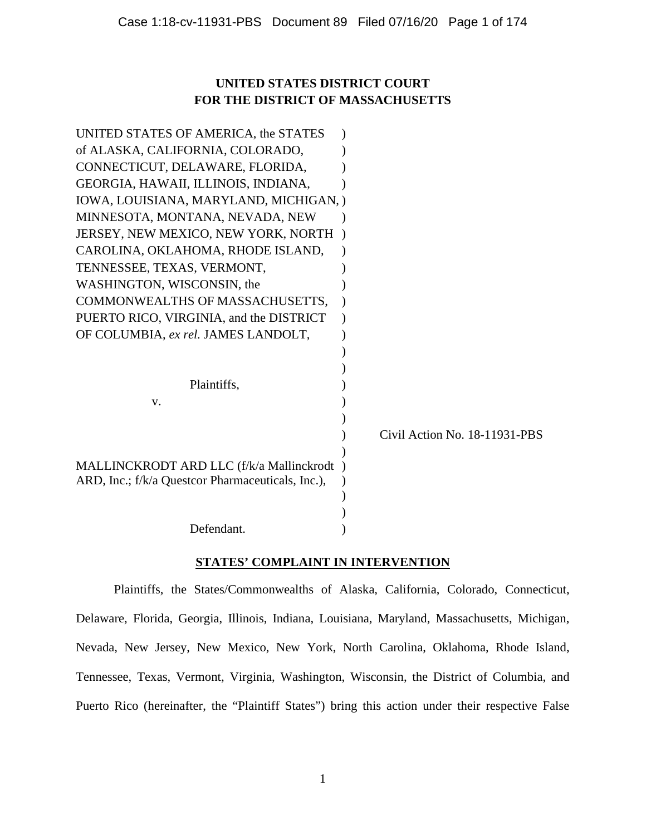# **UNITED STATES DISTRICT COURT FOR THE DISTRICT OF MASSACHUSETTS**

| UNITED STATES OF AMERICA, the STATES              |                               |
|---------------------------------------------------|-------------------------------|
| of ALASKA, CALIFORNIA, COLORADO,                  |                               |
| CONNECTICUT, DELAWARE, FLORIDA,                   |                               |
| GEORGIA, HAWAII, ILLINOIS, INDIANA,               |                               |
| IOWA, LOUISIANA, MARYLAND, MICHIGAN, )            |                               |
| MINNESOTA, MONTANA, NEVADA, NEW                   |                               |
| JERSEY, NEW MEXICO, NEW YORK, NORTH               |                               |
| CAROLINA, OKLAHOMA, RHODE ISLAND,                 |                               |
| TENNESSEE, TEXAS, VERMONT,                        |                               |
| WASHINGTON, WISCONSIN, the                        |                               |
| COMMONWEALTHS OF MASSACHUSETTS,                   |                               |
| PUERTO RICO, VIRGINIA, and the DISTRICT           |                               |
| OF COLUMBIA, ex rel. JAMES LANDOLT,               |                               |
|                                                   |                               |
|                                                   |                               |
| Plaintiffs,                                       |                               |
| V.                                                |                               |
|                                                   |                               |
|                                                   | Civil Action No. 18-11931-PBS |
|                                                   |                               |
| MALLINCKRODT ARD LLC (f/k/a Mallinckrodt          |                               |
| ARD, Inc.; f/k/a Questcor Pharmaceuticals, Inc.), |                               |
|                                                   |                               |
|                                                   |                               |
| Defendant.                                        |                               |

# **STATES' COMPLAINT IN INTERVENTION**

Plaintiffs, the States/Commonwealths of Alaska, California, Colorado, Connecticut, Delaware, Florida, Georgia, Illinois, Indiana, Louisiana, Maryland, Massachusetts, Michigan, Nevada, New Jersey, New Mexico, New York, North Carolina, Oklahoma, Rhode Island, Tennessee, Texas, Vermont, Virginia, Washington, Wisconsin, the District of Columbia, and Puerto Rico (hereinafter, the "Plaintiff States") bring this action under their respective False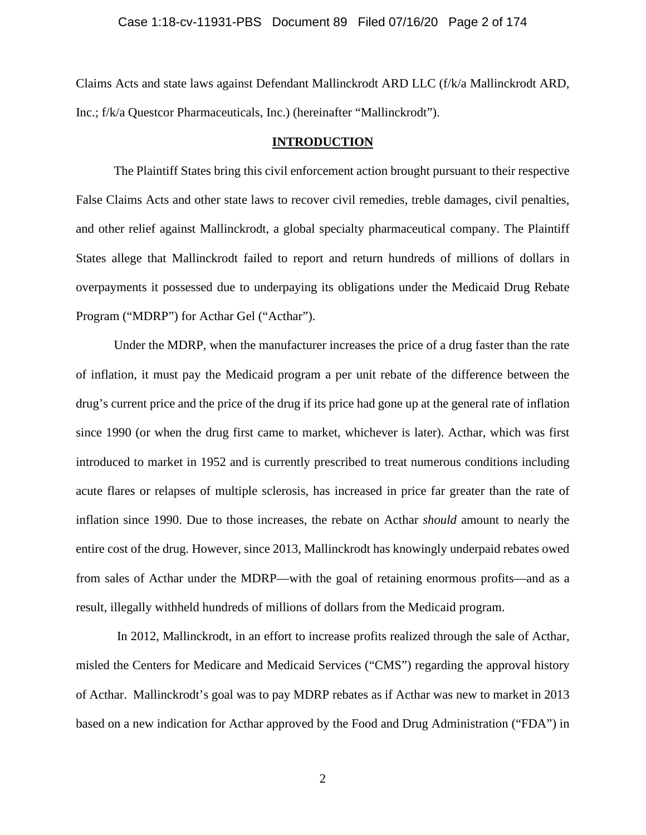Claims Acts and state laws against Defendant Mallinckrodt ARD LLC (f/k/a Mallinckrodt ARD, Inc.; f/k/a Questcor Pharmaceuticals, Inc.) (hereinafter "Mallinckrodt").

## **INTRODUCTION**

The Plaintiff States bring this civil enforcement action brought pursuant to their respective False Claims Acts and other state laws to recover civil remedies, treble damages, civil penalties, and other relief against Mallinckrodt, a global specialty pharmaceutical company. The Plaintiff States allege that Mallinckrodt failed to report and return hundreds of millions of dollars in overpayments it possessed due to underpaying its obligations under the Medicaid Drug Rebate Program ("MDRP") for Acthar Gel ("Acthar").

Under the MDRP, when the manufacturer increases the price of a drug faster than the rate of inflation, it must pay the Medicaid program a per unit rebate of the difference between the drug's current price and the price of the drug if its price had gone up at the general rate of inflation since 1990 (or when the drug first came to market, whichever is later). Acthar, which was first introduced to market in 1952 and is currently prescribed to treat numerous conditions including acute flares or relapses of multiple sclerosis, has increased in price far greater than the rate of inflation since 1990. Due to those increases, the rebate on Acthar *should* amount to nearly the entire cost of the drug. However, since 2013, Mallinckrodt has knowingly underpaid rebates owed from sales of Acthar under the MDRP—with the goal of retaining enormous profits—and as a result, illegally withheld hundreds of millions of dollars from the Medicaid program.

In 2012, Mallinckrodt, in an effort to increase profits realized through the sale of Acthar, misled the Centers for Medicare and Medicaid Services ("CMS") regarding the approval history of Acthar. Mallinckrodt's goal was to pay MDRP rebates as if Acthar was new to market in 2013 based on a new indication for Acthar approved by the Food and Drug Administration ("FDA") in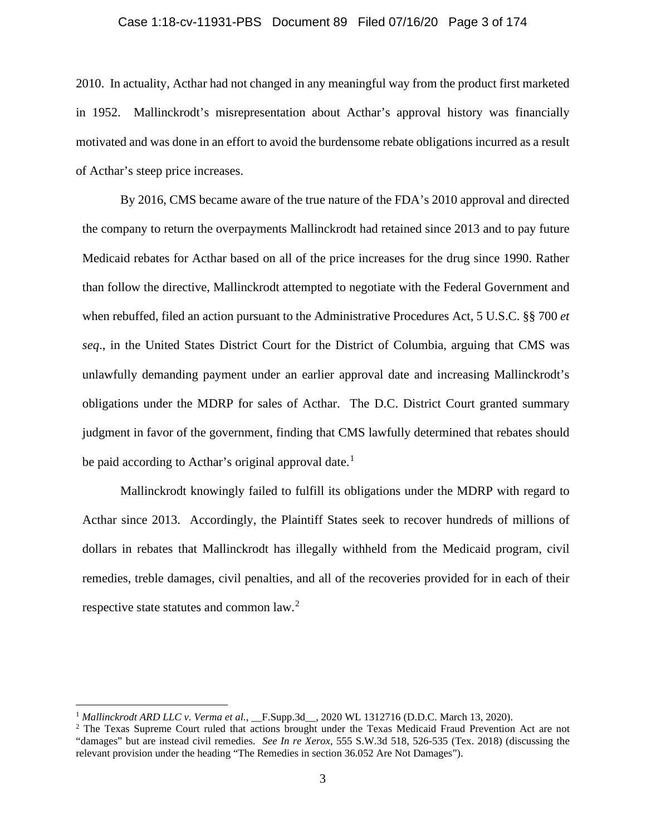### Case 1:18-cv-11931-PBS Document 89 Filed 07/16/20 Page 3 of 174

2010. In actuality, Acthar had not changed in any meaningful way from the product first marketed in 1952. Mallinckrodt's misrepresentation about Acthar's approval history was financially motivated and was done in an effort to avoid the burdensome rebate obligations incurred as a result of Acthar's steep price increases.

By 2016, CMS became aware of the true nature of the FDA's 2010 approval and directed the company to return the overpayments Mallinckrodt had retained since 2013 and to pay future Medicaid rebates for Acthar based on all of the price increases for the drug since 1990. Rather than follow the directive, Mallinckrodt attempted to negotiate with the Federal Government and when rebuffed, filed an action pursuant to the Administrative Procedures Act, 5 U.S.C. §§ 700 *et seq*., in the United States District Court for the District of Columbia, arguing that CMS was unlawfully demanding payment under an earlier approval date and increasing Mallinckrodt's obligations under the MDRP for sales of Acthar. The D.C. District Court granted summary judgment in favor of the government, finding that CMS lawfully determined that rebates should be paid according to Acthar's original approval date.<sup>1</sup>

Mallinckrodt knowingly failed to fulfill its obligations under the MDRP with regard to Acthar since 2013. Accordingly, the Plaintiff States seek to recover hundreds of millions of dollars in rebates that Mallinckrodt has illegally withheld from the Medicaid program, civil remedies, treble damages, civil penalties, and all of the recoveries provided for in each of their respective state statutes and common law.<sup>2</sup>

<sup>&</sup>lt;sup>1</sup> Mallinckrodt ARD LLC v. Verma et al., \_\_F.Supp.3d\_\_, 2020 WL 1312716 (D.D.C. March 13, 2020).

<sup>&</sup>lt;sup>2</sup> The Texas Supreme Court ruled that actions brought under the Texas Medicaid Fraud Prevention Act are not "damages" but are instead civil remedies. *See In re Xerox*, 555 S.W.3d 518, 526-535 (Tex. 2018) (discussing the relevant provision under the heading "The Remedies in section 36.052 Are Not Damages").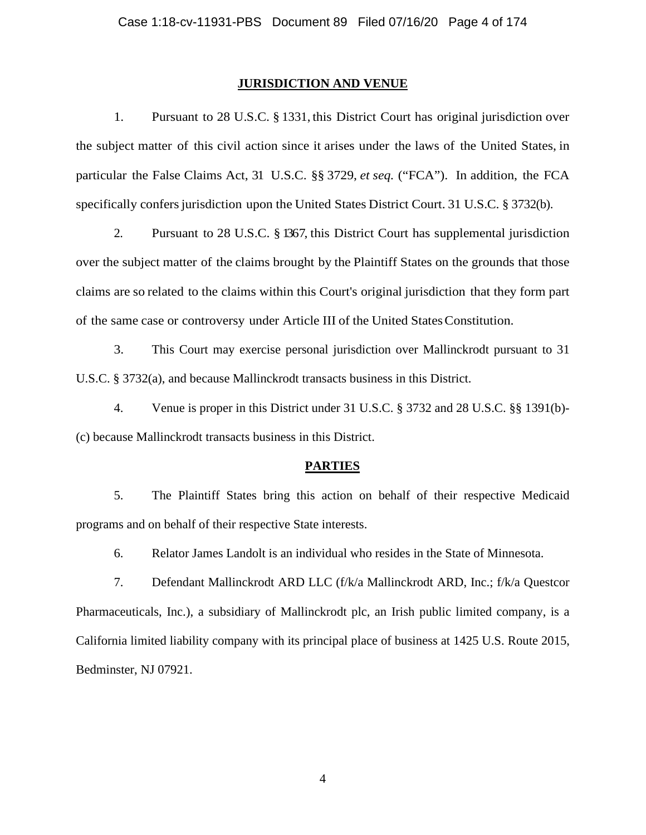### **JURISDICTION AND VENUE**

1. Pursuant to 28 U.S.C. § 1331, this District Court has original jurisdiction over the subject matter of this civil action since it arises under the laws of the United States, in particular the False Claims Act, 31 U.S.C. §§ 3729, *et seq.* ("FCA"). In addition, the FCA specifically confers jurisdiction upon the United States District Court. 31 U.S.C. § 3732(b).

2. Pursuant to 28 U.S.C. § 1367, this District Court has supplemental jurisdiction over the subject matter of the claims brought by the Plaintiff States on the grounds that those claims are so related to the claims within this Court's original jurisdiction that they form part of the same case or controversy under Article III of the United StatesConstitution.

3. This Court may exercise personal jurisdiction over Mallinckrodt pursuant to 31 U.S.C. § 3732(a), and because Mallinckrodt transacts business in this District.

4. Venue is proper in this District under 31 U.S.C. § 3732 and 28 U.S.C. §§ 1391(b)- (c) because Mallinckrodt transacts business in this District.

## **PARTIES**

5. The Plaintiff States bring this action on behalf of their respective Medicaid programs and on behalf of their respective State interests.

6. Relator James Landolt is an individual who resides in the State of Minnesota.

7. Defendant Mallinckrodt ARD LLC (f/k/a Mallinckrodt ARD, Inc.; f/k/a Questcor Pharmaceuticals, Inc.), a subsidiary of Mallinckrodt plc, an Irish public limited company, is a California limited liability company with its principal place of business at 1425 U.S. Route 2015, Bedminster, NJ 07921.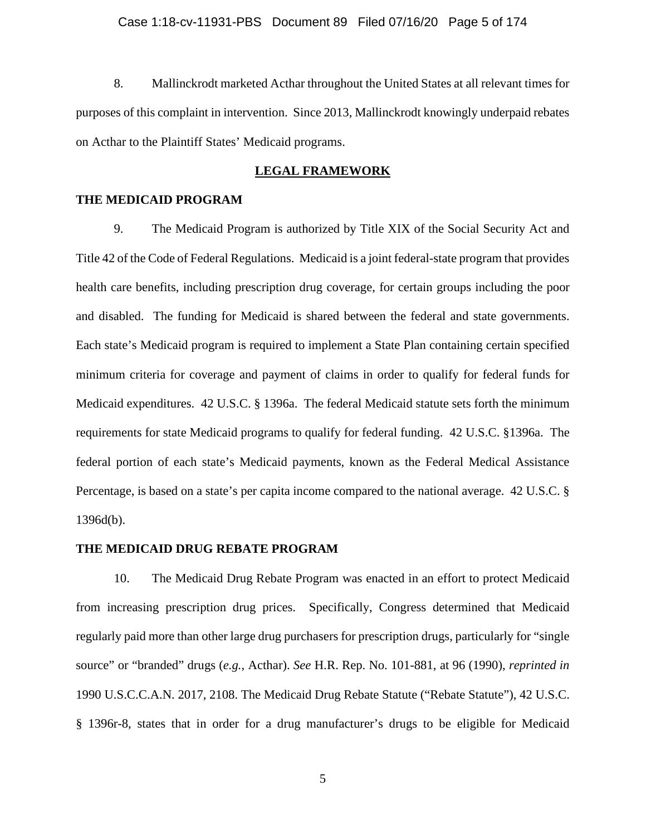# Case 1:18-cv-11931-PBS Document 89 Filed 07/16/20 Page 5 of 174

8. Mallinckrodt marketed Acthar throughout the United States at all relevant times for purposes of this complaint in intervention. Since 2013, Mallinckrodt knowingly underpaid rebates on Acthar to the Plaintiff States' Medicaid programs.

## **LEGAL FRAMEWORK**

## **THE MEDICAID PROGRAM**

9. The Medicaid Program is authorized by Title XIX of the Social Security Act and Title 42 of the Code of Federal Regulations. Medicaid is a joint federal-state program that provides health care benefits, including prescription drug coverage, for certain groups including the poor and disabled. The funding for Medicaid is shared between the federal and state governments. Each state's Medicaid program is required to implement a State Plan containing certain specified minimum criteria for coverage and payment of claims in order to qualify for federal funds for Medicaid expenditures. 42 U.S.C. § 1396a. The federal Medicaid statute sets forth the minimum requirements for state Medicaid programs to qualify for federal funding. 42 U.S.C. §1396a. The federal portion of each state's Medicaid payments, known as the Federal Medical Assistance Percentage, is based on a state's per capita income compared to the national average. 42 U.S.C. § 1396d(b).

### **THE MEDICAID DRUG REBATE PROGRAM**

10. The Medicaid Drug Rebate Program was enacted in an effort to protect Medicaid from increasing prescription drug prices. Specifically, Congress determined that Medicaid regularly paid more than other large drug purchasers for prescription drugs, particularly for "single source" or "branded" drugs (*e.g.*, Acthar). *See* H.R. Rep. No. 101-881, at 96 (1990), *reprinted in*  1990 U.S.C.C.A.N. 2017, 2108. The Medicaid Drug Rebate Statute ("Rebate Statute"), 42 U.S.C. § 1396r-8, states that in order for a drug manufacturer's drugs to be eligible for Medicaid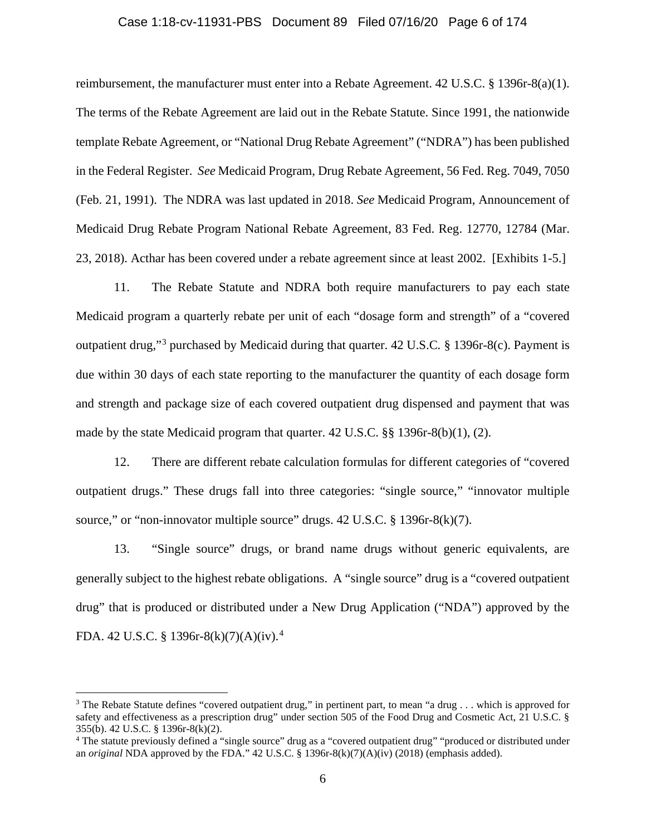## Case 1:18-cv-11931-PBS Document 89 Filed 07/16/20 Page 6 of 174

reimbursement, the manufacturer must enter into a Rebate Agreement. 42 U.S.C. § 1396r-8(a)(1). The terms of the Rebate Agreement are laid out in the Rebate Statute. Since 1991, the nationwide template Rebate Agreement, or "National Drug Rebate Agreement" ("NDRA") has been published in the Federal Register. *See* Medicaid Program, Drug Rebate Agreement, 56 Fed. Reg. 7049, 7050 (Feb. 21, 1991). The NDRA was last updated in 2018. *See* Medicaid Program, Announcement of Medicaid Drug Rebate Program National Rebate Agreement, 83 Fed. Reg. 12770, 12784 (Mar. 23, 2018). Acthar has been covered under a rebate agreement since at least 2002. [Exhibits 1-5.]

11. The Rebate Statute and NDRA both require manufacturers to pay each state Medicaid program a quarterly rebate per unit of each "dosage form and strength" of a "covered outpatient drug,"<sup>3</sup> purchased by Medicaid during that quarter. 42 U.S.C*.* § 1396r-8(c). Payment is due within 30 days of each state reporting to the manufacturer the quantity of each dosage form and strength and package size of each covered outpatient drug dispensed and payment that was made by the state Medicaid program that quarter. 42 U.S.C. §§ 1396r-8(b)(1), (2).

12. There are different rebate calculation formulas for different categories of "covered outpatient drugs." These drugs fall into three categories: "single source," "innovator multiple source," or "non-innovator multiple source" drugs.  $42 \text{ U.S.C.}$  §  $1396r-8(k)(7)$ .

13. "Single source" drugs, or brand name drugs without generic equivalents, are generally subject to the highest rebate obligations. A "single source" drug is a "covered outpatient drug" that is produced or distributed under a New Drug Application ("NDA") approved by the FDA. 42 U.S.C. § 1396r-8(k)(7)(A)(iv).<sup>4</sup>

<sup>&</sup>lt;sup>3</sup> The Rebate Statute defines "covered outpatient drug," in pertinent part, to mean "a drug . . . which is approved for safety and effectiveness as a prescription drug" under section 505 of the Food Drug and Cosmetic Act, 21 U.S.C. § 355(b). 42 U.S.C. § 1396r-8(k)(2).<br><sup>4</sup> The statute previously defined a "single source" drug as a "covered outpatient drug" "produced or distributed under

an *original* NDA approved by the FDA." 42 U.S.C. § 1396r-8(k)(7)(A)(iv) (2018) (emphasis added).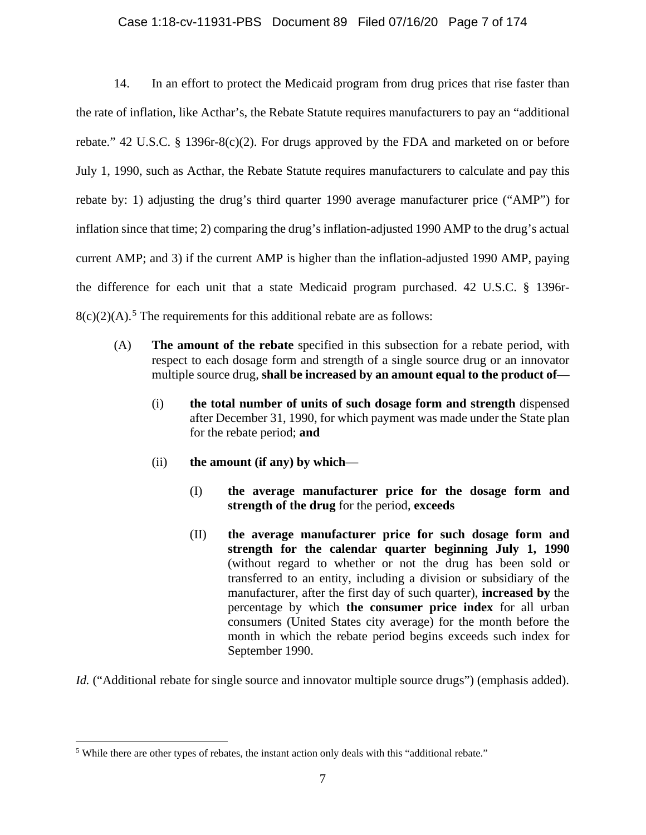# Case 1:18-cv-11931-PBS Document 89 Filed 07/16/20 Page 7 of 174

14. In an effort to protect the Medicaid program from drug prices that rise faster than the rate of inflation, like Acthar's, the Rebate Statute requires manufacturers to pay an "additional rebate." 42 U.S.C. § 1396r-8(c)(2). For drugs approved by the FDA and marketed on or before July 1, 1990, such as Acthar, the Rebate Statute requires manufacturers to calculate and pay this rebate by: 1) adjusting the drug's third quarter 1990 average manufacturer price ("AMP") for inflation since that time; 2) comparing the drug's inflation-adjusted 1990 AMP to the drug's actual current AMP; and 3) if the current AMP is higher than the inflation-adjusted 1990 AMP, paying the difference for each unit that a state Medicaid program purchased. 42 U.S.C. § 1396r- $8(c)(2)(A)$ .<sup>5</sup> The requirements for this additional rebate are as follows:

- (A) **The amount of the rebate** specified in this subsection for a rebate period, with respect to each dosage form and strength of a single source drug or an innovator multiple source drug, **shall be increased by an amount equal to the product of**—
	- (i) **the total number of units of such dosage form and strength** dispensed after December 31, 1990, for which payment was made under the State plan for the rebate period; **and**
	- (ii) **the amount (if any) by which**
		- (I) **the average manufacturer price for the dosage form and strength of the drug** for the period, **exceeds**
		- (II) **the average manufacturer price for such dosage form and strength for the calendar quarter beginning July 1, 1990**  (without regard to whether or not the drug has been sold or transferred to an entity, including a division or subsidiary of the manufacturer, after the first day of such quarter), **increased by** the percentage by which **the consumer price index** for all urban consumers (United States city average) for the month before the month in which the rebate period begins exceeds such index for September 1990.

*Id.* ("Additional rebate for single source and innovator multiple source drugs") (emphasis added).

<sup>5</sup> While there are other types of rebates, the instant action only deals with this "additional rebate."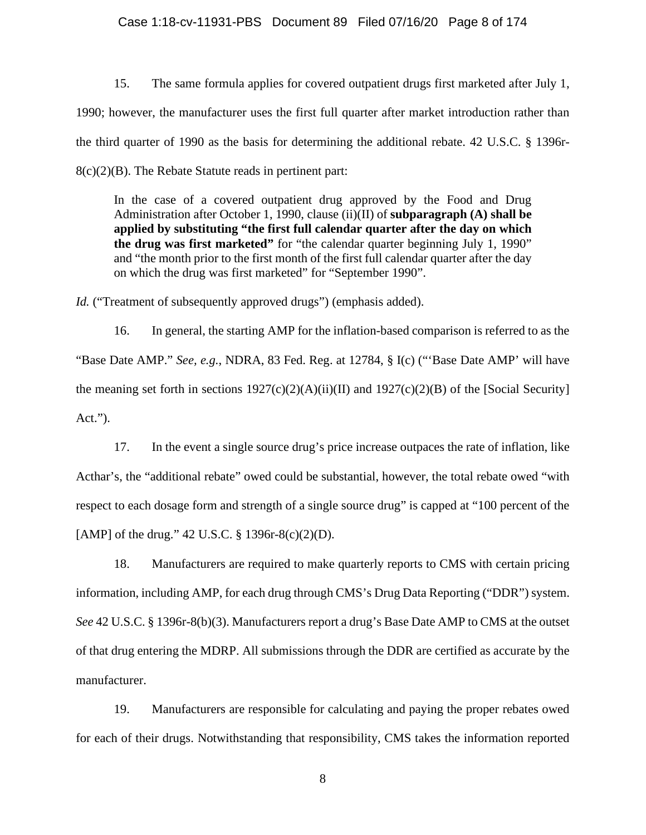## Case 1:18-cv-11931-PBS Document 89 Filed 07/16/20 Page 8 of 174

15. The same formula applies for covered outpatient drugs first marketed after July 1, 1990; however, the manufacturer uses the first full quarter after market introduction rather than the third quarter of 1990 as the basis for determining the additional rebate. 42 U.S.C. § 1396r-8(c)(2)(B). The Rebate Statute reads in pertinent part:

In the case of a covered outpatient drug approved by the Food and Drug Administration after October 1, 1990, clause (ii)(II) of **subparagraph (A) shall be applied by substituting "the first full calendar quarter after the day on which the drug was first marketed"** for "the calendar quarter beginning July 1, 1990" and "the month prior to the first month of the first full calendar quarter after the day on which the drug was first marketed" for "September 1990".

*Id.* ("Treatment of subsequently approved drugs") (emphasis added).

16. In general, the starting AMP for the inflation-based comparison is referred to as the "Base Date AMP." *See, e.g.*, NDRA, 83 Fed. Reg. at 12784, § I(c) ("'Base Date AMP' will have the meaning set forth in sections  $1927(c)(2)(A)(ii)(II)$  and  $1927(c)(2)(B)$  of the [Social Security] Act.").

17. In the event a single source drug's price increase outpaces the rate of inflation, like Acthar's, the "additional rebate" owed could be substantial, however, the total rebate owed "with respect to each dosage form and strength of a single source drug" is capped at "100 percent of the [AMP] of the drug." 42 U.S.C. § 1396r-8(c)(2)(D).

18. Manufacturers are required to make quarterly reports to CMS with certain pricing information, including AMP, for each drug through CMS's Drug Data Reporting ("DDR") system. *See* 42 U.S.C. § 1396r-8(b)(3). Manufacturers report a drug's Base Date AMP to CMS at the outset of that drug entering the MDRP. All submissions through the DDR are certified as accurate by the manufacturer.

19. Manufacturers are responsible for calculating and paying the proper rebates owed for each of their drugs. Notwithstanding that responsibility, CMS takes the information reported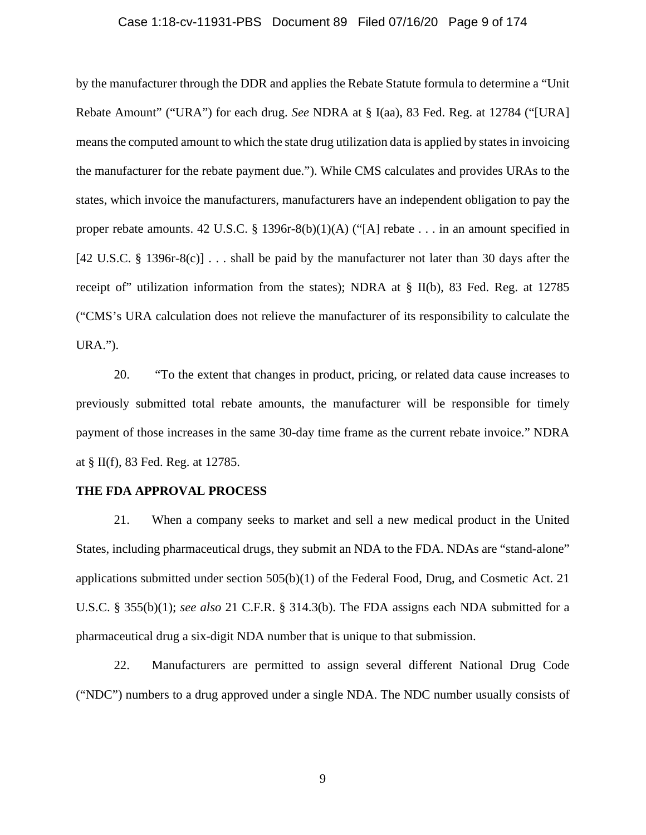## Case 1:18-cv-11931-PBS Document 89 Filed 07/16/20 Page 9 of 174

by the manufacturer through the DDR and applies the Rebate Statute formula to determine a "Unit Rebate Amount" ("URA") for each drug. *See* NDRA at § I(aa), 83 Fed. Reg. at 12784 ("[URA] means the computed amount to which the state drug utilization data is applied by states in invoicing the manufacturer for the rebate payment due."). While CMS calculates and provides URAs to the states, which invoice the manufacturers, manufacturers have an independent obligation to pay the proper rebate amounts. 42 U.S.C. § 1396r-8(b)(1)(A) ("[A] rebate . . . in an amount specified in [42 U.S.C. § 1396r-8(c)] . . . shall be paid by the manufacturer not later than 30 days after the receipt of" utilization information from the states); NDRA at § II(b), 83 Fed. Reg. at 12785 ("CMS's URA calculation does not relieve the manufacturer of its responsibility to calculate the URA.").

20. "To the extent that changes in product, pricing, or related data cause increases to previously submitted total rebate amounts, the manufacturer will be responsible for timely payment of those increases in the same 30-day time frame as the current rebate invoice." NDRA at § II(f), 83 Fed. Reg. at 12785.

## **THE FDA APPROVAL PROCESS**

21. When a company seeks to market and sell a new medical product in the United States, including pharmaceutical drugs, they submit an NDA to the FDA. NDAs are "stand-alone" applications submitted under section 505(b)(1) of the Federal Food, Drug, and Cosmetic Act. 21 U.S.C. § 355(b)(1); *see also* 21 C.F.R. § 314.3(b). The FDA assigns each NDA submitted for a pharmaceutical drug a six-digit NDA number that is unique to that submission.

22. Manufacturers are permitted to assign several different National Drug Code ("NDC") numbers to a drug approved under a single NDA. The NDC number usually consists of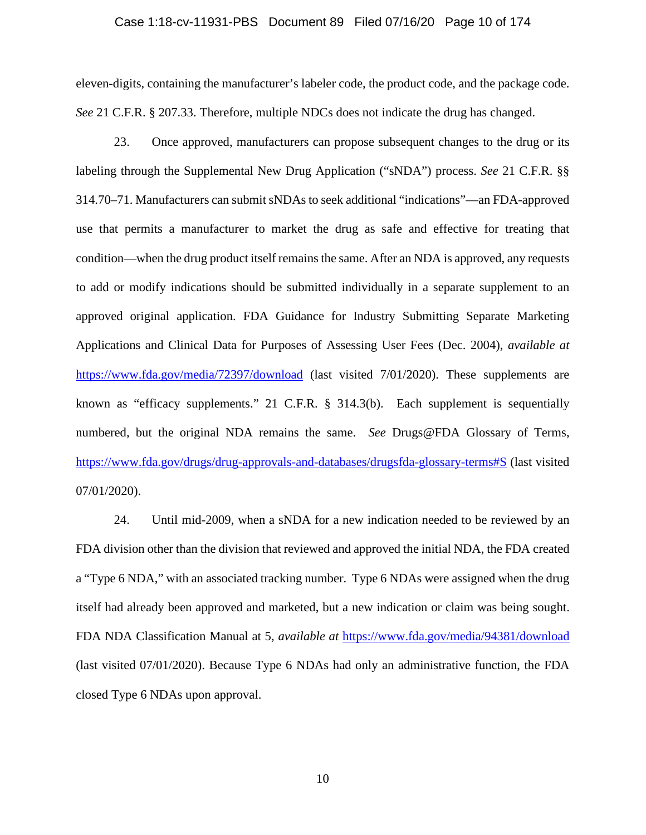## Case 1:18-cv-11931-PBS Document 89 Filed 07/16/20 Page 10 of 174

eleven-digits, containing the manufacturer's labeler code, the product code, and the package code. *See* 21 C.F.R. § 207.33. Therefore, multiple NDCs does not indicate the drug has changed.

23. Once approved, manufacturers can propose subsequent changes to the drug or its labeling through the Supplemental New Drug Application ("sNDA") process. *See* 21 C.F.R. §§ 314.70–71. Manufacturers can submit sNDAs to seek additional "indications"—an FDA-approved use that permits a manufacturer to market the drug as safe and effective for treating that condition—when the drug product itself remains the same. After an NDA is approved, any requests to add or modify indications should be submitted individually in a separate supplement to an approved original application. FDA Guidance for Industry Submitting Separate Marketing Applications and Clinical Data for Purposes of Assessing User Fees (Dec. 2004), *available at*  https://www.fda.gov/media/72397/download (last visited 7/01/2020). These supplements are known as "efficacy supplements." 21 C.F.R. § 314.3(b). Each supplement is sequentially numbered, but the original NDA remains the same. *See* Drugs@FDA Glossary of Terms, https://www.fda.gov/drugs/drug-approvals-and-databases/drugsfda-glossary-terms#S (last visited 07/01/2020).

24. Until mid-2009, when a sNDA for a new indication needed to be reviewed by an FDA division other than the division that reviewed and approved the initial NDA, the FDA created a "Type 6 NDA," with an associated tracking number. Type 6 NDAs were assigned when the drug itself had already been approved and marketed, but a new indication or claim was being sought. FDA NDA Classification Manual at 5, *available at* https://www.fda.gov/media/94381/download (last visited 07/01/2020). Because Type 6 NDAs had only an administrative function, the FDA closed Type 6 NDAs upon approval.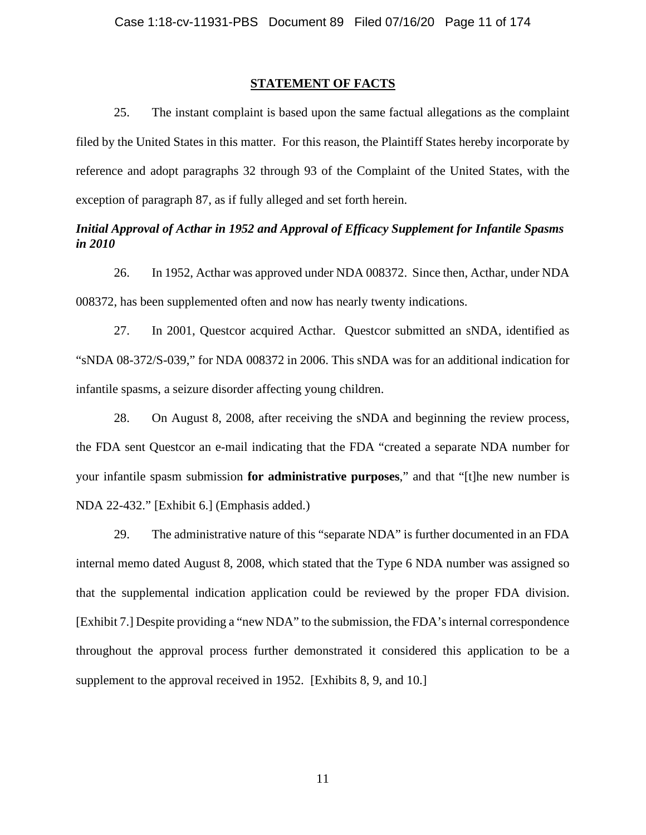## **STATEMENT OF FACTS**

25. The instant complaint is based upon the same factual allegations as the complaint filed by the United States in this matter. For this reason, the Plaintiff States hereby incorporate by reference and adopt paragraphs 32 through 93 of the Complaint of the United States, with the exception of paragraph 87, as if fully alleged and set forth herein.

# *Initial Approval of Acthar in 1952 and Approval of Efficacy Supplement for Infantile Spasms in 2010*

26. In 1952, Acthar was approved under NDA 008372. Since then, Acthar, under NDA 008372, has been supplemented often and now has nearly twenty indications.

27. In 2001, Questcor acquired Acthar. Questcor submitted an sNDA, identified as "sNDA 08-372/S-039," for NDA 008372 in 2006. This sNDA was for an additional indication for infantile spasms, a seizure disorder affecting young children.

28. On August 8, 2008, after receiving the sNDA and beginning the review process, the FDA sent Questcor an e-mail indicating that the FDA "created a separate NDA number for your infantile spasm submission **for administrative purposes**," and that "[t]he new number is NDA 22-432." [Exhibit 6.] (Emphasis added.)

29. The administrative nature of this "separate NDA" is further documented in an FDA internal memo dated August 8, 2008, which stated that the Type 6 NDA number was assigned so that the supplemental indication application could be reviewed by the proper FDA division. [Exhibit 7.] Despite providing a "new NDA" to the submission, the FDA's internal correspondence throughout the approval process further demonstrated it considered this application to be a supplement to the approval received in 1952. [Exhibits 8, 9, and 10.]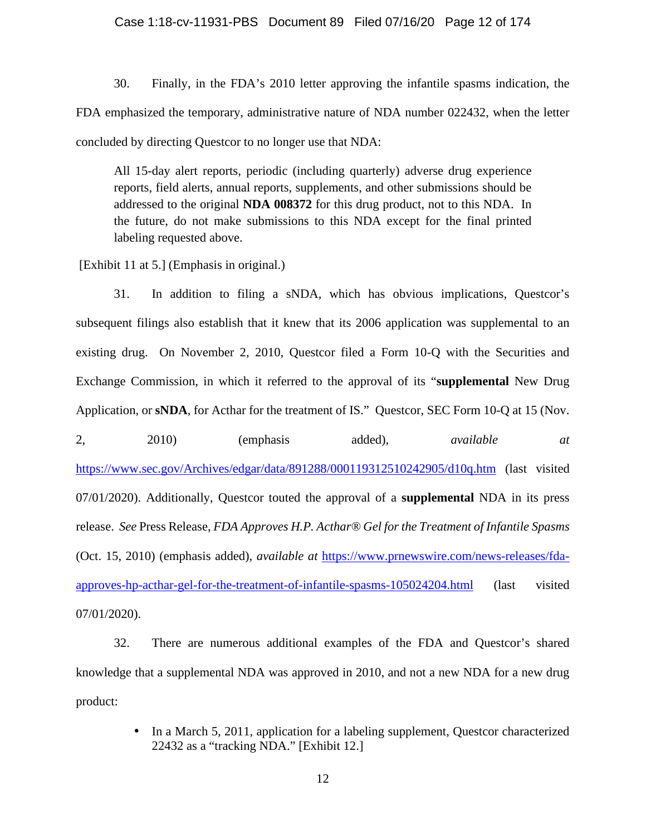30. Finally, in the FDA's 2010 letter approving the infantile spasms indication, the FDA emphasized the temporary, administrative nature of NDA number 022432, when the letter concluded by directing Questcor to no longer use that NDA:

All 15-day alert reports, periodic (including quarterly) adverse drug experience reports, field alerts, annual reports, supplements, and other submissions should be addressed to the original **NDA 008372** for this drug product, not to this NDA. In the future, do not make submissions to this NDA except for the final printed labeling requested above.

[Exhibit 11 at 5.] (Emphasis in original.)

31. In addition to filing a sNDA, which has obvious implications, Questcor's subsequent filings also establish that it knew that its 2006 application was supplemental to an existing drug. On November 2, 2010, Questcor filed a Form 10-Q with the Securities and Exchange Commission, in which it referred to the approval of its "**supplemental** New Drug Application, or **sNDA**, for Acthar for the treatment of IS." Questcor, SEC Form 10-Q at 15 (Nov. 2, 2010) (emphasis added), *available at*  https://www.sec.gov/Archives/edgar/data/891288/000119312510242905/d10q.htm (last visited 07/01/2020). Additionally, Questcor touted the approval of a **supplemental** NDA in its press

(Oct. 15, 2010) (emphasis added), *available at* https://www.prnewswire.com/news-releases/fdaapproves-hp-acthar-gel-for-the-treatment-of-infantile-spasms-105024204.html (last visited 07/01/2020).

release. *See* Press Release, *FDA Approves H.P. Acthar® Gel for the Treatment of Infantile Spasms* 

32. There are numerous additional examples of the FDA and Questcor's shared knowledge that a supplemental NDA was approved in 2010, and not a new NDA for a new drug product:

> In a March 5, 2011, application for a labeling supplement, Questcor characterized  $\mathcal{L}^{\text{max}}$ 22432 as a "tracking NDA." [Exhibit 12.]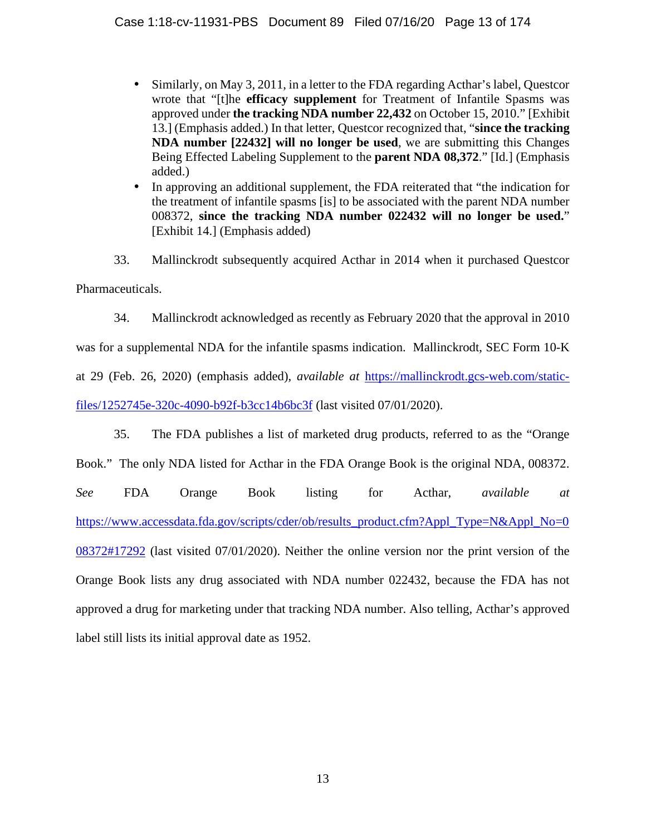- Similarly, on May 3, 2011, in a letter to the FDA regarding Acthar's label, Questcor  $\mathbf{r}$ wrote that "[t]he **efficacy supplement** for Treatment of Infantile Spasms was approved under **the tracking NDA number 22,432** on October 15, 2010." [Exhibit 13.] (Emphasis added.) In that letter, Questcor recognized that, "**since the tracking NDA number [22432] will no longer be used**, we are submitting this Changes Being Effected Labeling Supplement to the **parent NDA 08,372**." [Id.] (Emphasis added.)
- In approving an additional supplement, the FDA reiterated that "the indication for the treatment of infantile spasms [is] to be associated with the parent NDA number 008372, **since the tracking NDA number 022432 will no longer be used.**" [Exhibit 14.] (Emphasis added)

33. Mallinckrodt subsequently acquired Acthar in 2014 when it purchased Questcor Pharmaceuticals.

34. Mallinckrodt acknowledged as recently as February 2020 that the approval in 2010

was for a supplemental NDA for the infantile spasms indication. Mallinckrodt, SEC Form 10-K

at 29 (Feb. 26, 2020) (emphasis added), *available at* https://mallinckrodt.gcs-web.com/static-

files/1252745e-320c-4090-b92f-b3cc14b6bc3f (last visited 07/01/2020).

35. The FDA publishes a list of marketed drug products, referred to as the "Orange

Book." The only NDA listed for Acthar in the FDA Orange Book is the original NDA, 008372.

*See* FDA Orange Book listing for Acthar, *available at*  https://www.accessdata.fda.gov/scripts/cder/ob/results\_product.cfm?Appl\_Type=N&Appl\_No=0 08372#17292 (last visited 07/01/2020). Neither the online version nor the print version of the Orange Book lists any drug associated with NDA number 022432, because the FDA has not approved a drug for marketing under that tracking NDA number. Also telling, Acthar's approved label still lists its initial approval date as 1952.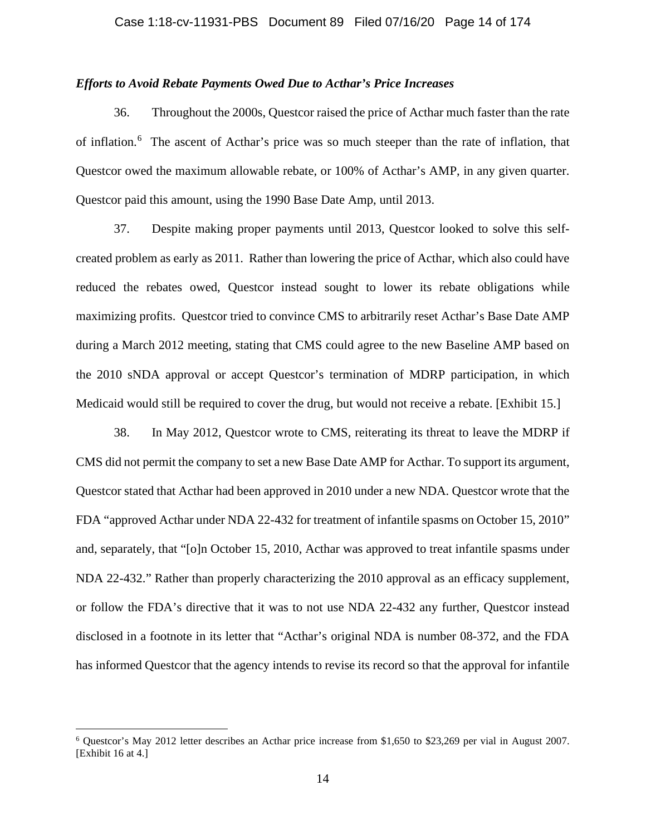## *Efforts to Avoid Rebate Payments Owed Due to Acthar's Price Increases*

36. Throughout the 2000s, Questcor raised the price of Acthar much faster than the rate of inflation.<sup>6</sup> The ascent of Acthar's price was so much steeper than the rate of inflation, that Questcor owed the maximum allowable rebate, or 100% of Acthar's AMP, in any given quarter. Questcor paid this amount, using the 1990 Base Date Amp, until 2013.

37. Despite making proper payments until 2013, Questcor looked to solve this selfcreated problem as early as 2011. Rather than lowering the price of Acthar, which also could have reduced the rebates owed, Questcor instead sought to lower its rebate obligations while maximizing profits. Questcor tried to convince CMS to arbitrarily reset Acthar's Base Date AMP during a March 2012 meeting, stating that CMS could agree to the new Baseline AMP based on the 2010 sNDA approval or accept Questcor's termination of MDRP participation, in which Medicaid would still be required to cover the drug, but would not receive a rebate. [Exhibit 15.]

38. In May 2012, Questcor wrote to CMS, reiterating its threat to leave the MDRP if CMS did not permit the company to set a new Base Date AMP for Acthar. To support its argument, Questcor stated that Acthar had been approved in 2010 under a new NDA. Questcor wrote that the FDA "approved Acthar under NDA 22-432 for treatment of infantile spasms on October 15, 2010" and, separately, that "[o]n October 15, 2010, Acthar was approved to treat infantile spasms under NDA 22-432." Rather than properly characterizing the 2010 approval as an efficacy supplement, or follow the FDA's directive that it was to not use NDA 22-432 any further, Questcor instead disclosed in a footnote in its letter that "Acthar's original NDA is number 08-372, and the FDA has informed Questcor that the agency intends to revise its record so that the approval for infantile

<sup>6</sup> Questcor's May 2012 letter describes an Acthar price increase from \$1,650 to \$23,269 per vial in August 2007. [Exhibit 16 at 4.]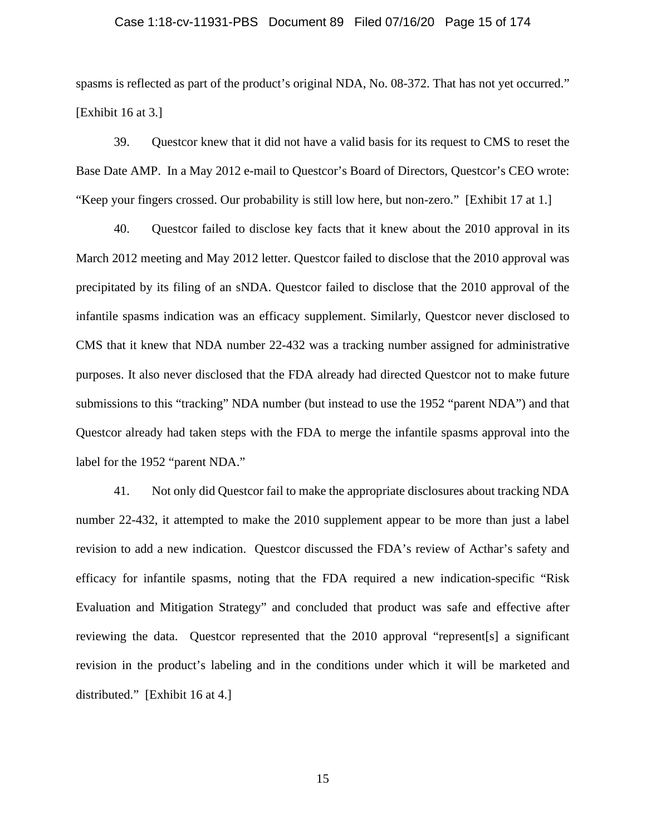## Case 1:18-cv-11931-PBS Document 89 Filed 07/16/20 Page 15 of 174

spasms is reflected as part of the product's original NDA, No. 08-372. That has not yet occurred." [Exhibit 16 at 3.]

39. Questcor knew that it did not have a valid basis for its request to CMS to reset the Base Date AMP. In a May 2012 e-mail to Questcor's Board of Directors, Questcor's CEO wrote: "Keep your fingers crossed. Our probability is still low here, but non-zero." [Exhibit 17 at 1.]

40. Questcor failed to disclose key facts that it knew about the 2010 approval in its March 2012 meeting and May 2012 letter. Questcor failed to disclose that the 2010 approval was precipitated by its filing of an sNDA. Questcor failed to disclose that the 2010 approval of the infantile spasms indication was an efficacy supplement. Similarly, Questcor never disclosed to CMS that it knew that NDA number 22-432 was a tracking number assigned for administrative purposes. It also never disclosed that the FDA already had directed Questcor not to make future submissions to this "tracking" NDA number (but instead to use the 1952 "parent NDA") and that Questcor already had taken steps with the FDA to merge the infantile spasms approval into the label for the 1952 "parent NDA."

41. Not only did Questcor fail to make the appropriate disclosures about tracking NDA number 22-432, it attempted to make the 2010 supplement appear to be more than just a label revision to add a new indication. Questcor discussed the FDA's review of Acthar's safety and efficacy for infantile spasms, noting that the FDA required a new indication-specific "Risk Evaluation and Mitigation Strategy" and concluded that product was safe and effective after reviewing the data. Questcor represented that the 2010 approval "represent[s] a significant revision in the product's labeling and in the conditions under which it will be marketed and distributed." [Exhibit 16 at 4.]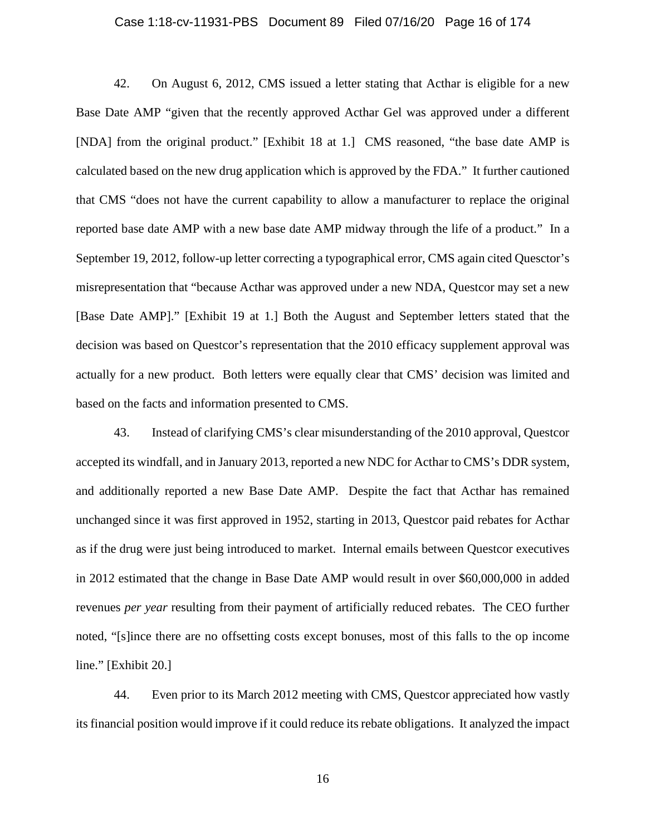## Case 1:18-cv-11931-PBS Document 89 Filed 07/16/20 Page 16 of 174

42. On August 6, 2012, CMS issued a letter stating that Acthar is eligible for a new Base Date AMP "given that the recently approved Acthar Gel was approved under a different [NDA] from the original product." [Exhibit 18 at 1.] CMS reasoned, "the base date AMP is calculated based on the new drug application which is approved by the FDA." It further cautioned that CMS "does not have the current capability to allow a manufacturer to replace the original reported base date AMP with a new base date AMP midway through the life of a product." In a September 19, 2012, follow-up letter correcting a typographical error, CMS again cited Quesctor's misrepresentation that "because Acthar was approved under a new NDA, Questcor may set a new [Base Date AMP]." [Exhibit 19 at 1.] Both the August and September letters stated that the decision was based on Questcor's representation that the 2010 efficacy supplement approval was actually for a new product. Both letters were equally clear that CMS' decision was limited and based on the facts and information presented to CMS.

43. Instead of clarifying CMS's clear misunderstanding of the 2010 approval, Questcor accepted its windfall, and in January 2013, reported a new NDC for Acthar to CMS's DDR system, and additionally reported a new Base Date AMP. Despite the fact that Acthar has remained unchanged since it was first approved in 1952, starting in 2013, Questcor paid rebates for Acthar as if the drug were just being introduced to market. Internal emails between Questcor executives in 2012 estimated that the change in Base Date AMP would result in over \$60,000,000 in added revenues *per year* resulting from their payment of artificially reduced rebates. The CEO further noted, "[s]ince there are no offsetting costs except bonuses, most of this falls to the op income line." [Exhibit 20.]

44. Even prior to its March 2012 meeting with CMS, Questcor appreciated how vastly its financial position would improve if it could reduce its rebate obligations. It analyzed the impact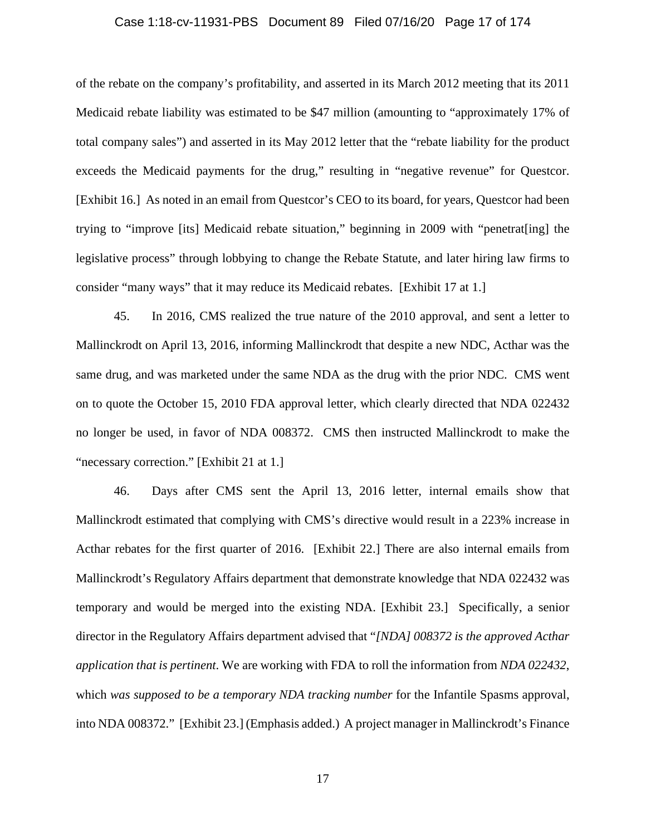## Case 1:18-cv-11931-PBS Document 89 Filed 07/16/20 Page 17 of 174

of the rebate on the company's profitability, and asserted in its March 2012 meeting that its 2011 Medicaid rebate liability was estimated to be \$47 million (amounting to "approximately 17% of total company sales") and asserted in its May 2012 letter that the "rebate liability for the product exceeds the Medicaid payments for the drug," resulting in "negative revenue" for Questcor. [Exhibit 16.] As noted in an email from Questcor's CEO to its board, for years, Questcor had been trying to "improve [its] Medicaid rebate situation," beginning in 2009 with "penetrat[ing] the legislative process" through lobbying to change the Rebate Statute, and later hiring law firms to consider "many ways" that it may reduce its Medicaid rebates. [Exhibit 17 at 1.]

45. In 2016, CMS realized the true nature of the 2010 approval, and sent a letter to Mallinckrodt on April 13, 2016, informing Mallinckrodt that despite a new NDC, Acthar was the same drug, and was marketed under the same NDA as the drug with the prior NDC. CMS went on to quote the October 15, 2010 FDA approval letter, which clearly directed that NDA 022432 no longer be used, in favor of NDA 008372. CMS then instructed Mallinckrodt to make the "necessary correction." [Exhibit 21 at 1.]

46. Days after CMS sent the April 13, 2016 letter, internal emails show that Mallinckrodt estimated that complying with CMS's directive would result in a 223% increase in Acthar rebates for the first quarter of 2016. [Exhibit 22.] There are also internal emails from Mallinckrodt's Regulatory Affairs department that demonstrate knowledge that NDA 022432 was temporary and would be merged into the existing NDA. [Exhibit 23.] Specifically, a senior director in the Regulatory Affairs department advised that "*[NDA] 008372 is the approved Acthar application that is pertinent*. We are working with FDA to roll the information from *NDA 022432*, which *was supposed to be a temporary NDA tracking number* for the Infantile Spasms approval, into NDA 008372." [Exhibit 23.] (Emphasis added.) A project manager in Mallinckrodt's Finance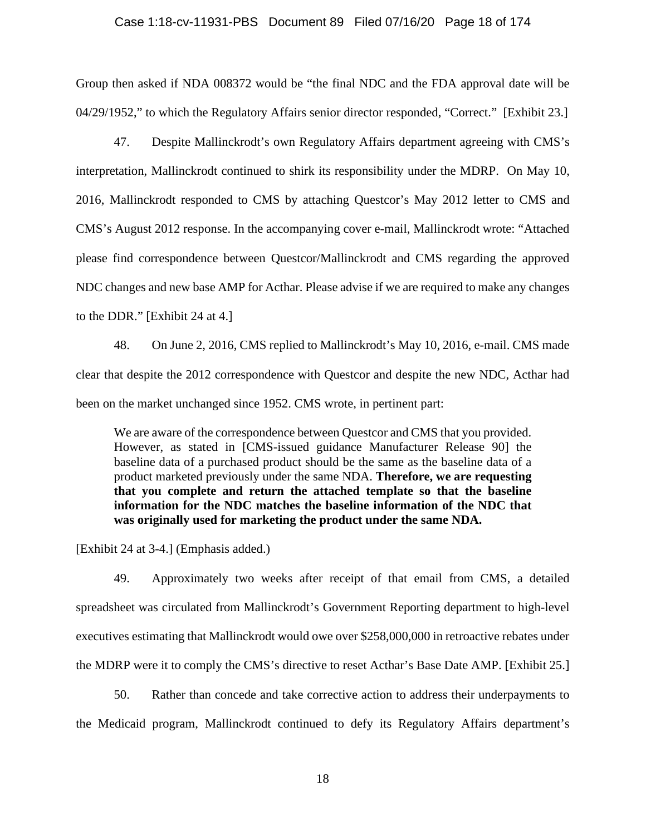### Case 1:18-cv-11931-PBS Document 89 Filed 07/16/20 Page 18 of 174

Group then asked if NDA 008372 would be "the final NDC and the FDA approval date will be 04/29/1952," to which the Regulatory Affairs senior director responded, "Correct." [Exhibit 23.]

47. Despite Mallinckrodt's own Regulatory Affairs department agreeing with CMS's interpretation, Mallinckrodt continued to shirk its responsibility under the MDRP. On May 10, 2016, Mallinckrodt responded to CMS by attaching Questcor's May 2012 letter to CMS and CMS's August 2012 response. In the accompanying cover e-mail, Mallinckrodt wrote: "Attached please find correspondence between Questcor/Mallinckrodt and CMS regarding the approved NDC changes and new base AMP for Acthar. Please advise if we are required to make any changes to the DDR." [Exhibit 24 at 4.]

48. On June 2, 2016, CMS replied to Mallinckrodt's May 10, 2016, e-mail. CMS made clear that despite the 2012 correspondence with Questcor and despite the new NDC, Acthar had been on the market unchanged since 1952. CMS wrote, in pertinent part:

We are aware of the correspondence between Questcor and CMS that you provided. However, as stated in [CMS-issued guidance Manufacturer Release 90] the baseline data of a purchased product should be the same as the baseline data of a product marketed previously under the same NDA. **Therefore, we are requesting that you complete and return the attached template so that the baseline information for the NDC matches the baseline information of the NDC that was originally used for marketing the product under the same NDA.**

[Exhibit 24 at 3-4.] (Emphasis added.)

49. Approximately two weeks after receipt of that email from CMS, a detailed spreadsheet was circulated from Mallinckrodt's Government Reporting department to high-level executives estimating that Mallinckrodt would owe over \$258,000,000 in retroactive rebates under the MDRP were it to comply the CMS's directive to reset Acthar's Base Date AMP. [Exhibit 25.]

50. Rather than concede and take corrective action to address their underpayments to the Medicaid program, Mallinckrodt continued to defy its Regulatory Affairs department's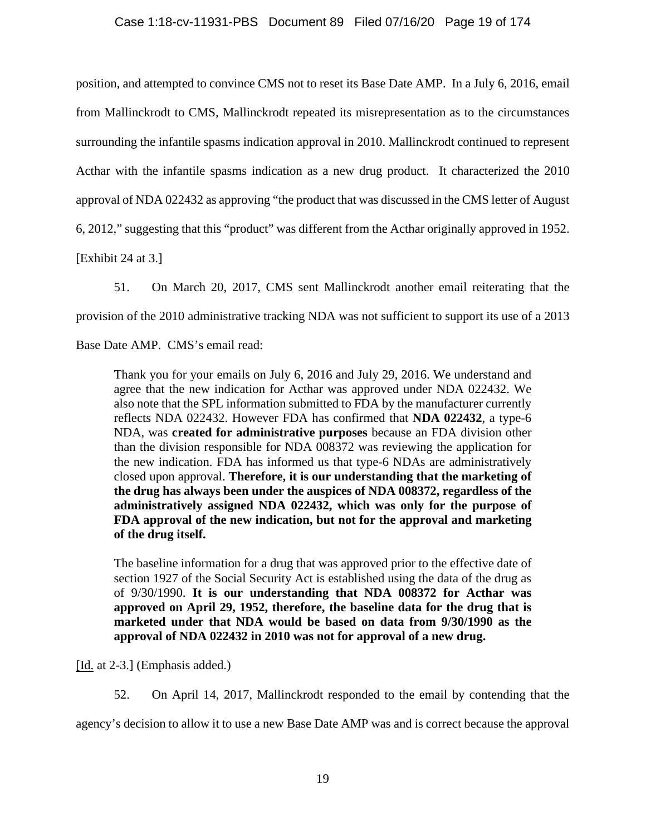# Case 1:18-cv-11931-PBS Document 89 Filed 07/16/20 Page 19 of 174

position, and attempted to convince CMS not to reset its Base Date AMP. In a July 6, 2016, email from Mallinckrodt to CMS, Mallinckrodt repeated its misrepresentation as to the circumstances surrounding the infantile spasms indication approval in 2010. Mallinckrodt continued to represent Acthar with the infantile spasms indication as a new drug product. It characterized the 2010 approval of NDA 022432 as approving "the product that was discussed in the CMS letter of August 6, 2012," suggesting that this "product" was different from the Acthar originally approved in 1952.

[Exhibit 24 at 3.]

51. On March 20, 2017, CMS sent Mallinckrodt another email reiterating that the provision of the 2010 administrative tracking NDA was not sufficient to support its use of a 2013

Base Date AMP. CMS's email read:

Thank you for your emails on July 6, 2016 and July 29, 2016. We understand and agree that the new indication for Acthar was approved under NDA 022432. We also note that the SPL information submitted to FDA by the manufacturer currently reflects NDA 022432. However FDA has confirmed that **NDA 022432**, a type-6 NDA, was **created for administrative purposes** because an FDA division other than the division responsible for NDA 008372 was reviewing the application for the new indication. FDA has informed us that type-6 NDAs are administratively closed upon approval. **Therefore, it is our understanding that the marketing of the drug has always been under the auspices of NDA 008372, regardless of the administratively assigned NDA 022432, which was only for the purpose of FDA approval of the new indication, but not for the approval and marketing of the drug itself.** 

The baseline information for a drug that was approved prior to the effective date of section 1927 of the Social Security Act is established using the data of the drug as of 9/30/1990. **It is our understanding that NDA 008372 for Acthar was approved on April 29, 1952, therefore, the baseline data for the drug that is marketed under that NDA would be based on data from 9/30/1990 as the approval of NDA 022432 in 2010 was not for approval of a new drug.** 

[Id. at 2-3.] (Emphasis added.)

52. On April 14, 2017, Mallinckrodt responded to the email by contending that the

agency's decision to allow it to use a new Base Date AMP was and is correct because the approval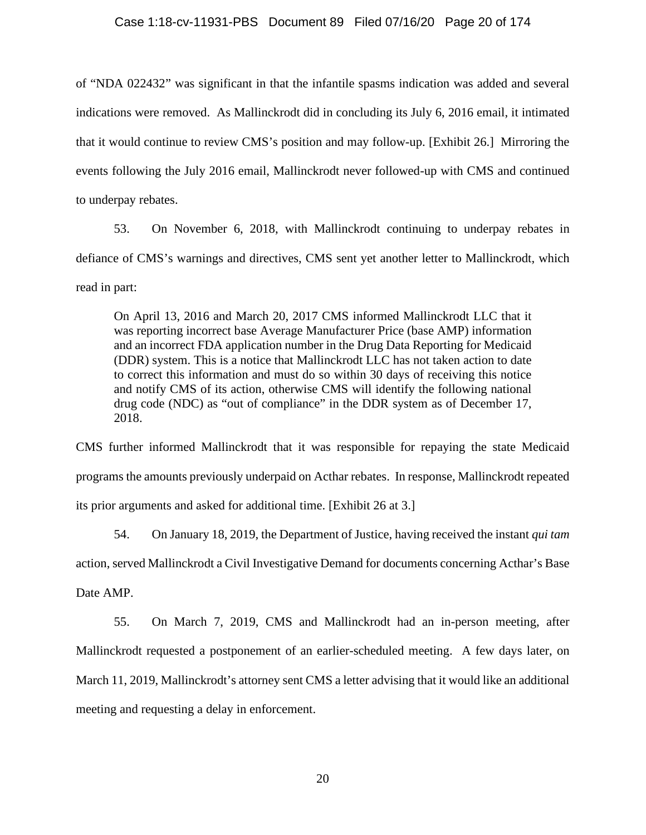of "NDA 022432" was significant in that the infantile spasms indication was added and several indications were removed. As Mallinckrodt did in concluding its July 6, 2016 email, it intimated that it would continue to review CMS's position and may follow-up. [Exhibit 26.] Mirroring the events following the July 2016 email, Mallinckrodt never followed-up with CMS and continued to underpay rebates.

53. On November 6, 2018, with Mallinckrodt continuing to underpay rebates in defiance of CMS's warnings and directives, CMS sent yet another letter to Mallinckrodt, which read in part:

On April 13, 2016 and March 20, 2017 CMS informed Mallinckrodt LLC that it was reporting incorrect base Average Manufacturer Price (base AMP) information and an incorrect FDA application number in the Drug Data Reporting for Medicaid (DDR) system. This is a notice that Mallinckrodt LLC has not taken action to date to correct this information and must do so within 30 days of receiving this notice and notify CMS of its action, otherwise CMS will identify the following national drug code (NDC) as "out of compliance" in the DDR system as of December 17, 2018.

CMS further informed Mallinckrodt that it was responsible for repaying the state Medicaid programs the amounts previously underpaid on Acthar rebates. In response, Mallinckrodt repeated its prior arguments and asked for additional time. [Exhibit 26 at 3.]

54. On January 18, 2019, the Department of Justice, having received the instant *qui tam* action, served Mallinckrodt a Civil Investigative Demand for documents concerning Acthar's Base Date AMP.

55. On March 7, 2019, CMS and Mallinckrodt had an in-person meeting, after Mallinckrodt requested a postponement of an earlier-scheduled meeting. A few days later, on March 11, 2019, Mallinckrodt's attorney sent CMS a letter advising that it would like an additional meeting and requesting a delay in enforcement.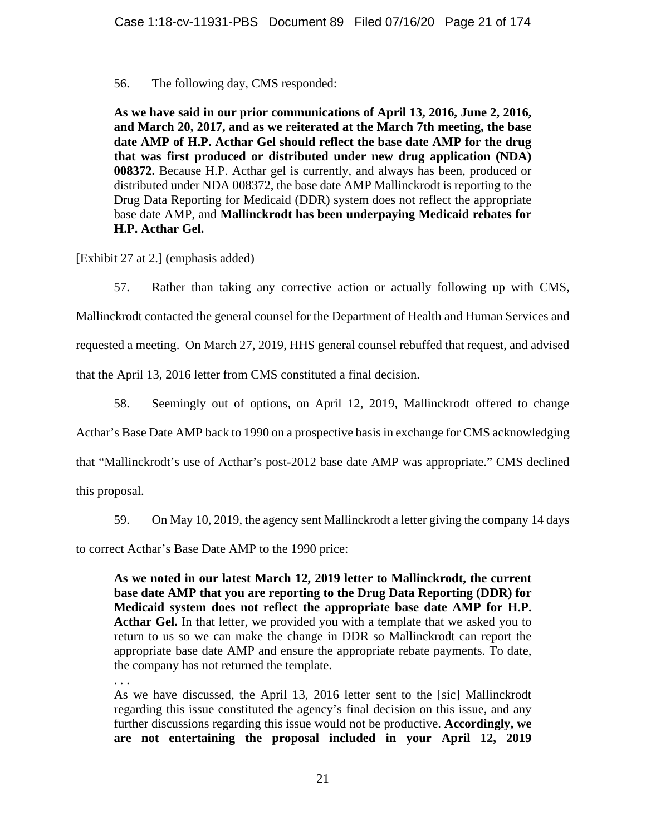56. The following day, CMS responded:

**As we have said in our prior communications of April 13, 2016, June 2, 2016, and March 20, 2017, and as we reiterated at the March 7th meeting, the base date AMP of H.P. Acthar Gel should reflect the base date AMP for the drug that was first produced or distributed under new drug application (NDA) 008372.** Because H.P. Acthar gel is currently, and always has been, produced or distributed under NDA 008372, the base date AMP Mallinckrodt is reporting to the Drug Data Reporting for Medicaid (DDR) system does not reflect the appropriate base date AMP, and **Mallinckrodt has been underpaying Medicaid rebates for H.P. Acthar Gel.**

[Exhibit 27 at 2.] (emphasis added)

57. Rather than taking any corrective action or actually following up with CMS,

Mallinckrodt contacted the general counsel for the Department of Health and Human Services and requested a meeting. On March 27, 2019, HHS general counsel rebuffed that request, and advised that the April 13, 2016 letter from CMS constituted a final decision.

58. Seemingly out of options, on April 12, 2019, Mallinckrodt offered to change

Acthar's Base Date AMP back to 1990 on a prospective basis in exchange for CMS acknowledging

that "Mallinckrodt's use of Acthar's post-2012 base date AMP was appropriate." CMS declined

this proposal.

59. On May 10, 2019, the agency sent Mallinckrodt a letter giving the company 14 days

to correct Acthar's Base Date AMP to the 1990 price:

**As we noted in our latest March 12, 2019 letter to Mallinckrodt, the current base date AMP that you are reporting to the Drug Data Reporting (DDR) for Medicaid system does not reflect the appropriate base date AMP for H.P.**  Acthar Gel. In that letter, we provided you with a template that we asked you to return to us so we can make the change in DDR so Mallinckrodt can report the appropriate base date AMP and ensure the appropriate rebate payments. To date, the company has not returned the template.

. . .

As we have discussed, the April 13, 2016 letter sent to the [sic] Mallinckrodt regarding this issue constituted the agency's final decision on this issue, and any further discussions regarding this issue would not be productive. **Accordingly, we are not entertaining the proposal included in your April 12, 2019**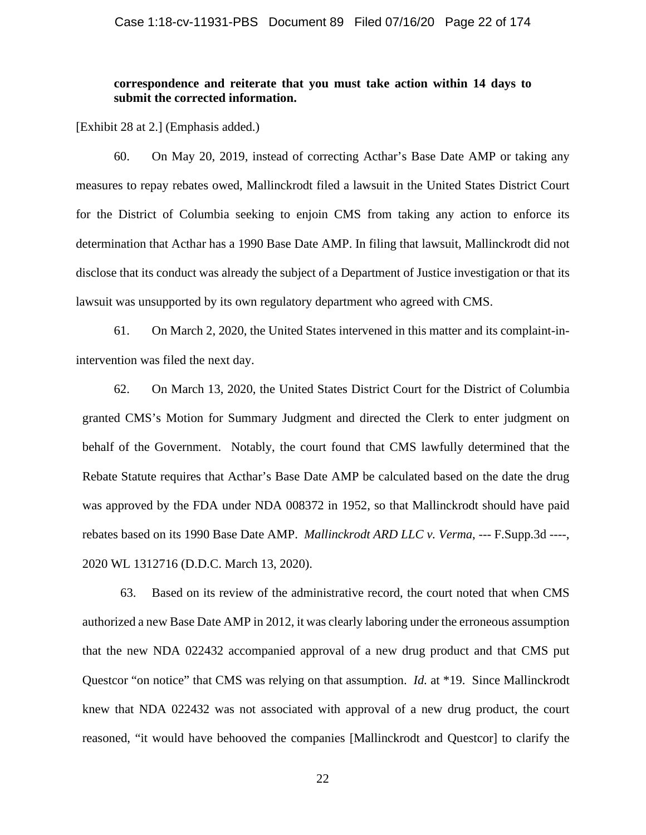# **correspondence and reiterate that you must take action within 14 days to submit the corrected information.**

[Exhibit 28 at 2.] (Emphasis added.)

60. On May 20, 2019, instead of correcting Acthar's Base Date AMP or taking any measures to repay rebates owed, Mallinckrodt filed a lawsuit in the United States District Court for the District of Columbia seeking to enjoin CMS from taking any action to enforce its determination that Acthar has a 1990 Base Date AMP. In filing that lawsuit, Mallinckrodt did not disclose that its conduct was already the subject of a Department of Justice investigation or that its lawsuit was unsupported by its own regulatory department who agreed with CMS.

61. On March 2, 2020, the United States intervened in this matter and its complaint-inintervention was filed the next day.

62. On March 13, 2020, the United States District Court for the District of Columbia granted CMS's Motion for Summary Judgment and directed the Clerk to enter judgment on behalf of the Government. Notably, the court found that CMS lawfully determined that the Rebate Statute requires that Acthar's Base Date AMP be calculated based on the date the drug was approved by the FDA under NDA 008372 in 1952, so that Mallinckrodt should have paid rebates based on its 1990 Base Date AMP. *Mallinckrodt ARD LLC v. Verma*, --- F.Supp.3d ----, 2020 WL 1312716 (D.D.C. March 13, 2020).

63. Based on its review of the administrative record, the court noted that when CMS authorized a new Base Date AMP in 2012, it was clearly laboring under the erroneous assumption that the new NDA 022432 accompanied approval of a new drug product and that CMS put Questcor "on notice" that CMS was relying on that assumption. *Id.* at \*19. Since Mallinckrodt knew that NDA 022432 was not associated with approval of a new drug product, the court reasoned, "it would have behooved the companies [Mallinckrodt and Questcor] to clarify the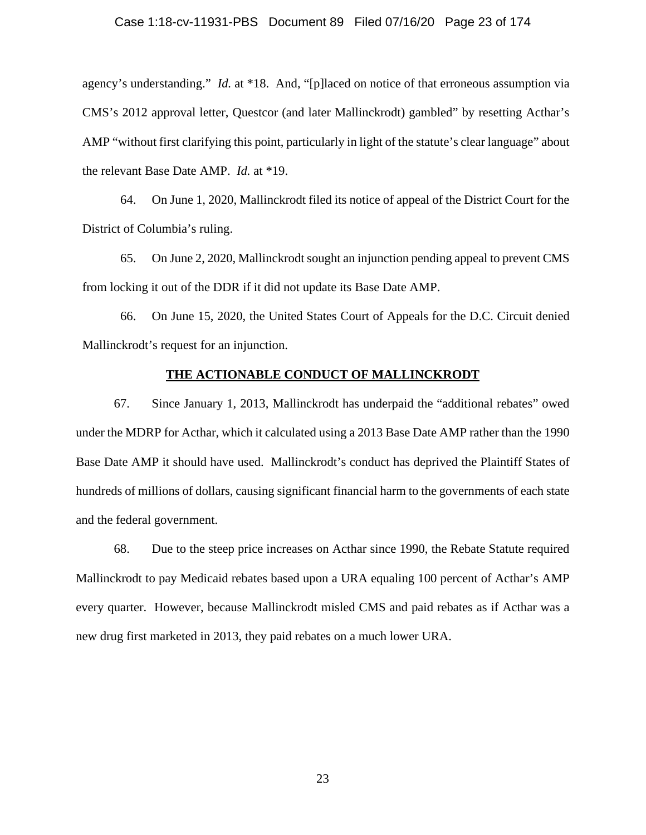agency's understanding." *Id.* at \*18. And, "[p]laced on notice of that erroneous assumption via CMS's 2012 approval letter, Questcor (and later Mallinckrodt) gambled" by resetting Acthar's AMP "without first clarifying this point, particularly in light of the statute's clear language" about the relevant Base Date AMP. *Id.* at \*19.

64. On June 1, 2020, Mallinckrodt filed its notice of appeal of the District Court for the District of Columbia's ruling.

65. On June 2, 2020, Mallinckrodt sought an injunction pending appeal to prevent CMS from locking it out of the DDR if it did not update its Base Date AMP.

66. On June 15, 2020, the United States Court of Appeals for the D.C. Circuit denied Mallinckrodt's request for an injunction.

## **THE ACTIONABLE CONDUCT OF MALLINCKRODT**

67. Since January 1, 2013, Mallinckrodt has underpaid the "additional rebates" owed under the MDRP for Acthar, which it calculated using a 2013 Base Date AMP rather than the 1990 Base Date AMP it should have used. Mallinckrodt's conduct has deprived the Plaintiff States of hundreds of millions of dollars, causing significant financial harm to the governments of each state and the federal government.

68. Due to the steep price increases on Acthar since 1990, the Rebate Statute required Mallinckrodt to pay Medicaid rebates based upon a URA equaling 100 percent of Acthar's AMP every quarter. However, because Mallinckrodt misled CMS and paid rebates as if Acthar was a new drug first marketed in 2013, they paid rebates on a much lower URA.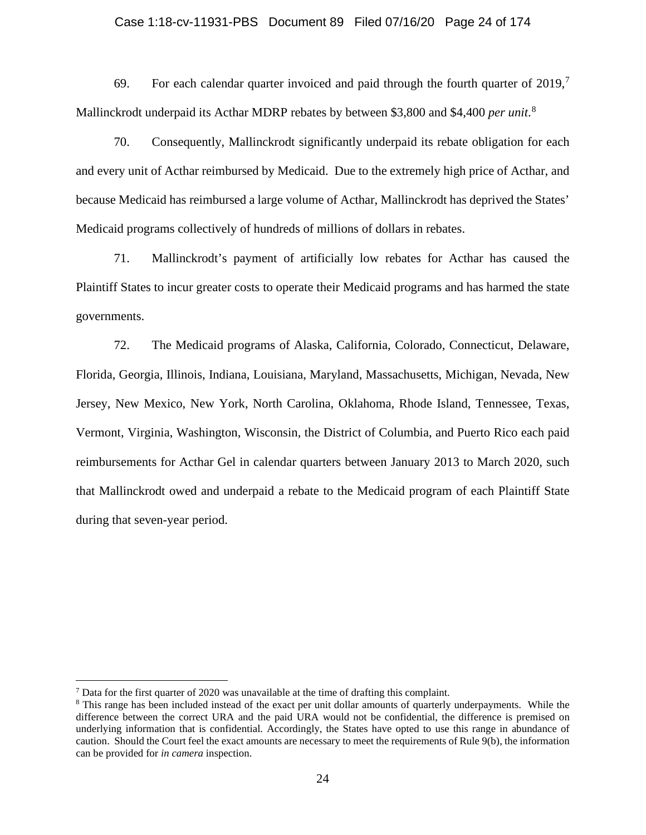### Case 1:18-cv-11931-PBS Document 89 Filed 07/16/20 Page 24 of 174

69. For each calendar quarter invoiced and paid through the fourth quarter of  $2019$ ,<sup>7</sup> Mallinckrodt underpaid its Acthar MDRP rebates by between \$3,800 and \$4,400 *per unit*. 8

70. Consequently, Mallinckrodt significantly underpaid its rebate obligation for each and every unit of Acthar reimbursed by Medicaid. Due to the extremely high price of Acthar, and because Medicaid has reimbursed a large volume of Acthar, Mallinckrodt has deprived the States' Medicaid programs collectively of hundreds of millions of dollars in rebates.

71. Mallinckrodt's payment of artificially low rebates for Acthar has caused the Plaintiff States to incur greater costs to operate their Medicaid programs and has harmed the state governments.

72. The Medicaid programs of Alaska, California, Colorado, Connecticut, Delaware, Florida, Georgia, Illinois, Indiana, Louisiana, Maryland, Massachusetts, Michigan, Nevada, New Jersey, New Mexico, New York, North Carolina, Oklahoma, Rhode Island, Tennessee, Texas, Vermont, Virginia, Washington, Wisconsin, the District of Columbia, and Puerto Rico each paid reimbursements for Acthar Gel in calendar quarters between January 2013 to March 2020, such that Mallinckrodt owed and underpaid a rebate to the Medicaid program of each Plaintiff State during that seven-year period.

 $<sup>7</sup>$  Data for the first quarter of 2020 was unavailable at the time of drafting this complaint.</sup>

<sup>&</sup>lt;sup>8</sup> This range has been included instead of the exact per unit dollar amounts of quarterly underpayments. While the difference between the correct URA and the paid URA would not be confidential, the difference is premised on underlying information that is confidential. Accordingly, the States have opted to use this range in abundance of caution. Should the Court feel the exact amounts are necessary to meet the requirements of Rule 9(b), the information can be provided for *in camera* inspection.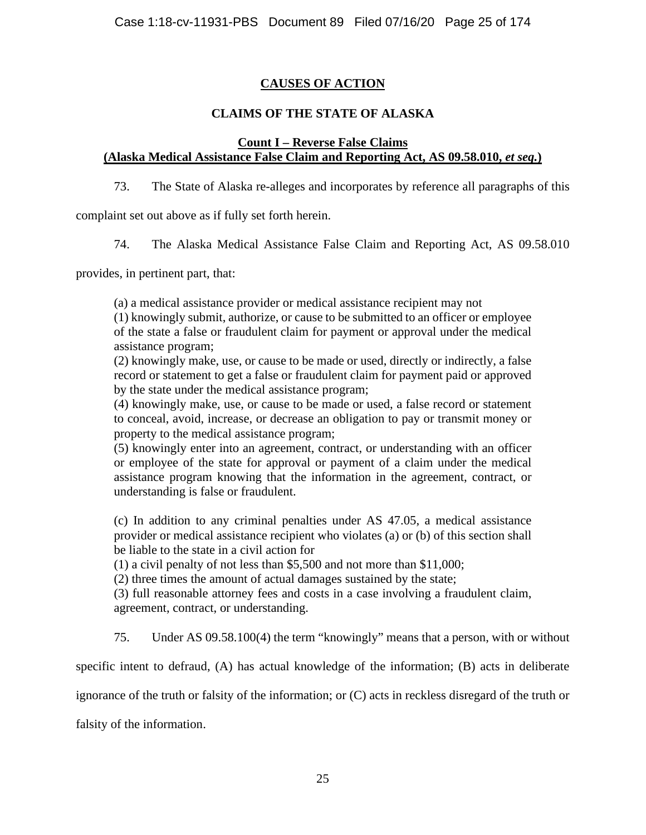# **CAUSES OF ACTION**

# **CLAIMS OF THE STATE OF ALASKA**

# **Count I – Reverse False Claims (Alaska Medical Assistance False Claim and Reporting Act, AS 09.58.010,** *et seq.***)**

73. The State of Alaska re-alleges and incorporates by reference all paragraphs of this

complaint set out above as if fully set forth herein.

74. The Alaska Medical Assistance False Claim and Reporting Act, AS 09.58.010

provides, in pertinent part, that:

(a) a medical assistance provider or medical assistance recipient may not

(1) knowingly submit, authorize, or cause to be submitted to an officer or employee of the state a false or fraudulent claim for payment or approval under the medical assistance program;

(2) knowingly make, use, or cause to be made or used, directly or indirectly, a false record or statement to get a false or fraudulent claim for payment paid or approved by the state under the medical assistance program;

(4) knowingly make, use, or cause to be made or used, a false record or statement to conceal, avoid, increase, or decrease an obligation to pay or transmit money or property to the medical assistance program;

(5) knowingly enter into an agreement, contract, or understanding with an officer or employee of the state for approval or payment of a claim under the medical assistance program knowing that the information in the agreement, contract, or understanding is false or fraudulent.

(c) In addition to any criminal penalties under AS 47.05, a medical assistance provider or medical assistance recipient who violates (a) or (b) of this section shall be liable to the state in a civil action for

(1) a civil penalty of not less than \$5,500 and not more than \$11,000;

(2) three times the amount of actual damages sustained by the state;

(3) full reasonable attorney fees and costs in a case involving a fraudulent claim, agreement, contract, or understanding.

75. Under AS 09.58.100(4) the term "knowingly" means that a person, with or without

specific intent to defraud, (A) has actual knowledge of the information; (B) acts in deliberate

ignorance of the truth or falsity of the information; or (C) acts in reckless disregard of the truth or

falsity of the information.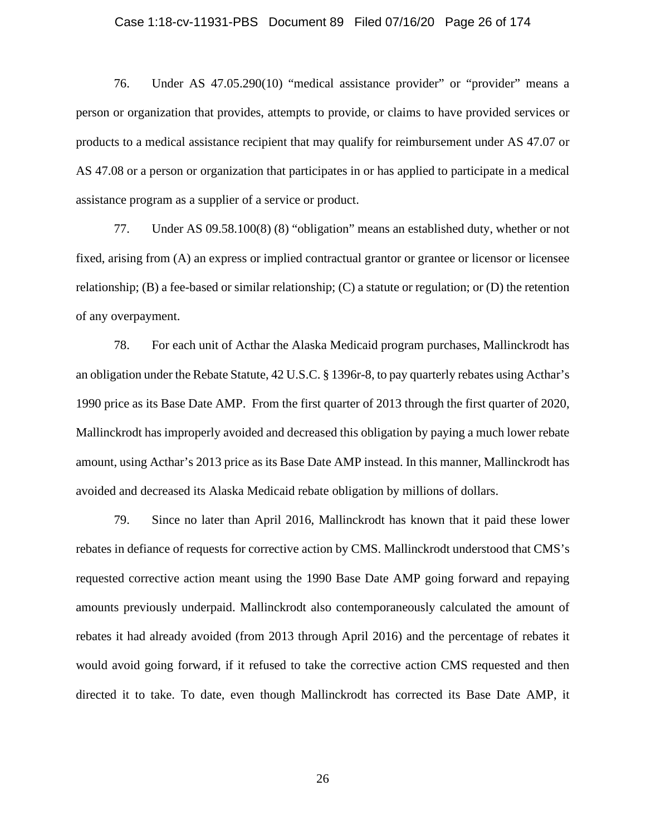#### Case 1:18-cv-11931-PBS Document 89 Filed 07/16/20 Page 26 of 174

76. Under AS 47.05.290(10) "medical assistance provider" or "provider" means a person or organization that provides, attempts to provide, or claims to have provided services or products to a medical assistance recipient that may qualify for reimbursement under AS 47.07 or AS 47.08 or a person or organization that participates in or has applied to participate in a medical assistance program as a supplier of a service or product.

77. Under AS 09.58.100(8) (8) "obligation" means an established duty, whether or not fixed, arising from (A) an express or implied contractual grantor or grantee or licensor or licensee relationship; (B) a fee-based or similar relationship; (C) a statute or regulation; or (D) the retention of any overpayment.

78. For each unit of Acthar the Alaska Medicaid program purchases, Mallinckrodt has an obligation under the Rebate Statute, 42 U.S.C. § 1396r-8, to pay quarterly rebates using Acthar's 1990 price as its Base Date AMP. From the first quarter of 2013 through the first quarter of 2020, Mallinckrodt has improperly avoided and decreased this obligation by paying a much lower rebate amount, using Acthar's 2013 price as its Base Date AMP instead. In this manner, Mallinckrodt has avoided and decreased its Alaska Medicaid rebate obligation by millions of dollars.

79. Since no later than April 2016, Mallinckrodt has known that it paid these lower rebates in defiance of requests for corrective action by CMS. Mallinckrodt understood that CMS's requested corrective action meant using the 1990 Base Date AMP going forward and repaying amounts previously underpaid. Mallinckrodt also contemporaneously calculated the amount of rebates it had already avoided (from 2013 through April 2016) and the percentage of rebates it would avoid going forward, if it refused to take the corrective action CMS requested and then directed it to take. To date, even though Mallinckrodt has corrected its Base Date AMP, it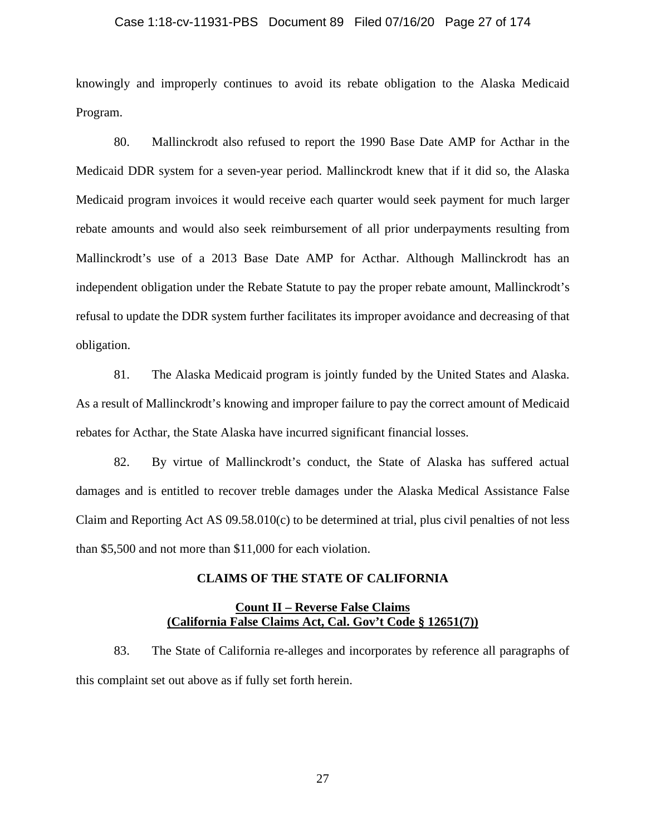### Case 1:18-cv-11931-PBS Document 89 Filed 07/16/20 Page 27 of 174

knowingly and improperly continues to avoid its rebate obligation to the Alaska Medicaid Program.

80. Mallinckrodt also refused to report the 1990 Base Date AMP for Acthar in the Medicaid DDR system for a seven-year period. Mallinckrodt knew that if it did so, the Alaska Medicaid program invoices it would receive each quarter would seek payment for much larger rebate amounts and would also seek reimbursement of all prior underpayments resulting from Mallinckrodt's use of a 2013 Base Date AMP for Acthar. Although Mallinckrodt has an independent obligation under the Rebate Statute to pay the proper rebate amount, Mallinckrodt's refusal to update the DDR system further facilitates its improper avoidance and decreasing of that obligation.

81. The Alaska Medicaid program is jointly funded by the United States and Alaska. As a result of Mallinckrodt's knowing and improper failure to pay the correct amount of Medicaid rebates for Acthar, the State Alaska have incurred significant financial losses.

82. By virtue of Mallinckrodt's conduct, the State of Alaska has suffered actual damages and is entitled to recover treble damages under the Alaska Medical Assistance False Claim and Reporting Act AS  $09.58.010(c)$  to be determined at trial, plus civil penalties of not less than \$5,500 and not more than \$11,000 for each violation.

# **CLAIMS OF THE STATE OF CALIFORNIA**

# **Count II – Reverse False Claims (California False Claims Act, Cal. Gov't Code § 12651(7))**

83. The State of California re-alleges and incorporates by reference all paragraphs of this complaint set out above as if fully set forth herein.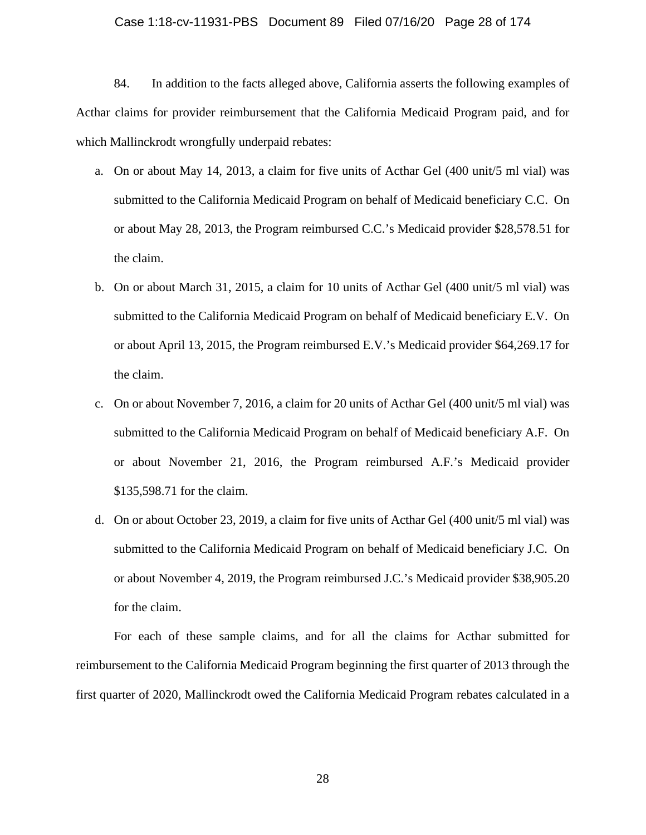#### Case 1:18-cv-11931-PBS Document 89 Filed 07/16/20 Page 28 of 174

84. In addition to the facts alleged above, California asserts the following examples of Acthar claims for provider reimbursement that the California Medicaid Program paid, and for which Mallinckrodt wrongfully underpaid rebates:

- a. On or about May 14, 2013, a claim for five units of Acthar Gel (400 unit/5 ml vial) was submitted to the California Medicaid Program on behalf of Medicaid beneficiary C.C. On or about May 28, 2013, the Program reimbursed C.C.'s Medicaid provider \$28,578.51 for the claim.
- b. On or about March 31, 2015, a claim for 10 units of Acthar Gel (400 unit/5 ml vial) was submitted to the California Medicaid Program on behalf of Medicaid beneficiary E.V. On or about April 13, 2015, the Program reimbursed E.V.'s Medicaid provider \$64,269.17 for the claim.
- c. On or about November 7, 2016, a claim for 20 units of Acthar Gel (400 unit/5 ml vial) was submitted to the California Medicaid Program on behalf of Medicaid beneficiary A.F. On or about November 21, 2016, the Program reimbursed A.F.'s Medicaid provider \$135,598.71 for the claim.
- d. On or about October 23, 2019, a claim for five units of Acthar Gel (400 unit/5 ml vial) was submitted to the California Medicaid Program on behalf of Medicaid beneficiary J.C. On or about November 4, 2019, the Program reimbursed J.C.'s Medicaid provider \$38,905.20 for the claim.

For each of these sample claims, and for all the claims for Acthar submitted for reimbursement to the California Medicaid Program beginning the first quarter of 2013 through the first quarter of 2020, Mallinckrodt owed the California Medicaid Program rebates calculated in a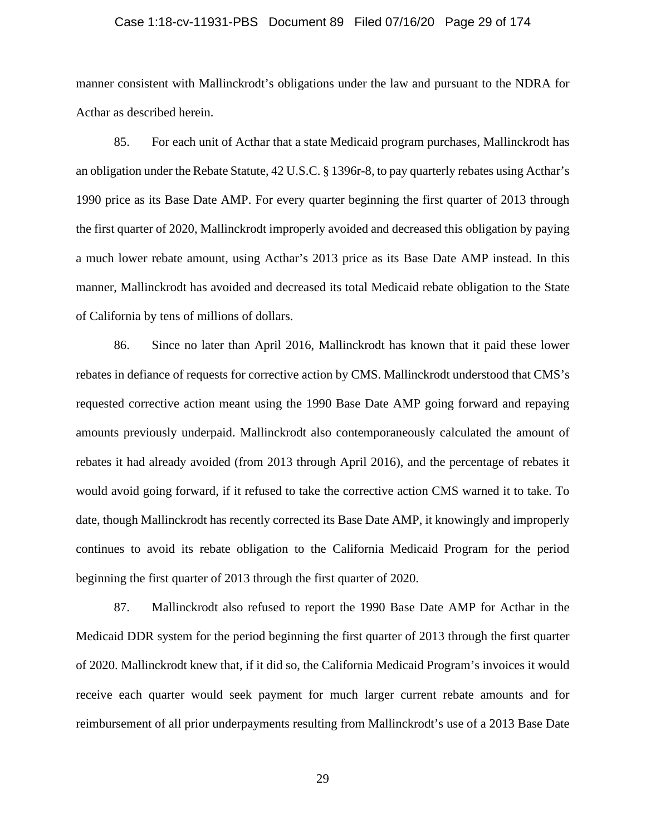## Case 1:18-cv-11931-PBS Document 89 Filed 07/16/20 Page 29 of 174

manner consistent with Mallinckrodt's obligations under the law and pursuant to the NDRA for Acthar as described herein.

85. For each unit of Acthar that a state Medicaid program purchases, Mallinckrodt has an obligation under the Rebate Statute, 42 U.S.C. § 1396r-8, to pay quarterly rebates using Acthar's 1990 price as its Base Date AMP. For every quarter beginning the first quarter of 2013 through the first quarter of 2020, Mallinckrodt improperly avoided and decreased this obligation by paying a much lower rebate amount, using Acthar's 2013 price as its Base Date AMP instead. In this manner, Mallinckrodt has avoided and decreased its total Medicaid rebate obligation to the State of California by tens of millions of dollars.

86. Since no later than April 2016, Mallinckrodt has known that it paid these lower rebates in defiance of requests for corrective action by CMS. Mallinckrodt understood that CMS's requested corrective action meant using the 1990 Base Date AMP going forward and repaying amounts previously underpaid. Mallinckrodt also contemporaneously calculated the amount of rebates it had already avoided (from 2013 through April 2016), and the percentage of rebates it would avoid going forward, if it refused to take the corrective action CMS warned it to take. To date, though Mallinckrodt has recently corrected its Base Date AMP, it knowingly and improperly continues to avoid its rebate obligation to the California Medicaid Program for the period beginning the first quarter of 2013 through the first quarter of 2020.

87. Mallinckrodt also refused to report the 1990 Base Date AMP for Acthar in the Medicaid DDR system for the period beginning the first quarter of 2013 through the first quarter of 2020. Mallinckrodt knew that, if it did so, the California Medicaid Program's invoices it would receive each quarter would seek payment for much larger current rebate amounts and for reimbursement of all prior underpayments resulting from Mallinckrodt's use of a 2013 Base Date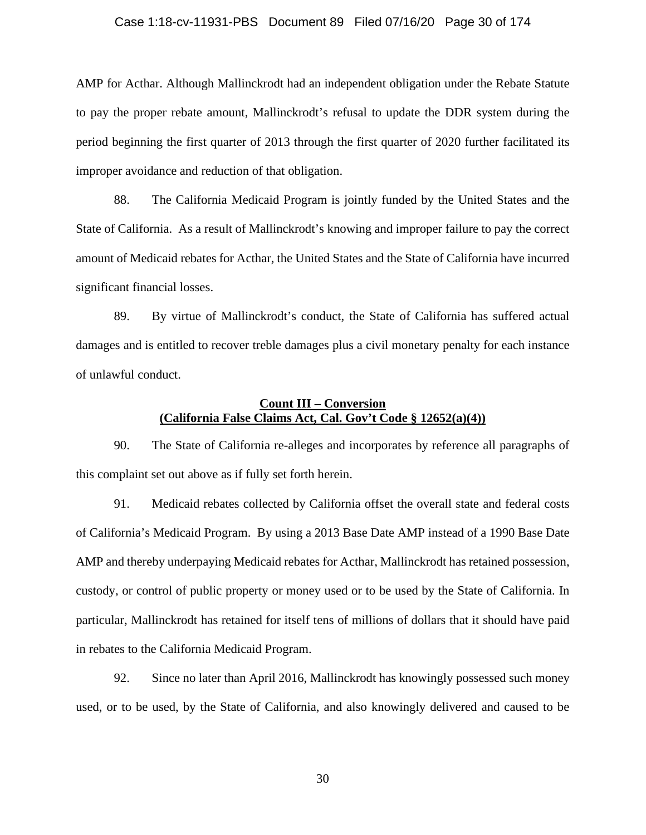### Case 1:18-cv-11931-PBS Document 89 Filed 07/16/20 Page 30 of 174

AMP for Acthar. Although Mallinckrodt had an independent obligation under the Rebate Statute to pay the proper rebate amount, Mallinckrodt's refusal to update the DDR system during the period beginning the first quarter of 2013 through the first quarter of 2020 further facilitated its improper avoidance and reduction of that obligation.

88. The California Medicaid Program is jointly funded by the United States and the State of California. As a result of Mallinckrodt's knowing and improper failure to pay the correct amount of Medicaid rebates for Acthar, the United States and the State of California have incurred significant financial losses.

89. By virtue of Mallinckrodt's conduct, the State of California has suffered actual damages and is entitled to recover treble damages plus a civil monetary penalty for each instance of unlawful conduct.

# **Count III – Conversion (California False Claims Act, Cal. Gov't Code § 12652(a)(4))**

90. The State of California re-alleges and incorporates by reference all paragraphs of this complaint set out above as if fully set forth herein.

91. Medicaid rebates collected by California offset the overall state and federal costs of California's Medicaid Program. By using a 2013 Base Date AMP instead of a 1990 Base Date AMP and thereby underpaying Medicaid rebates for Acthar, Mallinckrodt has retained possession, custody, or control of public property or money used or to be used by the State of California. In particular, Mallinckrodt has retained for itself tens of millions of dollars that it should have paid in rebates to the California Medicaid Program.

92. Since no later than April 2016, Mallinckrodt has knowingly possessed such money used, or to be used, by the State of California, and also knowingly delivered and caused to be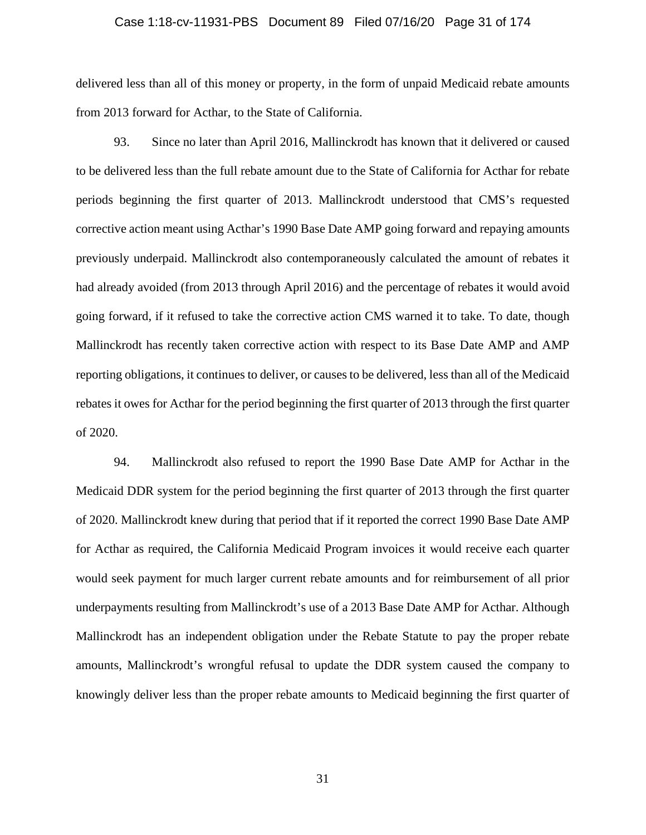### Case 1:18-cv-11931-PBS Document 89 Filed 07/16/20 Page 31 of 174

delivered less than all of this money or property, in the form of unpaid Medicaid rebate amounts from 2013 forward for Acthar, to the State of California.

93. Since no later than April 2016, Mallinckrodt has known that it delivered or caused to be delivered less than the full rebate amount due to the State of California for Acthar for rebate periods beginning the first quarter of 2013. Mallinckrodt understood that CMS's requested corrective action meant using Acthar's 1990 Base Date AMP going forward and repaying amounts previously underpaid. Mallinckrodt also contemporaneously calculated the amount of rebates it had already avoided (from 2013 through April 2016) and the percentage of rebates it would avoid going forward, if it refused to take the corrective action CMS warned it to take. To date, though Mallinckrodt has recently taken corrective action with respect to its Base Date AMP and AMP reporting obligations, it continues to deliver, or causes to be delivered, less than all of the Medicaid rebates it owes for Acthar for the period beginning the first quarter of 2013 through the first quarter of 2020.

94. Mallinckrodt also refused to report the 1990 Base Date AMP for Acthar in the Medicaid DDR system for the period beginning the first quarter of 2013 through the first quarter of 2020. Mallinckrodt knew during that period that if it reported the correct 1990 Base Date AMP for Acthar as required, the California Medicaid Program invoices it would receive each quarter would seek payment for much larger current rebate amounts and for reimbursement of all prior underpayments resulting from Mallinckrodt's use of a 2013 Base Date AMP for Acthar. Although Mallinckrodt has an independent obligation under the Rebate Statute to pay the proper rebate amounts, Mallinckrodt's wrongful refusal to update the DDR system caused the company to knowingly deliver less than the proper rebate amounts to Medicaid beginning the first quarter of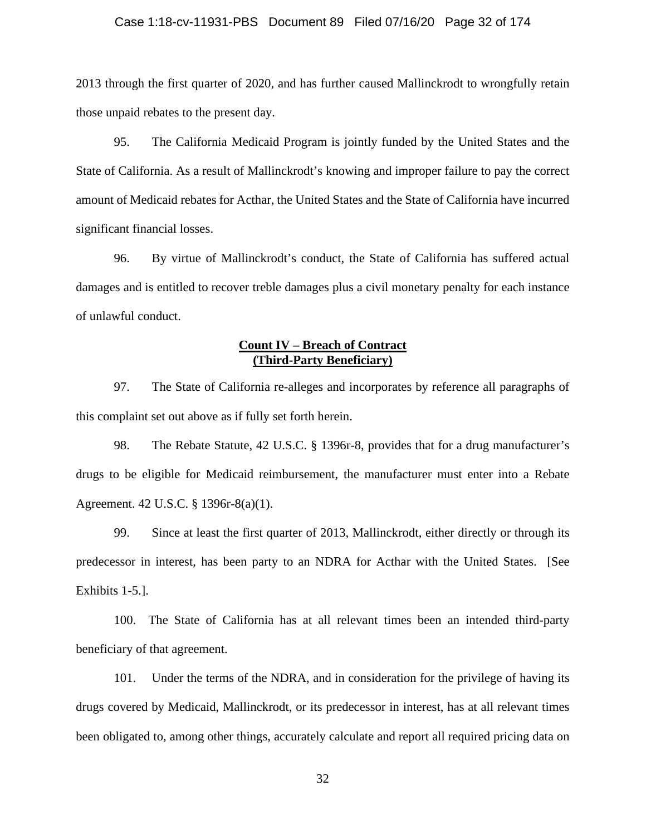### Case 1:18-cv-11931-PBS Document 89 Filed 07/16/20 Page 32 of 174

2013 through the first quarter of 2020, and has further caused Mallinckrodt to wrongfully retain those unpaid rebates to the present day.

95. The California Medicaid Program is jointly funded by the United States and the State of California. As a result of Mallinckrodt's knowing and improper failure to pay the correct amount of Medicaid rebates for Acthar, the United States and the State of California have incurred significant financial losses.

96. By virtue of Mallinckrodt's conduct, the State of California has suffered actual damages and is entitled to recover treble damages plus a civil monetary penalty for each instance of unlawful conduct.

# **Count IV – Breach of Contract (Third-Party Beneficiary)**

97. The State of California re-alleges and incorporates by reference all paragraphs of this complaint set out above as if fully set forth herein.

98. The Rebate Statute, 42 U.S.C. § 1396r-8, provides that for a drug manufacturer's drugs to be eligible for Medicaid reimbursement, the manufacturer must enter into a Rebate Agreement. 42 U.S.C. § 1396r-8(a)(1).

99. Since at least the first quarter of 2013, Mallinckrodt, either directly or through its predecessor in interest, has been party to an NDRA for Acthar with the United States. [See Exhibits 1-5.].

100. The State of California has at all relevant times been an intended third-party beneficiary of that agreement.

101. Under the terms of the NDRA, and in consideration for the privilege of having its drugs covered by Medicaid, Mallinckrodt, or its predecessor in interest, has at all relevant times been obligated to, among other things, accurately calculate and report all required pricing data on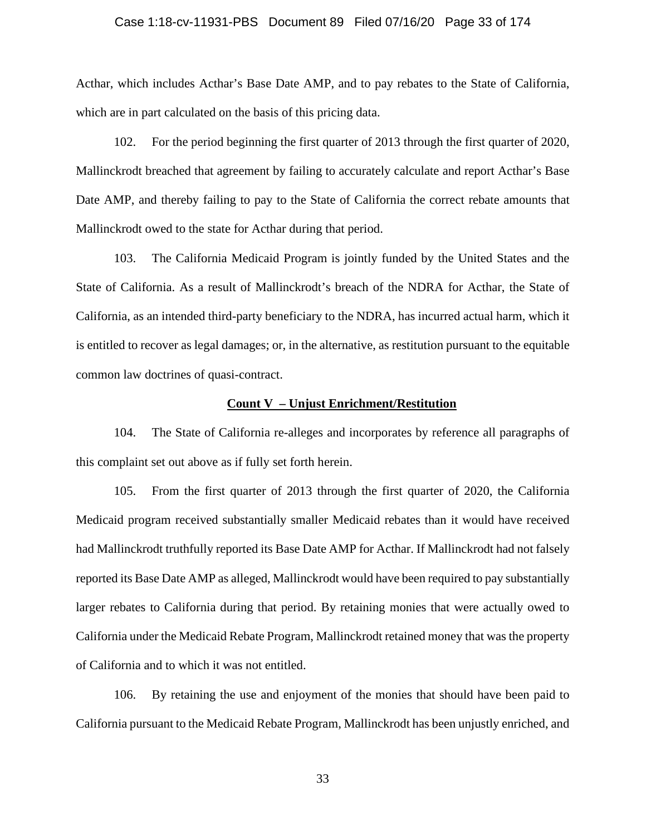### Case 1:18-cv-11931-PBS Document 89 Filed 07/16/20 Page 33 of 174

Acthar, which includes Acthar's Base Date AMP, and to pay rebates to the State of California, which are in part calculated on the basis of this pricing data.

102. For the period beginning the first quarter of 2013 through the first quarter of 2020, Mallinckrodt breached that agreement by failing to accurately calculate and report Acthar's Base Date AMP, and thereby failing to pay to the State of California the correct rebate amounts that Mallinckrodt owed to the state for Acthar during that period.

103. The California Medicaid Program is jointly funded by the United States and the State of California. As a result of Mallinckrodt's breach of the NDRA for Acthar, the State of California, as an intended third-party beneficiary to the NDRA, has incurred actual harm, which it is entitled to recover as legal damages; or, in the alternative, as restitution pursuant to the equitable common law doctrines of quasi-contract.

# **Count V – Unjust Enrichment/Restitution**

104. The State of California re-alleges and incorporates by reference all paragraphs of this complaint set out above as if fully set forth herein.

105. From the first quarter of 2013 through the first quarter of 2020, the California Medicaid program received substantially smaller Medicaid rebates than it would have received had Mallinckrodt truthfully reported its Base Date AMP for Acthar. If Mallinckrodt had not falsely reported its Base Date AMP as alleged, Mallinckrodt would have been required to pay substantially larger rebates to California during that period. By retaining monies that were actually owed to California under the Medicaid Rebate Program, Mallinckrodt retained money that was the property of California and to which it was not entitled.

106. By retaining the use and enjoyment of the monies that should have been paid to California pursuant to the Medicaid Rebate Program, Mallinckrodt has been unjustly enriched, and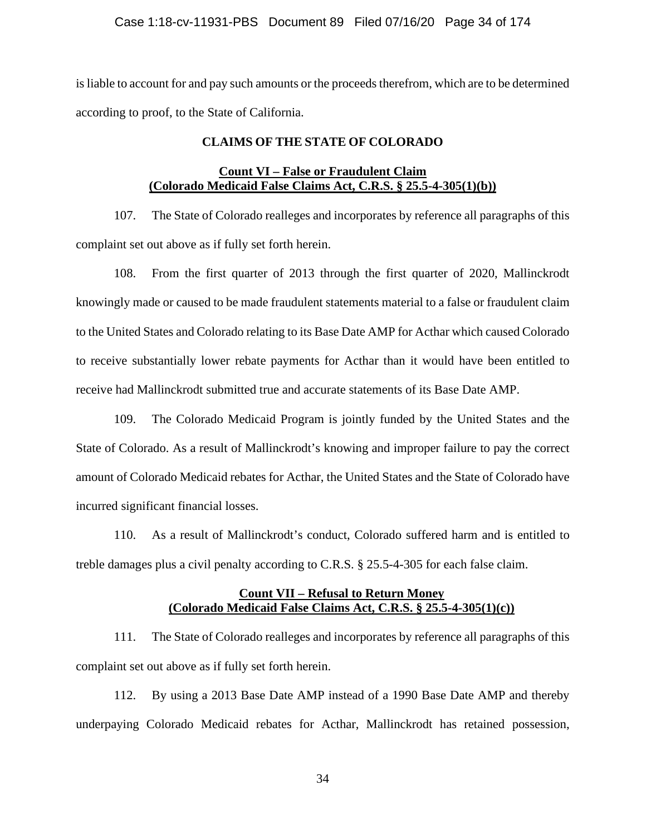# Case 1:18-cv-11931-PBS Document 89 Filed 07/16/20 Page 34 of 174

is liable to account for and pay such amounts or the proceeds therefrom, which are to be determined according to proof, to the State of California.

# **CLAIMS OF THE STATE OF COLORADO**

# **Count VI – False or Fraudulent Claim (Colorado Medicaid False Claims Act, C.R.S. § 25.5-4-305(1)(b))**

107. The State of Colorado realleges and incorporates by reference all paragraphs of this complaint set out above as if fully set forth herein.

108. From the first quarter of 2013 through the first quarter of 2020, Mallinckrodt knowingly made or caused to be made fraudulent statements material to a false or fraudulent claim to the United States and Colorado relating to its Base Date AMP for Acthar which caused Colorado to receive substantially lower rebate payments for Acthar than it would have been entitled to receive had Mallinckrodt submitted true and accurate statements of its Base Date AMP.

109. The Colorado Medicaid Program is jointly funded by the United States and the State of Colorado. As a result of Mallinckrodt's knowing and improper failure to pay the correct amount of Colorado Medicaid rebates for Acthar, the United States and the State of Colorado have incurred significant financial losses.

110. As a result of Mallinckrodt's conduct, Colorado suffered harm and is entitled to treble damages plus a civil penalty according to C.R.S. § 25.5-4-305 for each false claim.

# **Count VII – Refusal to Return Money (Colorado Medicaid False Claims Act, C.R.S. § 25.5-4-305(1)(c))**

111. The State of Colorado realleges and incorporates by reference all paragraphs of this complaint set out above as if fully set forth herein.

112. By using a 2013 Base Date AMP instead of a 1990 Base Date AMP and thereby underpaying Colorado Medicaid rebates for Acthar, Mallinckrodt has retained possession,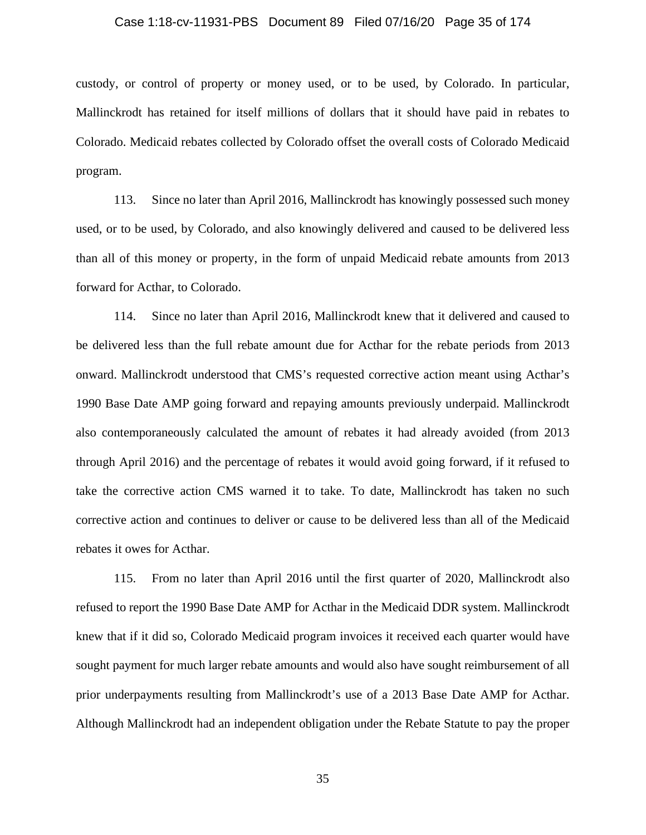#### Case 1:18-cv-11931-PBS Document 89 Filed 07/16/20 Page 35 of 174

custody, or control of property or money used, or to be used, by Colorado. In particular, Mallinckrodt has retained for itself millions of dollars that it should have paid in rebates to Colorado. Medicaid rebates collected by Colorado offset the overall costs of Colorado Medicaid program.

113. Since no later than April 2016, Mallinckrodt has knowingly possessed such money used, or to be used, by Colorado, and also knowingly delivered and caused to be delivered less than all of this money or property, in the form of unpaid Medicaid rebate amounts from 2013 forward for Acthar, to Colorado.

114. Since no later than April 2016, Mallinckrodt knew that it delivered and caused to be delivered less than the full rebate amount due for Acthar for the rebate periods from 2013 onward. Mallinckrodt understood that CMS's requested corrective action meant using Acthar's 1990 Base Date AMP going forward and repaying amounts previously underpaid. Mallinckrodt also contemporaneously calculated the amount of rebates it had already avoided (from 2013 through April 2016) and the percentage of rebates it would avoid going forward, if it refused to take the corrective action CMS warned it to take. To date, Mallinckrodt has taken no such corrective action and continues to deliver or cause to be delivered less than all of the Medicaid rebates it owes for Acthar.

115. From no later than April 2016 until the first quarter of 2020, Mallinckrodt also refused to report the 1990 Base Date AMP for Acthar in the Medicaid DDR system. Mallinckrodt knew that if it did so, Colorado Medicaid program invoices it received each quarter would have sought payment for much larger rebate amounts and would also have sought reimbursement of all prior underpayments resulting from Mallinckrodt's use of a 2013 Base Date AMP for Acthar. Although Mallinckrodt had an independent obligation under the Rebate Statute to pay the proper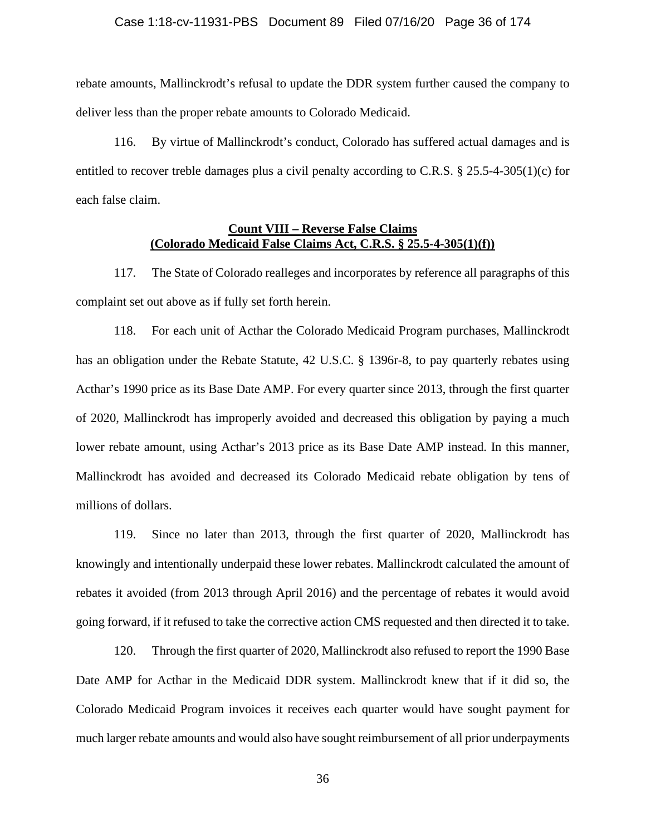## Case 1:18-cv-11931-PBS Document 89 Filed 07/16/20 Page 36 of 174

rebate amounts, Mallinckrodt's refusal to update the DDR system further caused the company to deliver less than the proper rebate amounts to Colorado Medicaid.

116. By virtue of Mallinckrodt's conduct, Colorado has suffered actual damages and is entitled to recover treble damages plus a civil penalty according to C.R.S. § 25.5-4-305(1)(c) for each false claim.

# **Count VIII – Reverse False Claims (Colorado Medicaid False Claims Act, C.R.S. § 25.5-4-305(1)(f))**

117. The State of Colorado realleges and incorporates by reference all paragraphs of this complaint set out above as if fully set forth herein.

118. For each unit of Acthar the Colorado Medicaid Program purchases, Mallinckrodt has an obligation under the Rebate Statute, 42 U.S.C. § 1396r-8, to pay quarterly rebates using Acthar's 1990 price as its Base Date AMP. For every quarter since 2013, through the first quarter of 2020, Mallinckrodt has improperly avoided and decreased this obligation by paying a much lower rebate amount, using Acthar's 2013 price as its Base Date AMP instead. In this manner, Mallinckrodt has avoided and decreased its Colorado Medicaid rebate obligation by tens of millions of dollars.

119. Since no later than 2013, through the first quarter of 2020, Mallinckrodt has knowingly and intentionally underpaid these lower rebates. Mallinckrodt calculated the amount of rebates it avoided (from 2013 through April 2016) and the percentage of rebates it would avoid going forward, if it refused to take the corrective action CMS requested and then directed it to take.

120. Through the first quarter of 2020, Mallinckrodt also refused to report the 1990 Base Date AMP for Acthar in the Medicaid DDR system. Mallinckrodt knew that if it did so, the Colorado Medicaid Program invoices it receives each quarter would have sought payment for much larger rebate amounts and would also have sought reimbursement of all prior underpayments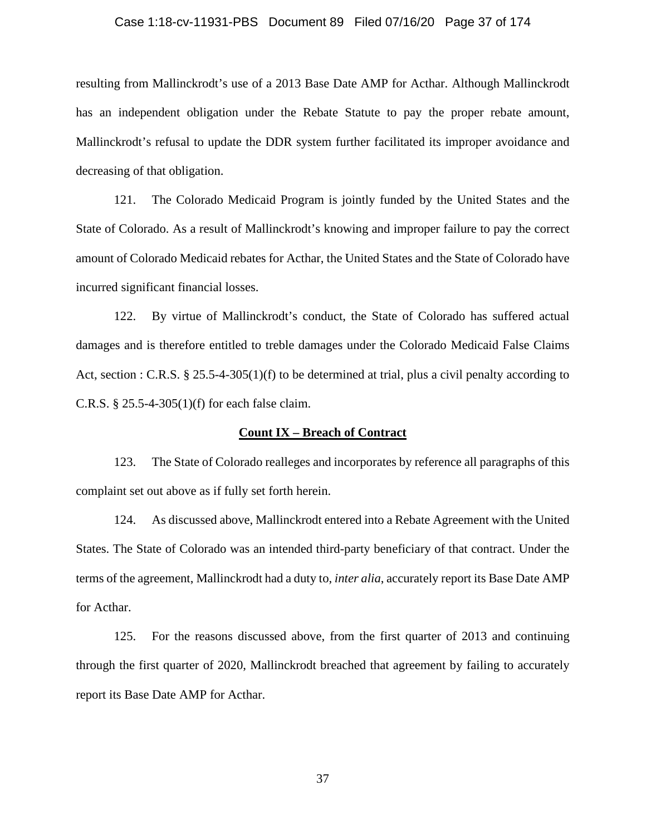### Case 1:18-cv-11931-PBS Document 89 Filed 07/16/20 Page 37 of 174

resulting from Mallinckrodt's use of a 2013 Base Date AMP for Acthar. Although Mallinckrodt has an independent obligation under the Rebate Statute to pay the proper rebate amount, Mallinckrodt's refusal to update the DDR system further facilitated its improper avoidance and decreasing of that obligation.

121. The Colorado Medicaid Program is jointly funded by the United States and the State of Colorado. As a result of Mallinckrodt's knowing and improper failure to pay the correct amount of Colorado Medicaid rebates for Acthar, the United States and the State of Colorado have incurred significant financial losses.

122. By virtue of Mallinckrodt's conduct, the State of Colorado has suffered actual damages and is therefore entitled to treble damages under the Colorado Medicaid False Claims Act, section : C.R.S. § 25.5-4-305(1)(f) to be determined at trial, plus a civil penalty according to C.R.S. § 25.5-4-305(1)(f) for each false claim.

### **Count IX – Breach of Contract**

123. The State of Colorado realleges and incorporates by reference all paragraphs of this complaint set out above as if fully set forth herein.

124. As discussed above, Mallinckrodt entered into a Rebate Agreement with the United States. The State of Colorado was an intended third-party beneficiary of that contract. Under the terms of the agreement, Mallinckrodt had a duty to, *inter alia*, accurately report its Base Date AMP for Acthar.

125. For the reasons discussed above, from the first quarter of 2013 and continuing through the first quarter of 2020, Mallinckrodt breached that agreement by failing to accurately report its Base Date AMP for Acthar.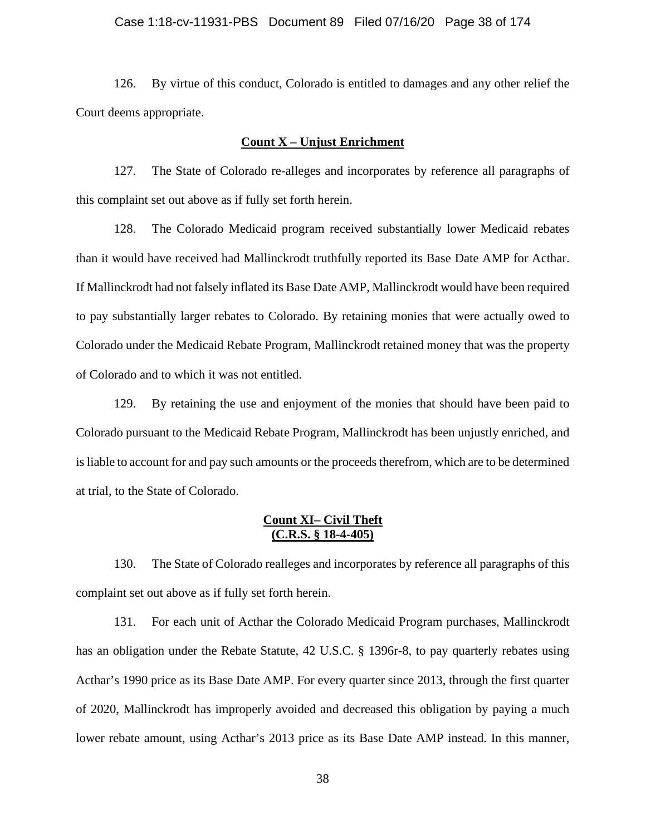### Case 1:18-cv-11931-PBS Document 89 Filed 07/16/20 Page 38 of 174

126. By virtue of this conduct, Colorado is entitled to damages and any other relief the Court deems appropriate.

## **Count X – Unjust Enrichment**

127. The State of Colorado re-alleges and incorporates by reference all paragraphs of this complaint set out above as if fully set forth herein.

128. The Colorado Medicaid program received substantially lower Medicaid rebates than it would have received had Mallinckrodt truthfully reported its Base Date AMP for Acthar. If Mallinckrodt had not falsely inflated its Base Date AMP, Mallinckrodt would have been required to pay substantially larger rebates to Colorado. By retaining monies that were actually owed to Colorado under the Medicaid Rebate Program, Mallinckrodt retained money that was the property of Colorado and to which it was not entitled.

129. By retaining the use and enjoyment of the monies that should have been paid to Colorado pursuant to the Medicaid Rebate Program, Mallinckrodt has been unjustly enriched, and is liable to account for and pay such amounts or the proceeds therefrom, which are to be determined at trial, to the State of Colorado.

# **Count XI– Civil Theft (C.R.S. § 18-4-405)**

130. The State of Colorado realleges and incorporates by reference all paragraphs of this complaint set out above as if fully set forth herein.

131. For each unit of Acthar the Colorado Medicaid Program purchases, Mallinckrodt has an obligation under the Rebate Statute, 42 U.S.C. § 1396r-8, to pay quarterly rebates using Acthar's 1990 price as its Base Date AMP. For every quarter since 2013, through the first quarter of 2020, Mallinckrodt has improperly avoided and decreased this obligation by paying a much lower rebate amount, using Acthar's 2013 price as its Base Date AMP instead. In this manner,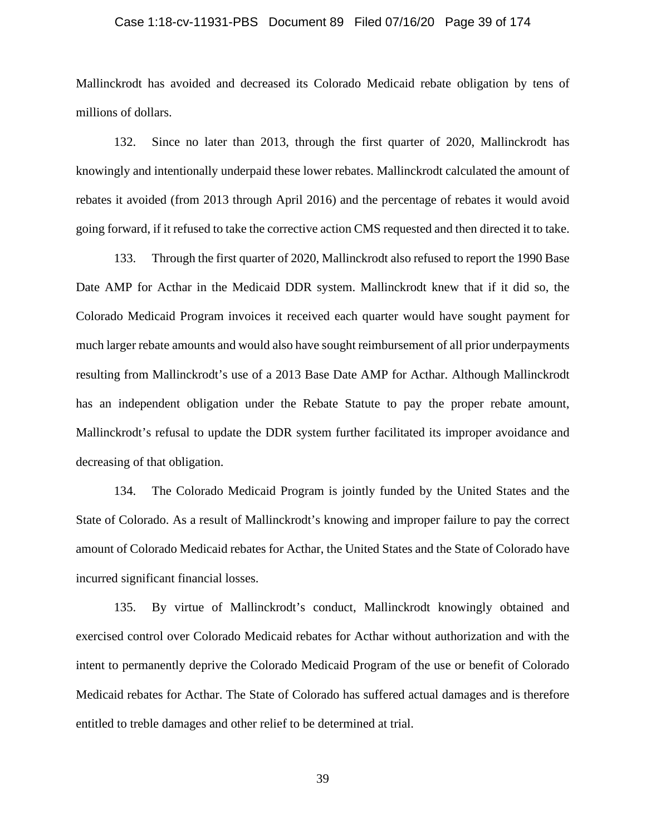## Case 1:18-cv-11931-PBS Document 89 Filed 07/16/20 Page 39 of 174

Mallinckrodt has avoided and decreased its Colorado Medicaid rebate obligation by tens of millions of dollars.

132. Since no later than 2013, through the first quarter of 2020, Mallinckrodt has knowingly and intentionally underpaid these lower rebates. Mallinckrodt calculated the amount of rebates it avoided (from 2013 through April 2016) and the percentage of rebates it would avoid going forward, if it refused to take the corrective action CMS requested and then directed it to take.

133. Through the first quarter of 2020, Mallinckrodt also refused to report the 1990 Base Date AMP for Acthar in the Medicaid DDR system. Mallinckrodt knew that if it did so, the Colorado Medicaid Program invoices it received each quarter would have sought payment for much larger rebate amounts and would also have sought reimbursement of all prior underpayments resulting from Mallinckrodt's use of a 2013 Base Date AMP for Acthar. Although Mallinckrodt has an independent obligation under the Rebate Statute to pay the proper rebate amount, Mallinckrodt's refusal to update the DDR system further facilitated its improper avoidance and decreasing of that obligation.

134. The Colorado Medicaid Program is jointly funded by the United States and the State of Colorado. As a result of Mallinckrodt's knowing and improper failure to pay the correct amount of Colorado Medicaid rebates for Acthar, the United States and the State of Colorado have incurred significant financial losses.

135. By virtue of Mallinckrodt's conduct, Mallinckrodt knowingly obtained and exercised control over Colorado Medicaid rebates for Acthar without authorization and with the intent to permanently deprive the Colorado Medicaid Program of the use or benefit of Colorado Medicaid rebates for Acthar. The State of Colorado has suffered actual damages and is therefore entitled to treble damages and other relief to be determined at trial.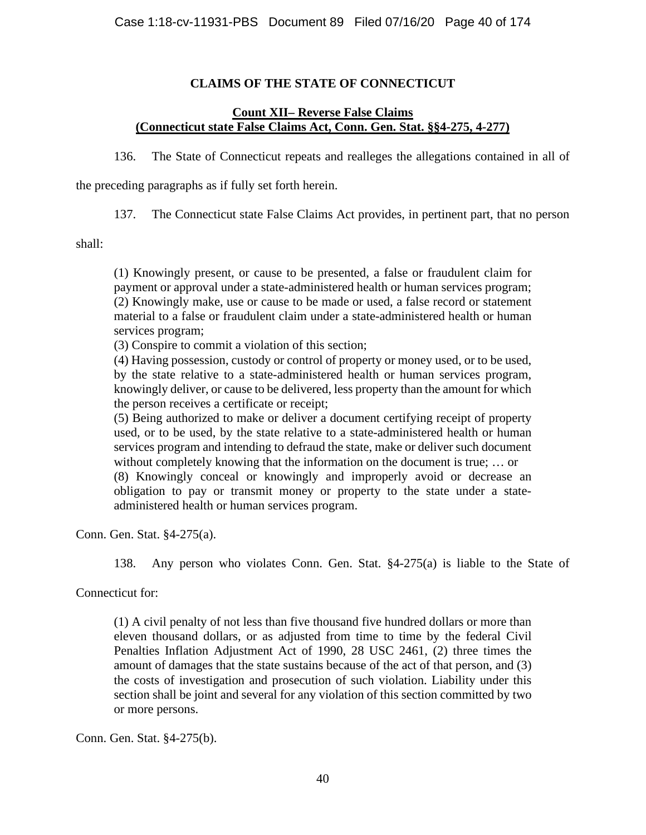# **CLAIMS OF THE STATE OF CONNECTICUT**

# **Count XII– Reverse False Claims (Connecticut state False Claims Act, Conn. Gen. Stat. §§4-275, 4-277)**

136. The State of Connecticut repeats and realleges the allegations contained in all of

the preceding paragraphs as if fully set forth herein.

137. The Connecticut state False Claims Act provides, in pertinent part, that no person

shall:

(1) Knowingly present, or cause to be presented, a false or fraudulent claim for payment or approval under a state-administered health or human services program; (2) Knowingly make, use or cause to be made or used, a false record or statement material to a false or fraudulent claim under a state-administered health or human services program;

(3) Conspire to commit a violation of this section;

(4) Having possession, custody or control of property or money used, or to be used, by the state relative to a state-administered health or human services program, knowingly deliver, or cause to be delivered, less property than the amount for which the person receives a certificate or receipt;

(5) Being authorized to make or deliver a document certifying receipt of property used, or to be used, by the state relative to a state-administered health or human services program and intending to defraud the state, make or deliver such document without completely knowing that the information on the document is true; … or (8) Knowingly conceal or knowingly and improperly avoid or decrease an obligation to pay or transmit money or property to the state under a stateadministered health or human services program.

Conn. Gen. Stat. §4-275(a).

138. Any person who violates Conn. Gen. Stat. §4-275(a) is liable to the State of

Connecticut for:

(1) A civil penalty of not less than five thousand five hundred dollars or more than eleven thousand dollars, or as adjusted from time to time by the federal Civil Penalties Inflation Adjustment Act of 1990, 28 USC 2461, (2) three times the amount of damages that the state sustains because of the act of that person, and (3) the costs of investigation and prosecution of such violation. Liability under this section shall be joint and several for any violation of this section committed by two or more persons.

Conn. Gen. Stat. §4-275(b).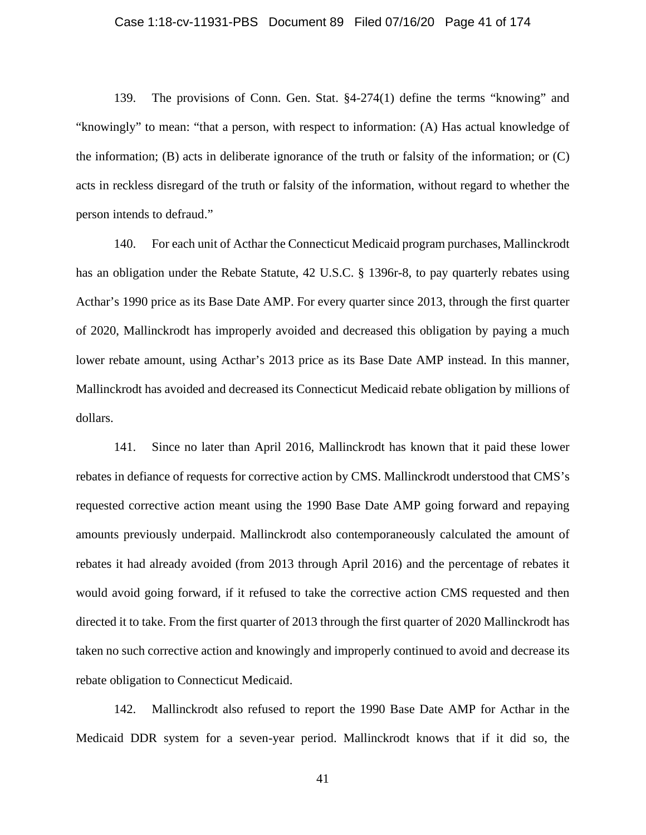## Case 1:18-cv-11931-PBS Document 89 Filed 07/16/20 Page 41 of 174

139. The provisions of Conn. Gen. Stat. §4-274(1) define the terms "knowing" and "knowingly" to mean: "that a person, with respect to information: (A) Has actual knowledge of the information; (B) acts in deliberate ignorance of the truth or falsity of the information; or (C) acts in reckless disregard of the truth or falsity of the information, without regard to whether the person intends to defraud."

140. For each unit of Acthar the Connecticut Medicaid program purchases, Mallinckrodt has an obligation under the Rebate Statute, 42 U.S.C. § 1396r-8, to pay quarterly rebates using Acthar's 1990 price as its Base Date AMP. For every quarter since 2013, through the first quarter of 2020, Mallinckrodt has improperly avoided and decreased this obligation by paying a much lower rebate amount, using Acthar's 2013 price as its Base Date AMP instead. In this manner, Mallinckrodt has avoided and decreased its Connecticut Medicaid rebate obligation by millions of dollars.

141. Since no later than April 2016, Mallinckrodt has known that it paid these lower rebates in defiance of requests for corrective action by CMS. Mallinckrodt understood that CMS's requested corrective action meant using the 1990 Base Date AMP going forward and repaying amounts previously underpaid. Mallinckrodt also contemporaneously calculated the amount of rebates it had already avoided (from 2013 through April 2016) and the percentage of rebates it would avoid going forward, if it refused to take the corrective action CMS requested and then directed it to take. From the first quarter of 2013 through the first quarter of 2020 Mallinckrodt has taken no such corrective action and knowingly and improperly continued to avoid and decrease its rebate obligation to Connecticut Medicaid.

142. Mallinckrodt also refused to report the 1990 Base Date AMP for Acthar in the Medicaid DDR system for a seven-year period. Mallinckrodt knows that if it did so, the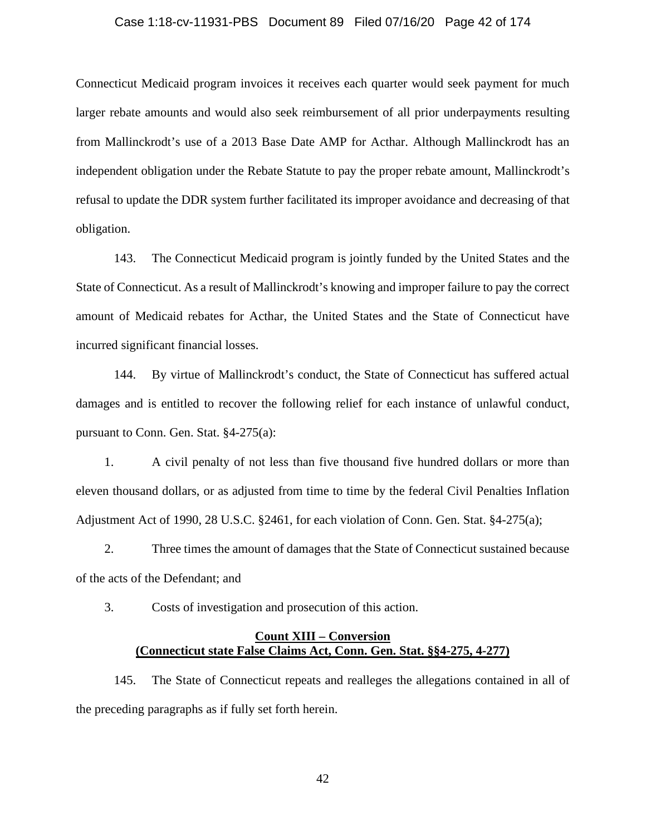### Case 1:18-cv-11931-PBS Document 89 Filed 07/16/20 Page 42 of 174

Connecticut Medicaid program invoices it receives each quarter would seek payment for much larger rebate amounts and would also seek reimbursement of all prior underpayments resulting from Mallinckrodt's use of a 2013 Base Date AMP for Acthar. Although Mallinckrodt has an independent obligation under the Rebate Statute to pay the proper rebate amount, Mallinckrodt's refusal to update the DDR system further facilitated its improper avoidance and decreasing of that obligation.

143. The Connecticut Medicaid program is jointly funded by the United States and the State of Connecticut. As a result of Mallinckrodt's knowing and improper failure to pay the correct amount of Medicaid rebates for Acthar, the United States and the State of Connecticut have incurred significant financial losses.

144. By virtue of Mallinckrodt's conduct, the State of Connecticut has suffered actual damages and is entitled to recover the following relief for each instance of unlawful conduct, pursuant to Conn. Gen. Stat. §4-275(a):

1. A civil penalty of not less than five thousand five hundred dollars or more than eleven thousand dollars, or as adjusted from time to time by the federal Civil Penalties Inflation Adjustment Act of 1990, 28 U.S.C. §2461, for each violation of Conn. Gen. Stat. §4-275(a);

2. Three times the amount of damages that the State of Connecticut sustained because of the acts of the Defendant; and

3. Costs of investigation and prosecution of this action.

# **Count XIII – Conversion (Connecticut state False Claims Act, Conn. Gen. Stat. §§4-275, 4-277)**

145. The State of Connecticut repeats and realleges the allegations contained in all of the preceding paragraphs as if fully set forth herein.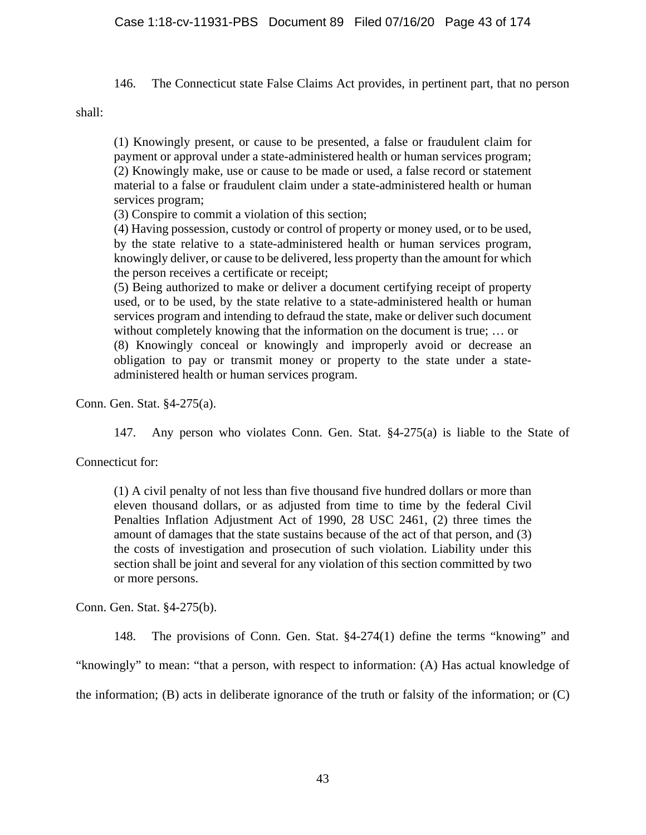146. The Connecticut state False Claims Act provides, in pertinent part, that no person

shall:

(1) Knowingly present, or cause to be presented, a false or fraudulent claim for payment or approval under a state-administered health or human services program; (2) Knowingly make, use or cause to be made or used, a false record or statement material to a false or fraudulent claim under a state-administered health or human services program;

(3) Conspire to commit a violation of this section;

(4) Having possession, custody or control of property or money used, or to be used, by the state relative to a state-administered health or human services program, knowingly deliver, or cause to be delivered, less property than the amount for which the person receives a certificate or receipt;

(5) Being authorized to make or deliver a document certifying receipt of property used, or to be used, by the state relative to a state-administered health or human services program and intending to defraud the state, make or deliver such document without completely knowing that the information on the document is true; … or (8) Knowingly conceal or knowingly and improperly avoid or decrease an obligation to pay or transmit money or property to the state under a stateadministered health or human services program.

Conn. Gen. Stat. §4-275(a).

147. Any person who violates Conn. Gen. Stat. §4-275(a) is liable to the State of

Connecticut for:

(1) A civil penalty of not less than five thousand five hundred dollars or more than eleven thousand dollars, or as adjusted from time to time by the federal Civil Penalties Inflation Adjustment Act of 1990, 28 USC 2461, (2) three times the amount of damages that the state sustains because of the act of that person, and (3) the costs of investigation and prosecution of such violation. Liability under this section shall be joint and several for any violation of this section committed by two or more persons.

Conn. Gen. Stat. §4-275(b).

148. The provisions of Conn. Gen. Stat. §4-274(1) define the terms "knowing" and "knowingly" to mean: "that a person, with respect to information: (A) Has actual knowledge of the information; (B) acts in deliberate ignorance of the truth or falsity of the information; or (C)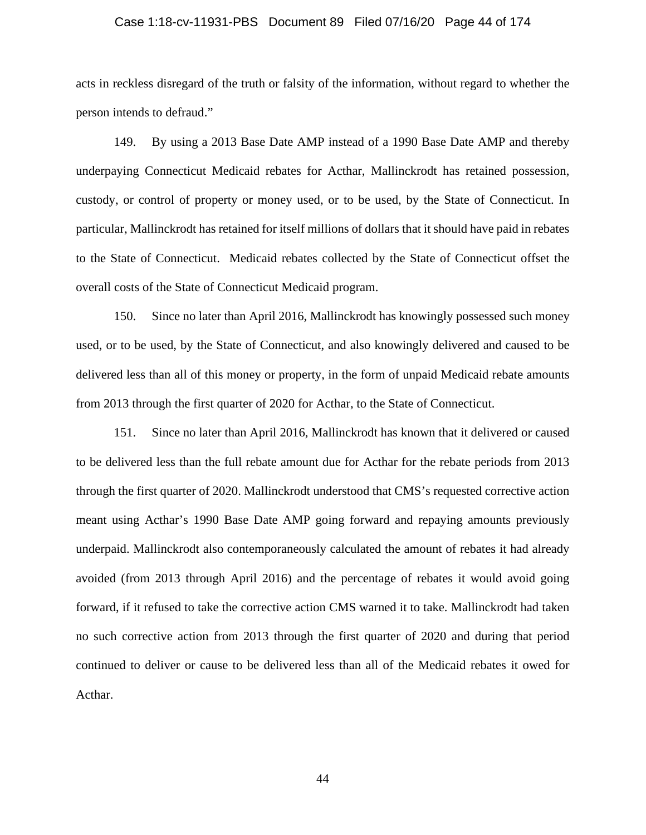### Case 1:18-cv-11931-PBS Document 89 Filed 07/16/20 Page 44 of 174

acts in reckless disregard of the truth or falsity of the information, without regard to whether the person intends to defraud."

149. By using a 2013 Base Date AMP instead of a 1990 Base Date AMP and thereby underpaying Connecticut Medicaid rebates for Acthar, Mallinckrodt has retained possession, custody, or control of property or money used, or to be used, by the State of Connecticut. In particular, Mallinckrodt has retained for itself millions of dollars that it should have paid in rebates to the State of Connecticut. Medicaid rebates collected by the State of Connecticut offset the overall costs of the State of Connecticut Medicaid program.

150. Since no later than April 2016, Mallinckrodt has knowingly possessed such money used, or to be used, by the State of Connecticut, and also knowingly delivered and caused to be delivered less than all of this money or property, in the form of unpaid Medicaid rebate amounts from 2013 through the first quarter of 2020 for Acthar, to the State of Connecticut.

151. Since no later than April 2016, Mallinckrodt has known that it delivered or caused to be delivered less than the full rebate amount due for Acthar for the rebate periods from 2013 through the first quarter of 2020. Mallinckrodt understood that CMS's requested corrective action meant using Acthar's 1990 Base Date AMP going forward and repaying amounts previously underpaid. Mallinckrodt also contemporaneously calculated the amount of rebates it had already avoided (from 2013 through April 2016) and the percentage of rebates it would avoid going forward, if it refused to take the corrective action CMS warned it to take. Mallinckrodt had taken no such corrective action from 2013 through the first quarter of 2020 and during that period continued to deliver or cause to be delivered less than all of the Medicaid rebates it owed for Acthar.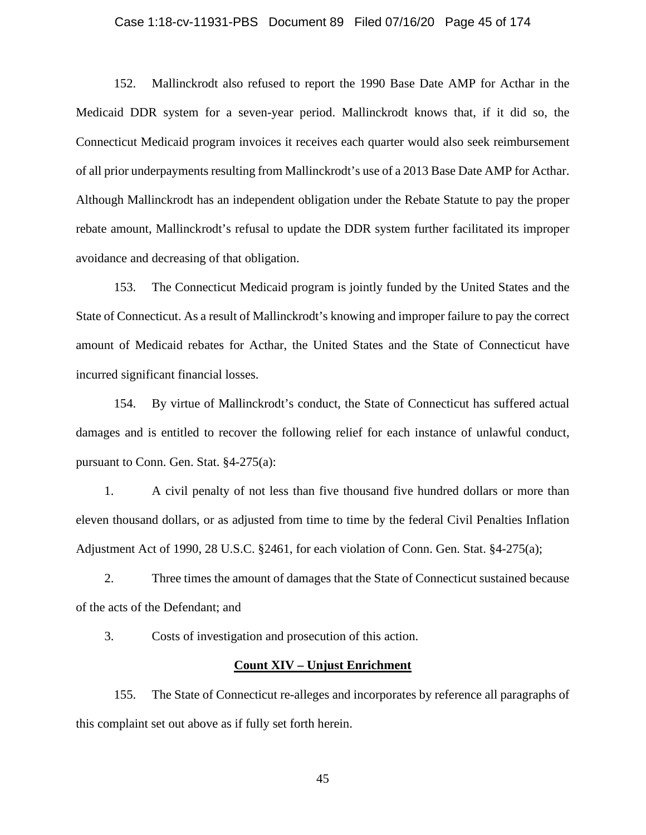### Case 1:18-cv-11931-PBS Document 89 Filed 07/16/20 Page 45 of 174

152. Mallinckrodt also refused to report the 1990 Base Date AMP for Acthar in the Medicaid DDR system for a seven-year period. Mallinckrodt knows that, if it did so, the Connecticut Medicaid program invoices it receives each quarter would also seek reimbursement of all prior underpayments resulting from Mallinckrodt's use of a 2013 Base Date AMP for Acthar. Although Mallinckrodt has an independent obligation under the Rebate Statute to pay the proper rebate amount, Mallinckrodt's refusal to update the DDR system further facilitated its improper avoidance and decreasing of that obligation.

153. The Connecticut Medicaid program is jointly funded by the United States and the State of Connecticut. As a result of Mallinckrodt's knowing and improper failure to pay the correct amount of Medicaid rebates for Acthar, the United States and the State of Connecticut have incurred significant financial losses.

154. By virtue of Mallinckrodt's conduct, the State of Connecticut has suffered actual damages and is entitled to recover the following relief for each instance of unlawful conduct, pursuant to Conn. Gen. Stat. §4-275(a):

1. A civil penalty of not less than five thousand five hundred dollars or more than eleven thousand dollars, or as adjusted from time to time by the federal Civil Penalties Inflation Adjustment Act of 1990, 28 U.S.C. §2461, for each violation of Conn. Gen. Stat. §4-275(a);

2. Three times the amount of damages that the State of Connecticut sustained because of the acts of the Defendant; and

3. Costs of investigation and prosecution of this action.

### **Count XIV – Unjust Enrichment**

155. The State of Connecticut re-alleges and incorporates by reference all paragraphs of this complaint set out above as if fully set forth herein.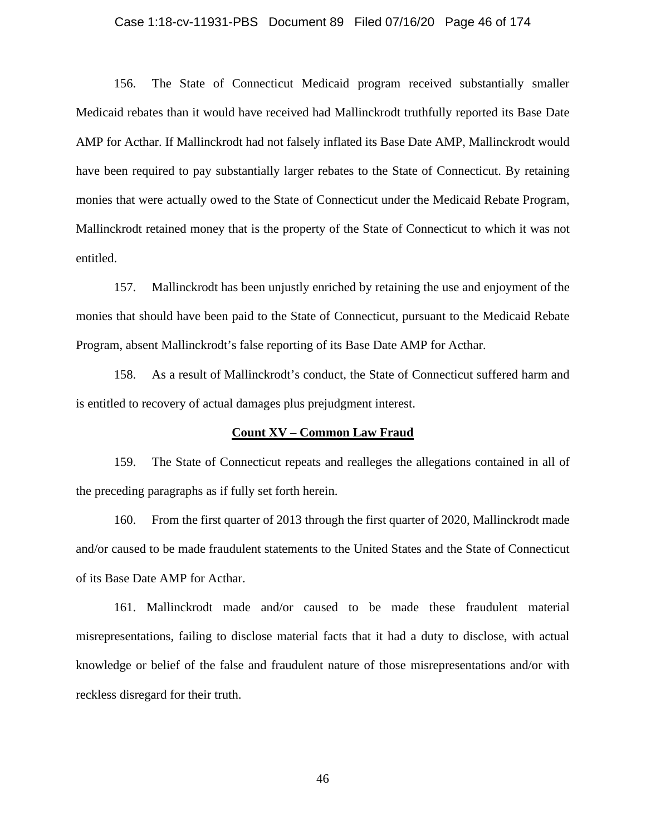### Case 1:18-cv-11931-PBS Document 89 Filed 07/16/20 Page 46 of 174

156. The State of Connecticut Medicaid program received substantially smaller Medicaid rebates than it would have received had Mallinckrodt truthfully reported its Base Date AMP for Acthar. If Mallinckrodt had not falsely inflated its Base Date AMP, Mallinckrodt would have been required to pay substantially larger rebates to the State of Connecticut. By retaining monies that were actually owed to the State of Connecticut under the Medicaid Rebate Program, Mallinckrodt retained money that is the property of the State of Connecticut to which it was not entitled.

157. Mallinckrodt has been unjustly enriched by retaining the use and enjoyment of the monies that should have been paid to the State of Connecticut, pursuant to the Medicaid Rebate Program, absent Mallinckrodt's false reporting of its Base Date AMP for Acthar.

158. As a result of Mallinckrodt's conduct, the State of Connecticut suffered harm and is entitled to recovery of actual damages plus prejudgment interest.

### **Count XV – Common Law Fraud**

159. The State of Connecticut repeats and realleges the allegations contained in all of the preceding paragraphs as if fully set forth herein.

160. From the first quarter of 2013 through the first quarter of 2020, Mallinckrodt made and/or caused to be made fraudulent statements to the United States and the State of Connecticut of its Base Date AMP for Acthar.

161. Mallinckrodt made and/or caused to be made these fraudulent material misrepresentations, failing to disclose material facts that it had a duty to disclose, with actual knowledge or belief of the false and fraudulent nature of those misrepresentations and/or with reckless disregard for their truth.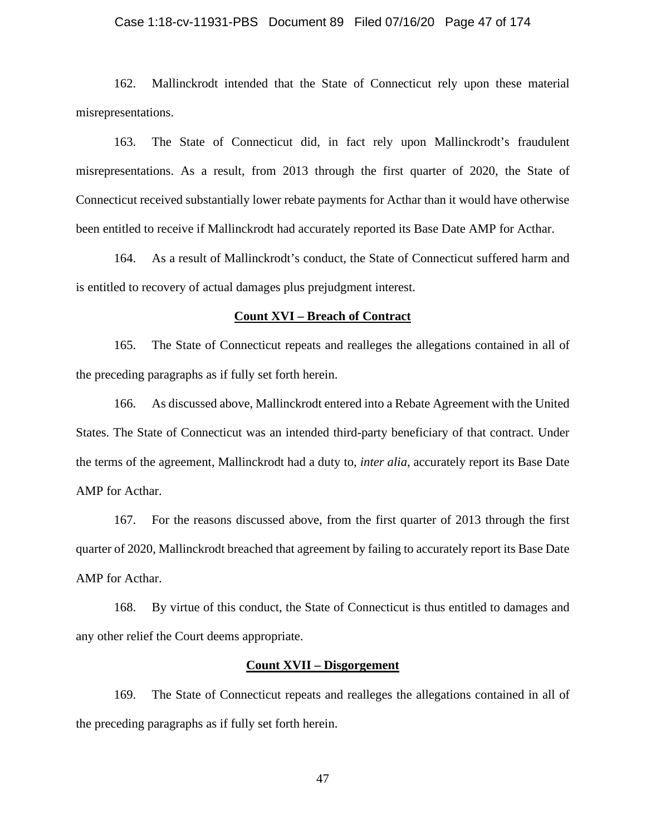## Case 1:18-cv-11931-PBS Document 89 Filed 07/16/20 Page 47 of 174

162. Mallinckrodt intended that the State of Connecticut rely upon these material misrepresentations.

163. The State of Connecticut did, in fact rely upon Mallinckrodt's fraudulent misrepresentations. As a result, from 2013 through the first quarter of 2020, the State of Connecticut received substantially lower rebate payments for Acthar than it would have otherwise been entitled to receive if Mallinckrodt had accurately reported its Base Date AMP for Acthar.

164. As a result of Mallinckrodt's conduct, the State of Connecticut suffered harm and is entitled to recovery of actual damages plus prejudgment interest.

### **Count XVI – Breach of Contract**

165. The State of Connecticut repeats and realleges the allegations contained in all of the preceding paragraphs as if fully set forth herein.

166. As discussed above, Mallinckrodt entered into a Rebate Agreement with the United States. The State of Connecticut was an intended third-party beneficiary of that contract. Under the terms of the agreement, Mallinckrodt had a duty to, *inter alia*, accurately report its Base Date AMP for Acthar.

167. For the reasons discussed above, from the first quarter of 2013 through the first quarter of 2020, Mallinckrodt breached that agreement by failing to accurately report its Base Date AMP for Acthar.

168. By virtue of this conduct, the State of Connecticut is thus entitled to damages and any other relief the Court deems appropriate.

### **Count XVII – Disgorgement**

169. The State of Connecticut repeats and realleges the allegations contained in all of the preceding paragraphs as if fully set forth herein.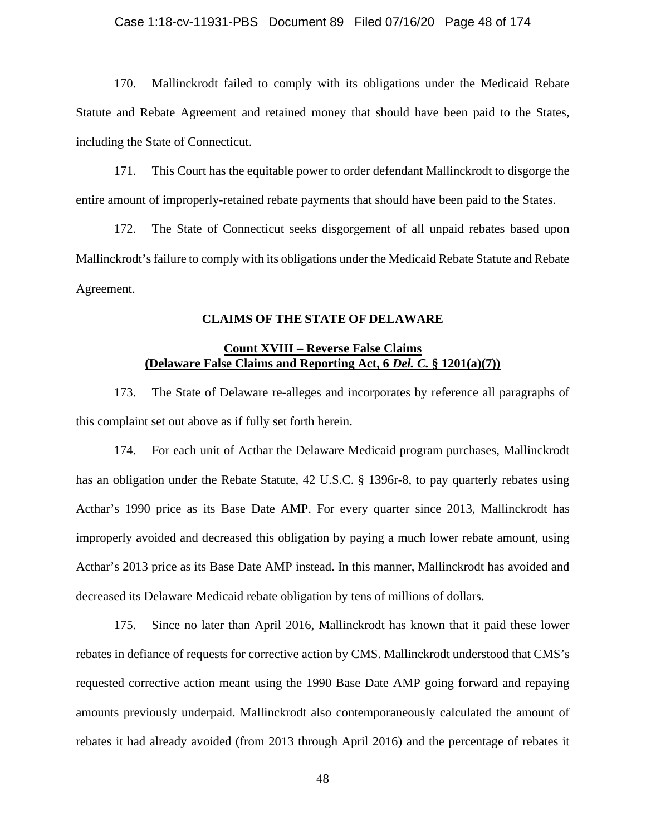170. Mallinckrodt failed to comply with its obligations under the Medicaid Rebate Statute and Rebate Agreement and retained money that should have been paid to the States, including the State of Connecticut.

171. This Court has the equitable power to order defendant Mallinckrodt to disgorge the entire amount of improperly-retained rebate payments that should have been paid to the States.

172. The State of Connecticut seeks disgorgement of all unpaid rebates based upon Mallinckrodt's failure to comply with its obligations under the Medicaid Rebate Statute and Rebate Agreement.

# **CLAIMS OF THE STATE OF DELAWARE**

# **Count XVIII – Reverse False Claims (Delaware False Claims and Reporting Act, 6** *Del. C.* **§ 1201(a)(7))**

173. The State of Delaware re-alleges and incorporates by reference all paragraphs of this complaint set out above as if fully set forth herein.

174. For each unit of Acthar the Delaware Medicaid program purchases, Mallinckrodt has an obligation under the Rebate Statute, 42 U.S.C. § 1396r-8, to pay quarterly rebates using Acthar's 1990 price as its Base Date AMP. For every quarter since 2013, Mallinckrodt has improperly avoided and decreased this obligation by paying a much lower rebate amount, using Acthar's 2013 price as its Base Date AMP instead. In this manner, Mallinckrodt has avoided and decreased its Delaware Medicaid rebate obligation by tens of millions of dollars.

175. Since no later than April 2016, Mallinckrodt has known that it paid these lower rebates in defiance of requests for corrective action by CMS. Mallinckrodt understood that CMS's requested corrective action meant using the 1990 Base Date AMP going forward and repaying amounts previously underpaid. Mallinckrodt also contemporaneously calculated the amount of rebates it had already avoided (from 2013 through April 2016) and the percentage of rebates it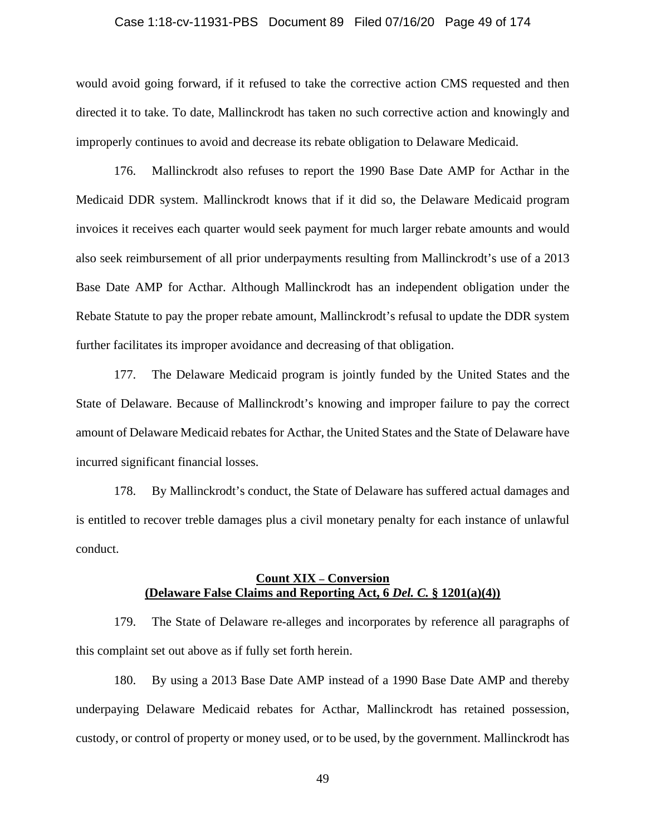## Case 1:18-cv-11931-PBS Document 89 Filed 07/16/20 Page 49 of 174

would avoid going forward, if it refused to take the corrective action CMS requested and then directed it to take. To date, Mallinckrodt has taken no such corrective action and knowingly and improperly continues to avoid and decrease its rebate obligation to Delaware Medicaid.

176. Mallinckrodt also refuses to report the 1990 Base Date AMP for Acthar in the Medicaid DDR system. Mallinckrodt knows that if it did so, the Delaware Medicaid program invoices it receives each quarter would seek payment for much larger rebate amounts and would also seek reimbursement of all prior underpayments resulting from Mallinckrodt's use of a 2013 Base Date AMP for Acthar. Although Mallinckrodt has an independent obligation under the Rebate Statute to pay the proper rebate amount, Mallinckrodt's refusal to update the DDR system further facilitates its improper avoidance and decreasing of that obligation.

177. The Delaware Medicaid program is jointly funded by the United States and the State of Delaware. Because of Mallinckrodt's knowing and improper failure to pay the correct amount of Delaware Medicaid rebates for Acthar, the United States and the State of Delaware have incurred significant financial losses.

178. By Mallinckrodt's conduct, the State of Delaware has suffered actual damages and is entitled to recover treble damages plus a civil monetary penalty for each instance of unlawful conduct.

# **Count XIX – Conversion (Delaware False Claims and Reporting Act, 6** *Del. C.* **§ 1201(a)(4))**

179. The State of Delaware re-alleges and incorporates by reference all paragraphs of this complaint set out above as if fully set forth herein.

180. By using a 2013 Base Date AMP instead of a 1990 Base Date AMP and thereby underpaying Delaware Medicaid rebates for Acthar, Mallinckrodt has retained possession, custody, or control of property or money used, or to be used, by the government. Mallinckrodt has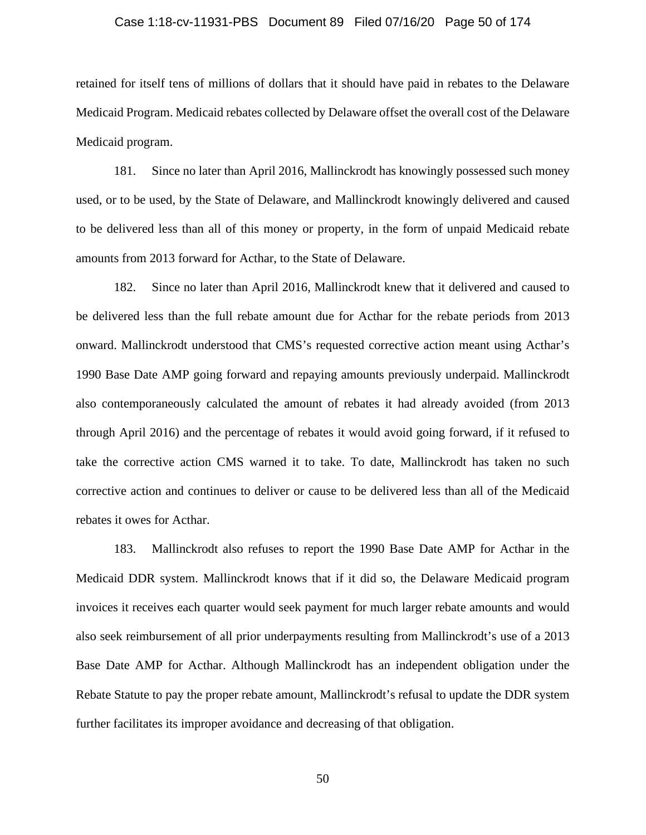### Case 1:18-cv-11931-PBS Document 89 Filed 07/16/20 Page 50 of 174

retained for itself tens of millions of dollars that it should have paid in rebates to the Delaware Medicaid Program. Medicaid rebates collected by Delaware offset the overall cost of the Delaware Medicaid program.

181. Since no later than April 2016, Mallinckrodt has knowingly possessed such money used, or to be used, by the State of Delaware, and Mallinckrodt knowingly delivered and caused to be delivered less than all of this money or property, in the form of unpaid Medicaid rebate amounts from 2013 forward for Acthar, to the State of Delaware.

182. Since no later than April 2016, Mallinckrodt knew that it delivered and caused to be delivered less than the full rebate amount due for Acthar for the rebate periods from 2013 onward. Mallinckrodt understood that CMS's requested corrective action meant using Acthar's 1990 Base Date AMP going forward and repaying amounts previously underpaid. Mallinckrodt also contemporaneously calculated the amount of rebates it had already avoided (from 2013 through April 2016) and the percentage of rebates it would avoid going forward, if it refused to take the corrective action CMS warned it to take. To date, Mallinckrodt has taken no such corrective action and continues to deliver or cause to be delivered less than all of the Medicaid rebates it owes for Acthar.

183. Mallinckrodt also refuses to report the 1990 Base Date AMP for Acthar in the Medicaid DDR system. Mallinckrodt knows that if it did so, the Delaware Medicaid program invoices it receives each quarter would seek payment for much larger rebate amounts and would also seek reimbursement of all prior underpayments resulting from Mallinckrodt's use of a 2013 Base Date AMP for Acthar. Although Mallinckrodt has an independent obligation under the Rebate Statute to pay the proper rebate amount, Mallinckrodt's refusal to update the DDR system further facilitates its improper avoidance and decreasing of that obligation.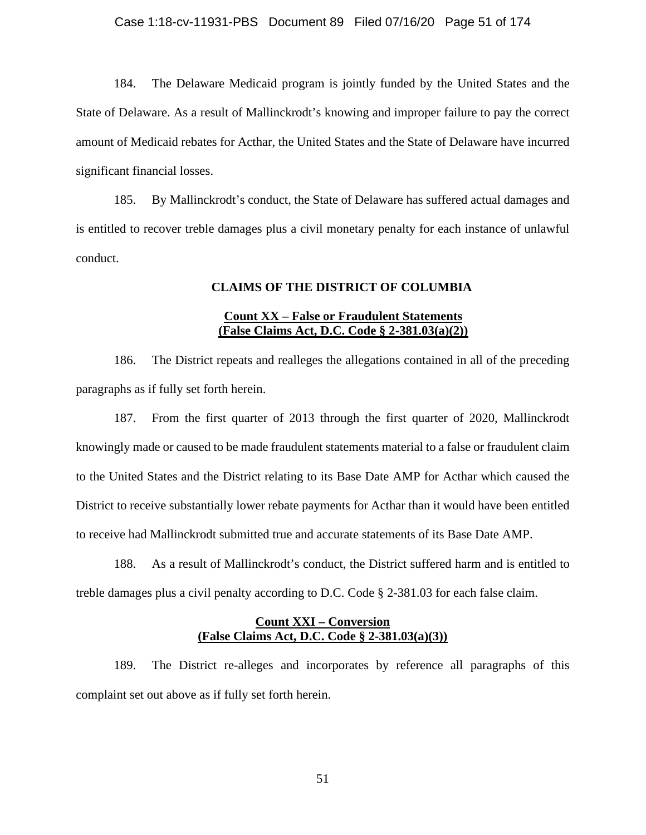## Case 1:18-cv-11931-PBS Document 89 Filed 07/16/20 Page 51 of 174

184. The Delaware Medicaid program is jointly funded by the United States and the State of Delaware. As a result of Mallinckrodt's knowing and improper failure to pay the correct amount of Medicaid rebates for Acthar, the United States and the State of Delaware have incurred significant financial losses.

185. By Mallinckrodt's conduct, the State of Delaware has suffered actual damages and is entitled to recover treble damages plus a civil monetary penalty for each instance of unlawful conduct.

# **CLAIMS OF THE DISTRICT OF COLUMBIA**

# **Count XX – False or Fraudulent Statements (False Claims Act, D.C. Code § 2-381.03(a)(2))**

186. The District repeats and realleges the allegations contained in all of the preceding paragraphs as if fully set forth herein.

187. From the first quarter of 2013 through the first quarter of 2020, Mallinckrodt knowingly made or caused to be made fraudulent statements material to a false or fraudulent claim to the United States and the District relating to its Base Date AMP for Acthar which caused the District to receive substantially lower rebate payments for Acthar than it would have been entitled to receive had Mallinckrodt submitted true and accurate statements of its Base Date AMP.

188. As a result of Mallinckrodt's conduct, the District suffered harm and is entitled to treble damages plus a civil penalty according to D.C. Code § 2-381.03 for each false claim.

# **Count XXI – Conversion (False Claims Act, D.C. Code § 2-381.03(a)(3))**

189. The District re-alleges and incorporates by reference all paragraphs of this complaint set out above as if fully set forth herein.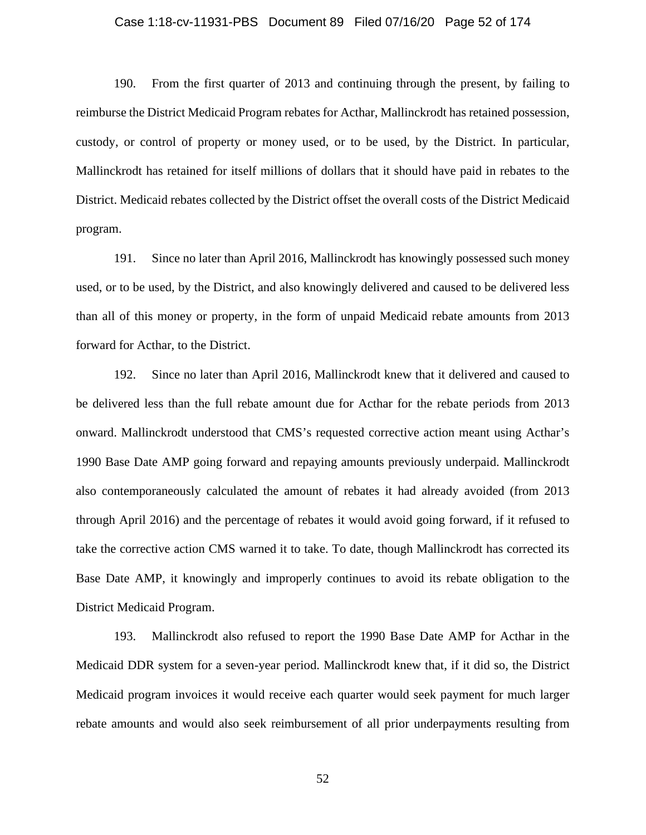### Case 1:18-cv-11931-PBS Document 89 Filed 07/16/20 Page 52 of 174

190. From the first quarter of 2013 and continuing through the present, by failing to reimburse the District Medicaid Program rebates for Acthar, Mallinckrodt has retained possession, custody, or control of property or money used, or to be used, by the District. In particular, Mallinckrodt has retained for itself millions of dollars that it should have paid in rebates to the District. Medicaid rebates collected by the District offset the overall costs of the District Medicaid program.

191. Since no later than April 2016, Mallinckrodt has knowingly possessed such money used, or to be used, by the District, and also knowingly delivered and caused to be delivered less than all of this money or property, in the form of unpaid Medicaid rebate amounts from 2013 forward for Acthar, to the District.

192. Since no later than April 2016, Mallinckrodt knew that it delivered and caused to be delivered less than the full rebate amount due for Acthar for the rebate periods from 2013 onward. Mallinckrodt understood that CMS's requested corrective action meant using Acthar's 1990 Base Date AMP going forward and repaying amounts previously underpaid. Mallinckrodt also contemporaneously calculated the amount of rebates it had already avoided (from 2013 through April 2016) and the percentage of rebates it would avoid going forward, if it refused to take the corrective action CMS warned it to take. To date, though Mallinckrodt has corrected its Base Date AMP, it knowingly and improperly continues to avoid its rebate obligation to the District Medicaid Program.

193. Mallinckrodt also refused to report the 1990 Base Date AMP for Acthar in the Medicaid DDR system for a seven-year period. Mallinckrodt knew that, if it did so, the District Medicaid program invoices it would receive each quarter would seek payment for much larger rebate amounts and would also seek reimbursement of all prior underpayments resulting from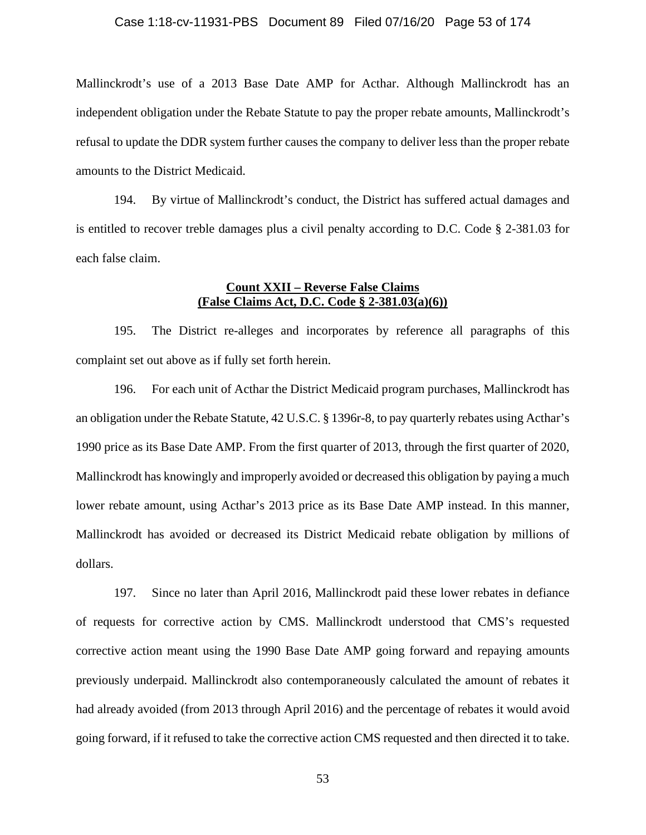Mallinckrodt's use of a 2013 Base Date AMP for Acthar. Although Mallinckrodt has an independent obligation under the Rebate Statute to pay the proper rebate amounts, Mallinckrodt's refusal to update the DDR system further causes the company to deliver less than the proper rebate amounts to the District Medicaid.

194. By virtue of Mallinckrodt's conduct, the District has suffered actual damages and is entitled to recover treble damages plus a civil penalty according to D.C. Code § 2-381.03 for each false claim.

# **Count XXII – Reverse False Claims (False Claims Act, D.C. Code § 2-381.03(a)(6))**

195. The District re-alleges and incorporates by reference all paragraphs of this complaint set out above as if fully set forth herein.

196. For each unit of Acthar the District Medicaid program purchases, Mallinckrodt has an obligation under the Rebate Statute, 42 U.S.C. § 1396r-8, to pay quarterly rebates using Acthar's 1990 price as its Base Date AMP. From the first quarter of 2013, through the first quarter of 2020, Mallinckrodt has knowingly and improperly avoided or decreased this obligation by paying a much lower rebate amount, using Acthar's 2013 price as its Base Date AMP instead. In this manner, Mallinckrodt has avoided or decreased its District Medicaid rebate obligation by millions of dollars.

197. Since no later than April 2016, Mallinckrodt paid these lower rebates in defiance of requests for corrective action by CMS. Mallinckrodt understood that CMS's requested corrective action meant using the 1990 Base Date AMP going forward and repaying amounts previously underpaid. Mallinckrodt also contemporaneously calculated the amount of rebates it had already avoided (from 2013 through April 2016) and the percentage of rebates it would avoid going forward, if it refused to take the corrective action CMS requested and then directed it to take.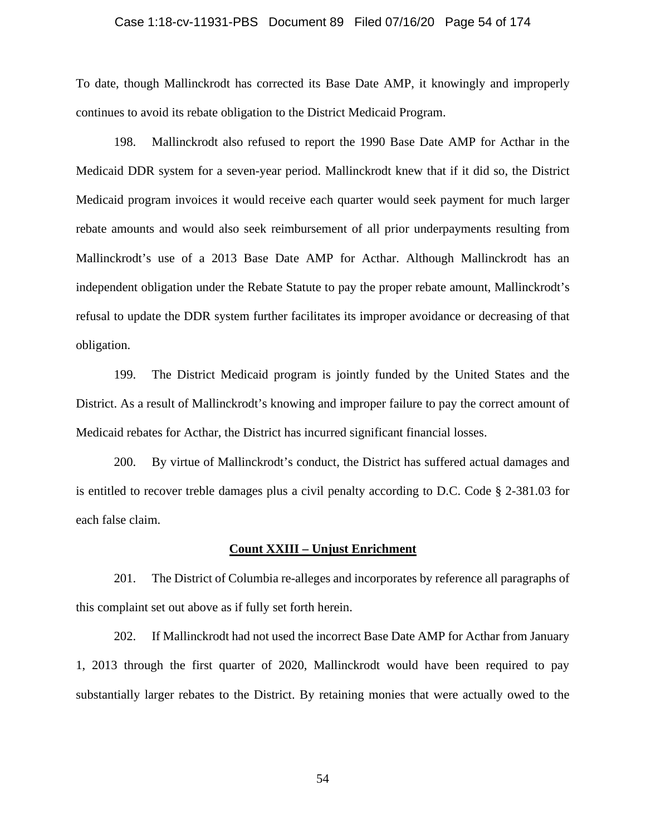### Case 1:18-cv-11931-PBS Document 89 Filed 07/16/20 Page 54 of 174

To date, though Mallinckrodt has corrected its Base Date AMP, it knowingly and improperly continues to avoid its rebate obligation to the District Medicaid Program.

198. Mallinckrodt also refused to report the 1990 Base Date AMP for Acthar in the Medicaid DDR system for a seven-year period. Mallinckrodt knew that if it did so, the District Medicaid program invoices it would receive each quarter would seek payment for much larger rebate amounts and would also seek reimbursement of all prior underpayments resulting from Mallinckrodt's use of a 2013 Base Date AMP for Acthar. Although Mallinckrodt has an independent obligation under the Rebate Statute to pay the proper rebate amount, Mallinckrodt's refusal to update the DDR system further facilitates its improper avoidance or decreasing of that obligation.

199. The District Medicaid program is jointly funded by the United States and the District. As a result of Mallinckrodt's knowing and improper failure to pay the correct amount of Medicaid rebates for Acthar, the District has incurred significant financial losses.

200. By virtue of Mallinckrodt's conduct, the District has suffered actual damages and is entitled to recover treble damages plus a civil penalty according to D.C. Code § 2-381.03 for each false claim.

### **Count XXIII – Unjust Enrichment**

201. The District of Columbia re-alleges and incorporates by reference all paragraphs of this complaint set out above as if fully set forth herein.

202. If Mallinckrodt had not used the incorrect Base Date AMP for Acthar from January 1, 2013 through the first quarter of 2020, Mallinckrodt would have been required to pay substantially larger rebates to the District. By retaining monies that were actually owed to the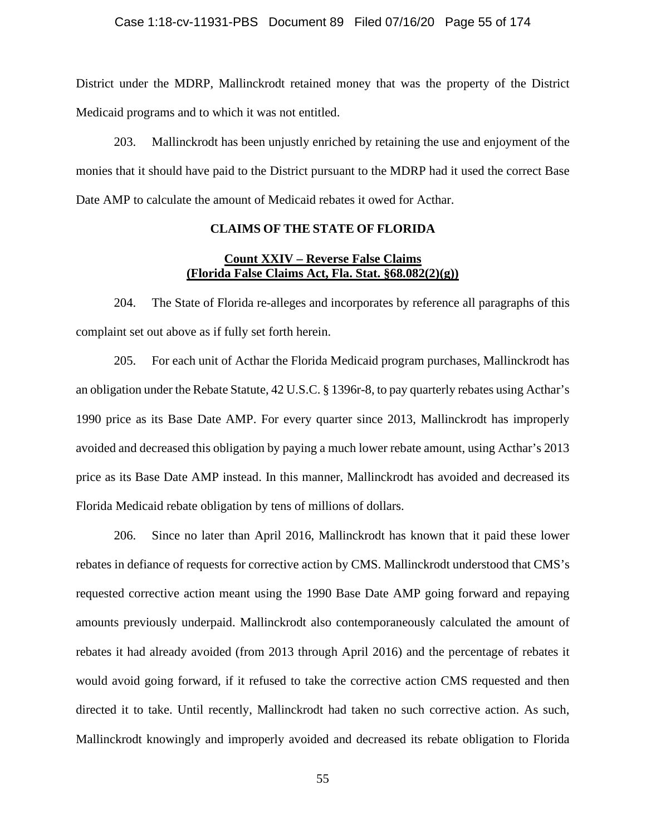District under the MDRP, Mallinckrodt retained money that was the property of the District Medicaid programs and to which it was not entitled.

203. Mallinckrodt has been unjustly enriched by retaining the use and enjoyment of the monies that it should have paid to the District pursuant to the MDRP had it used the correct Base Date AMP to calculate the amount of Medicaid rebates it owed for Acthar.

# **CLAIMS OF THE STATE OF FLORIDA**

# **Count XXIV – Reverse False Claims (Florida False Claims Act, Fla. Stat. §68.082(2)(g))**

204. The State of Florida re-alleges and incorporates by reference all paragraphs of this complaint set out above as if fully set forth herein.

205. For each unit of Acthar the Florida Medicaid program purchases, Mallinckrodt has an obligation under the Rebate Statute, 42 U.S.C. § 1396r-8, to pay quarterly rebates using Acthar's 1990 price as its Base Date AMP. For every quarter since 2013, Mallinckrodt has improperly avoided and decreased this obligation by paying a much lower rebate amount, using Acthar's 2013 price as its Base Date AMP instead. In this manner, Mallinckrodt has avoided and decreased its Florida Medicaid rebate obligation by tens of millions of dollars.

206. Since no later than April 2016, Mallinckrodt has known that it paid these lower rebates in defiance of requests for corrective action by CMS. Mallinckrodt understood that CMS's requested corrective action meant using the 1990 Base Date AMP going forward and repaying amounts previously underpaid. Mallinckrodt also contemporaneously calculated the amount of rebates it had already avoided (from 2013 through April 2016) and the percentage of rebates it would avoid going forward, if it refused to take the corrective action CMS requested and then directed it to take. Until recently, Mallinckrodt had taken no such corrective action. As such, Mallinckrodt knowingly and improperly avoided and decreased its rebate obligation to Florida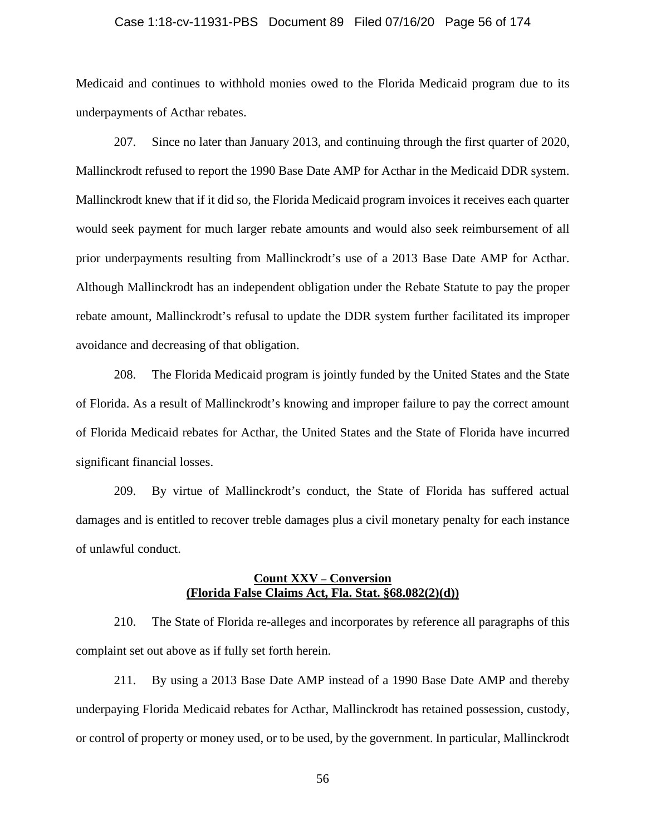### Case 1:18-cv-11931-PBS Document 89 Filed 07/16/20 Page 56 of 174

Medicaid and continues to withhold monies owed to the Florida Medicaid program due to its underpayments of Acthar rebates.

207. Since no later than January 2013, and continuing through the first quarter of 2020, Mallinckrodt refused to report the 1990 Base Date AMP for Acthar in the Medicaid DDR system. Mallinckrodt knew that if it did so, the Florida Medicaid program invoices it receives each quarter would seek payment for much larger rebate amounts and would also seek reimbursement of all prior underpayments resulting from Mallinckrodt's use of a 2013 Base Date AMP for Acthar. Although Mallinckrodt has an independent obligation under the Rebate Statute to pay the proper rebate amount, Mallinckrodt's refusal to update the DDR system further facilitated its improper avoidance and decreasing of that obligation.

208. The Florida Medicaid program is jointly funded by the United States and the State of Florida. As a result of Mallinckrodt's knowing and improper failure to pay the correct amount of Florida Medicaid rebates for Acthar, the United States and the State of Florida have incurred significant financial losses.

209. By virtue of Mallinckrodt's conduct, the State of Florida has suffered actual damages and is entitled to recover treble damages plus a civil monetary penalty for each instance of unlawful conduct.

# **Count XXV – Conversion (Florida False Claims Act, Fla. Stat. §68.082(2)(d))**

210. The State of Florida re-alleges and incorporates by reference all paragraphs of this complaint set out above as if fully set forth herein.

211. By using a 2013 Base Date AMP instead of a 1990 Base Date AMP and thereby underpaying Florida Medicaid rebates for Acthar, Mallinckrodt has retained possession, custody, or control of property or money used, or to be used, by the government. In particular, Mallinckrodt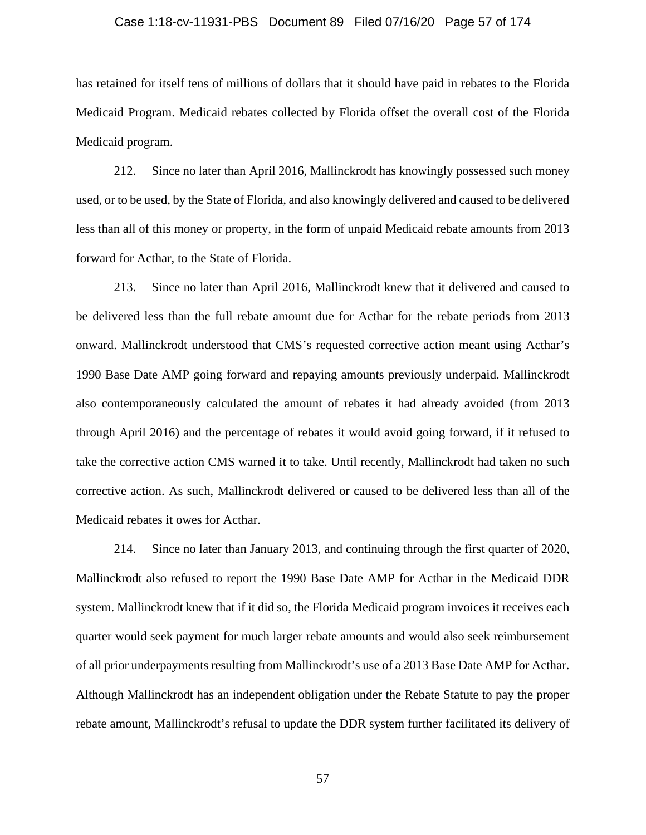### Case 1:18-cv-11931-PBS Document 89 Filed 07/16/20 Page 57 of 174

has retained for itself tens of millions of dollars that it should have paid in rebates to the Florida Medicaid Program. Medicaid rebates collected by Florida offset the overall cost of the Florida Medicaid program.

212. Since no later than April 2016, Mallinckrodt has knowingly possessed such money used, or to be used, by the State of Florida, and also knowingly delivered and caused to be delivered less than all of this money or property, in the form of unpaid Medicaid rebate amounts from 2013 forward for Acthar, to the State of Florida.

213. Since no later than April 2016, Mallinckrodt knew that it delivered and caused to be delivered less than the full rebate amount due for Acthar for the rebate periods from 2013 onward. Mallinckrodt understood that CMS's requested corrective action meant using Acthar's 1990 Base Date AMP going forward and repaying amounts previously underpaid. Mallinckrodt also contemporaneously calculated the amount of rebates it had already avoided (from 2013 through April 2016) and the percentage of rebates it would avoid going forward, if it refused to take the corrective action CMS warned it to take. Until recently, Mallinckrodt had taken no such corrective action. As such, Mallinckrodt delivered or caused to be delivered less than all of the Medicaid rebates it owes for Acthar.

214. Since no later than January 2013, and continuing through the first quarter of 2020, Mallinckrodt also refused to report the 1990 Base Date AMP for Acthar in the Medicaid DDR system. Mallinckrodt knew that if it did so, the Florida Medicaid program invoices it receives each quarter would seek payment for much larger rebate amounts and would also seek reimbursement of all prior underpayments resulting from Mallinckrodt's use of a 2013 Base Date AMP for Acthar. Although Mallinckrodt has an independent obligation under the Rebate Statute to pay the proper rebate amount, Mallinckrodt's refusal to update the DDR system further facilitated its delivery of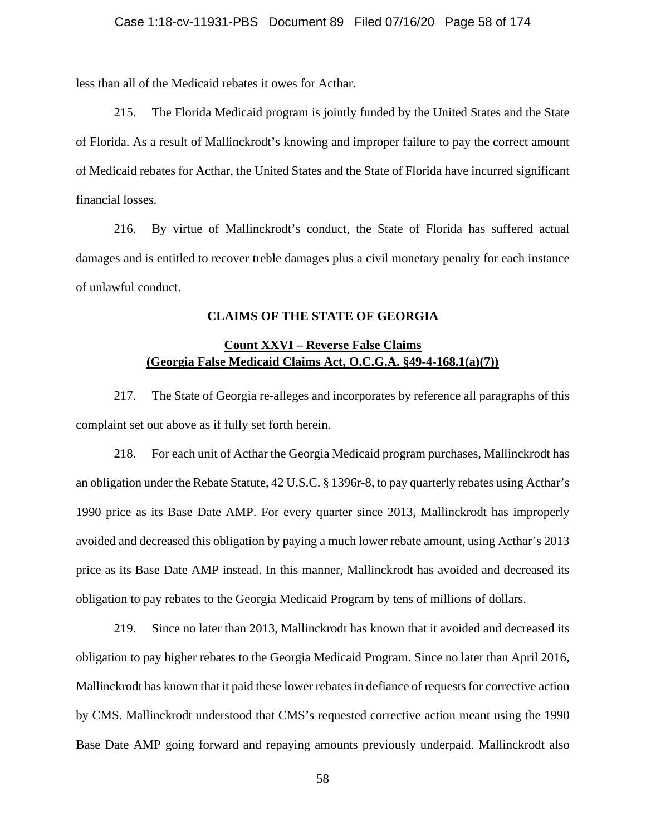less than all of the Medicaid rebates it owes for Acthar.

215. The Florida Medicaid program is jointly funded by the United States and the State of Florida. As a result of Mallinckrodt's knowing and improper failure to pay the correct amount of Medicaid rebates for Acthar, the United States and the State of Florida have incurred significant financial losses.

216. By virtue of Mallinckrodt's conduct, the State of Florida has suffered actual damages and is entitled to recover treble damages plus a civil monetary penalty for each instance of unlawful conduct.

# **CLAIMS OF THE STATE OF GEORGIA**

# **Count XXVI – Reverse False Claims (Georgia False Medicaid Claims Act, O.C.G.A. §49-4-168.1(a)(7))**

217. The State of Georgia re-alleges and incorporates by reference all paragraphs of this complaint set out above as if fully set forth herein.

218. For each unit of Acthar the Georgia Medicaid program purchases, Mallinckrodt has an obligation under the Rebate Statute, 42 U.S.C. § 1396r-8, to pay quarterly rebates using Acthar's 1990 price as its Base Date AMP. For every quarter since 2013, Mallinckrodt has improperly avoided and decreased this obligation by paying a much lower rebate amount, using Acthar's 2013 price as its Base Date AMP instead. In this manner, Mallinckrodt has avoided and decreased its obligation to pay rebates to the Georgia Medicaid Program by tens of millions of dollars.

219. Since no later than 2013, Mallinckrodt has known that it avoided and decreased its obligation to pay higher rebates to the Georgia Medicaid Program. Since no later than April 2016, Mallinckrodt has known that it paid these lower rebates in defiance of requests for corrective action by CMS. Mallinckrodt understood that CMS's requested corrective action meant using the 1990 Base Date AMP going forward and repaying amounts previously underpaid. Mallinckrodt also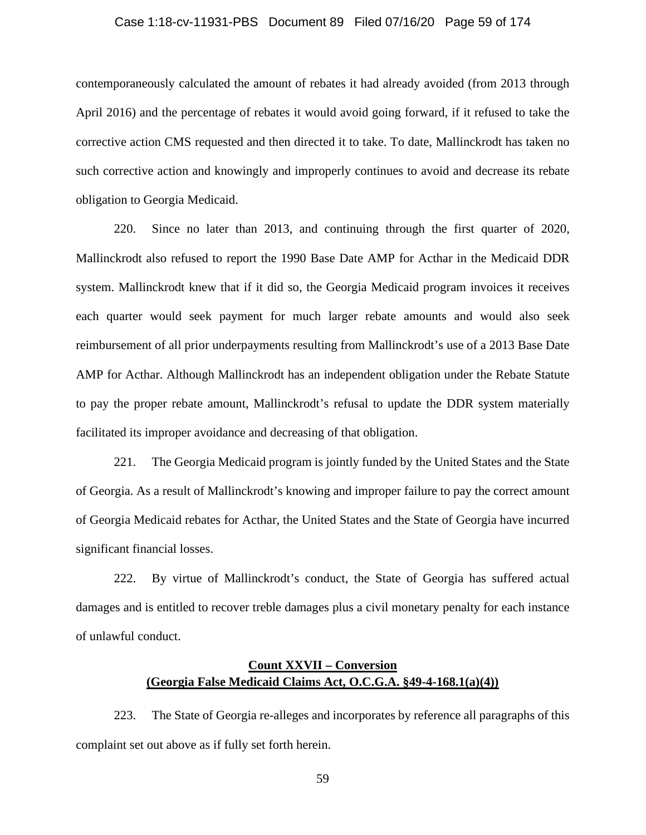### Case 1:18-cv-11931-PBS Document 89 Filed 07/16/20 Page 59 of 174

contemporaneously calculated the amount of rebates it had already avoided (from 2013 through April 2016) and the percentage of rebates it would avoid going forward, if it refused to take the corrective action CMS requested and then directed it to take. To date, Mallinckrodt has taken no such corrective action and knowingly and improperly continues to avoid and decrease its rebate obligation to Georgia Medicaid.

220. Since no later than 2013, and continuing through the first quarter of 2020, Mallinckrodt also refused to report the 1990 Base Date AMP for Acthar in the Medicaid DDR system. Mallinckrodt knew that if it did so, the Georgia Medicaid program invoices it receives each quarter would seek payment for much larger rebate amounts and would also seek reimbursement of all prior underpayments resulting from Mallinckrodt's use of a 2013 Base Date AMP for Acthar. Although Mallinckrodt has an independent obligation under the Rebate Statute to pay the proper rebate amount, Mallinckrodt's refusal to update the DDR system materially facilitated its improper avoidance and decreasing of that obligation.

221. The Georgia Medicaid program is jointly funded by the United States and the State of Georgia. As a result of Mallinckrodt's knowing and improper failure to pay the correct amount of Georgia Medicaid rebates for Acthar, the United States and the State of Georgia have incurred significant financial losses.

222. By virtue of Mallinckrodt's conduct, the State of Georgia has suffered actual damages and is entitled to recover treble damages plus a civil monetary penalty for each instance of unlawful conduct.

# **Count XXVII – Conversion (Georgia False Medicaid Claims Act, O.C.G.A. §49-4-168.1(a)(4))**

223. The State of Georgia re-alleges and incorporates by reference all paragraphs of this complaint set out above as if fully set forth herein.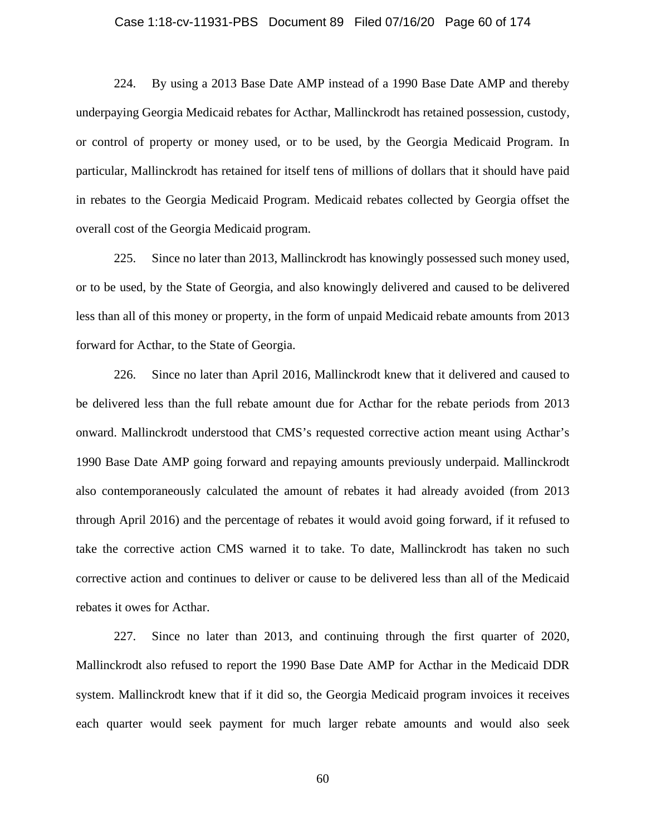### Case 1:18-cv-11931-PBS Document 89 Filed 07/16/20 Page 60 of 174

224. By using a 2013 Base Date AMP instead of a 1990 Base Date AMP and thereby underpaying Georgia Medicaid rebates for Acthar, Mallinckrodt has retained possession, custody, or control of property or money used, or to be used, by the Georgia Medicaid Program. In particular, Mallinckrodt has retained for itself tens of millions of dollars that it should have paid in rebates to the Georgia Medicaid Program. Medicaid rebates collected by Georgia offset the overall cost of the Georgia Medicaid program.

225. Since no later than 2013, Mallinckrodt has knowingly possessed such money used, or to be used, by the State of Georgia, and also knowingly delivered and caused to be delivered less than all of this money or property, in the form of unpaid Medicaid rebate amounts from 2013 forward for Acthar, to the State of Georgia.

226. Since no later than April 2016, Mallinckrodt knew that it delivered and caused to be delivered less than the full rebate amount due for Acthar for the rebate periods from 2013 onward. Mallinckrodt understood that CMS's requested corrective action meant using Acthar's 1990 Base Date AMP going forward and repaying amounts previously underpaid. Mallinckrodt also contemporaneously calculated the amount of rebates it had already avoided (from 2013 through April 2016) and the percentage of rebates it would avoid going forward, if it refused to take the corrective action CMS warned it to take. To date, Mallinckrodt has taken no such corrective action and continues to deliver or cause to be delivered less than all of the Medicaid rebates it owes for Acthar.

227. Since no later than 2013, and continuing through the first quarter of 2020, Mallinckrodt also refused to report the 1990 Base Date AMP for Acthar in the Medicaid DDR system. Mallinckrodt knew that if it did so, the Georgia Medicaid program invoices it receives each quarter would seek payment for much larger rebate amounts and would also seek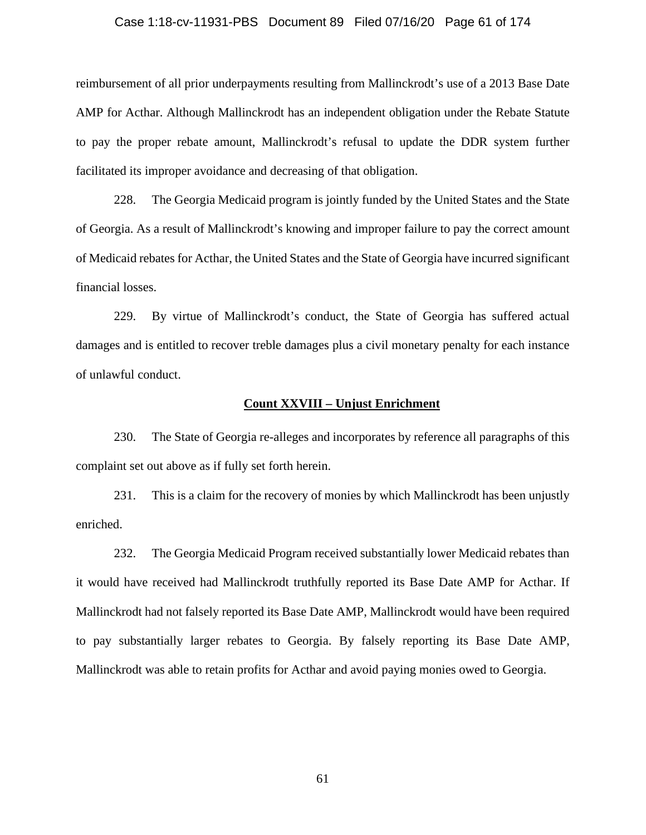## Case 1:18-cv-11931-PBS Document 89 Filed 07/16/20 Page 61 of 174

reimbursement of all prior underpayments resulting from Mallinckrodt's use of a 2013 Base Date AMP for Acthar. Although Mallinckrodt has an independent obligation under the Rebate Statute to pay the proper rebate amount, Mallinckrodt's refusal to update the DDR system further facilitated its improper avoidance and decreasing of that obligation.

228. The Georgia Medicaid program is jointly funded by the United States and the State of Georgia. As a result of Mallinckrodt's knowing and improper failure to pay the correct amount of Medicaid rebates for Acthar, the United States and the State of Georgia have incurred significant financial losses.

229. By virtue of Mallinckrodt's conduct, the State of Georgia has suffered actual damages and is entitled to recover treble damages plus a civil monetary penalty for each instance of unlawful conduct.

## **Count XXVIII – Unjust Enrichment**

230. The State of Georgia re-alleges and incorporates by reference all paragraphs of this complaint set out above as if fully set forth herein.

231. This is a claim for the recovery of monies by which Mallinckrodt has been unjustly enriched.

232. The Georgia Medicaid Program received substantially lower Medicaid rebates than it would have received had Mallinckrodt truthfully reported its Base Date AMP for Acthar. If Mallinckrodt had not falsely reported its Base Date AMP, Mallinckrodt would have been required to pay substantially larger rebates to Georgia. By falsely reporting its Base Date AMP, Mallinckrodt was able to retain profits for Acthar and avoid paying monies owed to Georgia.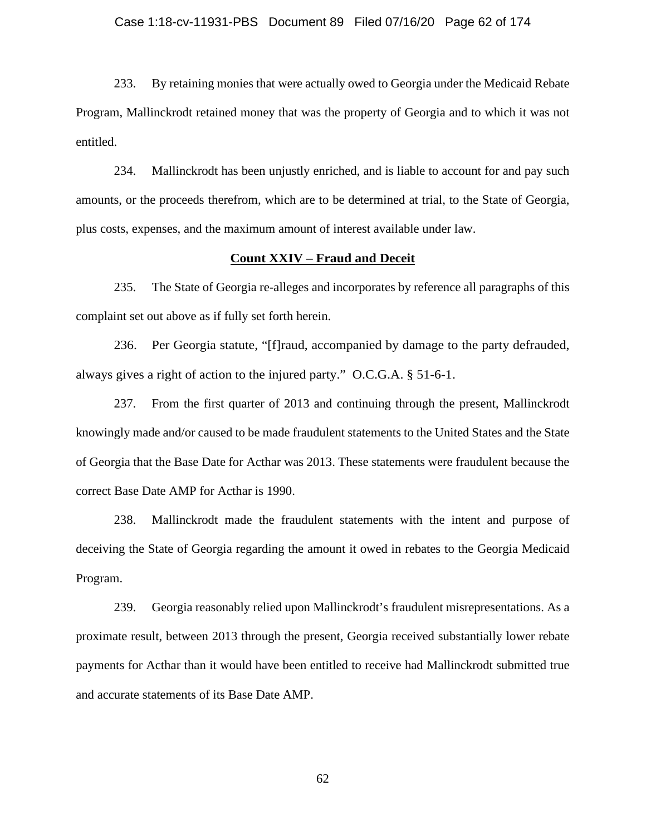### Case 1:18-cv-11931-PBS Document 89 Filed 07/16/20 Page 62 of 174

233. By retaining monies that were actually owed to Georgia under the Medicaid Rebate Program, Mallinckrodt retained money that was the property of Georgia and to which it was not entitled.

234. Mallinckrodt has been unjustly enriched, and is liable to account for and pay such amounts, or the proceeds therefrom, which are to be determined at trial, to the State of Georgia, plus costs, expenses, and the maximum amount of interest available under law.

## **Count XXIV – Fraud and Deceit**

235. The State of Georgia re-alleges and incorporates by reference all paragraphs of this complaint set out above as if fully set forth herein.

236. Per Georgia statute, "[f]raud, accompanied by damage to the party defrauded, always gives a right of action to the injured party." O.C.G.A. § 51-6-1.

237. From the first quarter of 2013 and continuing through the present, Mallinckrodt knowingly made and/or caused to be made fraudulent statements to the United States and the State of Georgia that the Base Date for Acthar was 2013. These statements were fraudulent because the correct Base Date AMP for Acthar is 1990.

238. Mallinckrodt made the fraudulent statements with the intent and purpose of deceiving the State of Georgia regarding the amount it owed in rebates to the Georgia Medicaid Program.

239. Georgia reasonably relied upon Mallinckrodt's fraudulent misrepresentations. As a proximate result, between 2013 through the present, Georgia received substantially lower rebate payments for Acthar than it would have been entitled to receive had Mallinckrodt submitted true and accurate statements of its Base Date AMP.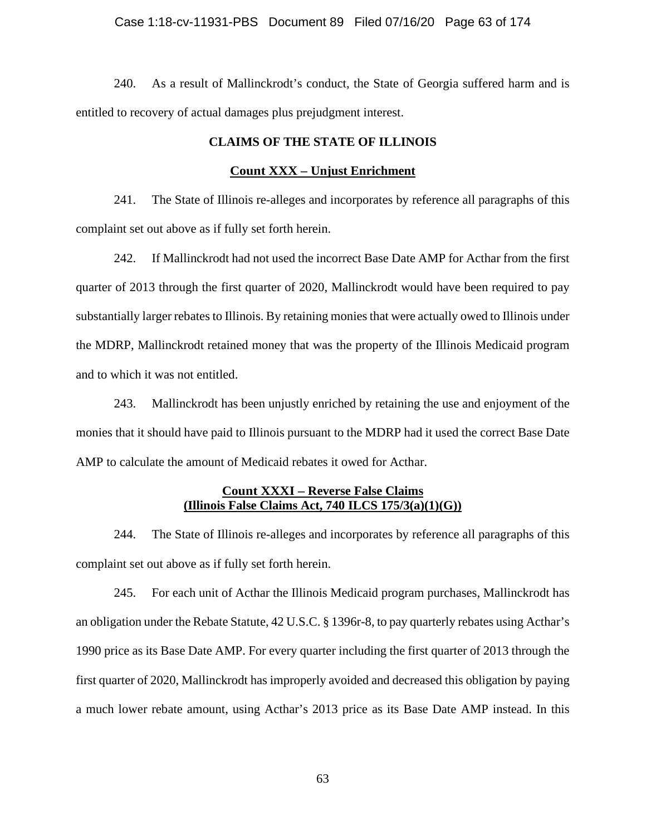## Case 1:18-cv-11931-PBS Document 89 Filed 07/16/20 Page 63 of 174

240. As a result of Mallinckrodt's conduct, the State of Georgia suffered harm and is entitled to recovery of actual damages plus prejudgment interest.

# **CLAIMS OF THE STATE OF ILLINOIS**

## **Count XXX – Unjust Enrichment**

241. The State of Illinois re-alleges and incorporates by reference all paragraphs of this complaint set out above as if fully set forth herein.

242. If Mallinckrodt had not used the incorrect Base Date AMP for Acthar from the first quarter of 2013 through the first quarter of 2020, Mallinckrodt would have been required to pay substantially larger rebates to Illinois. By retaining monies that were actually owed to Illinois under the MDRP, Mallinckrodt retained money that was the property of the Illinois Medicaid program and to which it was not entitled.

243. Mallinckrodt has been unjustly enriched by retaining the use and enjoyment of the monies that it should have paid to Illinois pursuant to the MDRP had it used the correct Base Date AMP to calculate the amount of Medicaid rebates it owed for Acthar.

# **Count XXXI – Reverse False Claims (Illinois False Claims Act, 740 ILCS 175/3(a)(1)(G))**

244. The State of Illinois re-alleges and incorporates by reference all paragraphs of this complaint set out above as if fully set forth herein.

245. For each unit of Acthar the Illinois Medicaid program purchases, Mallinckrodt has an obligation under the Rebate Statute, 42 U.S.C. § 1396r-8, to pay quarterly rebates using Acthar's 1990 price as its Base Date AMP. For every quarter including the first quarter of 2013 through the first quarter of 2020, Mallinckrodt has improperly avoided and decreased this obligation by paying a much lower rebate amount, using Acthar's 2013 price as its Base Date AMP instead. In this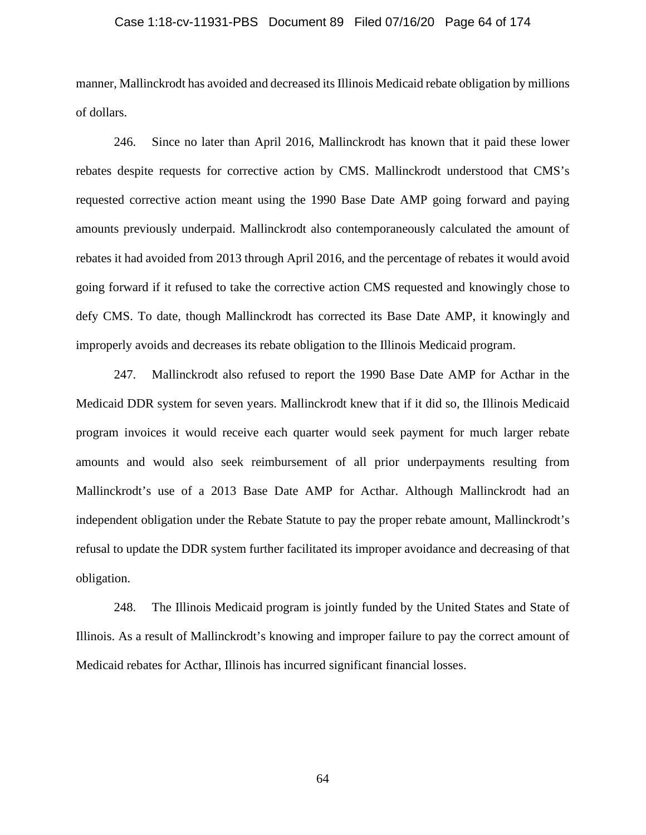### Case 1:18-cv-11931-PBS Document 89 Filed 07/16/20 Page 64 of 174

manner, Mallinckrodt has avoided and decreased its Illinois Medicaid rebate obligation by millions of dollars.

246. Since no later than April 2016, Mallinckrodt has known that it paid these lower rebates despite requests for corrective action by CMS. Mallinckrodt understood that CMS's requested corrective action meant using the 1990 Base Date AMP going forward and paying amounts previously underpaid. Mallinckrodt also contemporaneously calculated the amount of rebates it had avoided from 2013 through April 2016, and the percentage of rebates it would avoid going forward if it refused to take the corrective action CMS requested and knowingly chose to defy CMS. To date, though Mallinckrodt has corrected its Base Date AMP, it knowingly and improperly avoids and decreases its rebate obligation to the Illinois Medicaid program.

247. Mallinckrodt also refused to report the 1990 Base Date AMP for Acthar in the Medicaid DDR system for seven years. Mallinckrodt knew that if it did so, the Illinois Medicaid program invoices it would receive each quarter would seek payment for much larger rebate amounts and would also seek reimbursement of all prior underpayments resulting from Mallinckrodt's use of a 2013 Base Date AMP for Acthar. Although Mallinckrodt had an independent obligation under the Rebate Statute to pay the proper rebate amount, Mallinckrodt's refusal to update the DDR system further facilitated its improper avoidance and decreasing of that obligation.

248. The Illinois Medicaid program is jointly funded by the United States and State of Illinois. As a result of Mallinckrodt's knowing and improper failure to pay the correct amount of Medicaid rebates for Acthar, Illinois has incurred significant financial losses.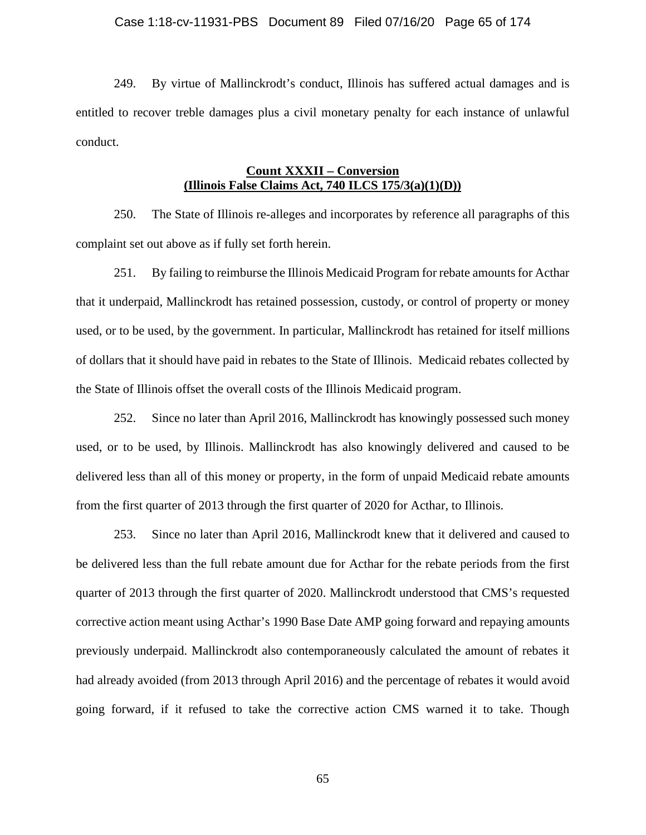### Case 1:18-cv-11931-PBS Document 89 Filed 07/16/20 Page 65 of 174

249. By virtue of Mallinckrodt's conduct, Illinois has suffered actual damages and is entitled to recover treble damages plus a civil monetary penalty for each instance of unlawful conduct.

# **Count XXXII – Conversion (Illinois False Claims Act, 740 ILCS 175/3(a)(1)(D))**

250. The State of Illinois re-alleges and incorporates by reference all paragraphs of this complaint set out above as if fully set forth herein.

251. By failing to reimburse the Illinois Medicaid Program for rebate amounts for Acthar that it underpaid, Mallinckrodt has retained possession, custody, or control of property or money used, or to be used, by the government. In particular, Mallinckrodt has retained for itself millions of dollars that it should have paid in rebates to the State of Illinois. Medicaid rebates collected by the State of Illinois offset the overall costs of the Illinois Medicaid program.

252. Since no later than April 2016, Mallinckrodt has knowingly possessed such money used, or to be used, by Illinois. Mallinckrodt has also knowingly delivered and caused to be delivered less than all of this money or property, in the form of unpaid Medicaid rebate amounts from the first quarter of 2013 through the first quarter of 2020 for Acthar, to Illinois.

253. Since no later than April 2016, Mallinckrodt knew that it delivered and caused to be delivered less than the full rebate amount due for Acthar for the rebate periods from the first quarter of 2013 through the first quarter of 2020. Mallinckrodt understood that CMS's requested corrective action meant using Acthar's 1990 Base Date AMP going forward and repaying amounts previously underpaid. Mallinckrodt also contemporaneously calculated the amount of rebates it had already avoided (from 2013 through April 2016) and the percentage of rebates it would avoid going forward, if it refused to take the corrective action CMS warned it to take. Though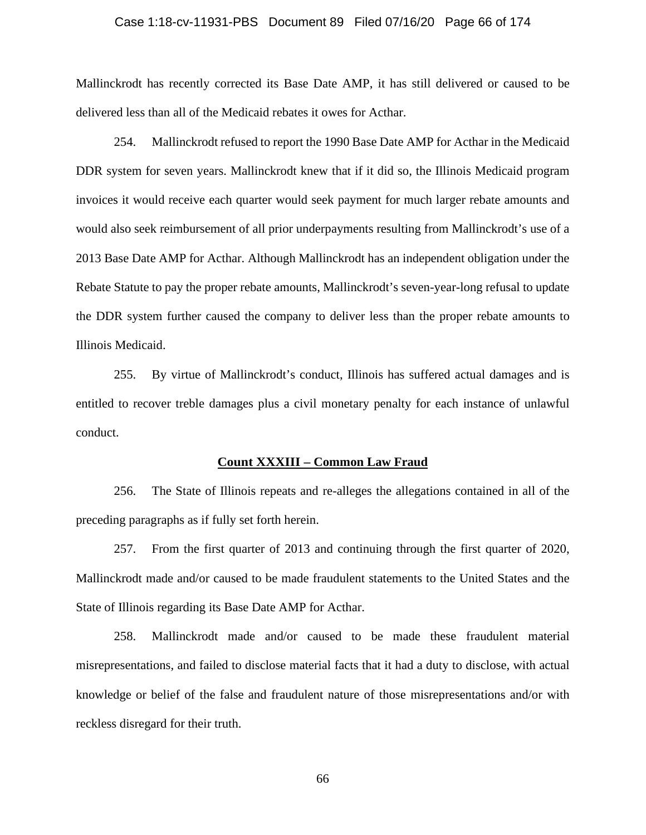### Case 1:18-cv-11931-PBS Document 89 Filed 07/16/20 Page 66 of 174

Mallinckrodt has recently corrected its Base Date AMP, it has still delivered or caused to be delivered less than all of the Medicaid rebates it owes for Acthar.

254. Mallinckrodt refused to report the 1990 Base Date AMP for Acthar in the Medicaid DDR system for seven years. Mallinckrodt knew that if it did so, the Illinois Medicaid program invoices it would receive each quarter would seek payment for much larger rebate amounts and would also seek reimbursement of all prior underpayments resulting from Mallinckrodt's use of a 2013 Base Date AMP for Acthar. Although Mallinckrodt has an independent obligation under the Rebate Statute to pay the proper rebate amounts, Mallinckrodt's seven-year-long refusal to update the DDR system further caused the company to deliver less than the proper rebate amounts to Illinois Medicaid.

255. By virtue of Mallinckrodt's conduct, Illinois has suffered actual damages and is entitled to recover treble damages plus a civil monetary penalty for each instance of unlawful conduct.

### **Count XXXIII – Common Law Fraud**

256. The State of Illinois repeats and re-alleges the allegations contained in all of the preceding paragraphs as if fully set forth herein.

257. From the first quarter of 2013 and continuing through the first quarter of 2020, Mallinckrodt made and/or caused to be made fraudulent statements to the United States and the State of Illinois regarding its Base Date AMP for Acthar.

258. Mallinckrodt made and/or caused to be made these fraudulent material misrepresentations, and failed to disclose material facts that it had a duty to disclose, with actual knowledge or belief of the false and fraudulent nature of those misrepresentations and/or with reckless disregard for their truth.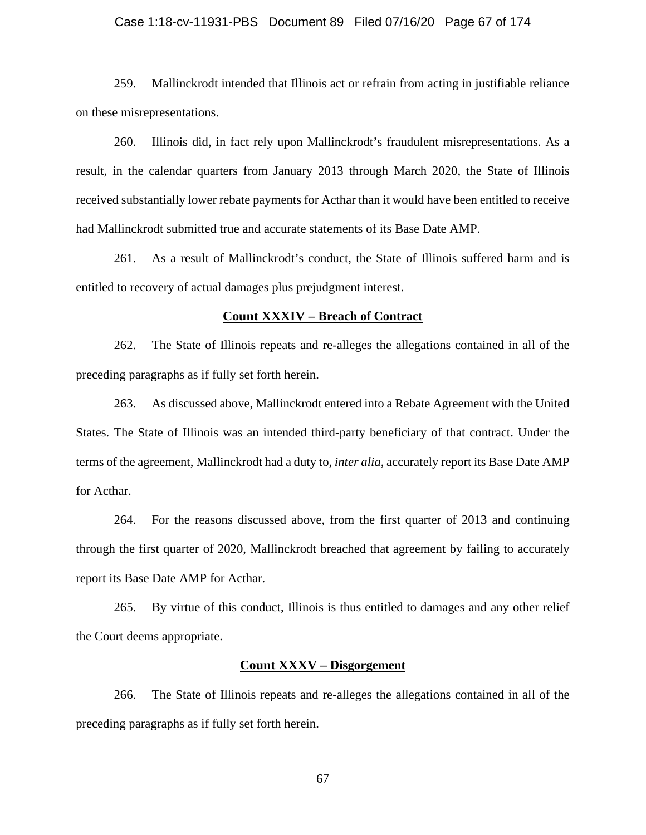### Case 1:18-cv-11931-PBS Document 89 Filed 07/16/20 Page 67 of 174

259. Mallinckrodt intended that Illinois act or refrain from acting in justifiable reliance on these misrepresentations.

260. Illinois did, in fact rely upon Mallinckrodt's fraudulent misrepresentations. As a result, in the calendar quarters from January 2013 through March 2020, the State of Illinois received substantially lower rebate payments for Acthar than it would have been entitled to receive had Mallinckrodt submitted true and accurate statements of its Base Date AMP.

261. As a result of Mallinckrodt's conduct, the State of Illinois suffered harm and is entitled to recovery of actual damages plus prejudgment interest.

### **Count XXXIV – Breach of Contract**

262. The State of Illinois repeats and re-alleges the allegations contained in all of the preceding paragraphs as if fully set forth herein.

263. As discussed above, Mallinckrodt entered into a Rebate Agreement with the United States. The State of Illinois was an intended third-party beneficiary of that contract. Under the terms of the agreement, Mallinckrodt had a duty to, *inter alia*, accurately report its Base Date AMP for Acthar.

264. For the reasons discussed above, from the first quarter of 2013 and continuing through the first quarter of 2020, Mallinckrodt breached that agreement by failing to accurately report its Base Date AMP for Acthar.

265. By virtue of this conduct, Illinois is thus entitled to damages and any other relief the Court deems appropriate.

# **Count XXXV – Disgorgement**

266. The State of Illinois repeats and re-alleges the allegations contained in all of the preceding paragraphs as if fully set forth herein.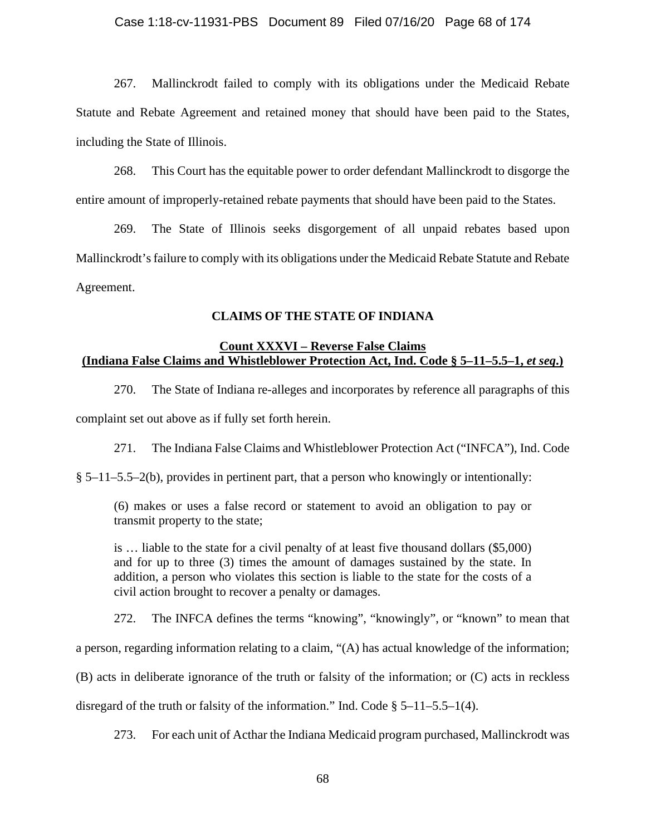267. Mallinckrodt failed to comply with its obligations under the Medicaid Rebate Statute and Rebate Agreement and retained money that should have been paid to the States, including the State of Illinois.

268. This Court has the equitable power to order defendant Mallinckrodt to disgorge the entire amount of improperly-retained rebate payments that should have been paid to the States.

269. The State of Illinois seeks disgorgement of all unpaid rebates based upon Mallinckrodt's failure to comply with its obligations under the Medicaid Rebate Statute and Rebate Agreement.

# **CLAIMS OF THE STATE OF INDIANA**

# **Count XXXVI – Reverse False Claims (Indiana False Claims and Whistleblower Protection Act, Ind. Code § 5–11–5.5–1,** *et seq***.)**

270. The State of Indiana re-alleges and incorporates by reference all paragraphs of this complaint set out above as if fully set forth herein.

271. The Indiana False Claims and Whistleblower Protection Act ("INFCA"), Ind. Code

§ 5–11–5.5–2(b), provides in pertinent part, that a person who knowingly or intentionally:

(6) makes or uses a false record or statement to avoid an obligation to pay or transmit property to the state;

is … liable to the state for a civil penalty of at least five thousand dollars (\$5,000) and for up to three (3) times the amount of damages sustained by the state. In addition, a person who violates this section is liable to the state for the costs of a civil action brought to recover a penalty or damages.

272. The INFCA defines the terms "knowing", "knowingly", or "known" to mean that

a person, regarding information relating to a claim, "(A) has actual knowledge of the information;

(B) acts in deliberate ignorance of the truth or falsity of the information; or (C) acts in reckless

disregard of the truth or falsity of the information." Ind. Code  $\S$  5–11–5.5–1(4).

273. For each unit of Acthar the Indiana Medicaid program purchased, Mallinckrodt was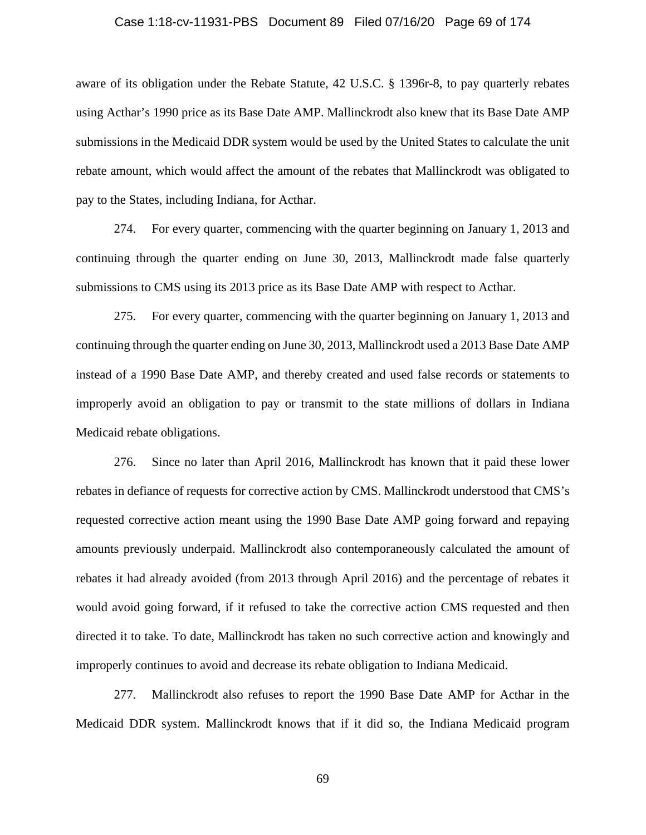## Case 1:18-cv-11931-PBS Document 89 Filed 07/16/20 Page 69 of 174

aware of its obligation under the Rebate Statute, 42 U.S.C. § 1396r-8, to pay quarterly rebates using Acthar's 1990 price as its Base Date AMP. Mallinckrodt also knew that its Base Date AMP submissions in the Medicaid DDR system would be used by the United States to calculate the unit rebate amount, which would affect the amount of the rebates that Mallinckrodt was obligated to pay to the States, including Indiana, for Acthar.

274. For every quarter, commencing with the quarter beginning on January 1, 2013 and continuing through the quarter ending on June 30, 2013, Mallinckrodt made false quarterly submissions to CMS using its 2013 price as its Base Date AMP with respect to Acthar.

275. For every quarter, commencing with the quarter beginning on January 1, 2013 and continuing through the quarter ending on June 30, 2013, Mallinckrodt used a 2013 Base Date AMP instead of a 1990 Base Date AMP, and thereby created and used false records or statements to improperly avoid an obligation to pay or transmit to the state millions of dollars in Indiana Medicaid rebate obligations.

276. Since no later than April 2016, Mallinckrodt has known that it paid these lower rebates in defiance of requests for corrective action by CMS. Mallinckrodt understood that CMS's requested corrective action meant using the 1990 Base Date AMP going forward and repaying amounts previously underpaid. Mallinckrodt also contemporaneously calculated the amount of rebates it had already avoided (from 2013 through April 2016) and the percentage of rebates it would avoid going forward, if it refused to take the corrective action CMS requested and then directed it to take. To date, Mallinckrodt has taken no such corrective action and knowingly and improperly continues to avoid and decrease its rebate obligation to Indiana Medicaid.

277. Mallinckrodt also refuses to report the 1990 Base Date AMP for Acthar in the Medicaid DDR system. Mallinckrodt knows that if it did so, the Indiana Medicaid program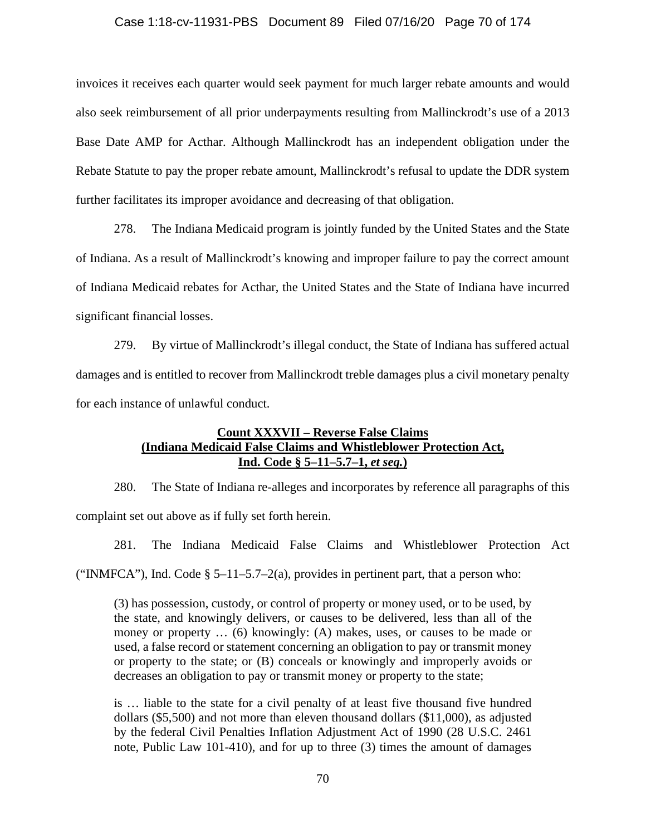# Case 1:18-cv-11931-PBS Document 89 Filed 07/16/20 Page 70 of 174

invoices it receives each quarter would seek payment for much larger rebate amounts and would also seek reimbursement of all prior underpayments resulting from Mallinckrodt's use of a 2013 Base Date AMP for Acthar. Although Mallinckrodt has an independent obligation under the Rebate Statute to pay the proper rebate amount, Mallinckrodt's refusal to update the DDR system further facilitates its improper avoidance and decreasing of that obligation.

278. The Indiana Medicaid program is jointly funded by the United States and the State of Indiana. As a result of Mallinckrodt's knowing and improper failure to pay the correct amount of Indiana Medicaid rebates for Acthar, the United States and the State of Indiana have incurred significant financial losses.

279. By virtue of Mallinckrodt's illegal conduct, the State of Indiana has suffered actual damages and is entitled to recover from Mallinckrodt treble damages plus a civil monetary penalty for each instance of unlawful conduct.

# **Count XXXVII – Reverse False Claims (Indiana Medicaid False Claims and Whistleblower Protection Act, Ind. Code § 5–11–5.7–1,** *et seq.***)**

280. The State of Indiana re-alleges and incorporates by reference all paragraphs of this complaint set out above as if fully set forth herein.

281. The Indiana Medicaid False Claims and Whistleblower Protection Act ("INMFCA"), Ind. Code  $\S$  5–11–5.7–2(a), provides in pertinent part, that a person who:

(3) has possession, custody, or control of property or money used, or to be used, by the state, and knowingly delivers, or causes to be delivered, less than all of the money or property ... (6) knowingly: (A) makes, uses, or causes to be made or used, a false record or statement concerning an obligation to pay or transmit money or property to the state; or (B) conceals or knowingly and improperly avoids or decreases an obligation to pay or transmit money or property to the state;

is … liable to the state for a civil penalty of at least five thousand five hundred dollars (\$5,500) and not more than eleven thousand dollars (\$11,000), as adjusted by the federal Civil Penalties Inflation Adjustment Act of 1990 (28 U.S.C. 2461 note, Public Law 101-410), and for up to three (3) times the amount of damages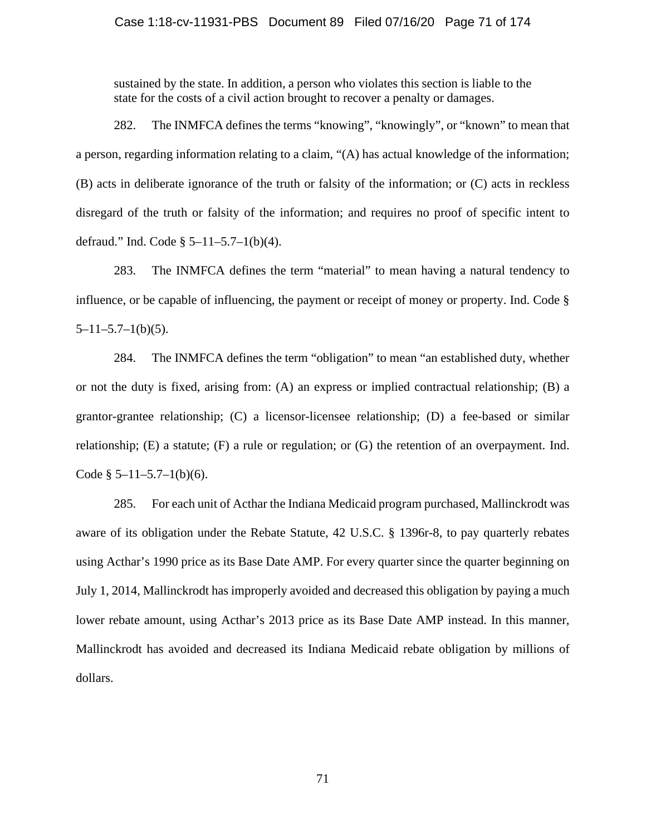# Case 1:18-cv-11931-PBS Document 89 Filed 07/16/20 Page 71 of 174

sustained by the state. In addition, a person who violates this section is liable to the state for the costs of a civil action brought to recover a penalty or damages.

282. The INMFCA defines the terms "knowing", "knowingly", or "known" to mean that a person, regarding information relating to a claim, "(A) has actual knowledge of the information; (B) acts in deliberate ignorance of the truth or falsity of the information; or (C) acts in reckless disregard of the truth or falsity of the information; and requires no proof of specific intent to defraud." Ind. Code § 5–11–5.7–1(b)(4).

283. The INMFCA defines the term "material" to mean having a natural tendency to influence, or be capable of influencing, the payment or receipt of money or property. Ind. Code §  $5-11-5.7-1(b)(5)$ .

284. The INMFCA defines the term "obligation" to mean "an established duty, whether or not the duty is fixed, arising from: (A) an express or implied contractual relationship; (B) a grantor-grantee relationship; (C) a licensor-licensee relationship; (D) a fee-based or similar relationship;  $(E)$  a statute;  $(F)$  a rule or regulation; or  $(G)$  the retention of an overpayment. Ind. Code  $§ 5-11-5.7-1(b)(6)$ .

285. For each unit of Acthar the Indiana Medicaid program purchased, Mallinckrodt was aware of its obligation under the Rebate Statute, 42 U.S.C. § 1396r-8, to pay quarterly rebates using Acthar's 1990 price as its Base Date AMP. For every quarter since the quarter beginning on July 1, 2014, Mallinckrodt has improperly avoided and decreased this obligation by paying a much lower rebate amount, using Acthar's 2013 price as its Base Date AMP instead. In this manner, Mallinckrodt has avoided and decreased its Indiana Medicaid rebate obligation by millions of dollars.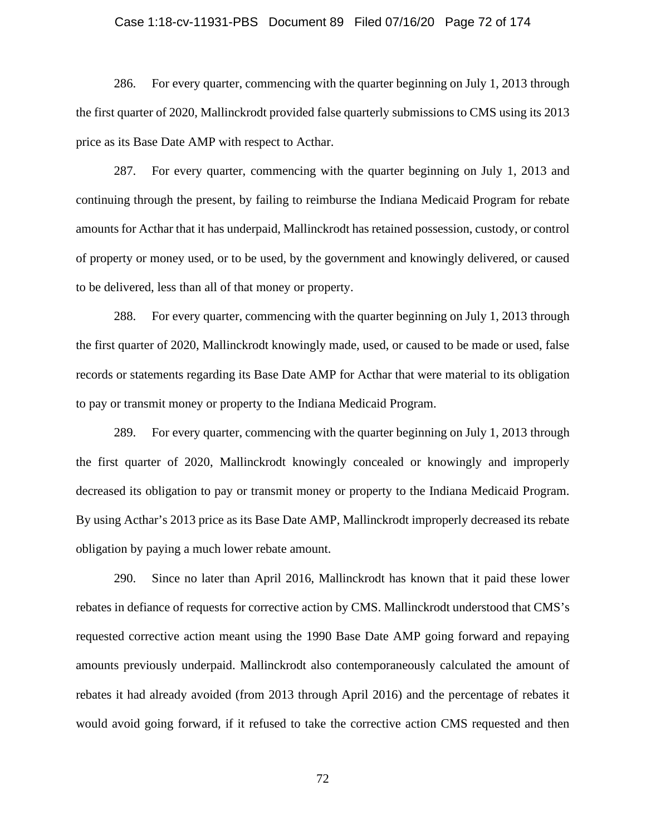### Case 1:18-cv-11931-PBS Document 89 Filed 07/16/20 Page 72 of 174

286. For every quarter, commencing with the quarter beginning on July 1, 2013 through the first quarter of 2020, Mallinckrodt provided false quarterly submissions to CMS using its 2013 price as its Base Date AMP with respect to Acthar.

287. For every quarter, commencing with the quarter beginning on July 1, 2013 and continuing through the present, by failing to reimburse the Indiana Medicaid Program for rebate amounts for Acthar that it has underpaid, Mallinckrodt has retained possession, custody, or control of property or money used, or to be used, by the government and knowingly delivered, or caused to be delivered, less than all of that money or property.

288. For every quarter, commencing with the quarter beginning on July 1, 2013 through the first quarter of 2020, Mallinckrodt knowingly made, used, or caused to be made or used, false records or statements regarding its Base Date AMP for Acthar that were material to its obligation to pay or transmit money or property to the Indiana Medicaid Program.

289. For every quarter, commencing with the quarter beginning on July 1, 2013 through the first quarter of 2020, Mallinckrodt knowingly concealed or knowingly and improperly decreased its obligation to pay or transmit money or property to the Indiana Medicaid Program. By using Acthar's 2013 price as its Base Date AMP, Mallinckrodt improperly decreased its rebate obligation by paying a much lower rebate amount.

290. Since no later than April 2016, Mallinckrodt has known that it paid these lower rebates in defiance of requests for corrective action by CMS. Mallinckrodt understood that CMS's requested corrective action meant using the 1990 Base Date AMP going forward and repaying amounts previously underpaid. Mallinckrodt also contemporaneously calculated the amount of rebates it had already avoided (from 2013 through April 2016) and the percentage of rebates it would avoid going forward, if it refused to take the corrective action CMS requested and then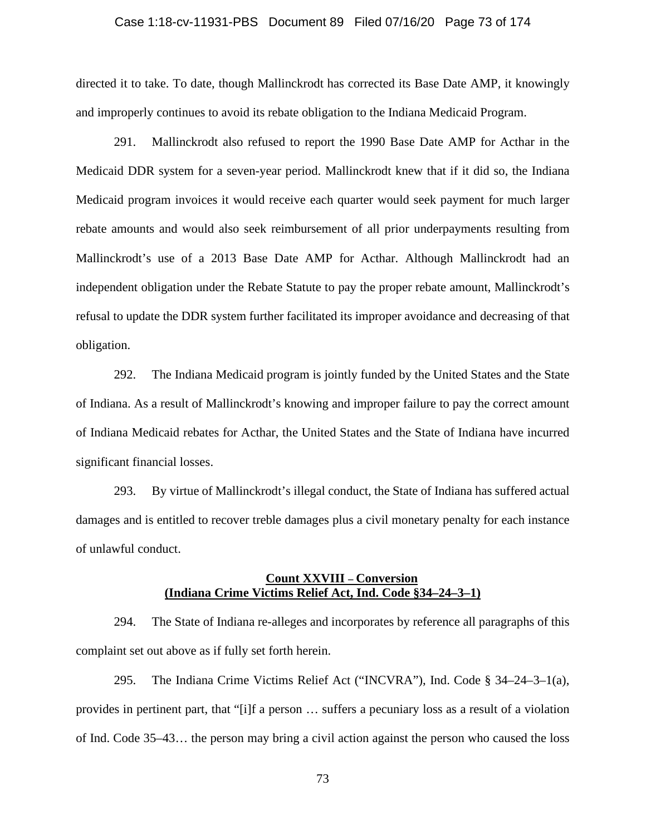#### Case 1:18-cv-11931-PBS Document 89 Filed 07/16/20 Page 73 of 174

directed it to take. To date, though Mallinckrodt has corrected its Base Date AMP, it knowingly and improperly continues to avoid its rebate obligation to the Indiana Medicaid Program.

291. Mallinckrodt also refused to report the 1990 Base Date AMP for Acthar in the Medicaid DDR system for a seven-year period. Mallinckrodt knew that if it did so, the Indiana Medicaid program invoices it would receive each quarter would seek payment for much larger rebate amounts and would also seek reimbursement of all prior underpayments resulting from Mallinckrodt's use of a 2013 Base Date AMP for Acthar. Although Mallinckrodt had an independent obligation under the Rebate Statute to pay the proper rebate amount, Mallinckrodt's refusal to update the DDR system further facilitated its improper avoidance and decreasing of that obligation.

292. The Indiana Medicaid program is jointly funded by the United States and the State of Indiana. As a result of Mallinckrodt's knowing and improper failure to pay the correct amount of Indiana Medicaid rebates for Acthar, the United States and the State of Indiana have incurred significant financial losses.

293. By virtue of Mallinckrodt's illegal conduct, the State of Indiana has suffered actual damages and is entitled to recover treble damages plus a civil monetary penalty for each instance of unlawful conduct.

## **Count XXVIII – Conversion (Indiana Crime Victims Relief Act, Ind. Code §34–24–3–1)**

294. The State of Indiana re-alleges and incorporates by reference all paragraphs of this complaint set out above as if fully set forth herein.

295. The Indiana Crime Victims Relief Act ("INCVRA"), Ind. Code § 34–24–3–1(a), provides in pertinent part, that "[i]f a person … suffers a pecuniary loss as a result of a violation of Ind. Code 35–43… the person may bring a civil action against the person who caused the loss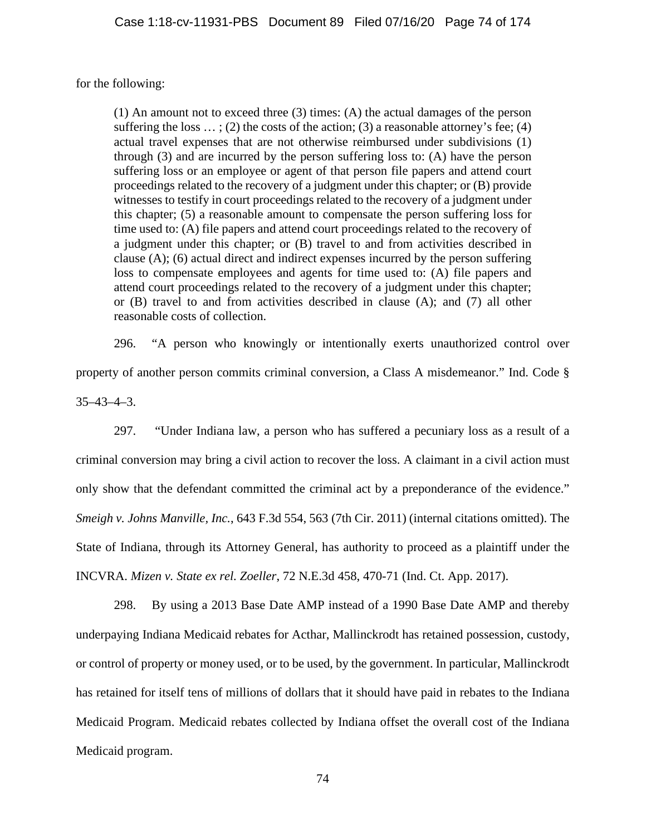for the following:

(1) An amount not to exceed three (3) times: (A) the actual damages of the person suffering the loss  $\dots$ ; (2) the costs of the action; (3) a reasonable attorney's fee; (4) actual travel expenses that are not otherwise reimbursed under subdivisions (1) through (3) and are incurred by the person suffering loss to: (A) have the person suffering loss or an employee or agent of that person file papers and attend court proceedings related to the recovery of a judgment under this chapter; or (B) provide witnesses to testify in court proceedings related to the recovery of a judgment under this chapter; (5) a reasonable amount to compensate the person suffering loss for time used to: (A) file papers and attend court proceedings related to the recovery of a judgment under this chapter; or (B) travel to and from activities described in clause (A); (6) actual direct and indirect expenses incurred by the person suffering loss to compensate employees and agents for time used to: (A) file papers and attend court proceedings related to the recovery of a judgment under this chapter; or (B) travel to and from activities described in clause (A); and (7) all other reasonable costs of collection.

296. "A person who knowingly or intentionally exerts unauthorized control over property of another person commits criminal conversion, a Class A misdemeanor." Ind. Code § 35–43–4–3.

297. "Under Indiana law, a person who has suffered a pecuniary loss as a result of a criminal conversion may bring a civil action to recover the loss. A claimant in a civil action must only show that the defendant committed the criminal act by a preponderance of the evidence." *Smeigh v. Johns Manville, Inc.*, 643 F.3d 554, 563 (7th Cir. 2011) (internal citations omitted). The State of Indiana, through its Attorney General, has authority to proceed as a plaintiff under the INCVRA. *Mizen v. State ex rel. Zoeller*, 72 N.E.3d 458, 470-71 (Ind. Ct. App. 2017).

298. By using a 2013 Base Date AMP instead of a 1990 Base Date AMP and thereby underpaying Indiana Medicaid rebates for Acthar, Mallinckrodt has retained possession, custody, or control of property or money used, or to be used, by the government. In particular, Mallinckrodt has retained for itself tens of millions of dollars that it should have paid in rebates to the Indiana Medicaid Program. Medicaid rebates collected by Indiana offset the overall cost of the Indiana Medicaid program.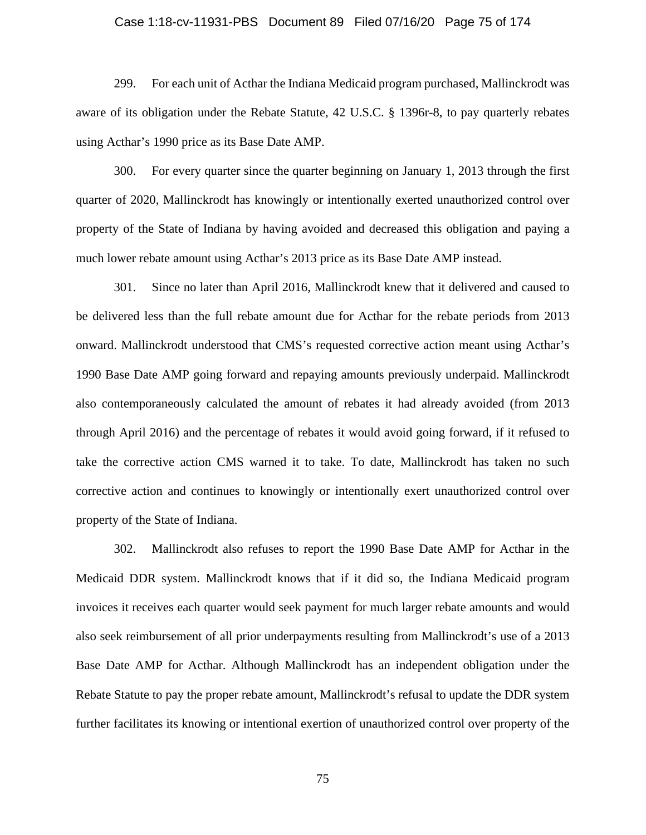## Case 1:18-cv-11931-PBS Document 89 Filed 07/16/20 Page 75 of 174

299. For each unit of Acthar the Indiana Medicaid program purchased, Mallinckrodt was aware of its obligation under the Rebate Statute, 42 U.S.C. § 1396r-8, to pay quarterly rebates using Acthar's 1990 price as its Base Date AMP.

300. For every quarter since the quarter beginning on January 1, 2013 through the first quarter of 2020, Mallinckrodt has knowingly or intentionally exerted unauthorized control over property of the State of Indiana by having avoided and decreased this obligation and paying a much lower rebate amount using Acthar's 2013 price as its Base Date AMP instead.

301. Since no later than April 2016, Mallinckrodt knew that it delivered and caused to be delivered less than the full rebate amount due for Acthar for the rebate periods from 2013 onward. Mallinckrodt understood that CMS's requested corrective action meant using Acthar's 1990 Base Date AMP going forward and repaying amounts previously underpaid. Mallinckrodt also contemporaneously calculated the amount of rebates it had already avoided (from 2013 through April 2016) and the percentage of rebates it would avoid going forward, if it refused to take the corrective action CMS warned it to take. To date, Mallinckrodt has taken no such corrective action and continues to knowingly or intentionally exert unauthorized control over property of the State of Indiana.

302. Mallinckrodt also refuses to report the 1990 Base Date AMP for Acthar in the Medicaid DDR system. Mallinckrodt knows that if it did so, the Indiana Medicaid program invoices it receives each quarter would seek payment for much larger rebate amounts and would also seek reimbursement of all prior underpayments resulting from Mallinckrodt's use of a 2013 Base Date AMP for Acthar. Although Mallinckrodt has an independent obligation under the Rebate Statute to pay the proper rebate amount, Mallinckrodt's refusal to update the DDR system further facilitates its knowing or intentional exertion of unauthorized control over property of the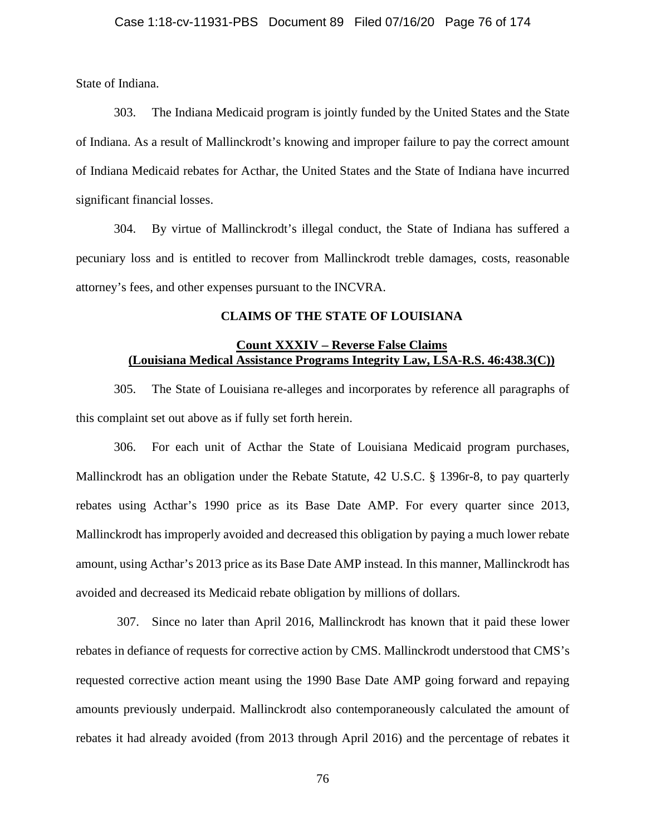State of Indiana.

303. The Indiana Medicaid program is jointly funded by the United States and the State of Indiana. As a result of Mallinckrodt's knowing and improper failure to pay the correct amount of Indiana Medicaid rebates for Acthar, the United States and the State of Indiana have incurred significant financial losses.

304. By virtue of Mallinckrodt's illegal conduct, the State of Indiana has suffered a pecuniary loss and is entitled to recover from Mallinckrodt treble damages, costs, reasonable attorney's fees, and other expenses pursuant to the INCVRA.

## **CLAIMS OF THE STATE OF LOUISIANA**

# **Count XXXIV – Reverse False Claims (Louisiana Medical Assistance Programs Integrity Law, LSA-R.S. 46:438.3(C))**

305. The State of Louisiana re-alleges and incorporates by reference all paragraphs of this complaint set out above as if fully set forth herein.

306. For each unit of Acthar the State of Louisiana Medicaid program purchases, Mallinckrodt has an obligation under the Rebate Statute, 42 U.S.C. § 1396r-8, to pay quarterly rebates using Acthar's 1990 price as its Base Date AMP. For every quarter since 2013, Mallinckrodt has improperly avoided and decreased this obligation by paying a much lower rebate amount, using Acthar's 2013 price as its Base Date AMP instead. In this manner, Mallinckrodt has avoided and decreased its Medicaid rebate obligation by millions of dollars.

307. Since no later than April 2016, Mallinckrodt has known that it paid these lower rebates in defiance of requests for corrective action by CMS. Mallinckrodt understood that CMS's requested corrective action meant using the 1990 Base Date AMP going forward and repaying amounts previously underpaid. Mallinckrodt also contemporaneously calculated the amount of rebates it had already avoided (from 2013 through April 2016) and the percentage of rebates it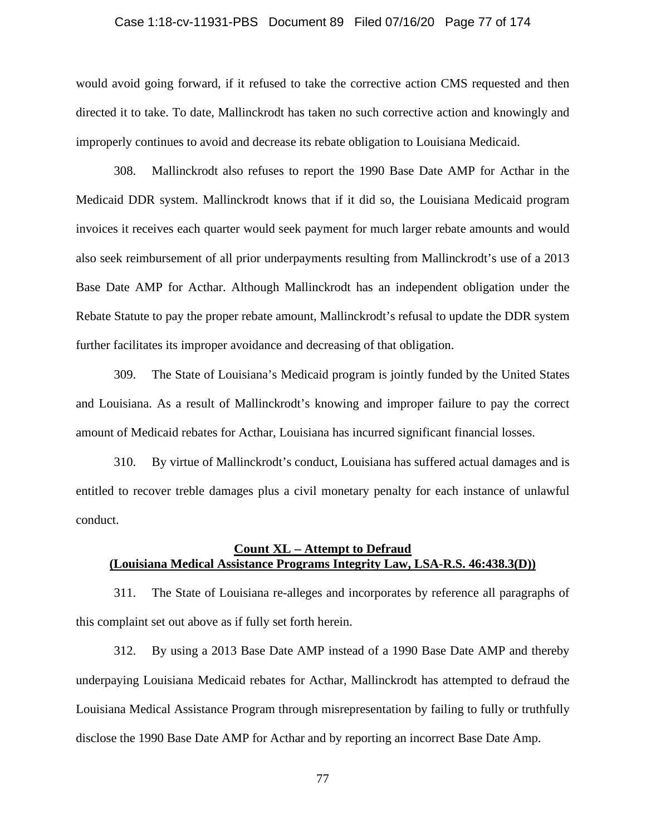## Case 1:18-cv-11931-PBS Document 89 Filed 07/16/20 Page 77 of 174

would avoid going forward, if it refused to take the corrective action CMS requested and then directed it to take. To date, Mallinckrodt has taken no such corrective action and knowingly and improperly continues to avoid and decrease its rebate obligation to Louisiana Medicaid.

308. Mallinckrodt also refuses to report the 1990 Base Date AMP for Acthar in the Medicaid DDR system. Mallinckrodt knows that if it did so, the Louisiana Medicaid program invoices it receives each quarter would seek payment for much larger rebate amounts and would also seek reimbursement of all prior underpayments resulting from Mallinckrodt's use of a 2013 Base Date AMP for Acthar. Although Mallinckrodt has an independent obligation under the Rebate Statute to pay the proper rebate amount, Mallinckrodt's refusal to update the DDR system further facilitates its improper avoidance and decreasing of that obligation.

309. The State of Louisiana's Medicaid program is jointly funded by the United States and Louisiana. As a result of Mallinckrodt's knowing and improper failure to pay the correct amount of Medicaid rebates for Acthar, Louisiana has incurred significant financial losses.

310. By virtue of Mallinckrodt's conduct, Louisiana has suffered actual damages and is entitled to recover treble damages plus a civil monetary penalty for each instance of unlawful conduct.

## **Count XL – Attempt to Defraud (Louisiana Medical Assistance Programs Integrity Law, LSA-R.S. 46:438.3(D))**

311. The State of Louisiana re-alleges and incorporates by reference all paragraphs of this complaint set out above as if fully set forth herein.

312. By using a 2013 Base Date AMP instead of a 1990 Base Date AMP and thereby underpaying Louisiana Medicaid rebates for Acthar, Mallinckrodt has attempted to defraud the Louisiana Medical Assistance Program through misrepresentation by failing to fully or truthfully disclose the 1990 Base Date AMP for Acthar and by reporting an incorrect Base Date Amp.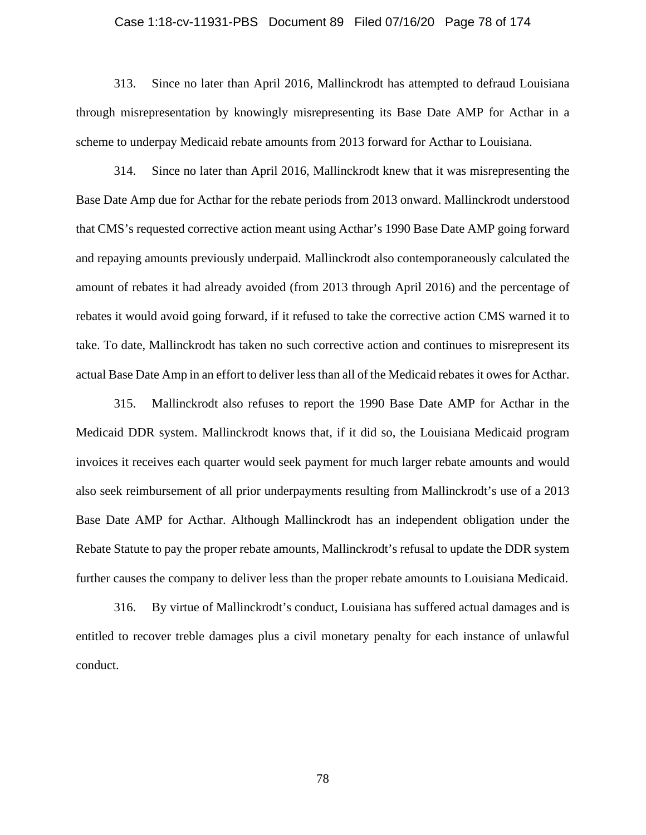#### Case 1:18-cv-11931-PBS Document 89 Filed 07/16/20 Page 78 of 174

313. Since no later than April 2016, Mallinckrodt has attempted to defraud Louisiana through misrepresentation by knowingly misrepresenting its Base Date AMP for Acthar in a scheme to underpay Medicaid rebate amounts from 2013 forward for Acthar to Louisiana.

314. Since no later than April 2016, Mallinckrodt knew that it was misrepresenting the Base Date Amp due for Acthar for the rebate periods from 2013 onward. Mallinckrodt understood that CMS's requested corrective action meant using Acthar's 1990 Base Date AMP going forward and repaying amounts previously underpaid. Mallinckrodt also contemporaneously calculated the amount of rebates it had already avoided (from 2013 through April 2016) and the percentage of rebates it would avoid going forward, if it refused to take the corrective action CMS warned it to take. To date, Mallinckrodt has taken no such corrective action and continues to misrepresent its actual Base Date Amp in an effort to deliver less than all of the Medicaid rebates it owes for Acthar.

315. Mallinckrodt also refuses to report the 1990 Base Date AMP for Acthar in the Medicaid DDR system. Mallinckrodt knows that, if it did so, the Louisiana Medicaid program invoices it receives each quarter would seek payment for much larger rebate amounts and would also seek reimbursement of all prior underpayments resulting from Mallinckrodt's use of a 2013 Base Date AMP for Acthar. Although Mallinckrodt has an independent obligation under the Rebate Statute to pay the proper rebate amounts, Mallinckrodt's refusal to update the DDR system further causes the company to deliver less than the proper rebate amounts to Louisiana Medicaid.

316. By virtue of Mallinckrodt's conduct, Louisiana has suffered actual damages and is entitled to recover treble damages plus a civil monetary penalty for each instance of unlawful conduct.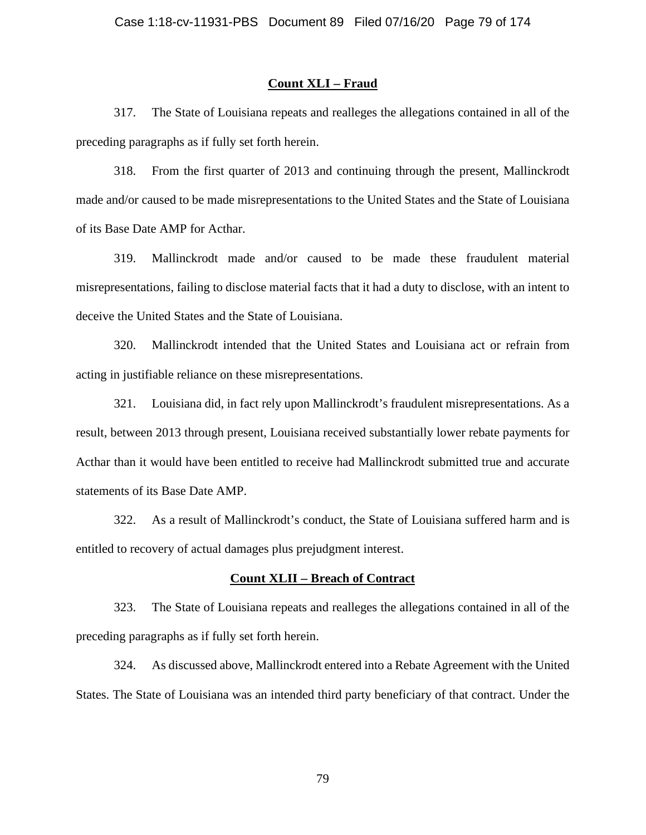### **Count XLI – Fraud**

317. The State of Louisiana repeats and realleges the allegations contained in all of the preceding paragraphs as if fully set forth herein.

318. From the first quarter of 2013 and continuing through the present, Mallinckrodt made and/or caused to be made misrepresentations to the United States and the State of Louisiana of its Base Date AMP for Acthar.

319. Mallinckrodt made and/or caused to be made these fraudulent material misrepresentations, failing to disclose material facts that it had a duty to disclose, with an intent to deceive the United States and the State of Louisiana.

320. Mallinckrodt intended that the United States and Louisiana act or refrain from acting in justifiable reliance on these misrepresentations.

321. Louisiana did, in fact rely upon Mallinckrodt's fraudulent misrepresentations. As a result, between 2013 through present, Louisiana received substantially lower rebate payments for Acthar than it would have been entitled to receive had Mallinckrodt submitted true and accurate statements of its Base Date AMP.

322. As a result of Mallinckrodt's conduct, the State of Louisiana suffered harm and is entitled to recovery of actual damages plus prejudgment interest.

### **Count XLII – Breach of Contract**

323. The State of Louisiana repeats and realleges the allegations contained in all of the preceding paragraphs as if fully set forth herein.

324. As discussed above, Mallinckrodt entered into a Rebate Agreement with the United States. The State of Louisiana was an intended third party beneficiary of that contract. Under the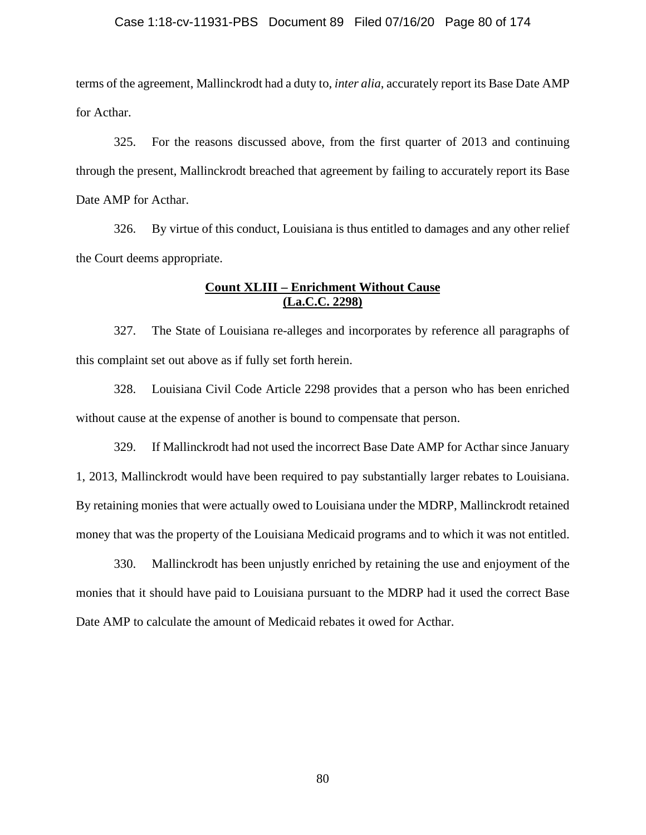## Case 1:18-cv-11931-PBS Document 89 Filed 07/16/20 Page 80 of 174

terms of the agreement, Mallinckrodt had a duty to, *inter alia*, accurately report its Base Date AMP for Acthar.

325. For the reasons discussed above, from the first quarter of 2013 and continuing through the present, Mallinckrodt breached that agreement by failing to accurately report its Base Date AMP for Acthar.

326. By virtue of this conduct, Louisiana is thus entitled to damages and any other relief the Court deems appropriate.

# **Count XLIII – Enrichment Without Cause (La.C.C. 2298)**

327. The State of Louisiana re-alleges and incorporates by reference all paragraphs of this complaint set out above as if fully set forth herein.

328. Louisiana Civil Code Article 2298 provides that a person who has been enriched without cause at the expense of another is bound to compensate that person.

329. If Mallinckrodt had not used the incorrect Base Date AMP for Acthar since January 1, 2013, Mallinckrodt would have been required to pay substantially larger rebates to Louisiana. By retaining monies that were actually owed to Louisiana under the MDRP, Mallinckrodt retained money that was the property of the Louisiana Medicaid programs and to which it was not entitled.

330. Mallinckrodt has been unjustly enriched by retaining the use and enjoyment of the monies that it should have paid to Louisiana pursuant to the MDRP had it used the correct Base Date AMP to calculate the amount of Medicaid rebates it owed for Acthar.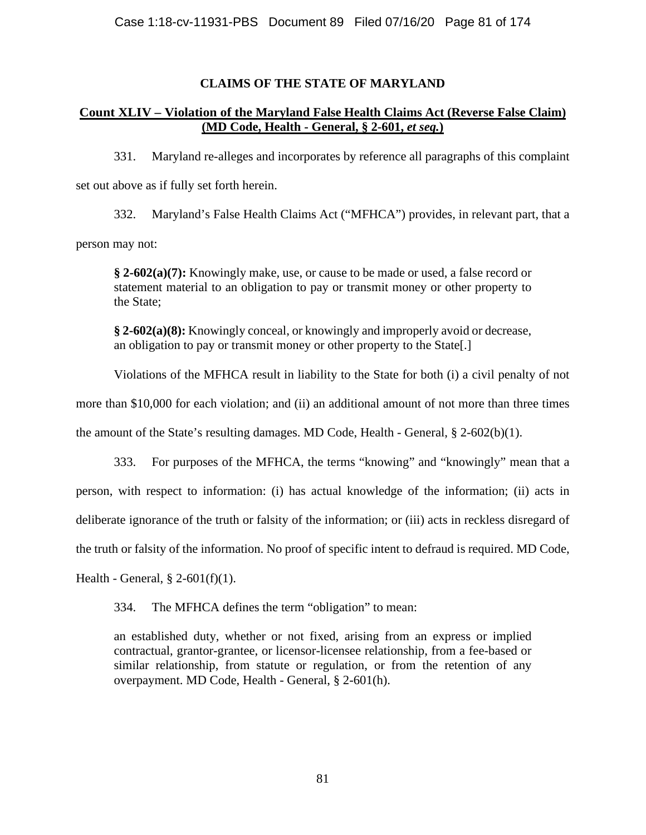# **CLAIMS OF THE STATE OF MARYLAND**

# **Count XLIV – Violation of the Maryland False Health Claims Act (Reverse False Claim) (MD Code, Health - General, § 2-601,** *et seq.***)**

331. Maryland re-alleges and incorporates by reference all paragraphs of this complaint set out above as if fully set forth herein.

332. Maryland's False Health Claims Act ("MFHCA") provides, in relevant part, that a person may not:

**§ 2-602(a)(7):** Knowingly make, use, or cause to be made or used, a false record or statement material to an obligation to pay or transmit money or other property to the State;

**§ 2-602(a)(8):** Knowingly conceal, or knowingly and improperly avoid or decrease, an obligation to pay or transmit money or other property to the State[.]

Violations of the MFHCA result in liability to the State for both (i) a civil penalty of not

more than \$10,000 for each violation; and (ii) an additional amount of not more than three times

the amount of the State's resulting damages. MD Code, Health - General, § 2-602(b)(1).

333. For purposes of the MFHCA, the terms "knowing" and "knowingly" mean that a person, with respect to information: (i) has actual knowledge of the information; (ii) acts in deliberate ignorance of the truth or falsity of the information; or (iii) acts in reckless disregard of the truth or falsity of the information. No proof of specific intent to defraud is required. MD Code,

Health - General,  $\S$  2-601(f)(1).

334. The MFHCA defines the term "obligation" to mean:

an established duty, whether or not fixed, arising from an express or implied contractual, grantor-grantee, or licensor-licensee relationship, from a fee-based or similar relationship, from statute or regulation, or from the retention of any overpayment. MD Code, Health - General, § 2-601(h).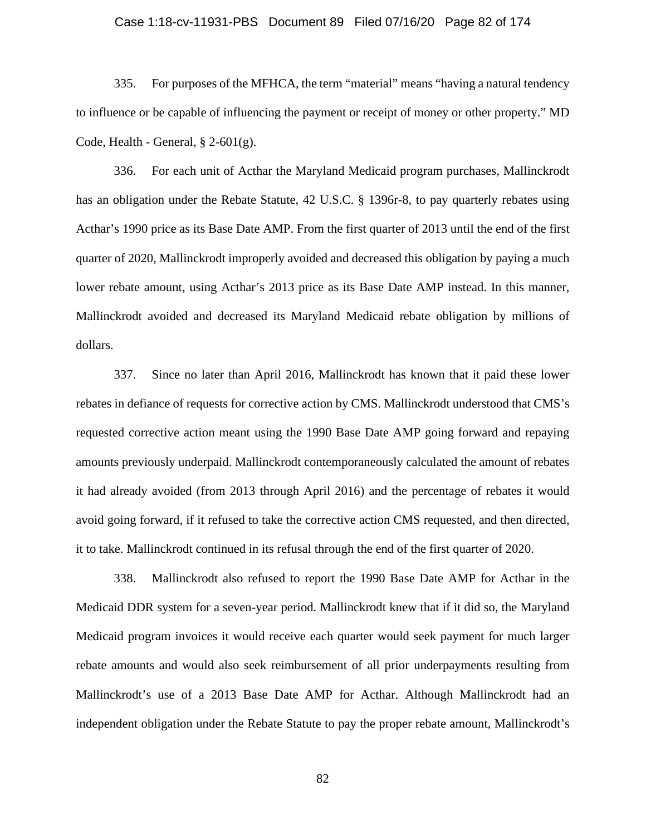#### Case 1:18-cv-11931-PBS Document 89 Filed 07/16/20 Page 82 of 174

335. For purposes of the MFHCA, the term "material" means "having a natural tendency to influence or be capable of influencing the payment or receipt of money or other property." MD Code, Health - General,  $\S$  2-601(g).

336. For each unit of Acthar the Maryland Medicaid program purchases, Mallinckrodt has an obligation under the Rebate Statute, 42 U.S.C. § 1396r-8, to pay quarterly rebates using Acthar's 1990 price as its Base Date AMP. From the first quarter of 2013 until the end of the first quarter of 2020, Mallinckrodt improperly avoided and decreased this obligation by paying a much lower rebate amount, using Acthar's 2013 price as its Base Date AMP instead. In this manner, Mallinckrodt avoided and decreased its Maryland Medicaid rebate obligation by millions of dollars.

337. Since no later than April 2016, Mallinckrodt has known that it paid these lower rebates in defiance of requests for corrective action by CMS. Mallinckrodt understood that CMS's requested corrective action meant using the 1990 Base Date AMP going forward and repaying amounts previously underpaid. Mallinckrodt contemporaneously calculated the amount of rebates it had already avoided (from 2013 through April 2016) and the percentage of rebates it would avoid going forward, if it refused to take the corrective action CMS requested, and then directed, it to take. Mallinckrodt continued in its refusal through the end of the first quarter of 2020.

338. Mallinckrodt also refused to report the 1990 Base Date AMP for Acthar in the Medicaid DDR system for a seven-year period. Mallinckrodt knew that if it did so, the Maryland Medicaid program invoices it would receive each quarter would seek payment for much larger rebate amounts and would also seek reimbursement of all prior underpayments resulting from Mallinckrodt's use of a 2013 Base Date AMP for Acthar. Although Mallinckrodt had an independent obligation under the Rebate Statute to pay the proper rebate amount, Mallinckrodt's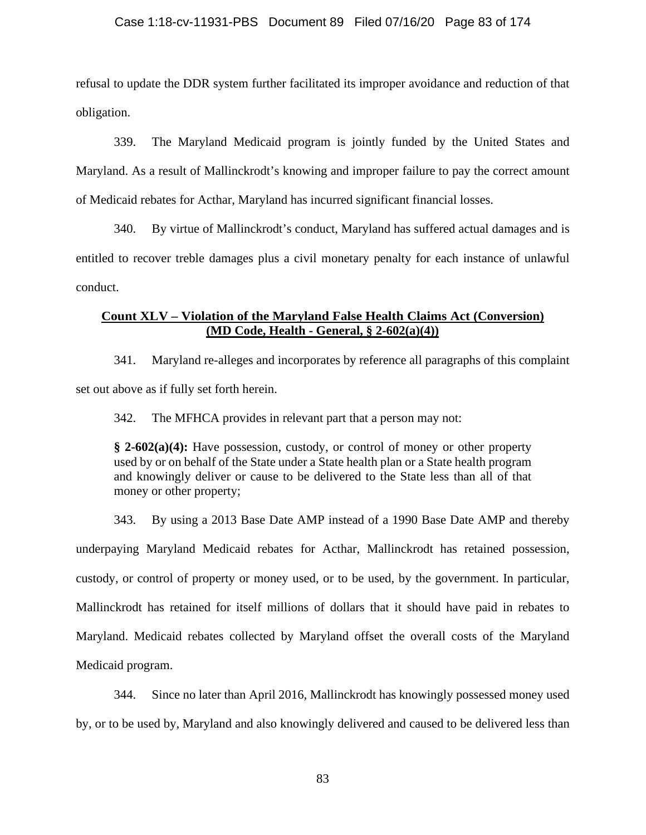refusal to update the DDR system further facilitated its improper avoidance and reduction of that obligation.

339. The Maryland Medicaid program is jointly funded by the United States and Maryland. As a result of Mallinckrodt's knowing and improper failure to pay the correct amount of Medicaid rebates for Acthar, Maryland has incurred significant financial losses.

340. By virtue of Mallinckrodt's conduct, Maryland has suffered actual damages and is entitled to recover treble damages plus a civil monetary penalty for each instance of unlawful conduct.

# **Count XLV – Violation of the Maryland False Health Claims Act (Conversion) (MD Code, Health - General, § 2-602(a)(4))**

341. Maryland re-alleges and incorporates by reference all paragraphs of this complaint set out above as if fully set forth herein.

342. The MFHCA provides in relevant part that a person may not:

**§ 2-602(a)(4):** Have possession, custody, or control of money or other property used by or on behalf of the State under a State health plan or a State health program and knowingly deliver or cause to be delivered to the State less than all of that money or other property;

343. By using a 2013 Base Date AMP instead of a 1990 Base Date AMP and thereby underpaying Maryland Medicaid rebates for Acthar, Mallinckrodt has retained possession, custody, or control of property or money used, or to be used, by the government. In particular, Mallinckrodt has retained for itself millions of dollars that it should have paid in rebates to Maryland. Medicaid rebates collected by Maryland offset the overall costs of the Maryland Medicaid program.

344. Since no later than April 2016, Mallinckrodt has knowingly possessed money used by, or to be used by, Maryland and also knowingly delivered and caused to be delivered less than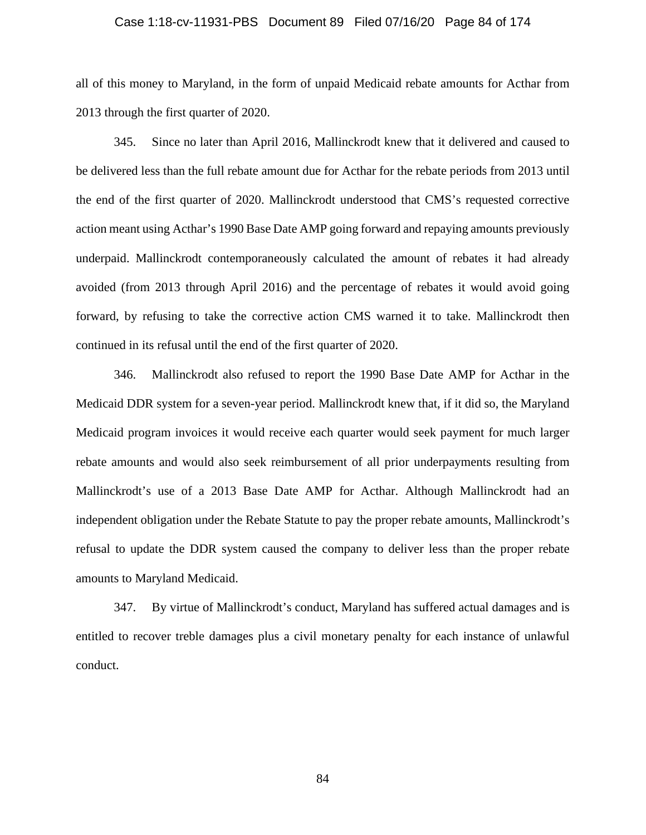#### Case 1:18-cv-11931-PBS Document 89 Filed 07/16/20 Page 84 of 174

all of this money to Maryland, in the form of unpaid Medicaid rebate amounts for Acthar from 2013 through the first quarter of 2020.

345. Since no later than April 2016, Mallinckrodt knew that it delivered and caused to be delivered less than the full rebate amount due for Acthar for the rebate periods from 2013 until the end of the first quarter of 2020. Mallinckrodt understood that CMS's requested corrective action meant using Acthar's 1990 Base Date AMP going forward and repaying amounts previously underpaid. Mallinckrodt contemporaneously calculated the amount of rebates it had already avoided (from 2013 through April 2016) and the percentage of rebates it would avoid going forward, by refusing to take the corrective action CMS warned it to take. Mallinckrodt then continued in its refusal until the end of the first quarter of 2020.

346. Mallinckrodt also refused to report the 1990 Base Date AMP for Acthar in the Medicaid DDR system for a seven-year period. Mallinckrodt knew that, if it did so, the Maryland Medicaid program invoices it would receive each quarter would seek payment for much larger rebate amounts and would also seek reimbursement of all prior underpayments resulting from Mallinckrodt's use of a 2013 Base Date AMP for Acthar. Although Mallinckrodt had an independent obligation under the Rebate Statute to pay the proper rebate amounts, Mallinckrodt's refusal to update the DDR system caused the company to deliver less than the proper rebate amounts to Maryland Medicaid.

347. By virtue of Mallinckrodt's conduct, Maryland has suffered actual damages and is entitled to recover treble damages plus a civil monetary penalty for each instance of unlawful conduct.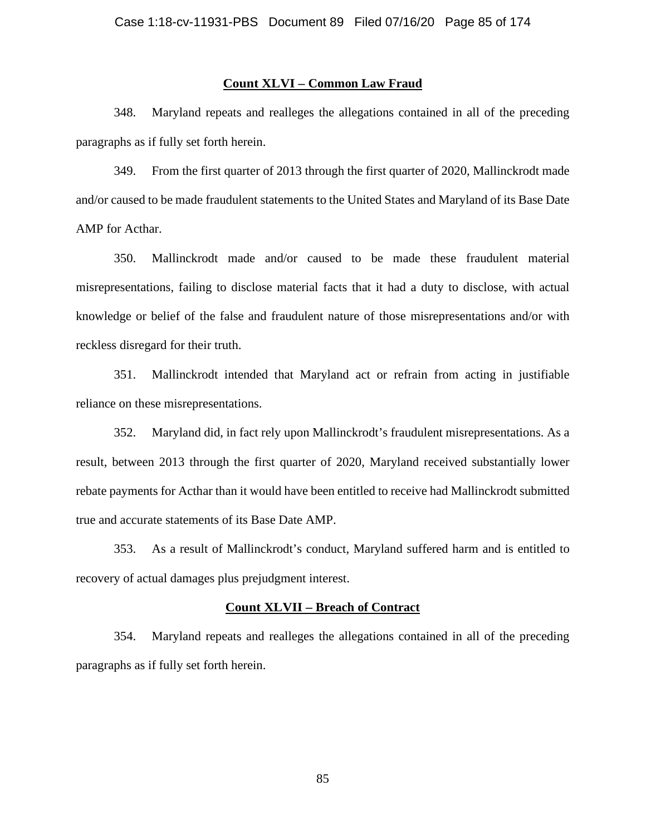## **Count XLVI – Common Law Fraud**

348. Maryland repeats and realleges the allegations contained in all of the preceding paragraphs as if fully set forth herein.

349. From the first quarter of 2013 through the first quarter of 2020, Mallinckrodt made and/or caused to be made fraudulent statements to the United States and Maryland of its Base Date AMP for Acthar.

350. Mallinckrodt made and/or caused to be made these fraudulent material misrepresentations, failing to disclose material facts that it had a duty to disclose, with actual knowledge or belief of the false and fraudulent nature of those misrepresentations and/or with reckless disregard for their truth.

351. Mallinckrodt intended that Maryland act or refrain from acting in justifiable reliance on these misrepresentations.

352. Maryland did, in fact rely upon Mallinckrodt's fraudulent misrepresentations. As a result, between 2013 through the first quarter of 2020, Maryland received substantially lower rebate payments for Acthar than it would have been entitled to receive had Mallinckrodt submitted true and accurate statements of its Base Date AMP.

353. As a result of Mallinckrodt's conduct, Maryland suffered harm and is entitled to recovery of actual damages plus prejudgment interest.

### **Count XLVII – Breach of Contract**

354. Maryland repeats and realleges the allegations contained in all of the preceding paragraphs as if fully set forth herein.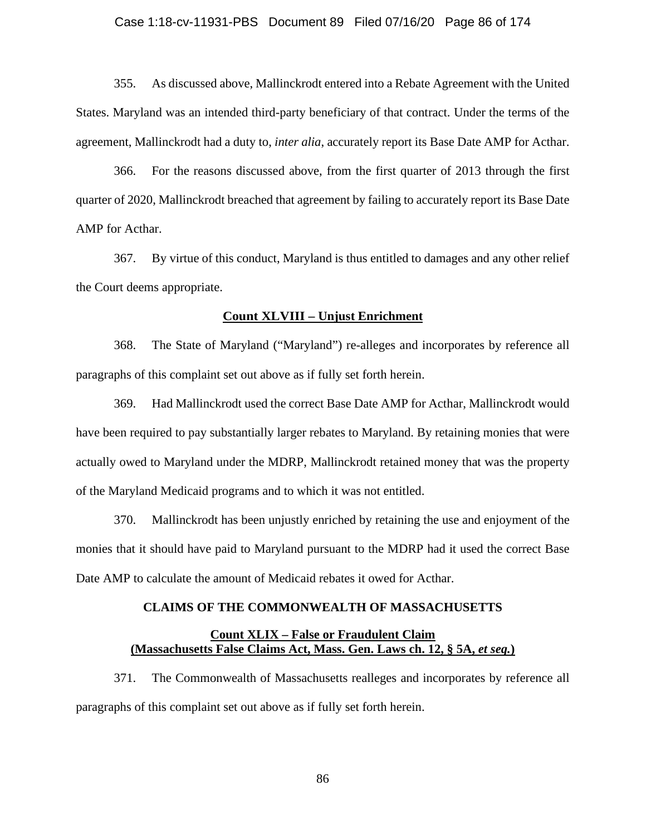#### Case 1:18-cv-11931-PBS Document 89 Filed 07/16/20 Page 86 of 174

355. As discussed above, Mallinckrodt entered into a Rebate Agreement with the United States. Maryland was an intended third-party beneficiary of that contract. Under the terms of the agreement, Mallinckrodt had a duty to, *inter alia*, accurately report its Base Date AMP for Acthar.

366. For the reasons discussed above, from the first quarter of 2013 through the first quarter of 2020, Mallinckrodt breached that agreement by failing to accurately report its Base Date AMP for Acthar.

367. By virtue of this conduct, Maryland is thus entitled to damages and any other relief the Court deems appropriate.

### **Count XLVIII – Unjust Enrichment**

368. The State of Maryland ("Maryland") re-alleges and incorporates by reference all paragraphs of this complaint set out above as if fully set forth herein.

369. Had Mallinckrodt used the correct Base Date AMP for Acthar, Mallinckrodt would have been required to pay substantially larger rebates to Maryland. By retaining monies that were actually owed to Maryland under the MDRP, Mallinckrodt retained money that was the property of the Maryland Medicaid programs and to which it was not entitled.

370. Mallinckrodt has been unjustly enriched by retaining the use and enjoyment of the monies that it should have paid to Maryland pursuant to the MDRP had it used the correct Base Date AMP to calculate the amount of Medicaid rebates it owed for Acthar.

### **CLAIMS OF THE COMMONWEALTH OF MASSACHUSETTS**

## **Count XLIX – False or Fraudulent Claim (Massachusetts False Claims Act, Mass. Gen. Laws ch. 12, § 5A,** *et seq.***)**

371. The Commonwealth of Massachusetts realleges and incorporates by reference all paragraphs of this complaint set out above as if fully set forth herein.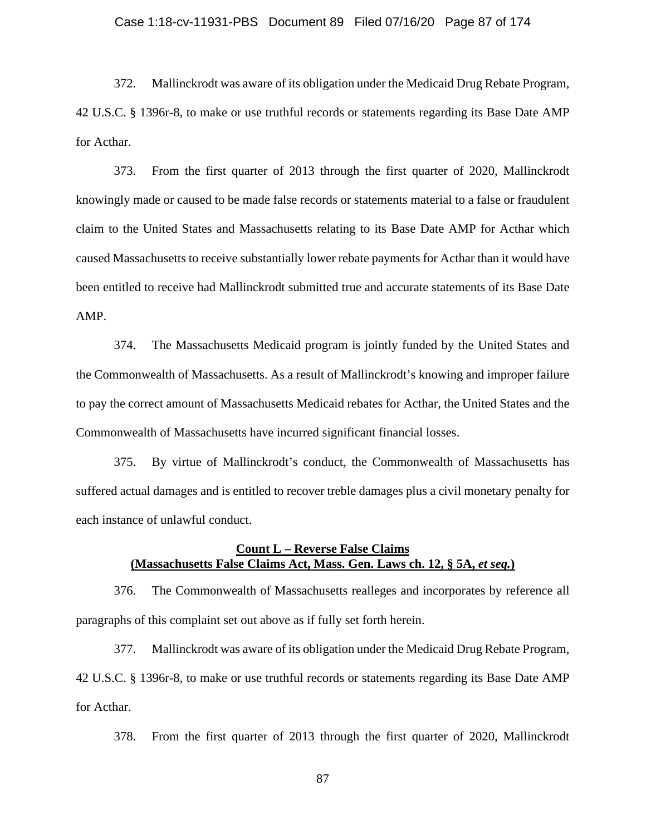## Case 1:18-cv-11931-PBS Document 89 Filed 07/16/20 Page 87 of 174

372. Mallinckrodt was aware of its obligation under the Medicaid Drug Rebate Program, 42 U.S.C. § 1396r-8, to make or use truthful records or statements regarding its Base Date AMP for Acthar.

373. From the first quarter of 2013 through the first quarter of 2020, Mallinckrodt knowingly made or caused to be made false records or statements material to a false or fraudulent claim to the United States and Massachusetts relating to its Base Date AMP for Acthar which caused Massachusetts to receive substantially lower rebate payments for Acthar than it would have been entitled to receive had Mallinckrodt submitted true and accurate statements of its Base Date AMP.

374. The Massachusetts Medicaid program is jointly funded by the United States and the Commonwealth of Massachusetts. As a result of Mallinckrodt's knowing and improper failure to pay the correct amount of Massachusetts Medicaid rebates for Acthar, the United States and the Commonwealth of Massachusetts have incurred significant financial losses.

375. By virtue of Mallinckrodt's conduct, the Commonwealth of Massachusetts has suffered actual damages and is entitled to recover treble damages plus a civil monetary penalty for each instance of unlawful conduct.

## **Count L – Reverse False Claims (Massachusetts False Claims Act, Mass. Gen. Laws ch. 12, § 5A,** *et seq.***)**

376. The Commonwealth of Massachusetts realleges and incorporates by reference all paragraphs of this complaint set out above as if fully set forth herein.

377. Mallinckrodt was aware of its obligation under the Medicaid Drug Rebate Program, 42 U.S.C. § 1396r-8, to make or use truthful records or statements regarding its Base Date AMP for Acthar.

378. From the first quarter of 2013 through the first quarter of 2020, Mallinckrodt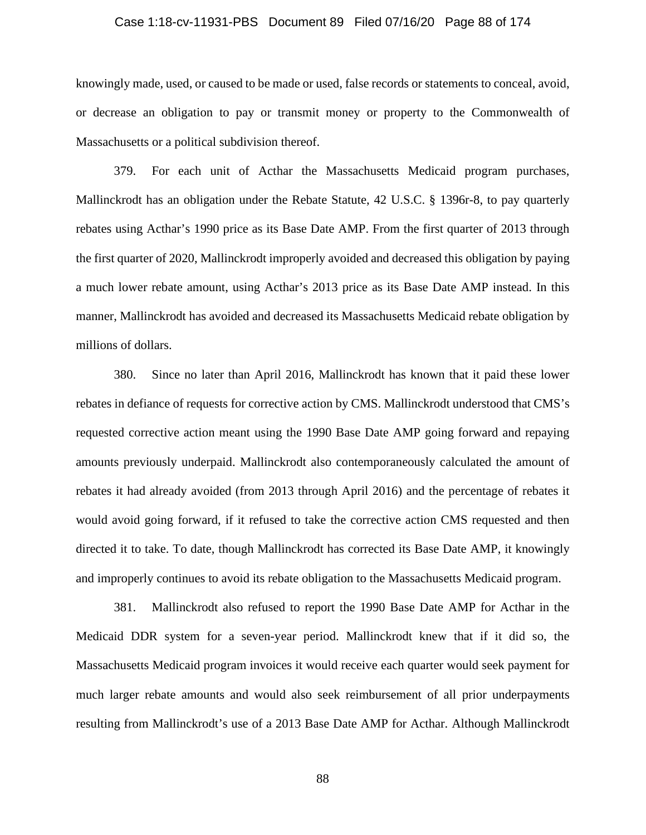#### Case 1:18-cv-11931-PBS Document 89 Filed 07/16/20 Page 88 of 174

knowingly made, used, or caused to be made or used, false records or statements to conceal, avoid, or decrease an obligation to pay or transmit money or property to the Commonwealth of Massachusetts or a political subdivision thereof.

379. For each unit of Acthar the Massachusetts Medicaid program purchases, Mallinckrodt has an obligation under the Rebate Statute, 42 U.S.C. § 1396r-8, to pay quarterly rebates using Acthar's 1990 price as its Base Date AMP. From the first quarter of 2013 through the first quarter of 2020, Mallinckrodt improperly avoided and decreased this obligation by paying a much lower rebate amount, using Acthar's 2013 price as its Base Date AMP instead. In this manner, Mallinckrodt has avoided and decreased its Massachusetts Medicaid rebate obligation by millions of dollars.

380. Since no later than April 2016, Mallinckrodt has known that it paid these lower rebates in defiance of requests for corrective action by CMS. Mallinckrodt understood that CMS's requested corrective action meant using the 1990 Base Date AMP going forward and repaying amounts previously underpaid. Mallinckrodt also contemporaneously calculated the amount of rebates it had already avoided (from 2013 through April 2016) and the percentage of rebates it would avoid going forward, if it refused to take the corrective action CMS requested and then directed it to take. To date, though Mallinckrodt has corrected its Base Date AMP, it knowingly and improperly continues to avoid its rebate obligation to the Massachusetts Medicaid program.

381. Mallinckrodt also refused to report the 1990 Base Date AMP for Acthar in the Medicaid DDR system for a seven-year period. Mallinckrodt knew that if it did so, the Massachusetts Medicaid program invoices it would receive each quarter would seek payment for much larger rebate amounts and would also seek reimbursement of all prior underpayments resulting from Mallinckrodt's use of a 2013 Base Date AMP for Acthar. Although Mallinckrodt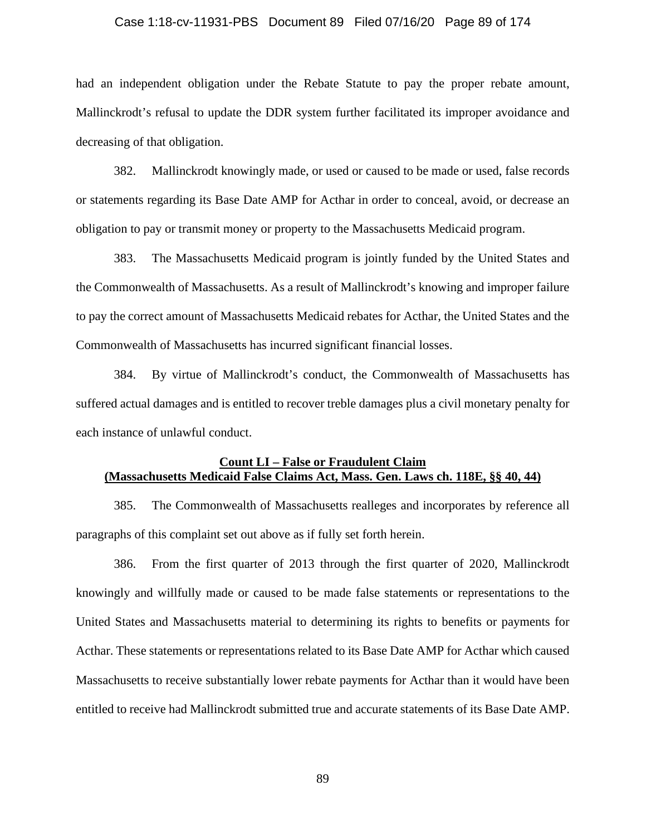#### Case 1:18-cv-11931-PBS Document 89 Filed 07/16/20 Page 89 of 174

had an independent obligation under the Rebate Statute to pay the proper rebate amount, Mallinckrodt's refusal to update the DDR system further facilitated its improper avoidance and decreasing of that obligation.

382. Mallinckrodt knowingly made, or used or caused to be made or used, false records or statements regarding its Base Date AMP for Acthar in order to conceal, avoid, or decrease an obligation to pay or transmit money or property to the Massachusetts Medicaid program.

383. The Massachusetts Medicaid program is jointly funded by the United States and the Commonwealth of Massachusetts. As a result of Mallinckrodt's knowing and improper failure to pay the correct amount of Massachusetts Medicaid rebates for Acthar, the United States and the Commonwealth of Massachusetts has incurred significant financial losses.

384. By virtue of Mallinckrodt's conduct, the Commonwealth of Massachusetts has suffered actual damages and is entitled to recover treble damages plus a civil monetary penalty for each instance of unlawful conduct.

## **Count LI – False or Fraudulent Claim (Massachusetts Medicaid False Claims Act, Mass. Gen. Laws ch. 118E, §§ 40, 44)**

385. The Commonwealth of Massachusetts realleges and incorporates by reference all paragraphs of this complaint set out above as if fully set forth herein.

386. From the first quarter of 2013 through the first quarter of 2020, Mallinckrodt knowingly and willfully made or caused to be made false statements or representations to the United States and Massachusetts material to determining its rights to benefits or payments for Acthar. These statements or representations related to its Base Date AMP for Acthar which caused Massachusetts to receive substantially lower rebate payments for Acthar than it would have been entitled to receive had Mallinckrodt submitted true and accurate statements of its Base Date AMP.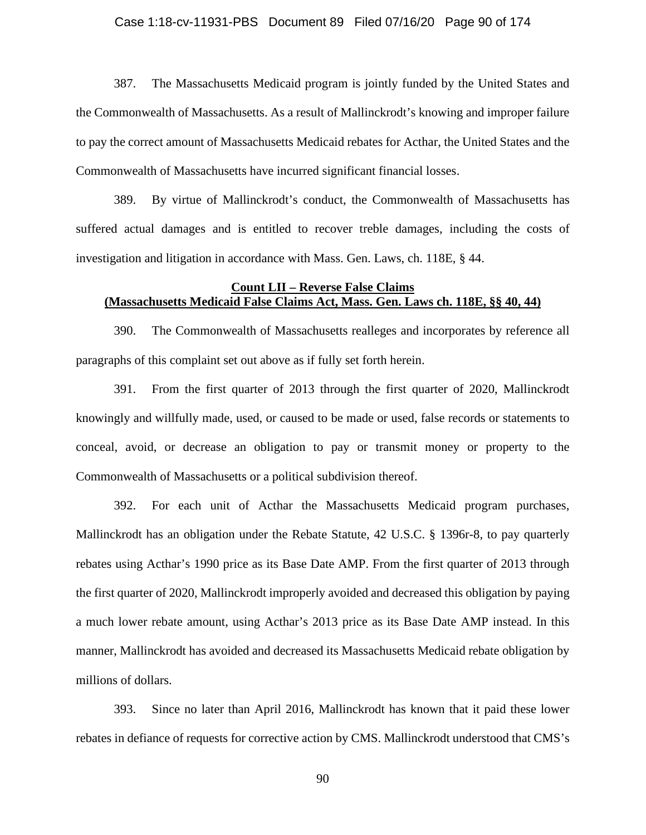## Case 1:18-cv-11931-PBS Document 89 Filed 07/16/20 Page 90 of 174

387. The Massachusetts Medicaid program is jointly funded by the United States and the Commonwealth of Massachusetts. As a result of Mallinckrodt's knowing and improper failure to pay the correct amount of Massachusetts Medicaid rebates for Acthar, the United States and the Commonwealth of Massachusetts have incurred significant financial losses.

389. By virtue of Mallinckrodt's conduct, the Commonwealth of Massachusetts has suffered actual damages and is entitled to recover treble damages, including the costs of investigation and litigation in accordance with Mass. Gen. Laws, ch. 118E, § 44.

## **Count LII – Reverse False Claims (Massachusetts Medicaid False Claims Act, Mass. Gen. Laws ch. 118E, §§ 40, 44)**

390. The Commonwealth of Massachusetts realleges and incorporates by reference all paragraphs of this complaint set out above as if fully set forth herein.

391. From the first quarter of 2013 through the first quarter of 2020, Mallinckrodt knowingly and willfully made, used, or caused to be made or used, false records or statements to conceal, avoid, or decrease an obligation to pay or transmit money or property to the Commonwealth of Massachusetts or a political subdivision thereof.

392. For each unit of Acthar the Massachusetts Medicaid program purchases, Mallinckrodt has an obligation under the Rebate Statute, 42 U.S.C. § 1396r-8, to pay quarterly rebates using Acthar's 1990 price as its Base Date AMP. From the first quarter of 2013 through the first quarter of 2020, Mallinckrodt improperly avoided and decreased this obligation by paying a much lower rebate amount, using Acthar's 2013 price as its Base Date AMP instead. In this manner, Mallinckrodt has avoided and decreased its Massachusetts Medicaid rebate obligation by millions of dollars.

393. Since no later than April 2016, Mallinckrodt has known that it paid these lower rebates in defiance of requests for corrective action by CMS. Mallinckrodt understood that CMS's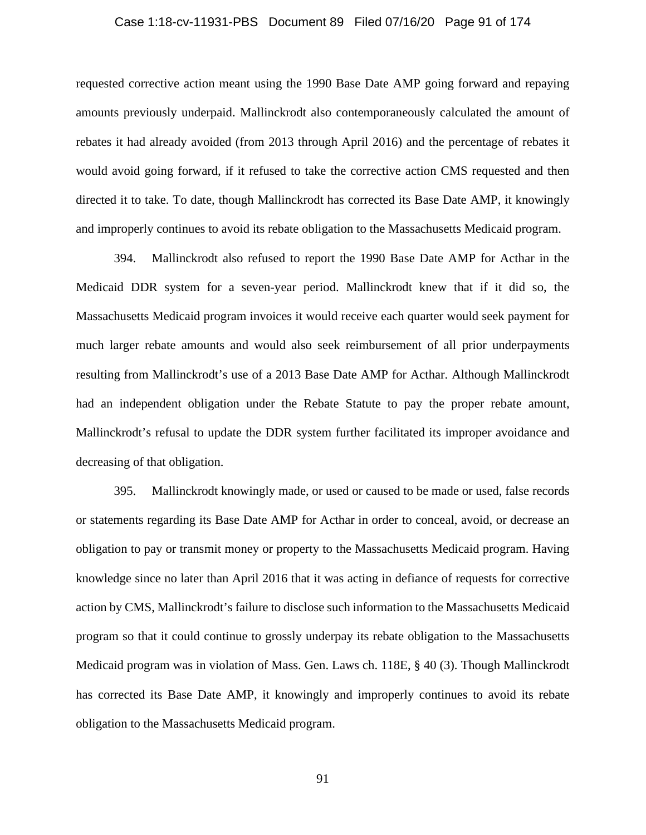#### Case 1:18-cv-11931-PBS Document 89 Filed 07/16/20 Page 91 of 174

requested corrective action meant using the 1990 Base Date AMP going forward and repaying amounts previously underpaid. Mallinckrodt also contemporaneously calculated the amount of rebates it had already avoided (from 2013 through April 2016) and the percentage of rebates it would avoid going forward, if it refused to take the corrective action CMS requested and then directed it to take. To date, though Mallinckrodt has corrected its Base Date AMP, it knowingly and improperly continues to avoid its rebate obligation to the Massachusetts Medicaid program.

394. Mallinckrodt also refused to report the 1990 Base Date AMP for Acthar in the Medicaid DDR system for a seven-year period. Mallinckrodt knew that if it did so, the Massachusetts Medicaid program invoices it would receive each quarter would seek payment for much larger rebate amounts and would also seek reimbursement of all prior underpayments resulting from Mallinckrodt's use of a 2013 Base Date AMP for Acthar. Although Mallinckrodt had an independent obligation under the Rebate Statute to pay the proper rebate amount, Mallinckrodt's refusal to update the DDR system further facilitated its improper avoidance and decreasing of that obligation.

395. Mallinckrodt knowingly made, or used or caused to be made or used, false records or statements regarding its Base Date AMP for Acthar in order to conceal, avoid, or decrease an obligation to pay or transmit money or property to the Massachusetts Medicaid program. Having knowledge since no later than April 2016 that it was acting in defiance of requests for corrective action by CMS, Mallinckrodt's failure to disclose such information to the Massachusetts Medicaid program so that it could continue to grossly underpay its rebate obligation to the Massachusetts Medicaid program was in violation of Mass. Gen. Laws ch. 118E, § 40 (3). Though Mallinckrodt has corrected its Base Date AMP, it knowingly and improperly continues to avoid its rebate obligation to the Massachusetts Medicaid program.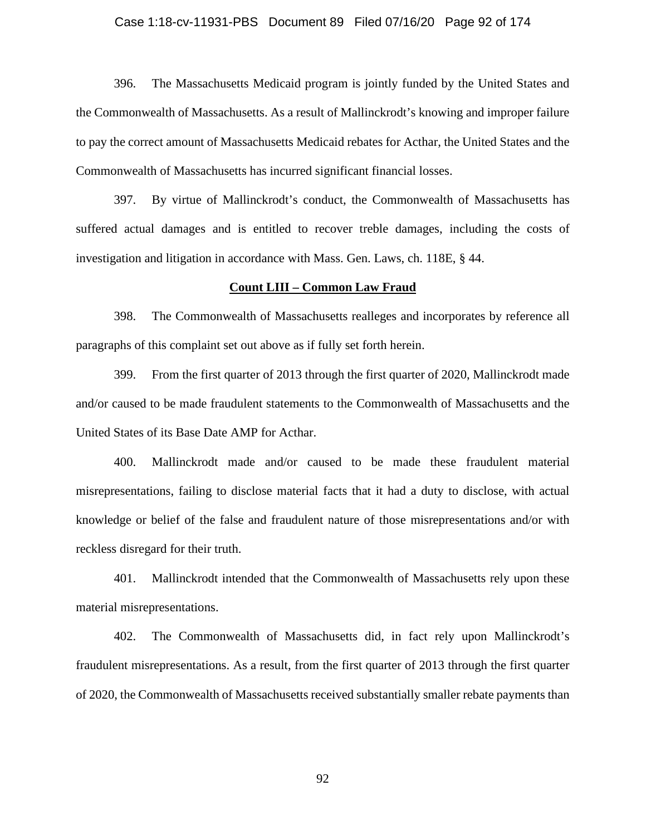#### Case 1:18-cv-11931-PBS Document 89 Filed 07/16/20 Page 92 of 174

396. The Massachusetts Medicaid program is jointly funded by the United States and the Commonwealth of Massachusetts. As a result of Mallinckrodt's knowing and improper failure to pay the correct amount of Massachusetts Medicaid rebates for Acthar, the United States and the Commonwealth of Massachusetts has incurred significant financial losses.

397. By virtue of Mallinckrodt's conduct, the Commonwealth of Massachusetts has suffered actual damages and is entitled to recover treble damages, including the costs of investigation and litigation in accordance with Mass. Gen. Laws, ch. 118E, § 44.

### **Count LIII – Common Law Fraud**

398. The Commonwealth of Massachusetts realleges and incorporates by reference all paragraphs of this complaint set out above as if fully set forth herein.

399. From the first quarter of 2013 through the first quarter of 2020, Mallinckrodt made and/or caused to be made fraudulent statements to the Commonwealth of Massachusetts and the United States of its Base Date AMP for Acthar.

400. Mallinckrodt made and/or caused to be made these fraudulent material misrepresentations, failing to disclose material facts that it had a duty to disclose, with actual knowledge or belief of the false and fraudulent nature of those misrepresentations and/or with reckless disregard for their truth.

401. Mallinckrodt intended that the Commonwealth of Massachusetts rely upon these material misrepresentations.

402. The Commonwealth of Massachusetts did, in fact rely upon Mallinckrodt's fraudulent misrepresentations. As a result, from the first quarter of 2013 through the first quarter of 2020, the Commonwealth of Massachusetts received substantially smaller rebate payments than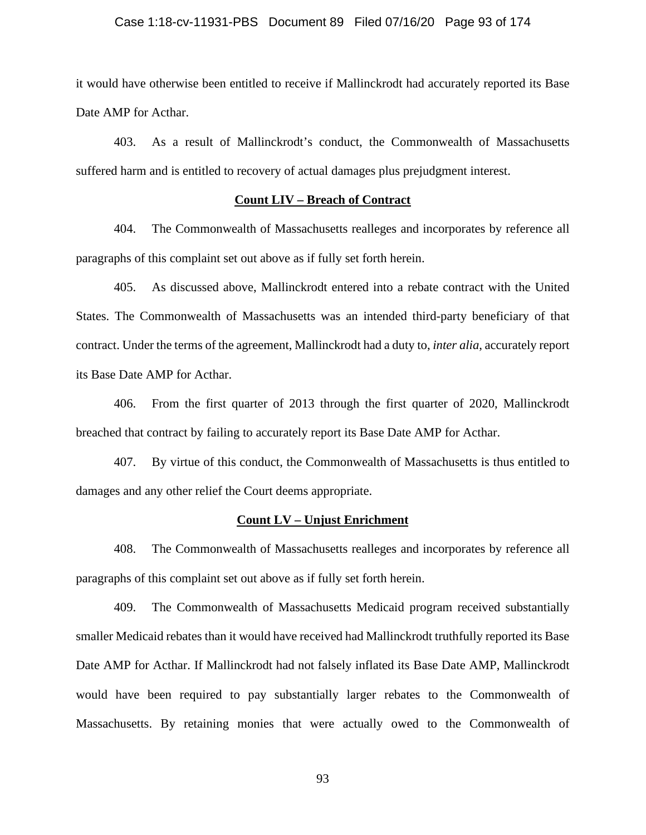### Case 1:18-cv-11931-PBS Document 89 Filed 07/16/20 Page 93 of 174

it would have otherwise been entitled to receive if Mallinckrodt had accurately reported its Base Date AMP for Acthar.

403. As a result of Mallinckrodt's conduct, the Commonwealth of Massachusetts suffered harm and is entitled to recovery of actual damages plus prejudgment interest.

## **Count LIV – Breach of Contract**

404. The Commonwealth of Massachusetts realleges and incorporates by reference all paragraphs of this complaint set out above as if fully set forth herein.

405. As discussed above, Mallinckrodt entered into a rebate contract with the United States. The Commonwealth of Massachusetts was an intended third-party beneficiary of that contract. Under the terms of the agreement, Mallinckrodt had a duty to, *inter alia*, accurately report its Base Date AMP for Acthar.

406. From the first quarter of 2013 through the first quarter of 2020, Mallinckrodt breached that contract by failing to accurately report its Base Date AMP for Acthar.

407. By virtue of this conduct, the Commonwealth of Massachusetts is thus entitled to damages and any other relief the Court deems appropriate.

### **Count LV – Unjust Enrichment**

408. The Commonwealth of Massachusetts realleges and incorporates by reference all paragraphs of this complaint set out above as if fully set forth herein.

409. The Commonwealth of Massachusetts Medicaid program received substantially smaller Medicaid rebates than it would have received had Mallinckrodt truthfully reported its Base Date AMP for Acthar. If Mallinckrodt had not falsely inflated its Base Date AMP, Mallinckrodt would have been required to pay substantially larger rebates to the Commonwealth of Massachusetts. By retaining monies that were actually owed to the Commonwealth of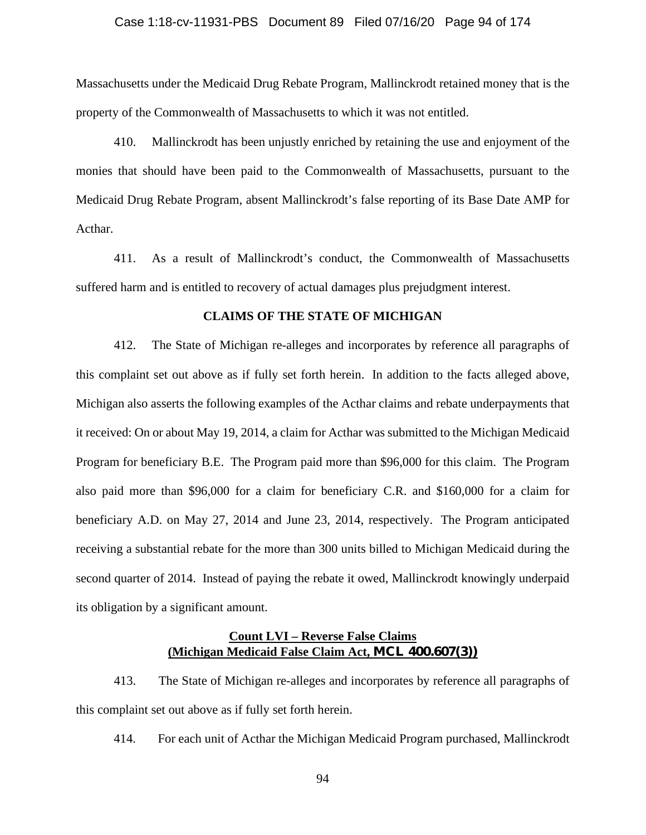## Case 1:18-cv-11931-PBS Document 89 Filed 07/16/20 Page 94 of 174

Massachusetts under the Medicaid Drug Rebate Program, Mallinckrodt retained money that is the property of the Commonwealth of Massachusetts to which it was not entitled.

410. Mallinckrodt has been unjustly enriched by retaining the use and enjoyment of the monies that should have been paid to the Commonwealth of Massachusetts, pursuant to the Medicaid Drug Rebate Program, absent Mallinckrodt's false reporting of its Base Date AMP for Acthar.

411. As a result of Mallinckrodt's conduct, the Commonwealth of Massachusetts suffered harm and is entitled to recovery of actual damages plus prejudgment interest.

## **CLAIMS OF THE STATE OF MICHIGAN**

412. The State of Michigan re-alleges and incorporates by reference all paragraphs of this complaint set out above as if fully set forth herein. In addition to the facts alleged above, Michigan also asserts the following examples of the Acthar claims and rebate underpayments that it received: On or about May 19, 2014, a claim for Acthar was submitted to the Michigan Medicaid Program for beneficiary B.E. The Program paid more than \$96,000 for this claim. The Program also paid more than \$96,000 for a claim for beneficiary C.R. and \$160,000 for a claim for beneficiary A.D. on May 27, 2014 and June 23, 2014, respectively. The Program anticipated receiving a substantial rebate for the more than 300 units billed to Michigan Medicaid during the second quarter of 2014. Instead of paying the rebate it owed, Mallinckrodt knowingly underpaid its obligation by a significant amount.

## **Count LVI – Reverse False Claims (Michigan Medicaid False Claim Act, MCL 400.607(3))**

413. The State of Michigan re-alleges and incorporates by reference all paragraphs of this complaint set out above as if fully set forth herein.

414. For each unit of Acthar the Michigan Medicaid Program purchased, Mallinckrodt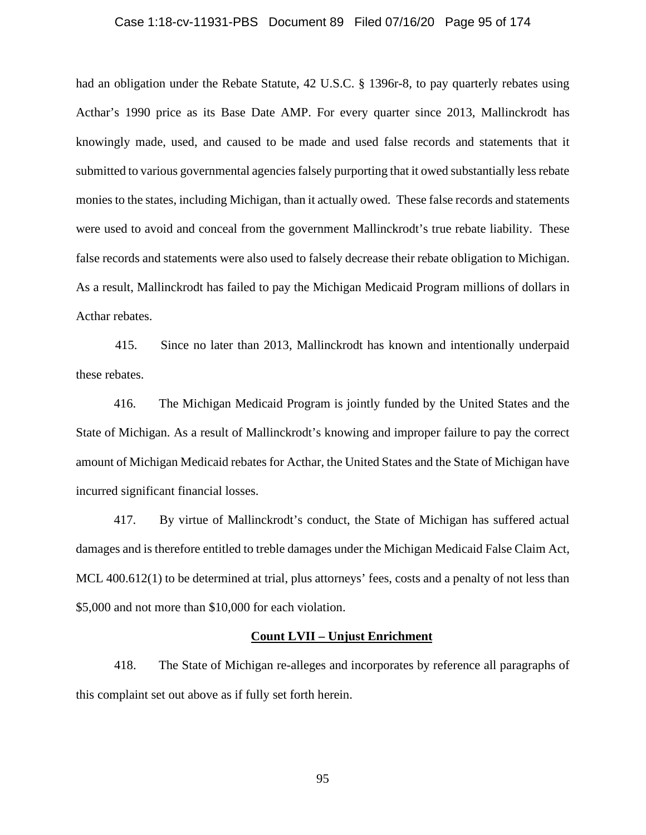#### Case 1:18-cv-11931-PBS Document 89 Filed 07/16/20 Page 95 of 174

had an obligation under the Rebate Statute, 42 U.S.C. § 1396r-8, to pay quarterly rebates using Acthar's 1990 price as its Base Date AMP. For every quarter since 2013, Mallinckrodt has knowingly made, used, and caused to be made and used false records and statements that it submitted to various governmental agencies falsely purporting that it owed substantially less rebate monies to the states, including Michigan, than it actually owed. These false records and statements were used to avoid and conceal from the government Mallinckrodt's true rebate liability. These false records and statements were also used to falsely decrease their rebate obligation to Michigan. As a result, Mallinckrodt has failed to pay the Michigan Medicaid Program millions of dollars in Acthar rebates.

 415. Since no later than 2013, Mallinckrodt has known and intentionally underpaid these rebates.

416. The Michigan Medicaid Program is jointly funded by the United States and the State of Michigan. As a result of Mallinckrodt's knowing and improper failure to pay the correct amount of Michigan Medicaid rebates for Acthar, the United States and the State of Michigan have incurred significant financial losses.

417. By virtue of Mallinckrodt's conduct, the State of Michigan has suffered actual damages and is therefore entitled to treble damages under the Michigan Medicaid False Claim Act, MCL 400.612(1) to be determined at trial, plus attorneys' fees, costs and a penalty of not less than \$5,000 and not more than \$10,000 for each violation.

### **Count LVII – Unjust Enrichment**

418. The State of Michigan re-alleges and incorporates by reference all paragraphs of this complaint set out above as if fully set forth herein.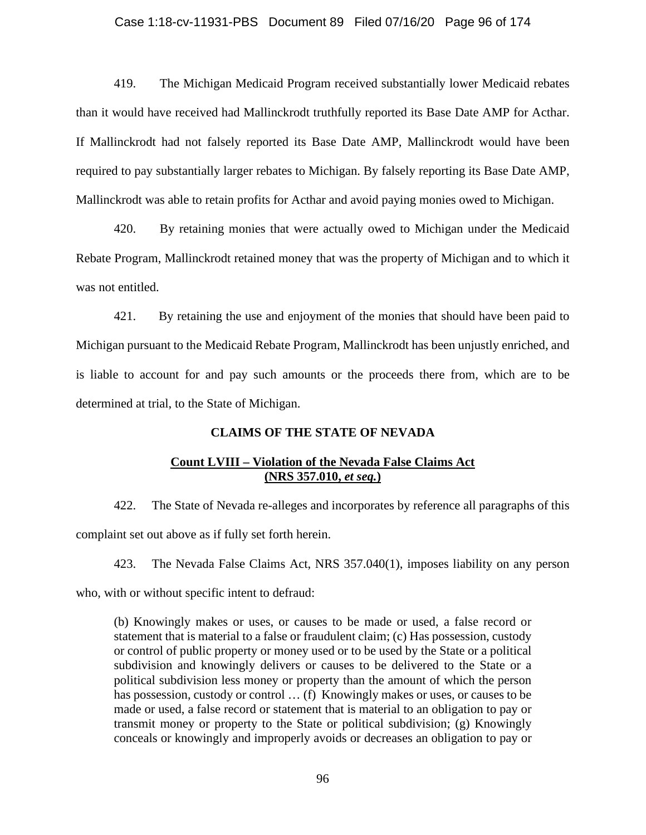### Case 1:18-cv-11931-PBS Document 89 Filed 07/16/20 Page 96 of 174

419. The Michigan Medicaid Program received substantially lower Medicaid rebates than it would have received had Mallinckrodt truthfully reported its Base Date AMP for Acthar. If Mallinckrodt had not falsely reported its Base Date AMP, Mallinckrodt would have been required to pay substantially larger rebates to Michigan. By falsely reporting its Base Date AMP, Mallinckrodt was able to retain profits for Acthar and avoid paying monies owed to Michigan.

420. By retaining monies that were actually owed to Michigan under the Medicaid Rebate Program, Mallinckrodt retained money that was the property of Michigan and to which it was not entitled.

421. By retaining the use and enjoyment of the monies that should have been paid to Michigan pursuant to the Medicaid Rebate Program, Mallinckrodt has been unjustly enriched, and is liable to account for and pay such amounts or the proceeds there from, which are to be determined at trial, to the State of Michigan.

## **CLAIMS OF THE STATE OF NEVADA**

## **Count LVIII – Violation of the Nevada False Claims Act (NRS 357.010,** *et seq.***)**

422. The State of Nevada re-alleges and incorporates by reference all paragraphs of this complaint set out above as if fully set forth herein.

423. The Nevada False Claims Act, NRS 357.040(1), imposes liability on any person

who, with or without specific intent to defraud:

(b) Knowingly makes or uses, or causes to be made or used, a false record or statement that is material to a false or fraudulent claim; (c) Has possession, custody or control of public property or money used or to be used by the State or a political subdivision and knowingly delivers or causes to be delivered to the State or a political subdivision less money or property than the amount of which the person has possession, custody or control … (f) Knowingly makes or uses, or causes to be made or used, a false record or statement that is material to an obligation to pay or transmit money or property to the State or political subdivision; (g) Knowingly conceals or knowingly and improperly avoids or decreases an obligation to pay or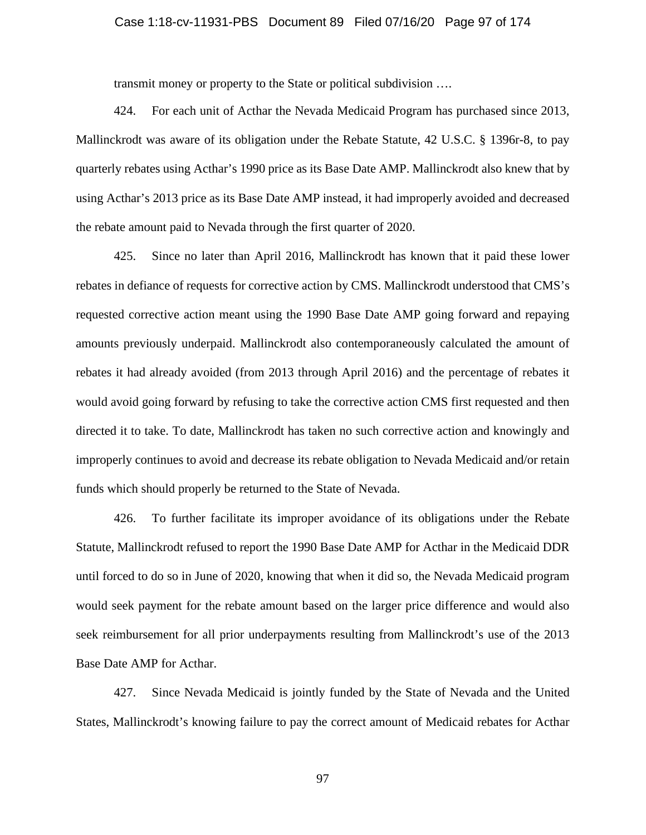## Case 1:18-cv-11931-PBS Document 89 Filed 07/16/20 Page 97 of 174

transmit money or property to the State or political subdivision ….

424. For each unit of Acthar the Nevada Medicaid Program has purchased since 2013, Mallinckrodt was aware of its obligation under the Rebate Statute, 42 U.S.C. § 1396r-8, to pay quarterly rebates using Acthar's 1990 price as its Base Date AMP. Mallinckrodt also knew that by using Acthar's 2013 price as its Base Date AMP instead, it had improperly avoided and decreased the rebate amount paid to Nevada through the first quarter of 2020.

425. Since no later than April 2016, Mallinckrodt has known that it paid these lower rebates in defiance of requests for corrective action by CMS. Mallinckrodt understood that CMS's requested corrective action meant using the 1990 Base Date AMP going forward and repaying amounts previously underpaid. Mallinckrodt also contemporaneously calculated the amount of rebates it had already avoided (from 2013 through April 2016) and the percentage of rebates it would avoid going forward by refusing to take the corrective action CMS first requested and then directed it to take. To date, Mallinckrodt has taken no such corrective action and knowingly and improperly continues to avoid and decrease its rebate obligation to Nevada Medicaid and/or retain funds which should properly be returned to the State of Nevada.

426. To further facilitate its improper avoidance of its obligations under the Rebate Statute, Mallinckrodt refused to report the 1990 Base Date AMP for Acthar in the Medicaid DDR until forced to do so in June of 2020, knowing that when it did so, the Nevada Medicaid program would seek payment for the rebate amount based on the larger price difference and would also seek reimbursement for all prior underpayments resulting from Mallinckrodt's use of the 2013 Base Date AMP for Acthar.

427. Since Nevada Medicaid is jointly funded by the State of Nevada and the United States, Mallinckrodt's knowing failure to pay the correct amount of Medicaid rebates for Acthar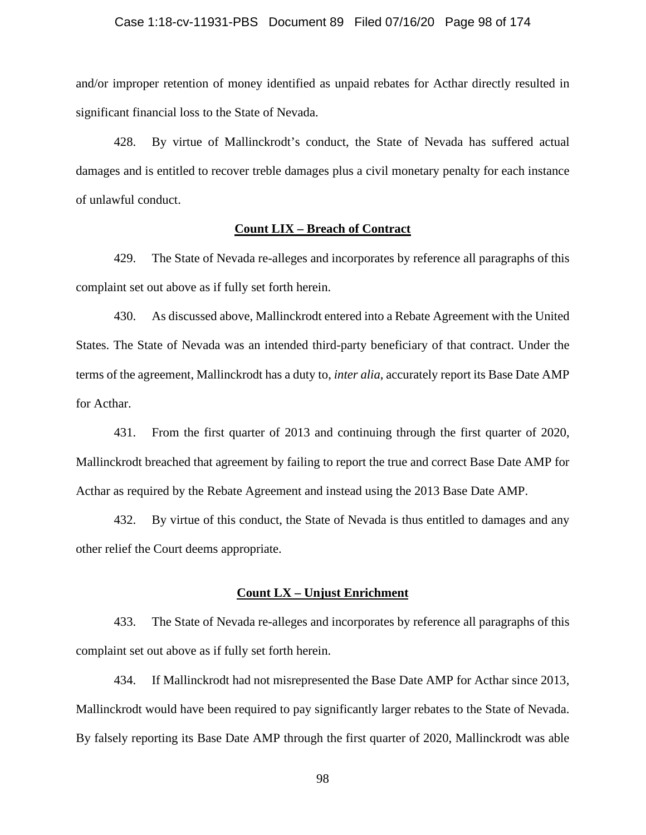## Case 1:18-cv-11931-PBS Document 89 Filed 07/16/20 Page 98 of 174

and/or improper retention of money identified as unpaid rebates for Acthar directly resulted in significant financial loss to the State of Nevada.

428. By virtue of Mallinckrodt's conduct, the State of Nevada has suffered actual damages and is entitled to recover treble damages plus a civil monetary penalty for each instance of unlawful conduct.

## **Count LIX – Breach of Contract**

429. The State of Nevada re-alleges and incorporates by reference all paragraphs of this complaint set out above as if fully set forth herein.

430. As discussed above, Mallinckrodt entered into a Rebate Agreement with the United States. The State of Nevada was an intended third-party beneficiary of that contract. Under the terms of the agreement, Mallinckrodt has a duty to, *inter alia*, accurately report its Base Date AMP for Acthar.

431. From the first quarter of 2013 and continuing through the first quarter of 2020, Mallinckrodt breached that agreement by failing to report the true and correct Base Date AMP for Acthar as required by the Rebate Agreement and instead using the 2013 Base Date AMP.

432. By virtue of this conduct, the State of Nevada is thus entitled to damages and any other relief the Court deems appropriate.

## **Count LX – Unjust Enrichment**

433. The State of Nevada re-alleges and incorporates by reference all paragraphs of this complaint set out above as if fully set forth herein.

434. If Mallinckrodt had not misrepresented the Base Date AMP for Acthar since 2013, Mallinckrodt would have been required to pay significantly larger rebates to the State of Nevada. By falsely reporting its Base Date AMP through the first quarter of 2020, Mallinckrodt was able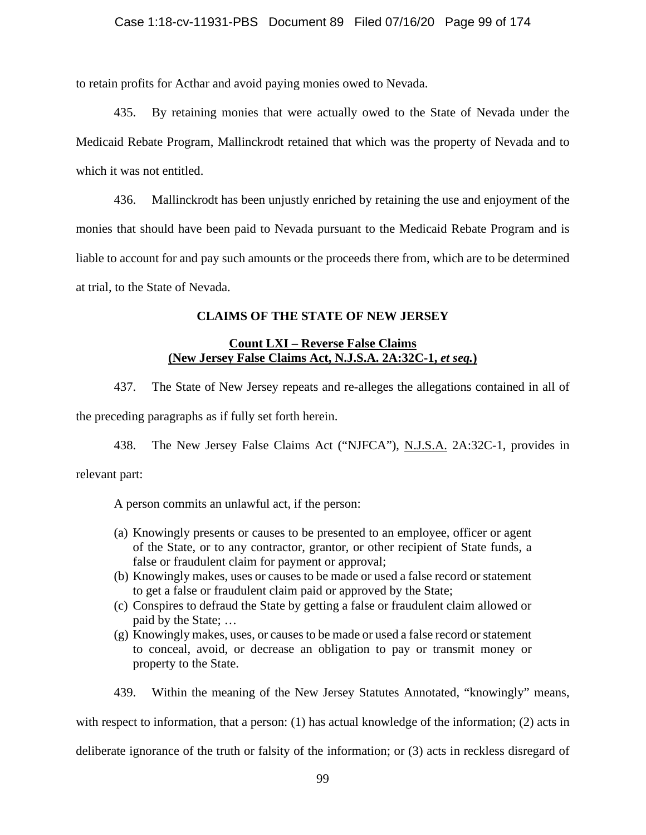to retain profits for Acthar and avoid paying monies owed to Nevada.

435. By retaining monies that were actually owed to the State of Nevada under the Medicaid Rebate Program, Mallinckrodt retained that which was the property of Nevada and to which it was not entitled.

436. Mallinckrodt has been unjustly enriched by retaining the use and enjoyment of the monies that should have been paid to Nevada pursuant to the Medicaid Rebate Program and is liable to account for and pay such amounts or the proceeds there from, which are to be determined at trial, to the State of Nevada.

# **CLAIMS OF THE STATE OF NEW JERSEY**

## **Count LXI – Reverse False Claims (New Jersey False Claims Act, N.J.S.A. 2A:32C-1,** *et seq.***)**

437. The State of New Jersey repeats and re-alleges the allegations contained in all of the preceding paragraphs as if fully set forth herein.

438. The New Jersey False Claims Act ("NJFCA"), N.J.S.A. 2A:32C-1, provides in

relevant part:

A person commits an unlawful act, if the person:

- (a) Knowingly presents or causes to be presented to an employee, officer or agent of the State, or to any contractor, grantor, or other recipient of State funds, a false or fraudulent claim for payment or approval;
- (b) Knowingly makes, uses or causes to be made or used a false record or statement to get a false or fraudulent claim paid or approved by the State;
- (c) Conspires to defraud the State by getting a false or fraudulent claim allowed or paid by the State; …
- (g) Knowingly makes, uses, or causes to be made or used a false record or statement to conceal, avoid, or decrease an obligation to pay or transmit money or property to the State.
- 439. Within the meaning of the New Jersey Statutes Annotated, "knowingly" means,

with respect to information, that a person: (1) has actual knowledge of the information; (2) acts in

deliberate ignorance of the truth or falsity of the information; or (3) acts in reckless disregard of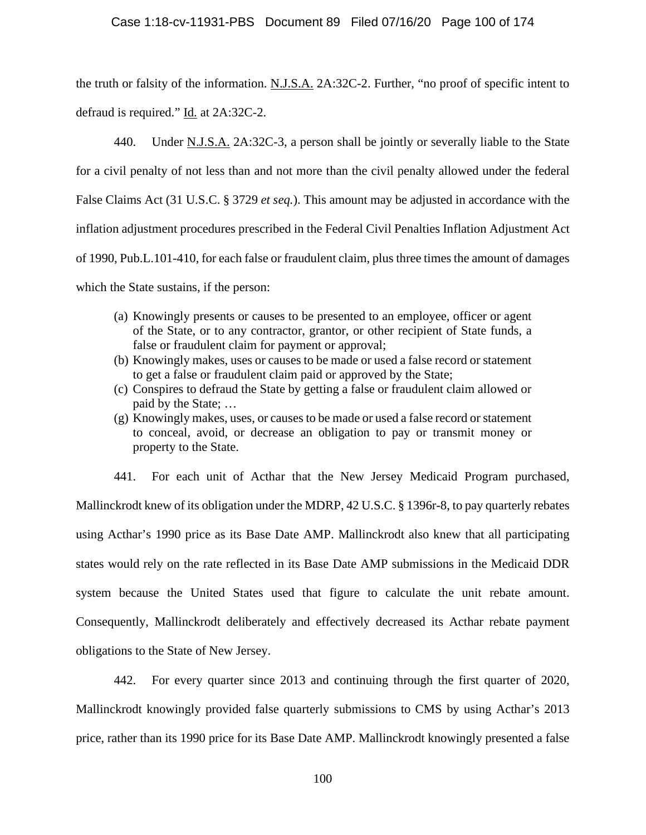the truth or falsity of the information. N.J.S.A. 2A:32C-2. Further, "no proof of specific intent to defraud is required." Id. at 2A:32C-2.

440. Under N.J.S.A. 2A:32C-3, a person shall be jointly or severally liable to the State for a civil penalty of not less than and not more than the civil penalty allowed under the federal False Claims Act (31 U.S.C. § 3729 *et seq.*). This amount may be adjusted in accordance with the inflation adjustment procedures prescribed in the Federal Civil Penalties Inflation Adjustment Act of 1990, Pub.L.101-410, for each false or fraudulent claim, plus three times the amount of damages which the State sustains, if the person:

- (a) Knowingly presents or causes to be presented to an employee, officer or agent of the State, or to any contractor, grantor, or other recipient of State funds, a false or fraudulent claim for payment or approval;
- (b) Knowingly makes, uses or causes to be made or used a false record or statement to get a false or fraudulent claim paid or approved by the State;
- (c) Conspires to defraud the State by getting a false or fraudulent claim allowed or paid by the State; …
- (g) Knowingly makes, uses, or causes to be made or used a false record or statement to conceal, avoid, or decrease an obligation to pay or transmit money or property to the State.

441. For each unit of Acthar that the New Jersey Medicaid Program purchased, Mallinckrodt knew of its obligation under the MDRP, 42 U.S.C. § 1396r-8, to pay quarterly rebates using Acthar's 1990 price as its Base Date AMP. Mallinckrodt also knew that all participating states would rely on the rate reflected in its Base Date AMP submissions in the Medicaid DDR system because the United States used that figure to calculate the unit rebate amount. Consequently, Mallinckrodt deliberately and effectively decreased its Acthar rebate payment obligations to the State of New Jersey.

442. For every quarter since 2013 and continuing through the first quarter of 2020, Mallinckrodt knowingly provided false quarterly submissions to CMS by using Acthar's 2013 price, rather than its 1990 price for its Base Date AMP. Mallinckrodt knowingly presented a false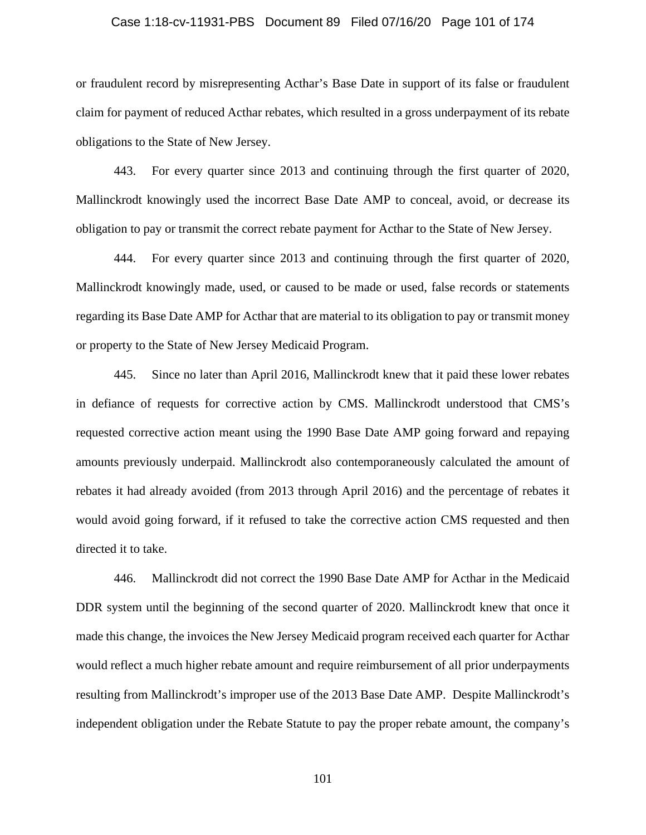## Case 1:18-cv-11931-PBS Document 89 Filed 07/16/20 Page 101 of 174

or fraudulent record by misrepresenting Acthar's Base Date in support of its false or fraudulent claim for payment of reduced Acthar rebates, which resulted in a gross underpayment of its rebate obligations to the State of New Jersey.

443. For every quarter since 2013 and continuing through the first quarter of 2020, Mallinckrodt knowingly used the incorrect Base Date AMP to conceal, avoid, or decrease its obligation to pay or transmit the correct rebate payment for Acthar to the State of New Jersey.

444. For every quarter since 2013 and continuing through the first quarter of 2020, Mallinckrodt knowingly made, used, or caused to be made or used, false records or statements regarding its Base Date AMP for Acthar that are material to its obligation to pay or transmit money or property to the State of New Jersey Medicaid Program.

445. Since no later than April 2016, Mallinckrodt knew that it paid these lower rebates in defiance of requests for corrective action by CMS. Mallinckrodt understood that CMS's requested corrective action meant using the 1990 Base Date AMP going forward and repaying amounts previously underpaid. Mallinckrodt also contemporaneously calculated the amount of rebates it had already avoided (from 2013 through April 2016) and the percentage of rebates it would avoid going forward, if it refused to take the corrective action CMS requested and then directed it to take.

446. Mallinckrodt did not correct the 1990 Base Date AMP for Acthar in the Medicaid DDR system until the beginning of the second quarter of 2020. Mallinckrodt knew that once it made this change, the invoices the New Jersey Medicaid program received each quarter for Acthar would reflect a much higher rebate amount and require reimbursement of all prior underpayments resulting from Mallinckrodt's improper use of the 2013 Base Date AMP. Despite Mallinckrodt's independent obligation under the Rebate Statute to pay the proper rebate amount, the company's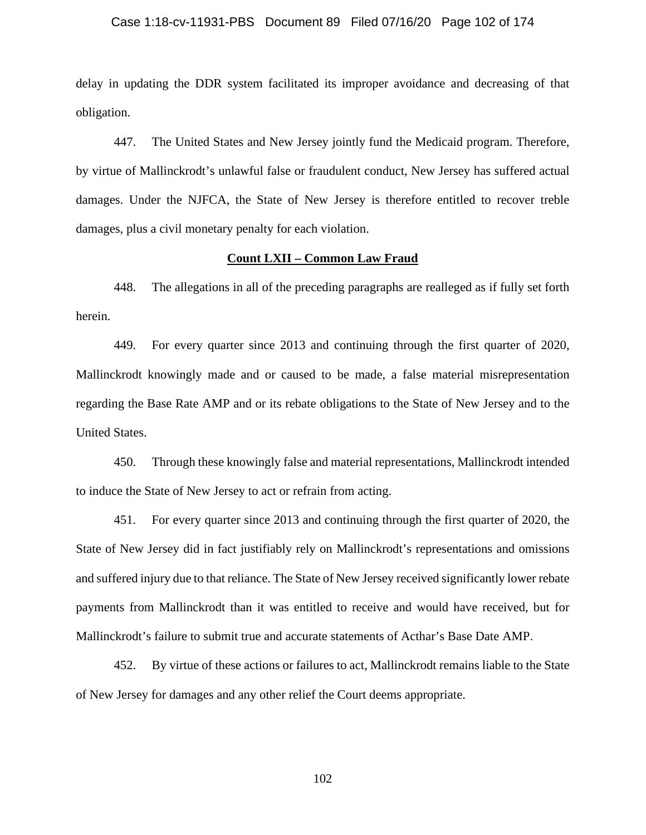#### Case 1:18-cv-11931-PBS Document 89 Filed 07/16/20 Page 102 of 174

delay in updating the DDR system facilitated its improper avoidance and decreasing of that obligation.

447. The United States and New Jersey jointly fund the Medicaid program. Therefore, by virtue of Mallinckrodt's unlawful false or fraudulent conduct, New Jersey has suffered actual damages. Under the NJFCA, the State of New Jersey is therefore entitled to recover treble damages, plus a civil monetary penalty for each violation.

## **Count LXII – Common Law Fraud**

448. The allegations in all of the preceding paragraphs are realleged as if fully set forth herein.

449. For every quarter since 2013 and continuing through the first quarter of 2020, Mallinckrodt knowingly made and or caused to be made, a false material misrepresentation regarding the Base Rate AMP and or its rebate obligations to the State of New Jersey and to the United States.

450. Through these knowingly false and material representations, Mallinckrodt intended to induce the State of New Jersey to act or refrain from acting.

451. For every quarter since 2013 and continuing through the first quarter of 2020, the State of New Jersey did in fact justifiably rely on Mallinckrodt's representations and omissions and suffered injury due to that reliance. The State of New Jersey received significantly lower rebate payments from Mallinckrodt than it was entitled to receive and would have received, but for Mallinckrodt's failure to submit true and accurate statements of Acthar's Base Date AMP.

452. By virtue of these actions or failures to act, Mallinckrodt remains liable to the State of New Jersey for damages and any other relief the Court deems appropriate.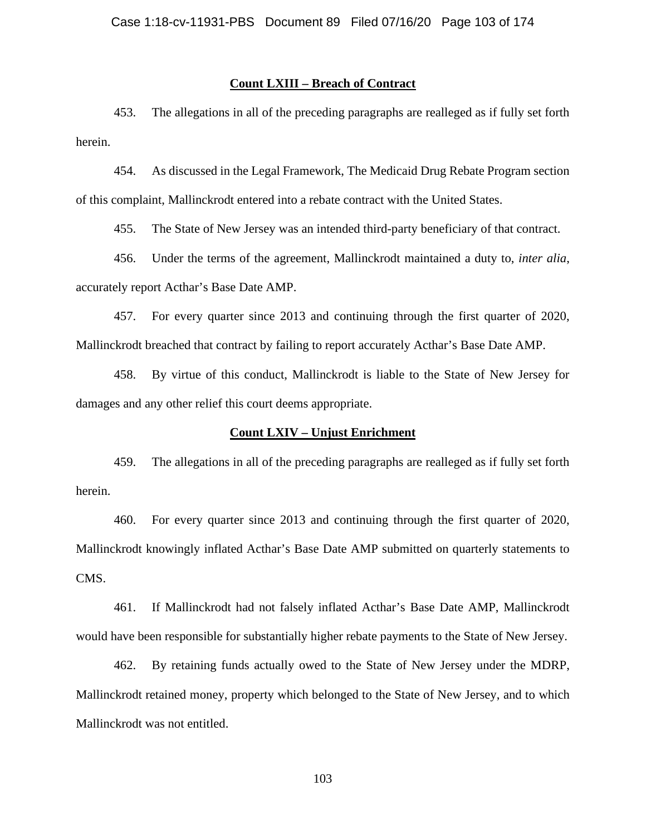## **Count LXIII – Breach of Contract**

453. The allegations in all of the preceding paragraphs are realleged as if fully set forth herein.

454. As discussed in the Legal Framework, The Medicaid Drug Rebate Program section of this complaint, Mallinckrodt entered into a rebate contract with the United States.

455. The State of New Jersey was an intended third-party beneficiary of that contract.

456. Under the terms of the agreement, Mallinckrodt maintained a duty to, *inter alia*, accurately report Acthar's Base Date AMP.

457. For every quarter since 2013 and continuing through the first quarter of 2020, Mallinckrodt breached that contract by failing to report accurately Acthar's Base Date AMP.

458. By virtue of this conduct, Mallinckrodt is liable to the State of New Jersey for damages and any other relief this court deems appropriate.

### **Count LXIV – Unjust Enrichment**

459. The allegations in all of the preceding paragraphs are realleged as if fully set forth herein.

460. For every quarter since 2013 and continuing through the first quarter of 2020, Mallinckrodt knowingly inflated Acthar's Base Date AMP submitted on quarterly statements to CMS.

461. If Mallinckrodt had not falsely inflated Acthar's Base Date AMP, Mallinckrodt would have been responsible for substantially higher rebate payments to the State of New Jersey.

462. By retaining funds actually owed to the State of New Jersey under the MDRP, Mallinckrodt retained money, property which belonged to the State of New Jersey, and to which Mallinckrodt was not entitled.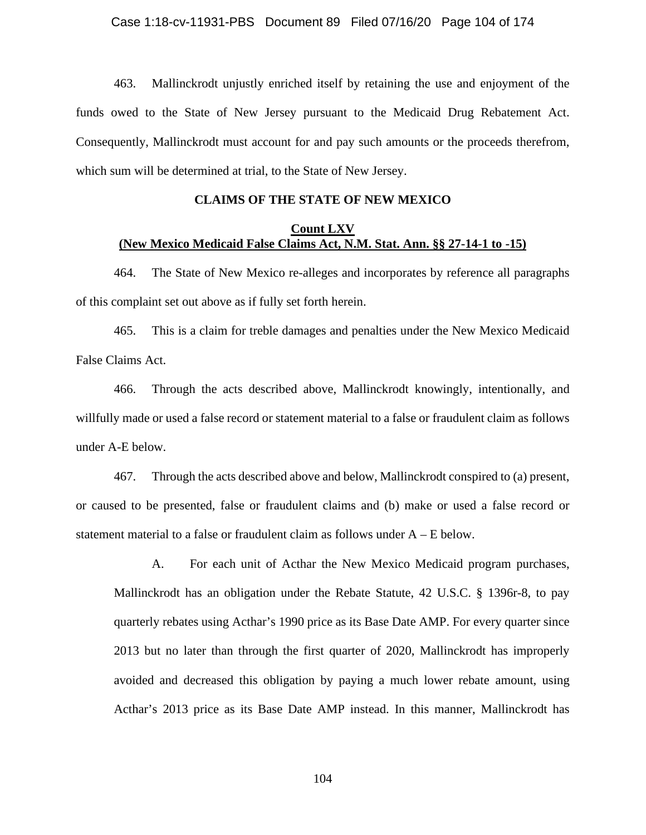463. Mallinckrodt unjustly enriched itself by retaining the use and enjoyment of the funds owed to the State of New Jersey pursuant to the Medicaid Drug Rebatement Act. Consequently, Mallinckrodt must account for and pay such amounts or the proceeds therefrom, which sum will be determined at trial, to the State of New Jersey.

## **CLAIMS OF THE STATE OF NEW MEXICO**

## **Count LXV (New Mexico Medicaid False Claims Act, N.M. Stat. Ann. §§ 27-14-1 to -15)**

464. The State of New Mexico re-alleges and incorporates by reference all paragraphs of this complaint set out above as if fully set forth herein.

465. This is a claim for treble damages and penalties under the New Mexico Medicaid False Claims Act.

466. Through the acts described above, Mallinckrodt knowingly, intentionally, and willfully made or used a false record or statement material to a false or fraudulent claim as follows under A-E below.

467. Through the acts described above and below, Mallinckrodt conspired to (a) present, or caused to be presented, false or fraudulent claims and (b) make or used a false record or statement material to a false or fraudulent claim as follows under  $A - E$  below.

A. For each unit of Acthar the New Mexico Medicaid program purchases, Mallinckrodt has an obligation under the Rebate Statute, 42 U.S.C. § 1396r-8, to pay quarterly rebates using Acthar's 1990 price as its Base Date AMP. For every quarter since 2013 but no later than through the first quarter of 2020, Mallinckrodt has improperly avoided and decreased this obligation by paying a much lower rebate amount, using Acthar's 2013 price as its Base Date AMP instead. In this manner, Mallinckrodt has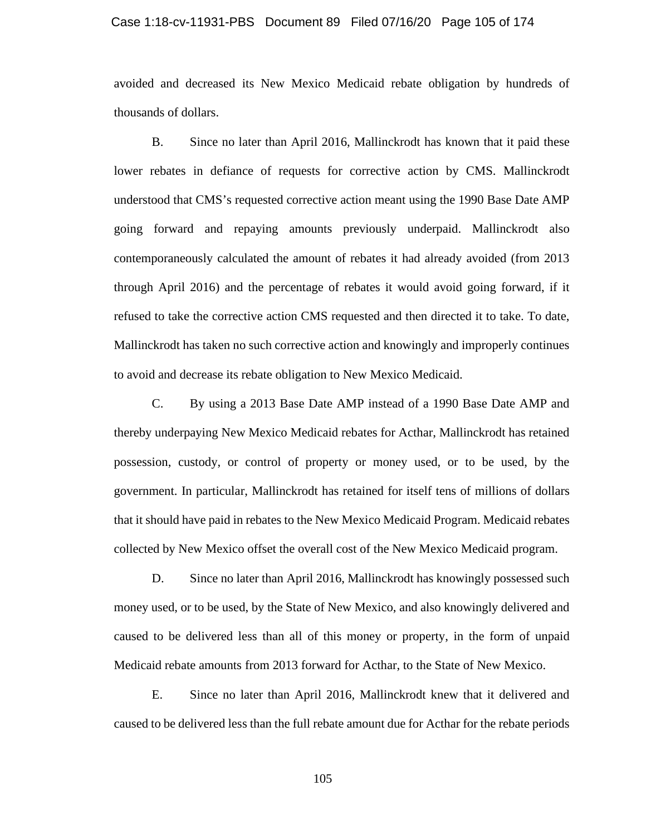#### Case 1:18-cv-11931-PBS Document 89 Filed 07/16/20 Page 105 of 174

avoided and decreased its New Mexico Medicaid rebate obligation by hundreds of thousands of dollars.

B. Since no later than April 2016, Mallinckrodt has known that it paid these lower rebates in defiance of requests for corrective action by CMS. Mallinckrodt understood that CMS's requested corrective action meant using the 1990 Base Date AMP going forward and repaying amounts previously underpaid. Mallinckrodt also contemporaneously calculated the amount of rebates it had already avoided (from 2013 through April 2016) and the percentage of rebates it would avoid going forward, if it refused to take the corrective action CMS requested and then directed it to take. To date, Mallinckrodt has taken no such corrective action and knowingly and improperly continues to avoid and decrease its rebate obligation to New Mexico Medicaid.

C. By using a 2013 Base Date AMP instead of a 1990 Base Date AMP and thereby underpaying New Mexico Medicaid rebates for Acthar, Mallinckrodt has retained possession, custody, or control of property or money used, or to be used, by the government. In particular, Mallinckrodt has retained for itself tens of millions of dollars that it should have paid in rebates to the New Mexico Medicaid Program. Medicaid rebates collected by New Mexico offset the overall cost of the New Mexico Medicaid program.

D. Since no later than April 2016, Mallinckrodt has knowingly possessed such money used, or to be used, by the State of New Mexico, and also knowingly delivered and caused to be delivered less than all of this money or property, in the form of unpaid Medicaid rebate amounts from 2013 forward for Acthar, to the State of New Mexico.

E. Since no later than April 2016, Mallinckrodt knew that it delivered and caused to be delivered less than the full rebate amount due for Acthar for the rebate periods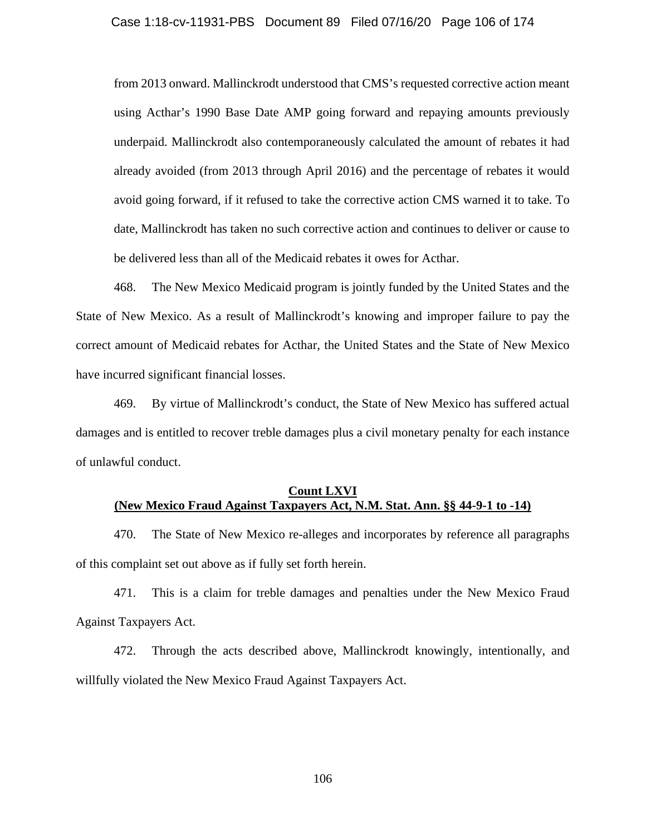from 2013 onward. Mallinckrodt understood that CMS's requested corrective action meant using Acthar's 1990 Base Date AMP going forward and repaying amounts previously underpaid. Mallinckrodt also contemporaneously calculated the amount of rebates it had already avoided (from 2013 through April 2016) and the percentage of rebates it would avoid going forward, if it refused to take the corrective action CMS warned it to take. To date, Mallinckrodt has taken no such corrective action and continues to deliver or cause to be delivered less than all of the Medicaid rebates it owes for Acthar.

468. The New Mexico Medicaid program is jointly funded by the United States and the State of New Mexico. As a result of Mallinckrodt's knowing and improper failure to pay the correct amount of Medicaid rebates for Acthar, the United States and the State of New Mexico have incurred significant financial losses.

469. By virtue of Mallinckrodt's conduct, the State of New Mexico has suffered actual damages and is entitled to recover treble damages plus a civil monetary penalty for each instance of unlawful conduct.

# **Count LXVI (New Mexico Fraud Against Taxpayers Act, N.M. Stat. Ann. §§ 44-9-1 to -14)**

470. The State of New Mexico re-alleges and incorporates by reference all paragraphs of this complaint set out above as if fully set forth herein.

471. This is a claim for treble damages and penalties under the New Mexico Fraud Against Taxpayers Act.

472. Through the acts described above, Mallinckrodt knowingly, intentionally, and willfully violated the New Mexico Fraud Against Taxpayers Act.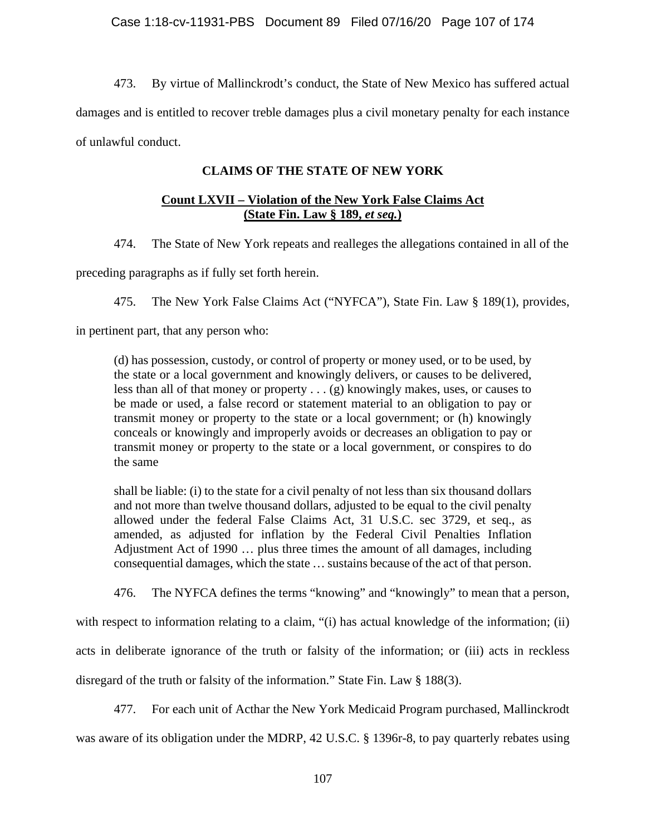473. By virtue of Mallinckrodt's conduct, the State of New Mexico has suffered actual damages and is entitled to recover treble damages plus a civil monetary penalty for each instance of unlawful conduct.

# **CLAIMS OF THE STATE OF NEW YORK**

# **Count LXVII – Violation of the New York False Claims Act (State Fin. Law § 189,** *et seq.***)**

474. The State of New York repeats and realleges the allegations contained in all of the

preceding paragraphs as if fully set forth herein.

475. The New York False Claims Act ("NYFCA"), State Fin. Law § 189(1), provides,

in pertinent part, that any person who:

(d) has possession, custody, or control of property or money used, or to be used, by the state or a local government and knowingly delivers, or causes to be delivered, less than all of that money or property . . . (g) knowingly makes, uses, or causes to be made or used, a false record or statement material to an obligation to pay or transmit money or property to the state or a local government; or (h) knowingly conceals or knowingly and improperly avoids or decreases an obligation to pay or transmit money or property to the state or a local government, or conspires to do the same

shall be liable: (i) to the state for a civil penalty of not less than six thousand dollars and not more than twelve thousand dollars, adjusted to be equal to the civil penalty allowed under the federal False Claims Act, 31 U.S.C. sec 3729, et seq., as amended, as adjusted for inflation by the Federal Civil Penalties Inflation Adjustment Act of 1990 … plus three times the amount of all damages, including consequential damages, which the state … sustains because of the act of that person.

476. The NYFCA defines the terms "knowing" and "knowingly" to mean that a person,

with respect to information relating to a claim, "(i) has actual knowledge of the information; (ii)

acts in deliberate ignorance of the truth or falsity of the information; or (iii) acts in reckless

disregard of the truth or falsity of the information." State Fin. Law § 188(3).

477. For each unit of Acthar the New York Medicaid Program purchased, Mallinckrodt

was aware of its obligation under the MDRP, 42 U.S.C. § 1396r-8, to pay quarterly rebates using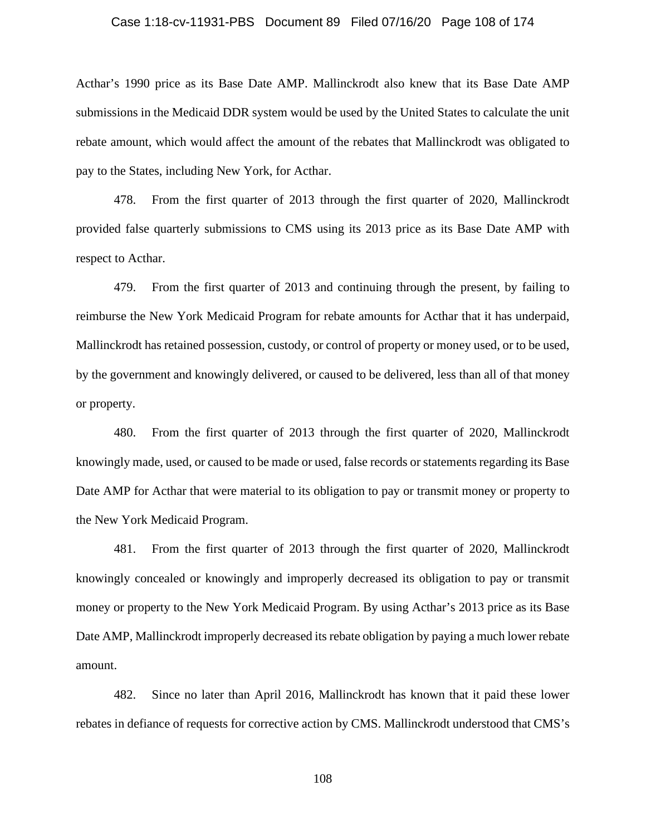## Case 1:18-cv-11931-PBS Document 89 Filed 07/16/20 Page 108 of 174

Acthar's 1990 price as its Base Date AMP. Mallinckrodt also knew that its Base Date AMP submissions in the Medicaid DDR system would be used by the United States to calculate the unit rebate amount, which would affect the amount of the rebates that Mallinckrodt was obligated to pay to the States, including New York, for Acthar.

478. From the first quarter of 2013 through the first quarter of 2020, Mallinckrodt provided false quarterly submissions to CMS using its 2013 price as its Base Date AMP with respect to Acthar.

479. From the first quarter of 2013 and continuing through the present, by failing to reimburse the New York Medicaid Program for rebate amounts for Acthar that it has underpaid, Mallinckrodt has retained possession, custody, or control of property or money used, or to be used, by the government and knowingly delivered, or caused to be delivered, less than all of that money or property.

480. From the first quarter of 2013 through the first quarter of 2020, Mallinckrodt knowingly made, used, or caused to be made or used, false records or statements regarding its Base Date AMP for Acthar that were material to its obligation to pay or transmit money or property to the New York Medicaid Program.

481. From the first quarter of 2013 through the first quarter of 2020, Mallinckrodt knowingly concealed or knowingly and improperly decreased its obligation to pay or transmit money or property to the New York Medicaid Program. By using Acthar's 2013 price as its Base Date AMP, Mallinckrodt improperly decreased its rebate obligation by paying a much lower rebate amount.

482. Since no later than April 2016, Mallinckrodt has known that it paid these lower rebates in defiance of requests for corrective action by CMS. Mallinckrodt understood that CMS's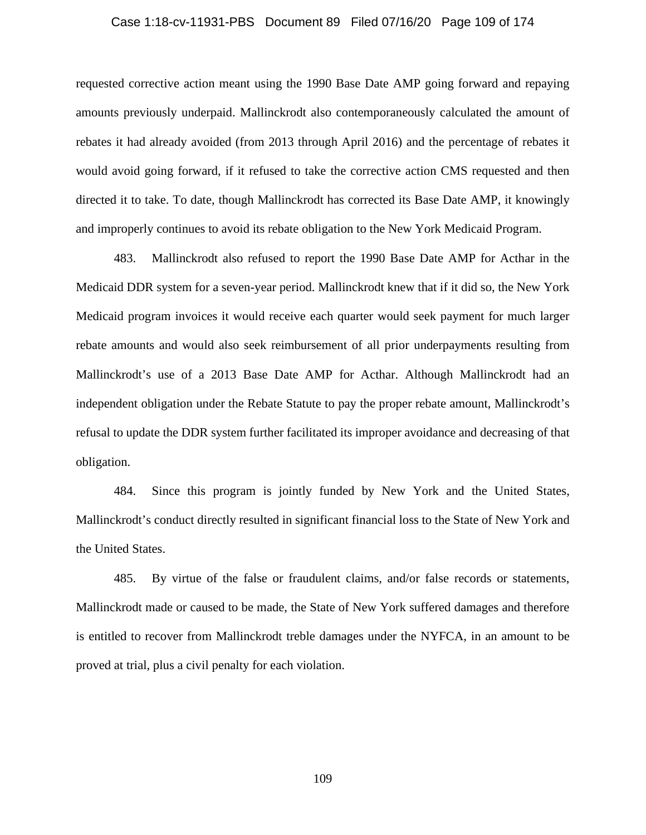### Case 1:18-cv-11931-PBS Document 89 Filed 07/16/20 Page 109 of 174

requested corrective action meant using the 1990 Base Date AMP going forward and repaying amounts previously underpaid. Mallinckrodt also contemporaneously calculated the amount of rebates it had already avoided (from 2013 through April 2016) and the percentage of rebates it would avoid going forward, if it refused to take the corrective action CMS requested and then directed it to take. To date, though Mallinckrodt has corrected its Base Date AMP, it knowingly and improperly continues to avoid its rebate obligation to the New York Medicaid Program.

483. Mallinckrodt also refused to report the 1990 Base Date AMP for Acthar in the Medicaid DDR system for a seven-year period. Mallinckrodt knew that if it did so, the New York Medicaid program invoices it would receive each quarter would seek payment for much larger rebate amounts and would also seek reimbursement of all prior underpayments resulting from Mallinckrodt's use of a 2013 Base Date AMP for Acthar. Although Mallinckrodt had an independent obligation under the Rebate Statute to pay the proper rebate amount, Mallinckrodt's refusal to update the DDR system further facilitated its improper avoidance and decreasing of that obligation.

484. Since this program is jointly funded by New York and the United States, Mallinckrodt's conduct directly resulted in significant financial loss to the State of New York and the United States.

485. By virtue of the false or fraudulent claims, and/or false records or statements, Mallinckrodt made or caused to be made, the State of New York suffered damages and therefore is entitled to recover from Mallinckrodt treble damages under the NYFCA, in an amount to be proved at trial, plus a civil penalty for each violation.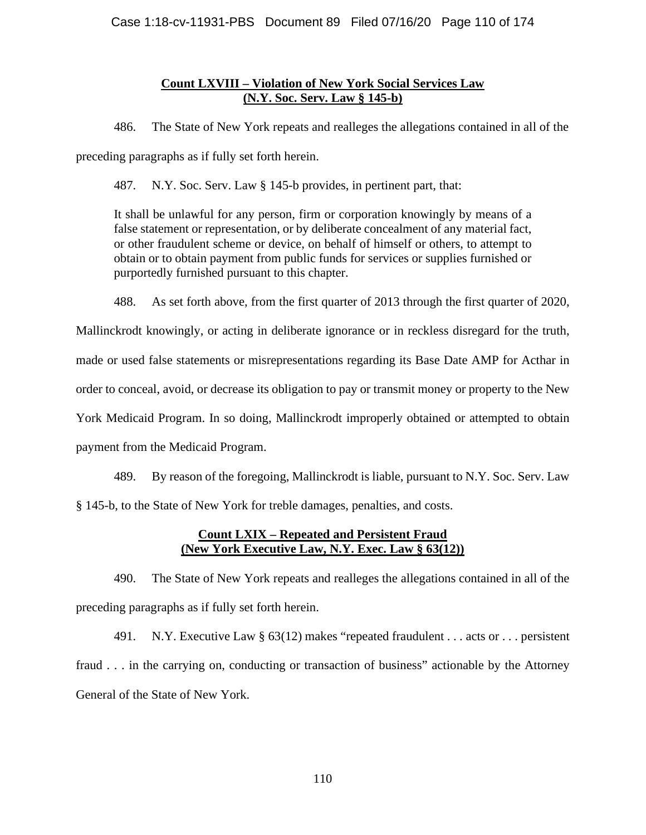# **Count LXVIII – Violation of New York Social Services Law (N.Y. Soc. Serv. Law § 145-b)**

486. The State of New York repeats and realleges the allegations contained in all of the preceding paragraphs as if fully set forth herein.

487. N.Y. Soc. Serv. Law § 145-b provides, in pertinent part, that:

It shall be unlawful for any person, firm or corporation knowingly by means of a false statement or representation, or by deliberate concealment of any material fact, or other fraudulent scheme or device, on behalf of himself or others, to attempt to obtain or to obtain payment from public funds for services or supplies furnished or purportedly furnished pursuant to this chapter.

488. As set forth above, from the first quarter of 2013 through the first quarter of 2020,

Mallinckrodt knowingly, or acting in deliberate ignorance or in reckless disregard for the truth, made or used false statements or misrepresentations regarding its Base Date AMP for Acthar in order to conceal, avoid, or decrease its obligation to pay or transmit money or property to the New York Medicaid Program. In so doing, Mallinckrodt improperly obtained or attempted to obtain payment from the Medicaid Program.

489. By reason of the foregoing, Mallinckrodt is liable, pursuant to N.Y. Soc. Serv. Law § 145-b, to the State of New York for treble damages, penalties, and costs.

# **Count LXIX – Repeated and Persistent Fraud (New York Executive Law, N.Y. Exec. Law § 63(12))**

490. The State of New York repeats and realleges the allegations contained in all of the preceding paragraphs as if fully set forth herein.

491. N.Y. Executive Law § 63(12) makes "repeated fraudulent . . . acts or . . . persistent fraud . . . in the carrying on, conducting or transaction of business" actionable by the Attorney General of the State of New York.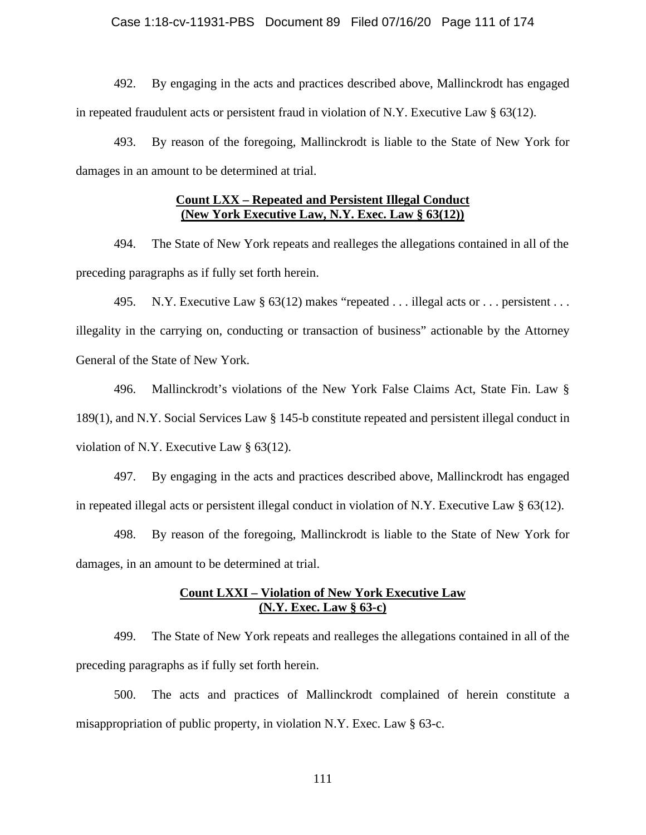### Case 1:18-cv-11931-PBS Document 89 Filed 07/16/20 Page 111 of 174

492. By engaging in the acts and practices described above, Mallinckrodt has engaged in repeated fraudulent acts or persistent fraud in violation of N.Y. Executive Law  $\S$  63(12).

493. By reason of the foregoing, Mallinckrodt is liable to the State of New York for damages in an amount to be determined at trial.

# **Count LXX – Repeated and Persistent Illegal Conduct (New York Executive Law, N.Y. Exec. Law § 63(12))**

494. The State of New York repeats and realleges the allegations contained in all of the preceding paragraphs as if fully set forth herein.

495. N.Y. Executive Law § 63(12) makes "repeated . . . illegal acts or . . . persistent . . . illegality in the carrying on, conducting or transaction of business" actionable by the Attorney General of the State of New York.

496. Mallinckrodt's violations of the New York False Claims Act, State Fin. Law § 189(1), and N.Y. Social Services Law § 145-b constitute repeated and persistent illegal conduct in violation of N.Y. Executive Law § 63(12).

497. By engaging in the acts and practices described above, Mallinckrodt has engaged in repeated illegal acts or persistent illegal conduct in violation of N.Y. Executive Law § 63(12).

498. By reason of the foregoing, Mallinckrodt is liable to the State of New York for damages, in an amount to be determined at trial.

## **Count LXXI – Violation of New York Executive Law (N.Y. Exec. Law § 63-c)**

499. The State of New York repeats and realleges the allegations contained in all of the preceding paragraphs as if fully set forth herein.

500. The acts and practices of Mallinckrodt complained of herein constitute a misappropriation of public property, in violation N.Y. Exec. Law § 63-c.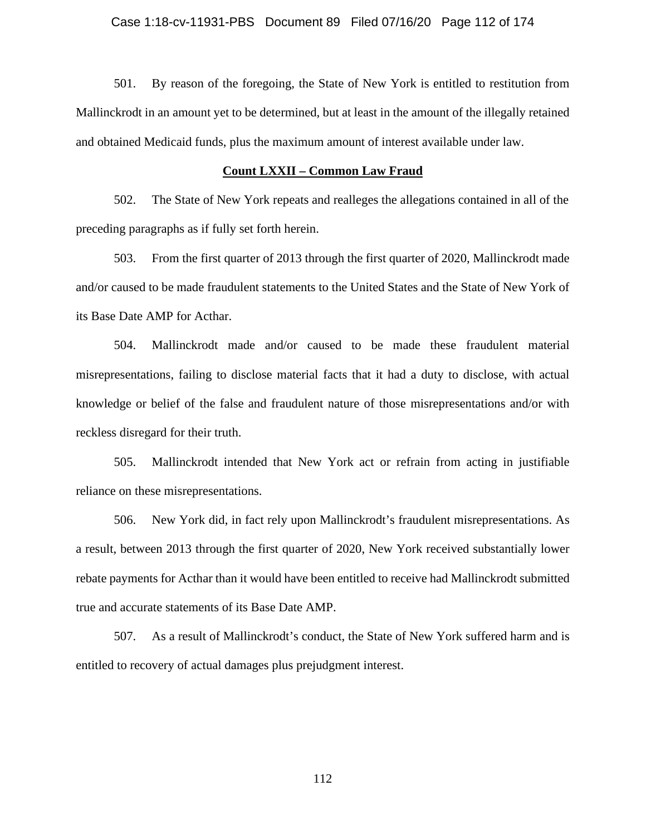501. By reason of the foregoing, the State of New York is entitled to restitution from Mallinckrodt in an amount yet to be determined, but at least in the amount of the illegally retained and obtained Medicaid funds, plus the maximum amount of interest available under law.

### **Count LXXII – Common Law Fraud**

502. The State of New York repeats and realleges the allegations contained in all of the preceding paragraphs as if fully set forth herein.

503. From the first quarter of 2013 through the first quarter of 2020, Mallinckrodt made and/or caused to be made fraudulent statements to the United States and the State of New York of its Base Date AMP for Acthar.

504. Mallinckrodt made and/or caused to be made these fraudulent material misrepresentations, failing to disclose material facts that it had a duty to disclose, with actual knowledge or belief of the false and fraudulent nature of those misrepresentations and/or with reckless disregard for their truth.

505. Mallinckrodt intended that New York act or refrain from acting in justifiable reliance on these misrepresentations.

506. New York did, in fact rely upon Mallinckrodt's fraudulent misrepresentations. As a result, between 2013 through the first quarter of 2020, New York received substantially lower rebate payments for Acthar than it would have been entitled to receive had Mallinckrodt submitted true and accurate statements of its Base Date AMP.

507. As a result of Mallinckrodt's conduct, the State of New York suffered harm and is entitled to recovery of actual damages plus prejudgment interest.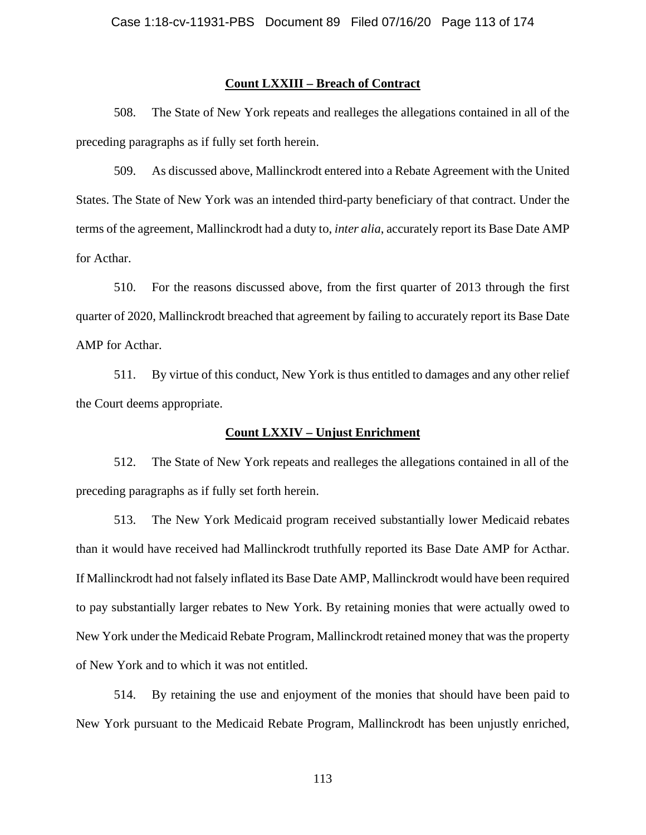# **Count LXXIII – Breach of Contract**

508. The State of New York repeats and realleges the allegations contained in all of the preceding paragraphs as if fully set forth herein.

509. As discussed above, Mallinckrodt entered into a Rebate Agreement with the United States. The State of New York was an intended third-party beneficiary of that contract. Under the terms of the agreement, Mallinckrodt had a duty to, *inter alia*, accurately report its Base Date AMP for Acthar.

510. For the reasons discussed above, from the first quarter of 2013 through the first quarter of 2020, Mallinckrodt breached that agreement by failing to accurately report its Base Date AMP for Acthar.

511. By virtue of this conduct, New York is thus entitled to damages and any other relief the Court deems appropriate.

## **Count LXXIV – Unjust Enrichment**

512. The State of New York repeats and realleges the allegations contained in all of the preceding paragraphs as if fully set forth herein.

513. The New York Medicaid program received substantially lower Medicaid rebates than it would have received had Mallinckrodt truthfully reported its Base Date AMP for Acthar. If Mallinckrodt had not falsely inflated its Base Date AMP, Mallinckrodt would have been required to pay substantially larger rebates to New York. By retaining monies that were actually owed to New York under the Medicaid Rebate Program, Mallinckrodt retained money that was the property of New York and to which it was not entitled.

514. By retaining the use and enjoyment of the monies that should have been paid to New York pursuant to the Medicaid Rebate Program, Mallinckrodt has been unjustly enriched,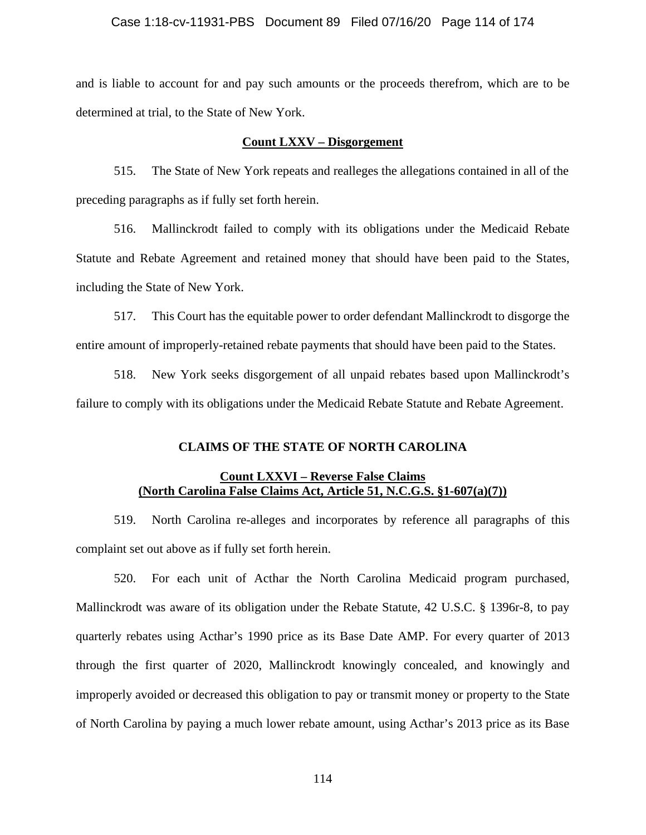### Case 1:18-cv-11931-PBS Document 89 Filed 07/16/20 Page 114 of 174

and is liable to account for and pay such amounts or the proceeds therefrom, which are to be determined at trial, to the State of New York.

### **Count LXXV – Disgorgement**

515. The State of New York repeats and realleges the allegations contained in all of the preceding paragraphs as if fully set forth herein.

516. Mallinckrodt failed to comply with its obligations under the Medicaid Rebate Statute and Rebate Agreement and retained money that should have been paid to the States, including the State of New York.

517. This Court has the equitable power to order defendant Mallinckrodt to disgorge the entire amount of improperly-retained rebate payments that should have been paid to the States.

518. New York seeks disgorgement of all unpaid rebates based upon Mallinckrodt's failure to comply with its obligations under the Medicaid Rebate Statute and Rebate Agreement.

## **CLAIMS OF THE STATE OF NORTH CAROLINA**

# **Count LXXVI – Reverse False Claims (North Carolina False Claims Act, Article 51, N.C.G.S. §1-607(a)(7))**

519. North Carolina re-alleges and incorporates by reference all paragraphs of this complaint set out above as if fully set forth herein.

520. For each unit of Acthar the North Carolina Medicaid program purchased, Mallinckrodt was aware of its obligation under the Rebate Statute, 42 U.S.C. § 1396r-8, to pay quarterly rebates using Acthar's 1990 price as its Base Date AMP. For every quarter of 2013 through the first quarter of 2020, Mallinckrodt knowingly concealed, and knowingly and improperly avoided or decreased this obligation to pay or transmit money or property to the State of North Carolina by paying a much lower rebate amount, using Acthar's 2013 price as its Base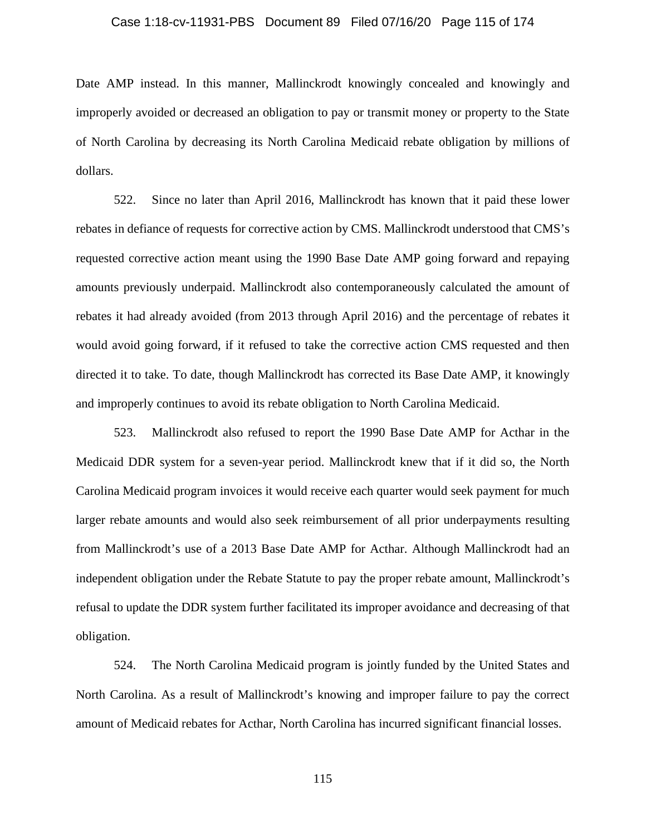#### Case 1:18-cv-11931-PBS Document 89 Filed 07/16/20 Page 115 of 174

Date AMP instead. In this manner, Mallinckrodt knowingly concealed and knowingly and improperly avoided or decreased an obligation to pay or transmit money or property to the State of North Carolina by decreasing its North Carolina Medicaid rebate obligation by millions of dollars.

522. Since no later than April 2016, Mallinckrodt has known that it paid these lower rebates in defiance of requests for corrective action by CMS. Mallinckrodt understood that CMS's requested corrective action meant using the 1990 Base Date AMP going forward and repaying amounts previously underpaid. Mallinckrodt also contemporaneously calculated the amount of rebates it had already avoided (from 2013 through April 2016) and the percentage of rebates it would avoid going forward, if it refused to take the corrective action CMS requested and then directed it to take. To date, though Mallinckrodt has corrected its Base Date AMP, it knowingly and improperly continues to avoid its rebate obligation to North Carolina Medicaid.

523. Mallinckrodt also refused to report the 1990 Base Date AMP for Acthar in the Medicaid DDR system for a seven-year period. Mallinckrodt knew that if it did so, the North Carolina Medicaid program invoices it would receive each quarter would seek payment for much larger rebate amounts and would also seek reimbursement of all prior underpayments resulting from Mallinckrodt's use of a 2013 Base Date AMP for Acthar. Although Mallinckrodt had an independent obligation under the Rebate Statute to pay the proper rebate amount, Mallinckrodt's refusal to update the DDR system further facilitated its improper avoidance and decreasing of that obligation.

524. The North Carolina Medicaid program is jointly funded by the United States and North Carolina. As a result of Mallinckrodt's knowing and improper failure to pay the correct amount of Medicaid rebates for Acthar, North Carolina has incurred significant financial losses.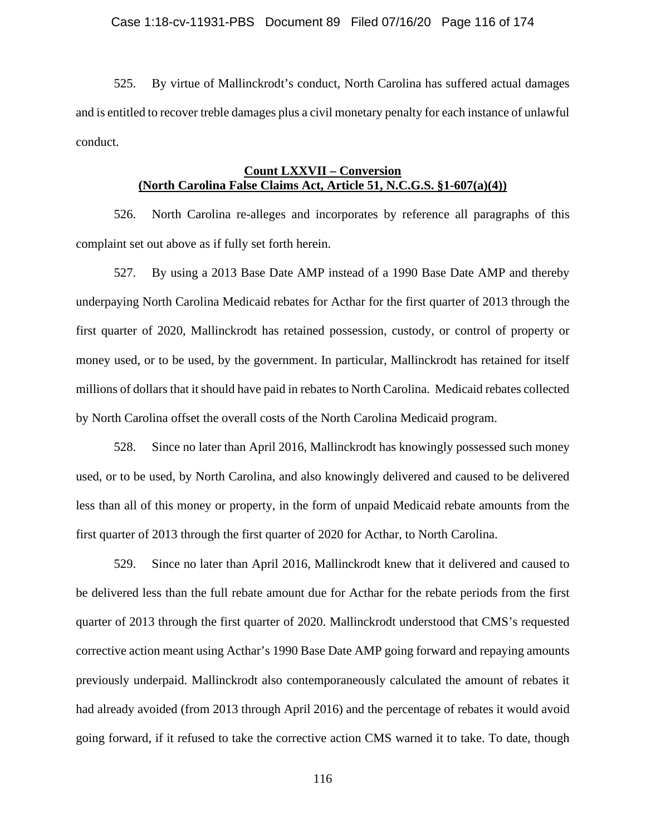525. By virtue of Mallinckrodt's conduct, North Carolina has suffered actual damages and is entitled to recover treble damages plus a civil monetary penalty for each instance of unlawful conduct.

# **Count LXXVII – Conversion (North Carolina False Claims Act, Article 51, N.C.G.S. §1-607(a)(4))**

526. North Carolina re-alleges and incorporates by reference all paragraphs of this complaint set out above as if fully set forth herein.

527. By using a 2013 Base Date AMP instead of a 1990 Base Date AMP and thereby underpaying North Carolina Medicaid rebates for Acthar for the first quarter of 2013 through the first quarter of 2020, Mallinckrodt has retained possession, custody, or control of property or money used, or to be used, by the government. In particular, Mallinckrodt has retained for itself millions of dollars that it should have paid in rebates to North Carolina. Medicaid rebates collected by North Carolina offset the overall costs of the North Carolina Medicaid program.

528. Since no later than April 2016, Mallinckrodt has knowingly possessed such money used, or to be used, by North Carolina, and also knowingly delivered and caused to be delivered less than all of this money or property, in the form of unpaid Medicaid rebate amounts from the first quarter of 2013 through the first quarter of 2020 for Acthar, to North Carolina.

529. Since no later than April 2016, Mallinckrodt knew that it delivered and caused to be delivered less than the full rebate amount due for Acthar for the rebate periods from the first quarter of 2013 through the first quarter of 2020. Mallinckrodt understood that CMS's requested corrective action meant using Acthar's 1990 Base Date AMP going forward and repaying amounts previously underpaid. Mallinckrodt also contemporaneously calculated the amount of rebates it had already avoided (from 2013 through April 2016) and the percentage of rebates it would avoid going forward, if it refused to take the corrective action CMS warned it to take. To date, though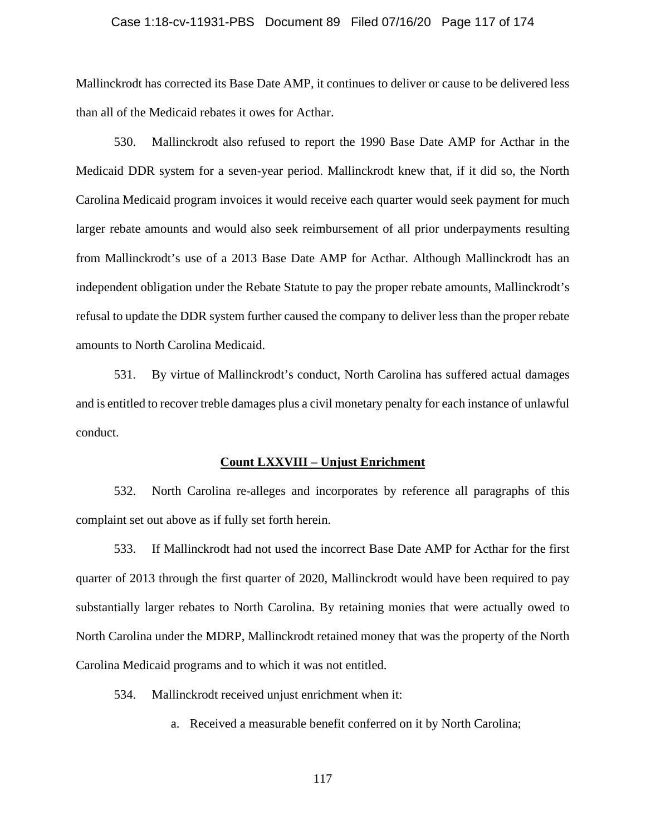#### Case 1:18-cv-11931-PBS Document 89 Filed 07/16/20 Page 117 of 174

Mallinckrodt has corrected its Base Date AMP, it continues to deliver or cause to be delivered less than all of the Medicaid rebates it owes for Acthar.

530. Mallinckrodt also refused to report the 1990 Base Date AMP for Acthar in the Medicaid DDR system for a seven-year period. Mallinckrodt knew that, if it did so, the North Carolina Medicaid program invoices it would receive each quarter would seek payment for much larger rebate amounts and would also seek reimbursement of all prior underpayments resulting from Mallinckrodt's use of a 2013 Base Date AMP for Acthar. Although Mallinckrodt has an independent obligation under the Rebate Statute to pay the proper rebate amounts, Mallinckrodt's refusal to update the DDR system further caused the company to deliver less than the proper rebate amounts to North Carolina Medicaid.

531. By virtue of Mallinckrodt's conduct, North Carolina has suffered actual damages and is entitled to recover treble damages plus a civil monetary penalty for each instance of unlawful conduct.

#### **Count LXXVIII – Unjust Enrichment**

532. North Carolina re-alleges and incorporates by reference all paragraphs of this complaint set out above as if fully set forth herein.

533. If Mallinckrodt had not used the incorrect Base Date AMP for Acthar for the first quarter of 2013 through the first quarter of 2020, Mallinckrodt would have been required to pay substantially larger rebates to North Carolina. By retaining monies that were actually owed to North Carolina under the MDRP, Mallinckrodt retained money that was the property of the North Carolina Medicaid programs and to which it was not entitled.

534. Mallinckrodt received unjust enrichment when it:

a. Received a measurable benefit conferred on it by North Carolina;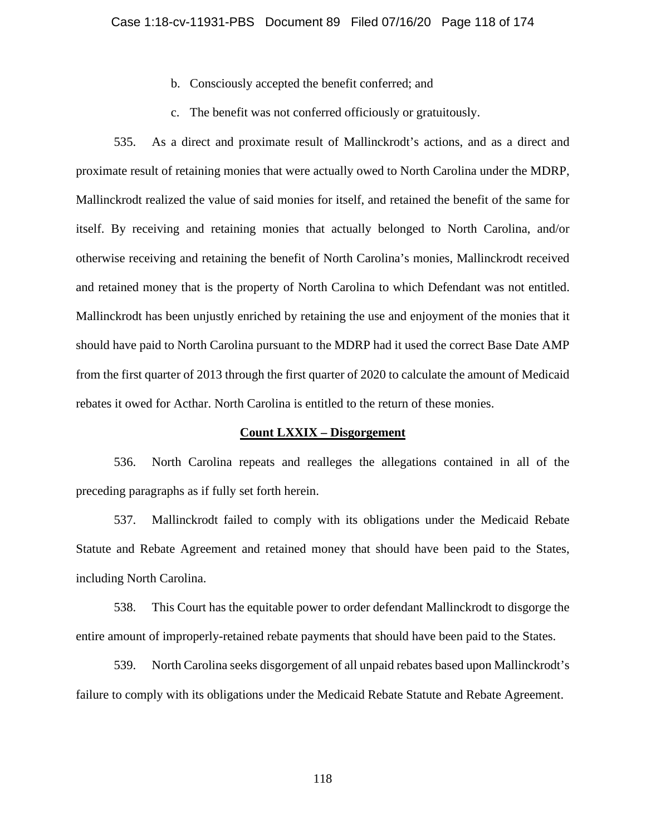- b. Consciously accepted the benefit conferred; and
- c. The benefit was not conferred officiously or gratuitously.

535. As a direct and proximate result of Mallinckrodt's actions, and as a direct and proximate result of retaining monies that were actually owed to North Carolina under the MDRP, Mallinckrodt realized the value of said monies for itself, and retained the benefit of the same for itself. By receiving and retaining monies that actually belonged to North Carolina, and/or otherwise receiving and retaining the benefit of North Carolina's monies, Mallinckrodt received and retained money that is the property of North Carolina to which Defendant was not entitled. Mallinckrodt has been unjustly enriched by retaining the use and enjoyment of the monies that it should have paid to North Carolina pursuant to the MDRP had it used the correct Base Date AMP from the first quarter of 2013 through the first quarter of 2020 to calculate the amount of Medicaid rebates it owed for Acthar. North Carolina is entitled to the return of these monies.

#### **Count LXXIX – Disgorgement**

536. North Carolina repeats and realleges the allegations contained in all of the preceding paragraphs as if fully set forth herein.

537. Mallinckrodt failed to comply with its obligations under the Medicaid Rebate Statute and Rebate Agreement and retained money that should have been paid to the States, including North Carolina.

538. This Court has the equitable power to order defendant Mallinckrodt to disgorge the entire amount of improperly-retained rebate payments that should have been paid to the States.

539. North Carolina seeks disgorgement of all unpaid rebates based upon Mallinckrodt's failure to comply with its obligations under the Medicaid Rebate Statute and Rebate Agreement.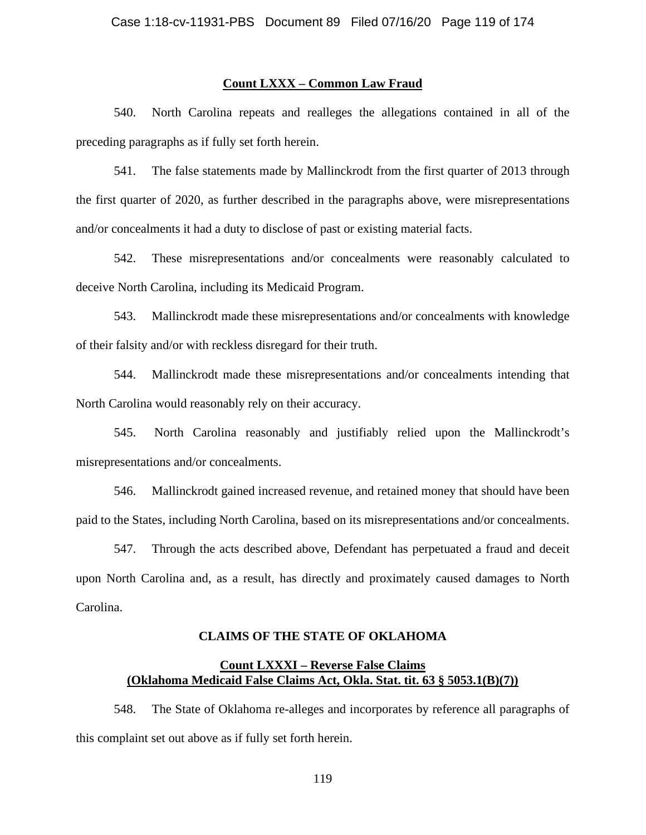# **Count LXXX – Common Law Fraud**

540. North Carolina repeats and realleges the allegations contained in all of the preceding paragraphs as if fully set forth herein.

541. The false statements made by Mallinckrodt from the first quarter of 2013 through the first quarter of 2020, as further described in the paragraphs above, were misrepresentations and/or concealments it had a duty to disclose of past or existing material facts.

542. These misrepresentations and/or concealments were reasonably calculated to deceive North Carolina, including its Medicaid Program.

543. Mallinckrodt made these misrepresentations and/or concealments with knowledge of their falsity and/or with reckless disregard for their truth.

544. Mallinckrodt made these misrepresentations and/or concealments intending that North Carolina would reasonably rely on their accuracy.

545. North Carolina reasonably and justifiably relied upon the Mallinckrodt's misrepresentations and/or concealments.

546. Mallinckrodt gained increased revenue, and retained money that should have been paid to the States, including North Carolina, based on its misrepresentations and/or concealments.

547. Through the acts described above, Defendant has perpetuated a fraud and deceit upon North Carolina and, as a result, has directly and proximately caused damages to North Carolina.

### **CLAIMS OF THE STATE OF OKLAHOMA**

# **Count LXXXI – Reverse False Claims (Oklahoma Medicaid False Claims Act, Okla. Stat. tit. 63 § 5053.1(B)(7))**

548. The State of Oklahoma re-alleges and incorporates by reference all paragraphs of this complaint set out above as if fully set forth herein.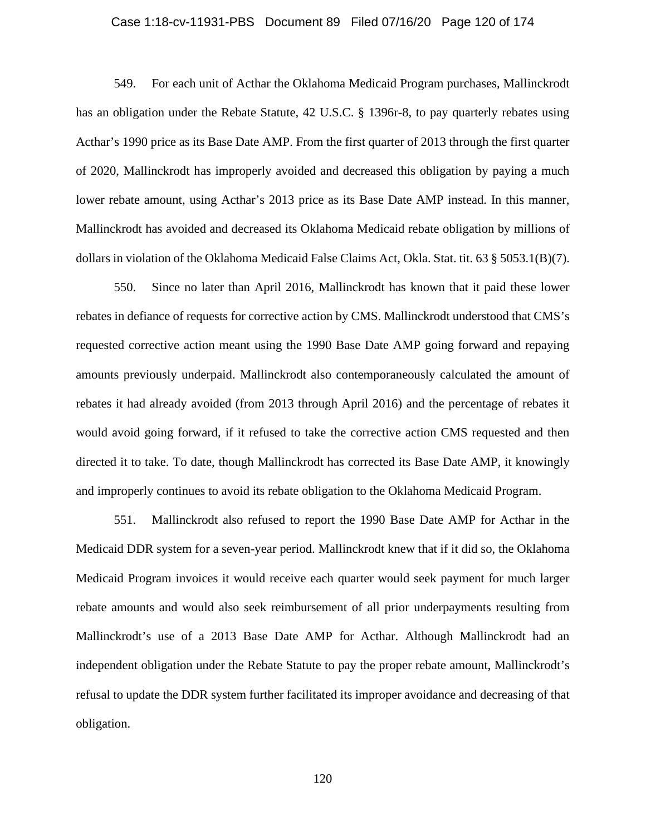#### Case 1:18-cv-11931-PBS Document 89 Filed 07/16/20 Page 120 of 174

549. For each unit of Acthar the Oklahoma Medicaid Program purchases, Mallinckrodt has an obligation under the Rebate Statute, 42 U.S.C. § 1396r-8, to pay quarterly rebates using Acthar's 1990 price as its Base Date AMP. From the first quarter of 2013 through the first quarter of 2020, Mallinckrodt has improperly avoided and decreased this obligation by paying a much lower rebate amount, using Acthar's 2013 price as its Base Date AMP instead. In this manner, Mallinckrodt has avoided and decreased its Oklahoma Medicaid rebate obligation by millions of dollars in violation of the Oklahoma Medicaid False Claims Act, Okla. Stat. tit. 63 § 5053.1(B)(7).

550. Since no later than April 2016, Mallinckrodt has known that it paid these lower rebates in defiance of requests for corrective action by CMS. Mallinckrodt understood that CMS's requested corrective action meant using the 1990 Base Date AMP going forward and repaying amounts previously underpaid. Mallinckrodt also contemporaneously calculated the amount of rebates it had already avoided (from 2013 through April 2016) and the percentage of rebates it would avoid going forward, if it refused to take the corrective action CMS requested and then directed it to take. To date, though Mallinckrodt has corrected its Base Date AMP, it knowingly and improperly continues to avoid its rebate obligation to the Oklahoma Medicaid Program.

551. Mallinckrodt also refused to report the 1990 Base Date AMP for Acthar in the Medicaid DDR system for a seven-year period. Mallinckrodt knew that if it did so, the Oklahoma Medicaid Program invoices it would receive each quarter would seek payment for much larger rebate amounts and would also seek reimbursement of all prior underpayments resulting from Mallinckrodt's use of a 2013 Base Date AMP for Acthar. Although Mallinckrodt had an independent obligation under the Rebate Statute to pay the proper rebate amount, Mallinckrodt's refusal to update the DDR system further facilitated its improper avoidance and decreasing of that obligation.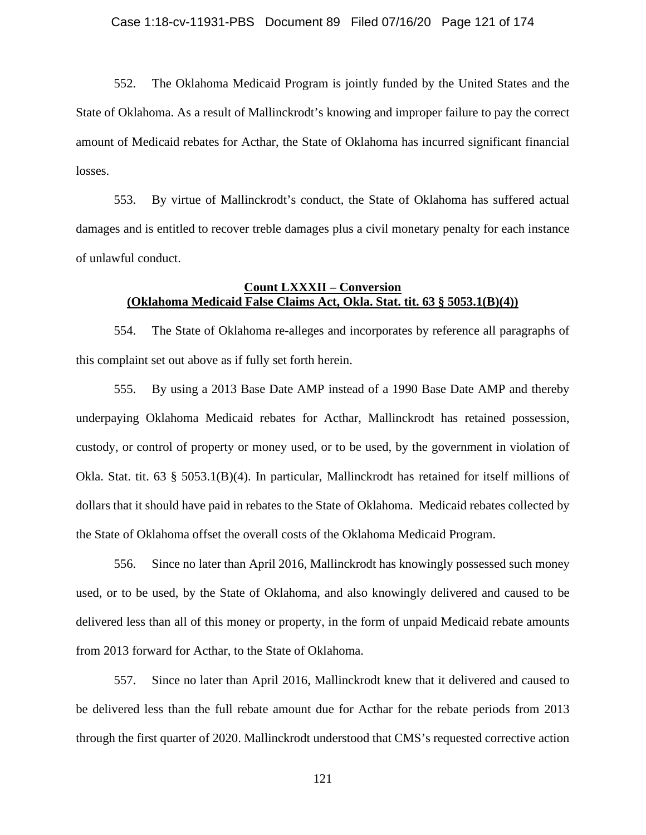552. The Oklahoma Medicaid Program is jointly funded by the United States and the State of Oklahoma. As a result of Mallinckrodt's knowing and improper failure to pay the correct amount of Medicaid rebates for Acthar, the State of Oklahoma has incurred significant financial losses.

553. By virtue of Mallinckrodt's conduct, the State of Oklahoma has suffered actual damages and is entitled to recover treble damages plus a civil monetary penalty for each instance of unlawful conduct.

# **Count LXXXII – Conversion (Oklahoma Medicaid False Claims Act, Okla. Stat. tit. 63 § 5053.1(B)(4))**

554. The State of Oklahoma re-alleges and incorporates by reference all paragraphs of this complaint set out above as if fully set forth herein.

555. By using a 2013 Base Date AMP instead of a 1990 Base Date AMP and thereby underpaying Oklahoma Medicaid rebates for Acthar, Mallinckrodt has retained possession, custody, or control of property or money used, or to be used, by the government in violation of Okla. Stat. tit. 63 § 5053.1(B)(4). In particular, Mallinckrodt has retained for itself millions of dollars that it should have paid in rebates to the State of Oklahoma. Medicaid rebates collected by the State of Oklahoma offset the overall costs of the Oklahoma Medicaid Program.

556. Since no later than April 2016, Mallinckrodt has knowingly possessed such money used, or to be used, by the State of Oklahoma, and also knowingly delivered and caused to be delivered less than all of this money or property, in the form of unpaid Medicaid rebate amounts from 2013 forward for Acthar, to the State of Oklahoma.

557. Since no later than April 2016, Mallinckrodt knew that it delivered and caused to be delivered less than the full rebate amount due for Acthar for the rebate periods from 2013 through the first quarter of 2020. Mallinckrodt understood that CMS's requested corrective action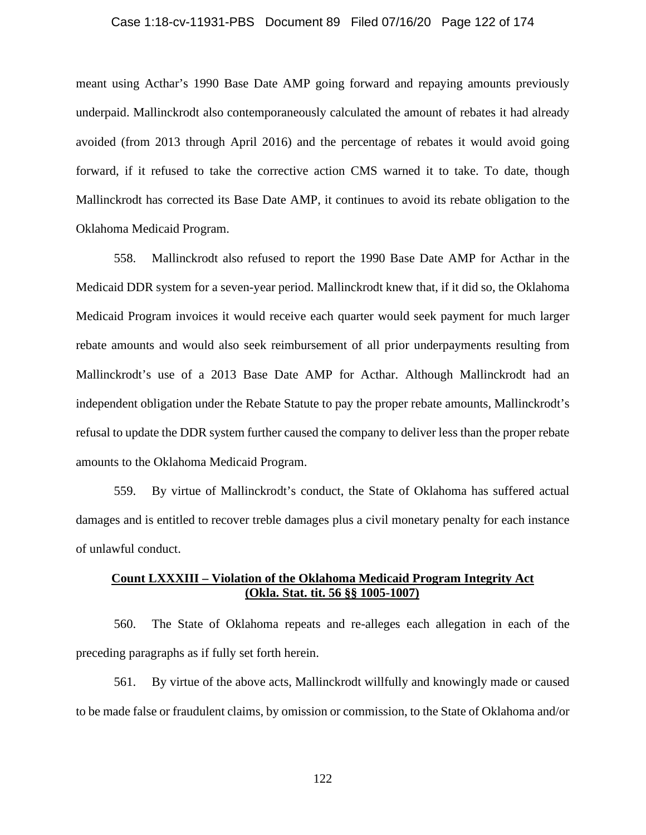#### Case 1:18-cv-11931-PBS Document 89 Filed 07/16/20 Page 122 of 174

meant using Acthar's 1990 Base Date AMP going forward and repaying amounts previously underpaid. Mallinckrodt also contemporaneously calculated the amount of rebates it had already avoided (from 2013 through April 2016) and the percentage of rebates it would avoid going forward, if it refused to take the corrective action CMS warned it to take. To date, though Mallinckrodt has corrected its Base Date AMP, it continues to avoid its rebate obligation to the Oklahoma Medicaid Program.

558. Mallinckrodt also refused to report the 1990 Base Date AMP for Acthar in the Medicaid DDR system for a seven-year period. Mallinckrodt knew that, if it did so, the Oklahoma Medicaid Program invoices it would receive each quarter would seek payment for much larger rebate amounts and would also seek reimbursement of all prior underpayments resulting from Mallinckrodt's use of a 2013 Base Date AMP for Acthar. Although Mallinckrodt had an independent obligation under the Rebate Statute to pay the proper rebate amounts, Mallinckrodt's refusal to update the DDR system further caused the company to deliver less than the proper rebate amounts to the Oklahoma Medicaid Program.

559. By virtue of Mallinckrodt's conduct, the State of Oklahoma has suffered actual damages and is entitled to recover treble damages plus a civil monetary penalty for each instance of unlawful conduct.

# **Count LXXXIII – Violation of the Oklahoma Medicaid Program Integrity Act (Okla. Stat. tit. 56 §§ 1005-1007)**

560. The State of Oklahoma repeats and re-alleges each allegation in each of the preceding paragraphs as if fully set forth herein.

561. By virtue of the above acts, Mallinckrodt willfully and knowingly made or caused to be made false or fraudulent claims, by omission or commission, to the State of Oklahoma and/or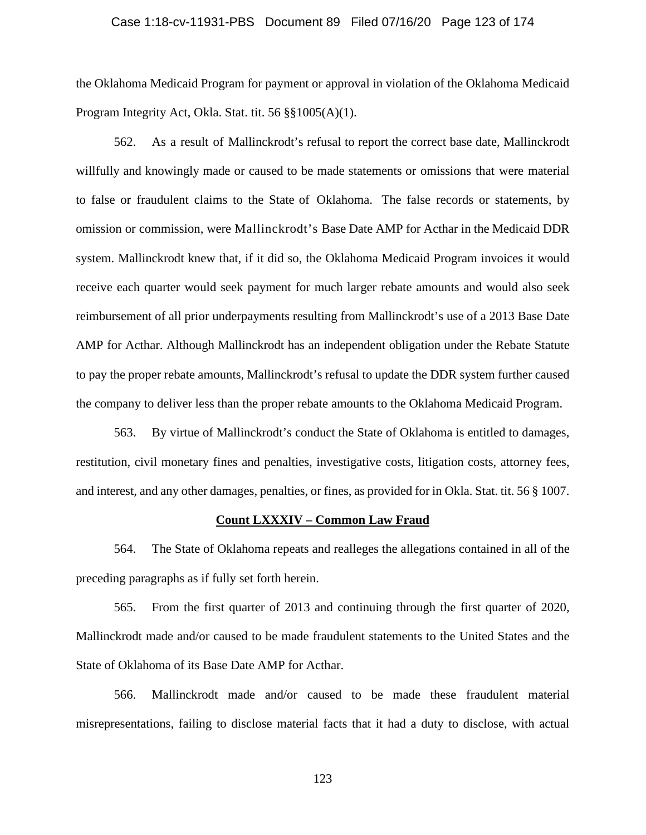### Case 1:18-cv-11931-PBS Document 89 Filed 07/16/20 Page 123 of 174

the Oklahoma Medicaid Program for payment or approval in violation of the Oklahoma Medicaid Program Integrity Act, Okla. Stat. tit. 56 §§1005(A)(1).

562. As a result of Mallinckrodt's refusal to report the correct base date, Mallinckrodt willfully and knowingly made or caused to be made statements or omissions that were material to false or fraudulent claims to the State of Oklahoma. The false records or statements, by omission or commission, were Mallinckrodt's Base Date AMP for Acthar in the Medicaid DDR system. Mallinckrodt knew that, if it did so, the Oklahoma Medicaid Program invoices it would receive each quarter would seek payment for much larger rebate amounts and would also seek reimbursement of all prior underpayments resulting from Mallinckrodt's use of a 2013 Base Date AMP for Acthar. Although Mallinckrodt has an independent obligation under the Rebate Statute to pay the proper rebate amounts, Mallinckrodt's refusal to update the DDR system further caused the company to deliver less than the proper rebate amounts to the Oklahoma Medicaid Program.

563. By virtue of Mallinckrodt's conduct the State of Oklahoma is entitled to damages, restitution, civil monetary fines and penalties, investigative costs, litigation costs, attorney fees, and interest, and any other damages, penalties, or fines, as provided for in Okla. Stat. tit. 56 § 1007.

## **Count LXXXIV – Common Law Fraud**

564. The State of Oklahoma repeats and realleges the allegations contained in all of the preceding paragraphs as if fully set forth herein.

565. From the first quarter of 2013 and continuing through the first quarter of 2020, Mallinckrodt made and/or caused to be made fraudulent statements to the United States and the State of Oklahoma of its Base Date AMP for Acthar.

566. Mallinckrodt made and/or caused to be made these fraudulent material misrepresentations, failing to disclose material facts that it had a duty to disclose, with actual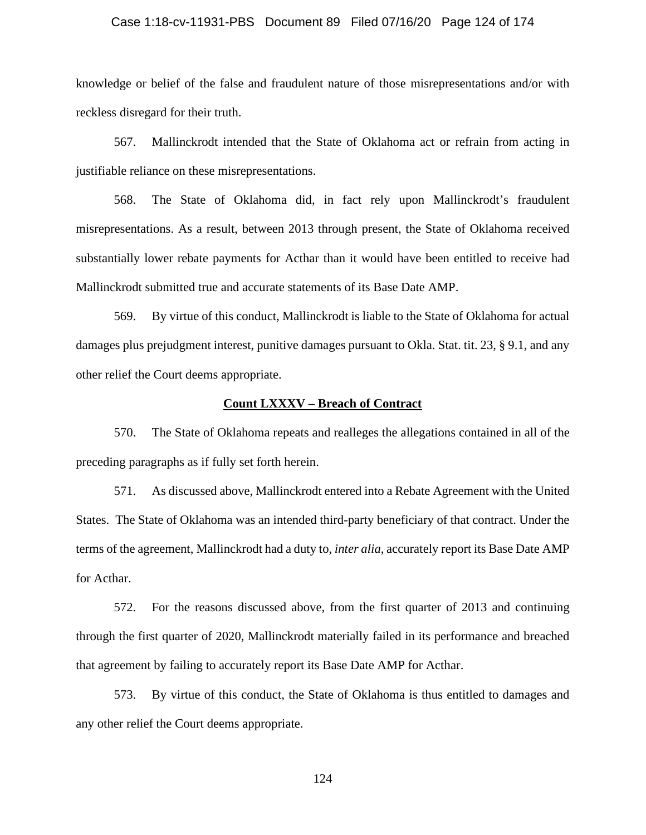#### Case 1:18-cv-11931-PBS Document 89 Filed 07/16/20 Page 124 of 174

knowledge or belief of the false and fraudulent nature of those misrepresentations and/or with reckless disregard for their truth.

567. Mallinckrodt intended that the State of Oklahoma act or refrain from acting in justifiable reliance on these misrepresentations.

568. The State of Oklahoma did, in fact rely upon Mallinckrodt's fraudulent misrepresentations. As a result, between 2013 through present, the State of Oklahoma received substantially lower rebate payments for Acthar than it would have been entitled to receive had Mallinckrodt submitted true and accurate statements of its Base Date AMP.

569. By virtue of this conduct, Mallinckrodt is liable to the State of Oklahoma for actual damages plus prejudgment interest, punitive damages pursuant to Okla. Stat. tit. 23, § 9.1, and any other relief the Court deems appropriate.

# **Count LXXXV – Breach of Contract**

570. The State of Oklahoma repeats and realleges the allegations contained in all of the preceding paragraphs as if fully set forth herein.

571. As discussed above, Mallinckrodt entered into a Rebate Agreement with the United States. The State of Oklahoma was an intended third-party beneficiary of that contract. Under the terms of the agreement, Mallinckrodt had a duty to, *inter alia*, accurately report its Base Date AMP for Acthar.

572. For the reasons discussed above, from the first quarter of 2013 and continuing through the first quarter of 2020, Mallinckrodt materially failed in its performance and breached that agreement by failing to accurately report its Base Date AMP for Acthar.

573. By virtue of this conduct, the State of Oklahoma is thus entitled to damages and any other relief the Court deems appropriate.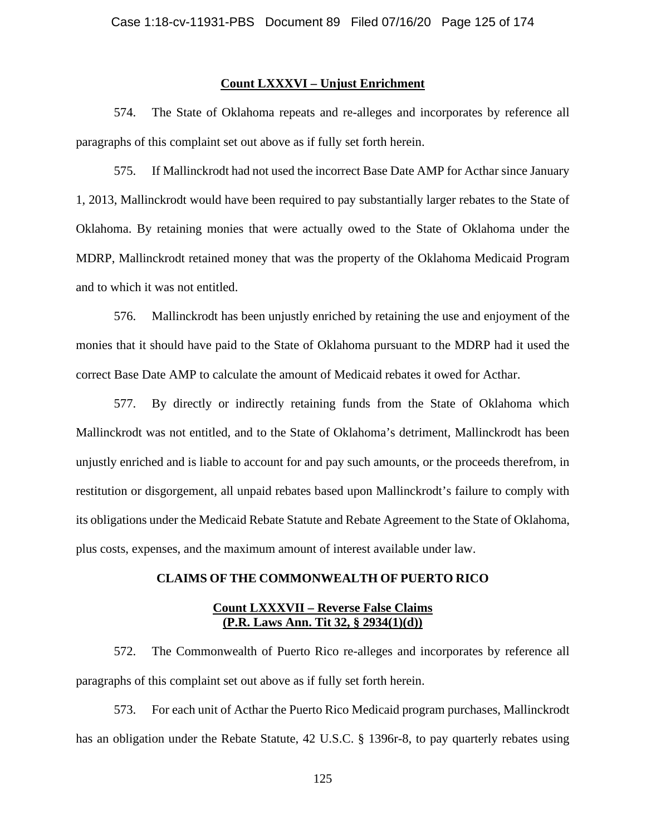# **Count LXXXVI – Unjust Enrichment**

574. The State of Oklahoma repeats and re-alleges and incorporates by reference all paragraphs of this complaint set out above as if fully set forth herein.

575. If Mallinckrodt had not used the incorrect Base Date AMP for Acthar since January 1, 2013, Mallinckrodt would have been required to pay substantially larger rebates to the State of Oklahoma. By retaining monies that were actually owed to the State of Oklahoma under the MDRP, Mallinckrodt retained money that was the property of the Oklahoma Medicaid Program and to which it was not entitled.

576. Mallinckrodt has been unjustly enriched by retaining the use and enjoyment of the monies that it should have paid to the State of Oklahoma pursuant to the MDRP had it used the correct Base Date AMP to calculate the amount of Medicaid rebates it owed for Acthar.

577. By directly or indirectly retaining funds from the State of Oklahoma which Mallinckrodt was not entitled, and to the State of Oklahoma's detriment, Mallinckrodt has been unjustly enriched and is liable to account for and pay such amounts, or the proceeds therefrom, in restitution or disgorgement, all unpaid rebates based upon Mallinckrodt's failure to comply with its obligations under the Medicaid Rebate Statute and Rebate Agreement to the State of Oklahoma, plus costs, expenses, and the maximum amount of interest available under law.

## **CLAIMS OF THE COMMONWEALTH OF PUERTO RICO**

## **Count LXXXVII – Reverse False Claims (P.R. Laws Ann. Tit 32, § 2934(1)(d))**

572. The Commonwealth of Puerto Rico re-alleges and incorporates by reference all paragraphs of this complaint set out above as if fully set forth herein.

573. For each unit of Acthar the Puerto Rico Medicaid program purchases, Mallinckrodt has an obligation under the Rebate Statute, 42 U.S.C. § 1396r-8, to pay quarterly rebates using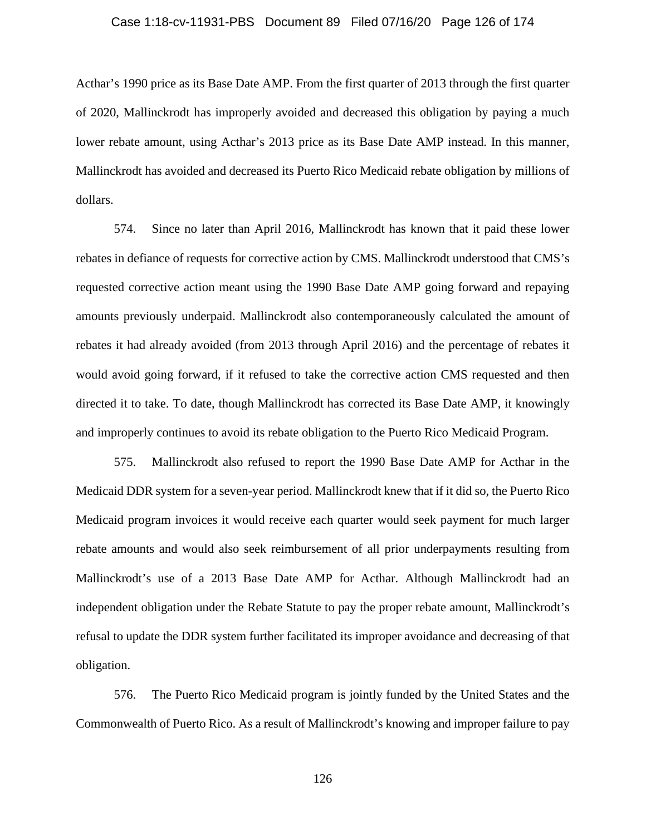### Case 1:18-cv-11931-PBS Document 89 Filed 07/16/20 Page 126 of 174

Acthar's 1990 price as its Base Date AMP. From the first quarter of 2013 through the first quarter of 2020, Mallinckrodt has improperly avoided and decreased this obligation by paying a much lower rebate amount, using Acthar's 2013 price as its Base Date AMP instead. In this manner, Mallinckrodt has avoided and decreased its Puerto Rico Medicaid rebate obligation by millions of dollars.

574. Since no later than April 2016, Mallinckrodt has known that it paid these lower rebates in defiance of requests for corrective action by CMS. Mallinckrodt understood that CMS's requested corrective action meant using the 1990 Base Date AMP going forward and repaying amounts previously underpaid. Mallinckrodt also contemporaneously calculated the amount of rebates it had already avoided (from 2013 through April 2016) and the percentage of rebates it would avoid going forward, if it refused to take the corrective action CMS requested and then directed it to take. To date, though Mallinckrodt has corrected its Base Date AMP, it knowingly and improperly continues to avoid its rebate obligation to the Puerto Rico Medicaid Program.

575. Mallinckrodt also refused to report the 1990 Base Date AMP for Acthar in the Medicaid DDR system for a seven-year period. Mallinckrodt knew that if it did so, the Puerto Rico Medicaid program invoices it would receive each quarter would seek payment for much larger rebate amounts and would also seek reimbursement of all prior underpayments resulting from Mallinckrodt's use of a 2013 Base Date AMP for Acthar. Although Mallinckrodt had an independent obligation under the Rebate Statute to pay the proper rebate amount, Mallinckrodt's refusal to update the DDR system further facilitated its improper avoidance and decreasing of that obligation.

576. The Puerto Rico Medicaid program is jointly funded by the United States and the Commonwealth of Puerto Rico. As a result of Mallinckrodt's knowing and improper failure to pay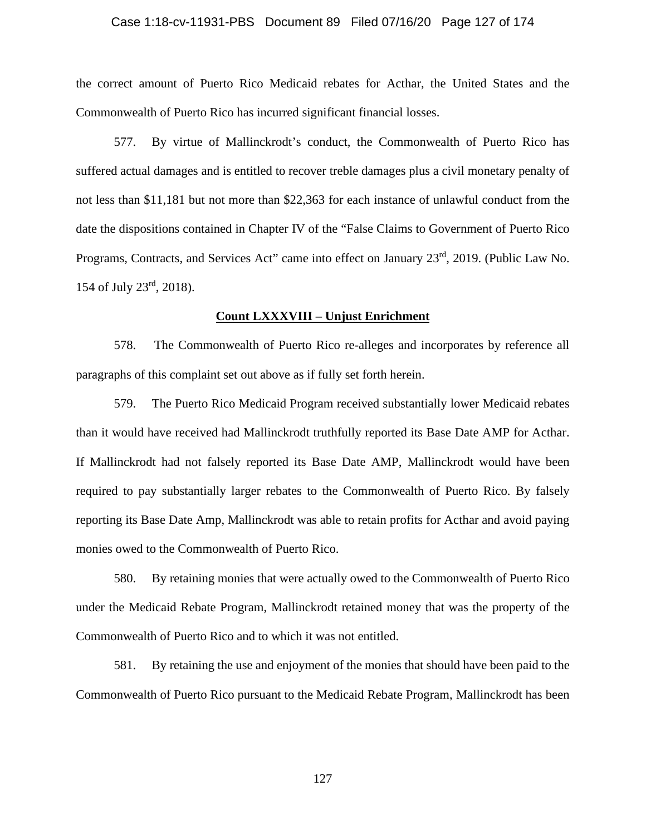### Case 1:18-cv-11931-PBS Document 89 Filed 07/16/20 Page 127 of 174

the correct amount of Puerto Rico Medicaid rebates for Acthar, the United States and the Commonwealth of Puerto Rico has incurred significant financial losses.

577. By virtue of Mallinckrodt's conduct, the Commonwealth of Puerto Rico has suffered actual damages and is entitled to recover treble damages plus a civil monetary penalty of not less than \$11,181 but not more than \$22,363 for each instance of unlawful conduct from the date the dispositions contained in Chapter IV of the "False Claims to Government of Puerto Rico Programs, Contracts, and Services Act" came into effect on January 23<sup>rd</sup>, 2019. (Public Law No. 154 of July 23rd, 2018).

#### **Count LXXXVIII – Unjust Enrichment**

578. The Commonwealth of Puerto Rico re-alleges and incorporates by reference all paragraphs of this complaint set out above as if fully set forth herein.

579. The Puerto Rico Medicaid Program received substantially lower Medicaid rebates than it would have received had Mallinckrodt truthfully reported its Base Date AMP for Acthar. If Mallinckrodt had not falsely reported its Base Date AMP, Mallinckrodt would have been required to pay substantially larger rebates to the Commonwealth of Puerto Rico. By falsely reporting its Base Date Amp, Mallinckrodt was able to retain profits for Acthar and avoid paying monies owed to the Commonwealth of Puerto Rico.

580. By retaining monies that were actually owed to the Commonwealth of Puerto Rico under the Medicaid Rebate Program, Mallinckrodt retained money that was the property of the Commonwealth of Puerto Rico and to which it was not entitled.

581. By retaining the use and enjoyment of the monies that should have been paid to the Commonwealth of Puerto Rico pursuant to the Medicaid Rebate Program, Mallinckrodt has been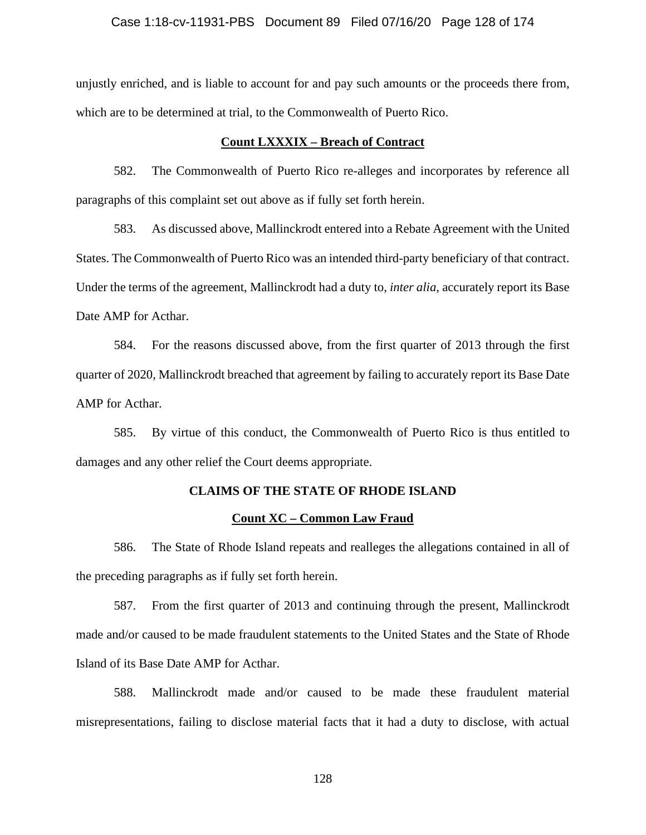### Case 1:18-cv-11931-PBS Document 89 Filed 07/16/20 Page 128 of 174

unjustly enriched, and is liable to account for and pay such amounts or the proceeds there from, which are to be determined at trial, to the Commonwealth of Puerto Rico.

## **Count LXXXIX – Breach of Contract**

582. The Commonwealth of Puerto Rico re-alleges and incorporates by reference all paragraphs of this complaint set out above as if fully set forth herein.

583. As discussed above, Mallinckrodt entered into a Rebate Agreement with the United States. The Commonwealth of Puerto Rico was an intended third-party beneficiary of that contract. Under the terms of the agreement, Mallinckrodt had a duty to, *inter alia*, accurately report its Base Date AMP for Acthar.

584. For the reasons discussed above, from the first quarter of 2013 through the first quarter of 2020, Mallinckrodt breached that agreement by failing to accurately report its Base Date AMP for Acthar.

585. By virtue of this conduct, the Commonwealth of Puerto Rico is thus entitled to damages and any other relief the Court deems appropriate.

### **CLAIMS OF THE STATE OF RHODE ISLAND**

### **Count XC – Common Law Fraud**

586. The State of Rhode Island repeats and realleges the allegations contained in all of the preceding paragraphs as if fully set forth herein.

587. From the first quarter of 2013 and continuing through the present, Mallinckrodt made and/or caused to be made fraudulent statements to the United States and the State of Rhode Island of its Base Date AMP for Acthar.

588. Mallinckrodt made and/or caused to be made these fraudulent material misrepresentations, failing to disclose material facts that it had a duty to disclose, with actual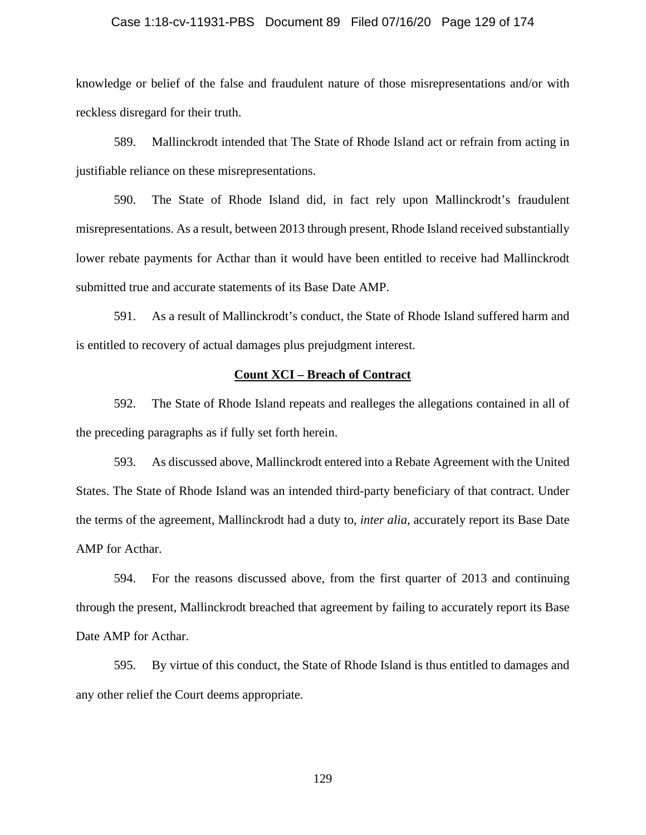#### Case 1:18-cv-11931-PBS Document 89 Filed 07/16/20 Page 129 of 174

knowledge or belief of the false and fraudulent nature of those misrepresentations and/or with reckless disregard for their truth.

589. Mallinckrodt intended that The State of Rhode Island act or refrain from acting in justifiable reliance on these misrepresentations.

590. The State of Rhode Island did, in fact rely upon Mallinckrodt's fraudulent misrepresentations. As a result, between 2013 through present, Rhode Island received substantially lower rebate payments for Acthar than it would have been entitled to receive had Mallinckrodt submitted true and accurate statements of its Base Date AMP.

591. As a result of Mallinckrodt's conduct, the State of Rhode Island suffered harm and is entitled to recovery of actual damages plus prejudgment interest.

## **Count XCI – Breach of Contract**

592. The State of Rhode Island repeats and realleges the allegations contained in all of the preceding paragraphs as if fully set forth herein.

593. As discussed above, Mallinckrodt entered into a Rebate Agreement with the United States. The State of Rhode Island was an intended third-party beneficiary of that contract. Under the terms of the agreement, Mallinckrodt had a duty to, *inter alia*, accurately report its Base Date AMP for Acthar.

594. For the reasons discussed above, from the first quarter of 2013 and continuing through the present, Mallinckrodt breached that agreement by failing to accurately report its Base Date AMP for Acthar.

595. By virtue of this conduct, the State of Rhode Island is thus entitled to damages and any other relief the Court deems appropriate.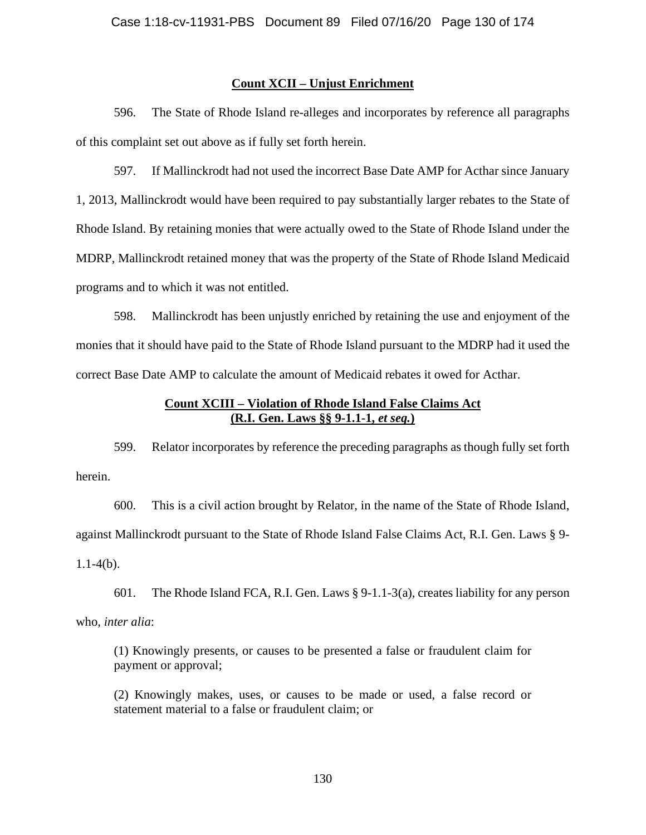## **Count XCII – Unjust Enrichment**

596. The State of Rhode Island re-alleges and incorporates by reference all paragraphs of this complaint set out above as if fully set forth herein.

597. If Mallinckrodt had not used the incorrect Base Date AMP for Acthar since January 1, 2013, Mallinckrodt would have been required to pay substantially larger rebates to the State of Rhode Island. By retaining monies that were actually owed to the State of Rhode Island under the MDRP, Mallinckrodt retained money that was the property of the State of Rhode Island Medicaid programs and to which it was not entitled.

598. Mallinckrodt has been unjustly enriched by retaining the use and enjoyment of the monies that it should have paid to the State of Rhode Island pursuant to the MDRP had it used the correct Base Date AMP to calculate the amount of Medicaid rebates it owed for Acthar.

# **Count XCIII – Violation of Rhode Island False Claims Act (R.I. Gen. Laws §§ 9-1.1-1,** *et seq.***)**

599. Relator incorporates by reference the preceding paragraphs as though fully set forth herein.

600. This is a civil action brought by Relator, in the name of the State of Rhode Island, against Mallinckrodt pursuant to the State of Rhode Island False Claims Act, R.I. Gen. Laws § 9-  $1.1-4(b)$ .

601. The Rhode Island FCA, R.I. Gen. Laws § 9-1.1-3(a), creates liability for any person who, *inter alia*:

(1) Knowingly presents, or causes to be presented a false or fraudulent claim for payment or approval;

(2) Knowingly makes, uses, or causes to be made or used, a false record or statement material to a false or fraudulent claim; or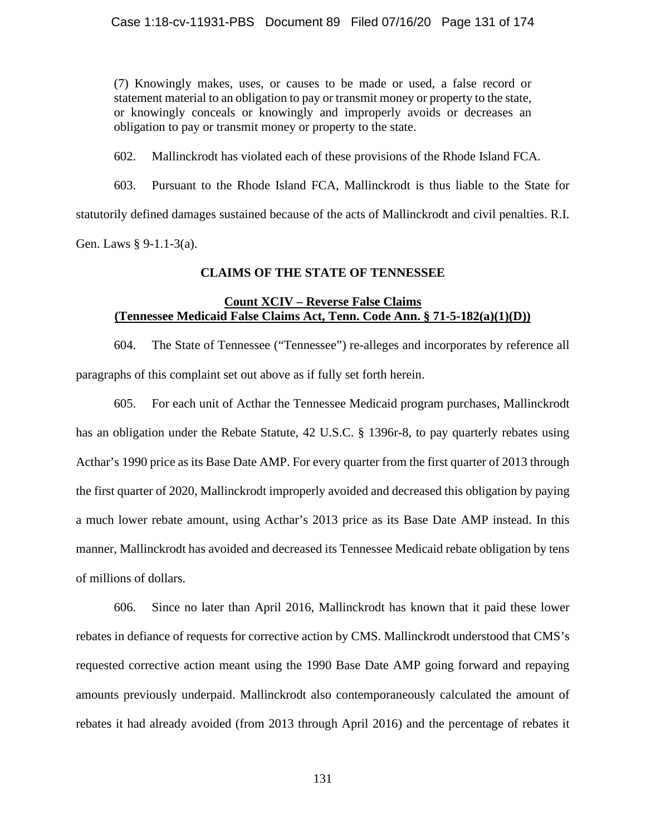(7) Knowingly makes, uses, or causes to be made or used, a false record or statement material to an obligation to pay or transmit money or property to the state, or knowingly conceals or knowingly and improperly avoids or decreases an obligation to pay or transmit money or property to the state.

602. Mallinckrodt has violated each of these provisions of the Rhode Island FCA.

603. Pursuant to the Rhode Island FCA, Mallinckrodt is thus liable to the State for statutorily defined damages sustained because of the acts of Mallinckrodt and civil penalties. R.I. Gen. Laws § 9-1.1-3(a).

# **CLAIMS OF THE STATE OF TENNESSEE**

# **Count XCIV – Reverse False Claims (Tennessee Medicaid False Claims Act, Tenn. Code Ann. § 71-5-182(a)(1)(D))**

604. The State of Tennessee ("Tennessee") re-alleges and incorporates by reference all paragraphs of this complaint set out above as if fully set forth herein.

605. For each unit of Acthar the Tennessee Medicaid program purchases, Mallinckrodt has an obligation under the Rebate Statute, 42 U.S.C. § 1396r-8, to pay quarterly rebates using Acthar's 1990 price as its Base Date AMP. For every quarter from the first quarter of 2013 through the first quarter of 2020, Mallinckrodt improperly avoided and decreased this obligation by paying a much lower rebate amount, using Acthar's 2013 price as its Base Date AMP instead. In this manner, Mallinckrodt has avoided and decreased its Tennessee Medicaid rebate obligation by tens of millions of dollars.

606. Since no later than April 2016, Mallinckrodt has known that it paid these lower rebates in defiance of requests for corrective action by CMS. Mallinckrodt understood that CMS's requested corrective action meant using the 1990 Base Date AMP going forward and repaying amounts previously underpaid. Mallinckrodt also contemporaneously calculated the amount of rebates it had already avoided (from 2013 through April 2016) and the percentage of rebates it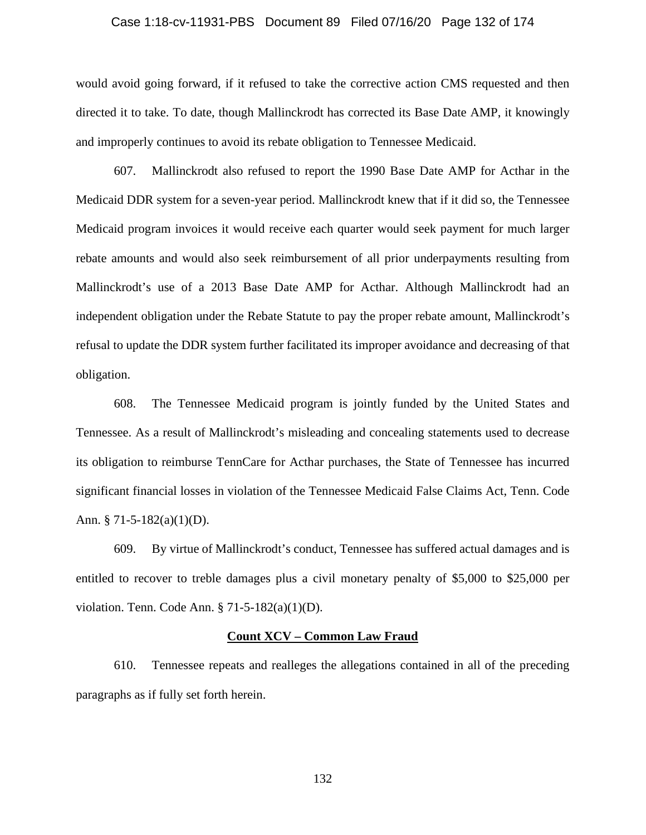#### Case 1:18-cv-11931-PBS Document 89 Filed 07/16/20 Page 132 of 174

would avoid going forward, if it refused to take the corrective action CMS requested and then directed it to take. To date, though Mallinckrodt has corrected its Base Date AMP, it knowingly and improperly continues to avoid its rebate obligation to Tennessee Medicaid.

607. Mallinckrodt also refused to report the 1990 Base Date AMP for Acthar in the Medicaid DDR system for a seven-year period. Mallinckrodt knew that if it did so, the Tennessee Medicaid program invoices it would receive each quarter would seek payment for much larger rebate amounts and would also seek reimbursement of all prior underpayments resulting from Mallinckrodt's use of a 2013 Base Date AMP for Acthar. Although Mallinckrodt had an independent obligation under the Rebate Statute to pay the proper rebate amount, Mallinckrodt's refusal to update the DDR system further facilitated its improper avoidance and decreasing of that obligation.

608. The Tennessee Medicaid program is jointly funded by the United States and Tennessee. As a result of Mallinckrodt's misleading and concealing statements used to decrease its obligation to reimburse TennCare for Acthar purchases, the State of Tennessee has incurred significant financial losses in violation of the Tennessee Medicaid False Claims Act, Tenn. Code Ann.  $\S$  71-5-182(a)(1)(D).

609. By virtue of Mallinckrodt's conduct, Tennessee has suffered actual damages and is entitled to recover to treble damages plus a civil monetary penalty of \$5,000 to \$25,000 per violation. Tenn. Code Ann. § 71-5-182(a)(1)(D).

#### **Count XCV – Common Law Fraud**

610. Tennessee repeats and realleges the allegations contained in all of the preceding paragraphs as if fully set forth herein.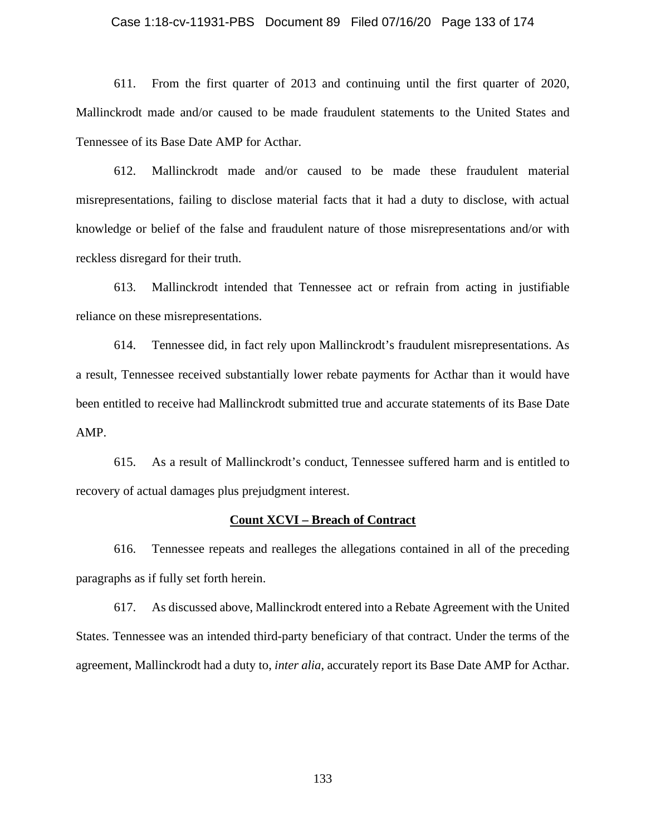### Case 1:18-cv-11931-PBS Document 89 Filed 07/16/20 Page 133 of 174

611. From the first quarter of 2013 and continuing until the first quarter of 2020, Mallinckrodt made and/or caused to be made fraudulent statements to the United States and Tennessee of its Base Date AMP for Acthar.

612. Mallinckrodt made and/or caused to be made these fraudulent material misrepresentations, failing to disclose material facts that it had a duty to disclose, with actual knowledge or belief of the false and fraudulent nature of those misrepresentations and/or with reckless disregard for their truth.

613. Mallinckrodt intended that Tennessee act or refrain from acting in justifiable reliance on these misrepresentations.

614. Tennessee did, in fact rely upon Mallinckrodt's fraudulent misrepresentations. As a result, Tennessee received substantially lower rebate payments for Acthar than it would have been entitled to receive had Mallinckrodt submitted true and accurate statements of its Base Date AMP.

615. As a result of Mallinckrodt's conduct, Tennessee suffered harm and is entitled to recovery of actual damages plus prejudgment interest.

#### **Count XCVI – Breach of Contract**

616. Tennessee repeats and realleges the allegations contained in all of the preceding paragraphs as if fully set forth herein.

617. As discussed above, Mallinckrodt entered into a Rebate Agreement with the United States. Tennessee was an intended third-party beneficiary of that contract. Under the terms of the agreement, Mallinckrodt had a duty to, *inter alia*, accurately report its Base Date AMP for Acthar.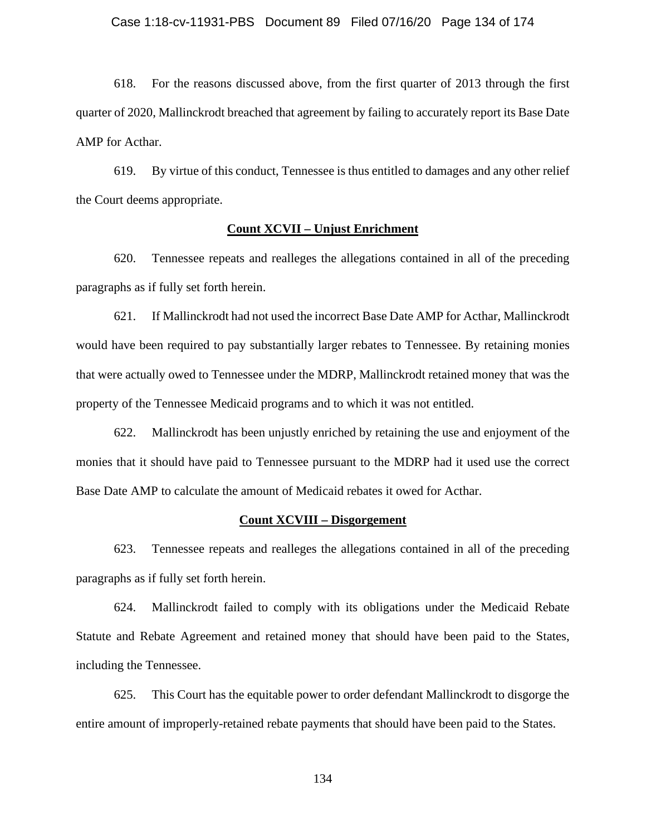618. For the reasons discussed above, from the first quarter of 2013 through the first quarter of 2020, Mallinckrodt breached that agreement by failing to accurately report its Base Date AMP for Acthar.

619. By virtue of this conduct, Tennessee is thus entitled to damages and any other relief the Court deems appropriate.

### **Count XCVII – Unjust Enrichment**

620. Tennessee repeats and realleges the allegations contained in all of the preceding paragraphs as if fully set forth herein.

621. If Mallinckrodt had not used the incorrect Base Date AMP for Acthar, Mallinckrodt would have been required to pay substantially larger rebates to Tennessee. By retaining monies that were actually owed to Tennessee under the MDRP, Mallinckrodt retained money that was the property of the Tennessee Medicaid programs and to which it was not entitled.

622. Mallinckrodt has been unjustly enriched by retaining the use and enjoyment of the monies that it should have paid to Tennessee pursuant to the MDRP had it used use the correct Base Date AMP to calculate the amount of Medicaid rebates it owed for Acthar.

# **Count XCVIII – Disgorgement**

623. Tennessee repeats and realleges the allegations contained in all of the preceding paragraphs as if fully set forth herein.

624. Mallinckrodt failed to comply with its obligations under the Medicaid Rebate Statute and Rebate Agreement and retained money that should have been paid to the States, including the Tennessee.

625. This Court has the equitable power to order defendant Mallinckrodt to disgorge the entire amount of improperly-retained rebate payments that should have been paid to the States.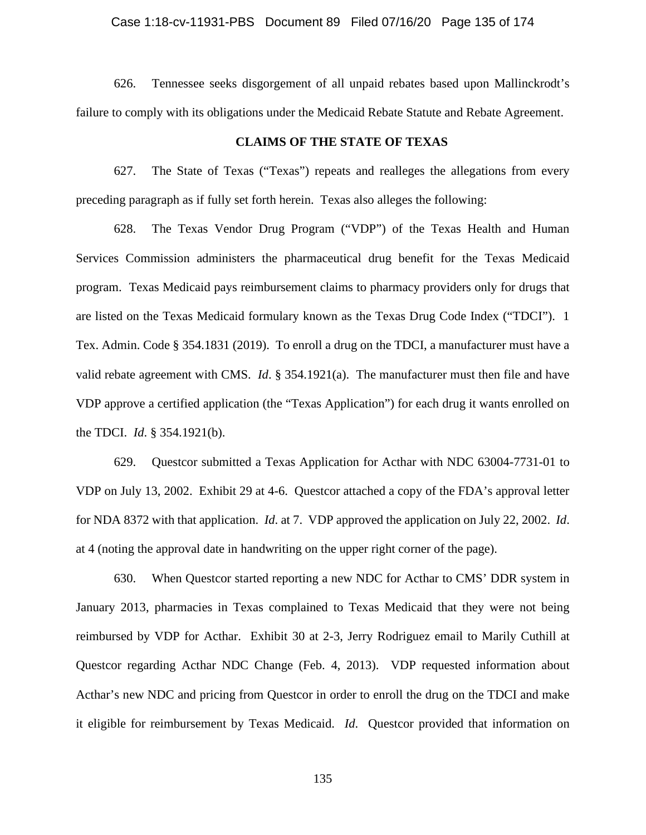### Case 1:18-cv-11931-PBS Document 89 Filed 07/16/20 Page 135 of 174

626. Tennessee seeks disgorgement of all unpaid rebates based upon Mallinckrodt's failure to comply with its obligations under the Medicaid Rebate Statute and Rebate Agreement.

### **CLAIMS OF THE STATE OF TEXAS**

627. The State of Texas ("Texas") repeats and realleges the allegations from every preceding paragraph as if fully set forth herein. Texas also alleges the following:

628. The Texas Vendor Drug Program ("VDP") of the Texas Health and Human Services Commission administers the pharmaceutical drug benefit for the Texas Medicaid program. Texas Medicaid pays reimbursement claims to pharmacy providers only for drugs that are listed on the Texas Medicaid formulary known as the Texas Drug Code Index ("TDCI"). 1 Tex. Admin. Code § 354.1831 (2019). To enroll a drug on the TDCI, a manufacturer must have a valid rebate agreement with CMS. *Id*. § 354.1921(a). The manufacturer must then file and have VDP approve a certified application (the "Texas Application") for each drug it wants enrolled on the TDCI. *Id*. § 354.1921(b).

629. Questcor submitted a Texas Application for Acthar with NDC 63004-7731-01 to VDP on July 13, 2002. Exhibit 29 at 4-6. Questcor attached a copy of the FDA's approval letter for NDA 8372 with that application. *Id*. at 7. VDP approved the application on July 22, 2002. *Id*. at 4 (noting the approval date in handwriting on the upper right corner of the page).

630. When Questcor started reporting a new NDC for Acthar to CMS' DDR system in January 2013, pharmacies in Texas complained to Texas Medicaid that they were not being reimbursed by VDP for Acthar. Exhibit 30 at 2-3, Jerry Rodriguez email to Marily Cuthill at Questcor regarding Acthar NDC Change (Feb. 4, 2013). VDP requested information about Acthar's new NDC and pricing from Questcor in order to enroll the drug on the TDCI and make it eligible for reimbursement by Texas Medicaid. *Id*. Questcor provided that information on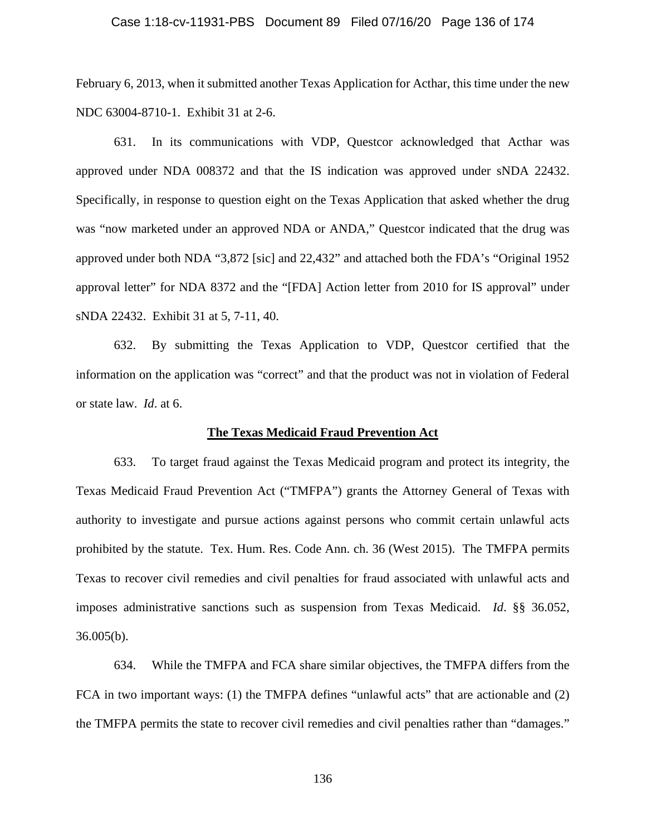### Case 1:18-cv-11931-PBS Document 89 Filed 07/16/20 Page 136 of 174

February 6, 2013, when it submitted another Texas Application for Acthar, this time under the new NDC 63004-8710-1. Exhibit 31 at 2-6.

631. In its communications with VDP, Questcor acknowledged that Acthar was approved under NDA 008372 and that the IS indication was approved under sNDA 22432. Specifically, in response to question eight on the Texas Application that asked whether the drug was "now marketed under an approved NDA or ANDA," Questcor indicated that the drug was approved under both NDA "3,872 [sic] and 22,432" and attached both the FDA's "Original 1952 approval letter" for NDA 8372 and the "[FDA] Action letter from 2010 for IS approval" under sNDA 22432. Exhibit 31 at 5, 7-11, 40.

632. By submitting the Texas Application to VDP, Questcor certified that the information on the application was "correct" and that the product was not in violation of Federal or state law. *Id*. at 6.

## **The Texas Medicaid Fraud Prevention Act**

633. To target fraud against the Texas Medicaid program and protect its integrity, the Texas Medicaid Fraud Prevention Act ("TMFPA") grants the Attorney General of Texas with authority to investigate and pursue actions against persons who commit certain unlawful acts prohibited by the statute. Tex. Hum. Res. Code Ann. ch. 36 (West 2015). The TMFPA permits Texas to recover civil remedies and civil penalties for fraud associated with unlawful acts and imposes administrative sanctions such as suspension from Texas Medicaid. *Id*. §§ 36.052, 36.005(b).

634. While the TMFPA and FCA share similar objectives, the TMFPA differs from the FCA in two important ways: (1) the TMFPA defines "unlawful acts" that are actionable and (2) the TMFPA permits the state to recover civil remedies and civil penalties rather than "damages."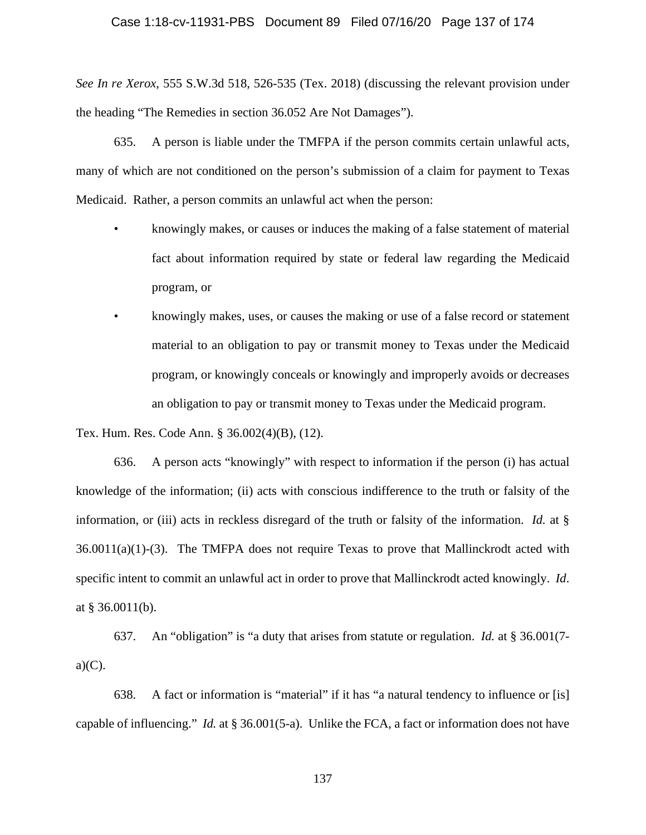*See In re Xerox*, 555 S.W.3d 518, 526-535 (Tex. 2018) (discussing the relevant provision under the heading "The Remedies in section 36.052 Are Not Damages").

635. A person is liable under the TMFPA if the person commits certain unlawful acts, many of which are not conditioned on the person's submission of a claim for payment to Texas Medicaid. Rather, a person commits an unlawful act when the person:

- knowingly makes, or causes or induces the making of a false statement of material fact about information required by state or federal law regarding the Medicaid program, or
- knowingly makes, uses, or causes the making or use of a false record or statement material to an obligation to pay or transmit money to Texas under the Medicaid program, or knowingly conceals or knowingly and improperly avoids or decreases an obligation to pay or transmit money to Texas under the Medicaid program.

Tex. Hum. Res. Code Ann. § 36.002(4)(B), (12).

636. A person acts "knowingly" with respect to information if the person (i) has actual knowledge of the information; (ii) acts with conscious indifference to the truth or falsity of the information, or (iii) acts in reckless disregard of the truth or falsity of the information. *Id.* at §  $36.0011(a)(1)-(3)$ . The TMFPA does not require Texas to prove that Mallinckrodt acted with specific intent to commit an unlawful act in order to prove that Mallinckrodt acted knowingly. *Id*. at  $§$  36.0011(b).

637. An "obligation" is "a duty that arises from statute or regulation. *Id.* at § 36.001(7  $a)(C)$ .

638. A fact or information is "material" if it has "a natural tendency to influence or [is] capable of influencing." *Id.* at § 36.001(5-a). Unlike the FCA, a fact or information does not have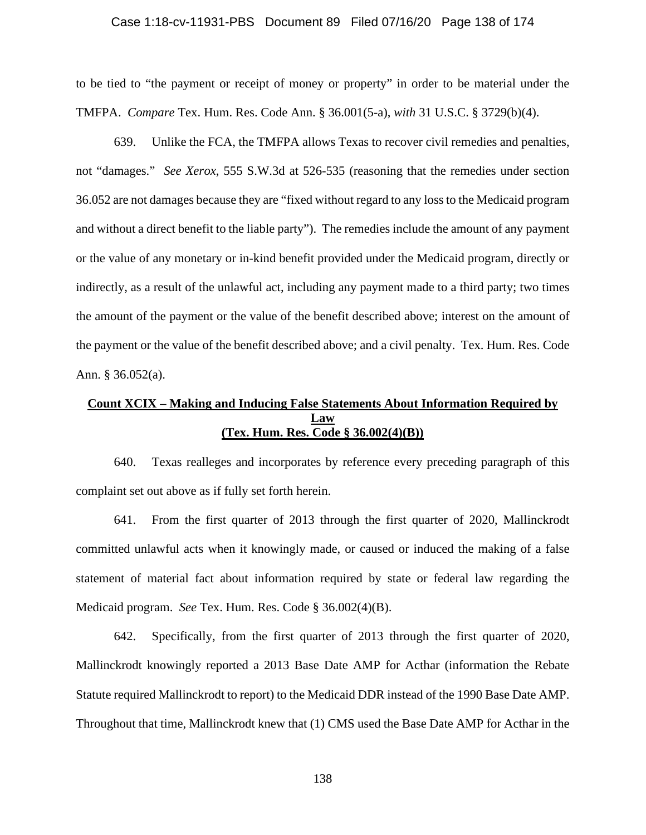### Case 1:18-cv-11931-PBS Document 89 Filed 07/16/20 Page 138 of 174

to be tied to "the payment or receipt of money or property" in order to be material under the TMFPA. *Compare* Tex. Hum. Res. Code Ann. § 36.001(5-a), *with* 31 U.S.C. § 3729(b)(4).

639. Unlike the FCA, the TMFPA allows Texas to recover civil remedies and penalties, not "damages." *See Xerox*, 555 S.W.3d at 526-535 (reasoning that the remedies under section 36.052 are not damages because they are "fixed without regard to any loss to the Medicaid program and without a direct benefit to the liable party"). The remedies include the amount of any payment or the value of any monetary or in-kind benefit provided under the Medicaid program, directly or indirectly, as a result of the unlawful act, including any payment made to a third party; two times the amount of the payment or the value of the benefit described above; interest on the amount of the payment or the value of the benefit described above; and a civil penalty. Tex. Hum. Res. Code Ann. § 36.052(a).

# **Count XCIX – Making and Inducing False Statements About Information Required by Law (Tex. Hum. Res. Code § 36.002(4)(B))**

640. Texas realleges and incorporates by reference every preceding paragraph of this complaint set out above as if fully set forth herein.

641. From the first quarter of 2013 through the first quarter of 2020, Mallinckrodt committed unlawful acts when it knowingly made, or caused or induced the making of a false statement of material fact about information required by state or federal law regarding the Medicaid program. *See* Tex. Hum. Res. Code § 36.002(4)(B).

642. Specifically, from the first quarter of 2013 through the first quarter of 2020, Mallinckrodt knowingly reported a 2013 Base Date AMP for Acthar (information the Rebate Statute required Mallinckrodt to report) to the Medicaid DDR instead of the 1990 Base Date AMP. Throughout that time, Mallinckrodt knew that (1) CMS used the Base Date AMP for Acthar in the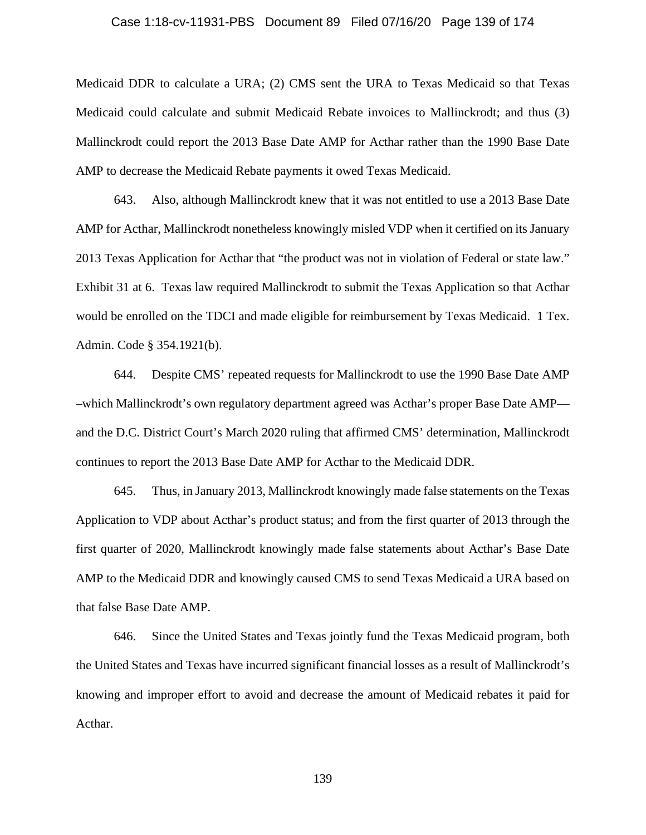### Case 1:18-cv-11931-PBS Document 89 Filed 07/16/20 Page 139 of 174

Medicaid DDR to calculate a URA; (2) CMS sent the URA to Texas Medicaid so that Texas Medicaid could calculate and submit Medicaid Rebate invoices to Mallinckrodt; and thus (3) Mallinckrodt could report the 2013 Base Date AMP for Acthar rather than the 1990 Base Date AMP to decrease the Medicaid Rebate payments it owed Texas Medicaid.

643. Also, although Mallinckrodt knew that it was not entitled to use a 2013 Base Date AMP for Acthar, Mallinckrodt nonetheless knowingly misled VDP when it certified on its January 2013 Texas Application for Acthar that "the product was not in violation of Federal or state law." Exhibit 31 at 6. Texas law required Mallinckrodt to submit the Texas Application so that Acthar would be enrolled on the TDCI and made eligible for reimbursement by Texas Medicaid. 1 Tex. Admin. Code § 354.1921(b).

644. Despite CMS' repeated requests for Mallinckrodt to use the 1990 Base Date AMP –which Mallinckrodt's own regulatory department agreed was Acthar's proper Base Date AMP and the D.C. District Court's March 2020 ruling that affirmed CMS' determination, Mallinckrodt continues to report the 2013 Base Date AMP for Acthar to the Medicaid DDR.

645. Thus, in January 2013, Mallinckrodt knowingly made false statements on the Texas Application to VDP about Acthar's product status; and from the first quarter of 2013 through the first quarter of 2020, Mallinckrodt knowingly made false statements about Acthar's Base Date AMP to the Medicaid DDR and knowingly caused CMS to send Texas Medicaid a URA based on that false Base Date AMP.

646. Since the United States and Texas jointly fund the Texas Medicaid program, both the United States and Texas have incurred significant financial losses as a result of Mallinckrodt's knowing and improper effort to avoid and decrease the amount of Medicaid rebates it paid for Acthar.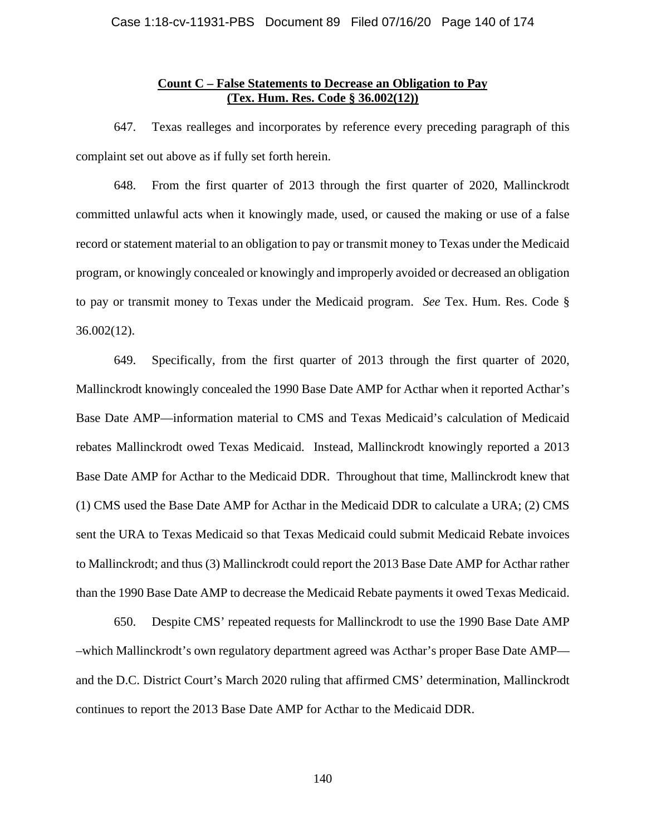# **Count C – False Statements to Decrease an Obligation to Pay (Tex. Hum. Res. Code § 36.002(12))**

647. Texas realleges and incorporates by reference every preceding paragraph of this complaint set out above as if fully set forth herein.

648. From the first quarter of 2013 through the first quarter of 2020, Mallinckrodt committed unlawful acts when it knowingly made, used, or caused the making or use of a false record or statement material to an obligation to pay or transmit money to Texas under the Medicaid program, or knowingly concealed or knowingly and improperly avoided or decreased an obligation to pay or transmit money to Texas under the Medicaid program. *See* Tex. Hum. Res. Code § 36.002(12).

649. Specifically, from the first quarter of 2013 through the first quarter of 2020, Mallinckrodt knowingly concealed the 1990 Base Date AMP for Acthar when it reported Acthar's Base Date AMP—information material to CMS and Texas Medicaid's calculation of Medicaid rebates Mallinckrodt owed Texas Medicaid. Instead, Mallinckrodt knowingly reported a 2013 Base Date AMP for Acthar to the Medicaid DDR. Throughout that time, Mallinckrodt knew that (1) CMS used the Base Date AMP for Acthar in the Medicaid DDR to calculate a URA; (2) CMS sent the URA to Texas Medicaid so that Texas Medicaid could submit Medicaid Rebate invoices to Mallinckrodt; and thus (3) Mallinckrodt could report the 2013 Base Date AMP for Acthar rather than the 1990 Base Date AMP to decrease the Medicaid Rebate payments it owed Texas Medicaid.

650. Despite CMS' repeated requests for Mallinckrodt to use the 1990 Base Date AMP –which Mallinckrodt's own regulatory department agreed was Acthar's proper Base Date AMP and the D.C. District Court's March 2020 ruling that affirmed CMS' determination, Mallinckrodt continues to report the 2013 Base Date AMP for Acthar to the Medicaid DDR.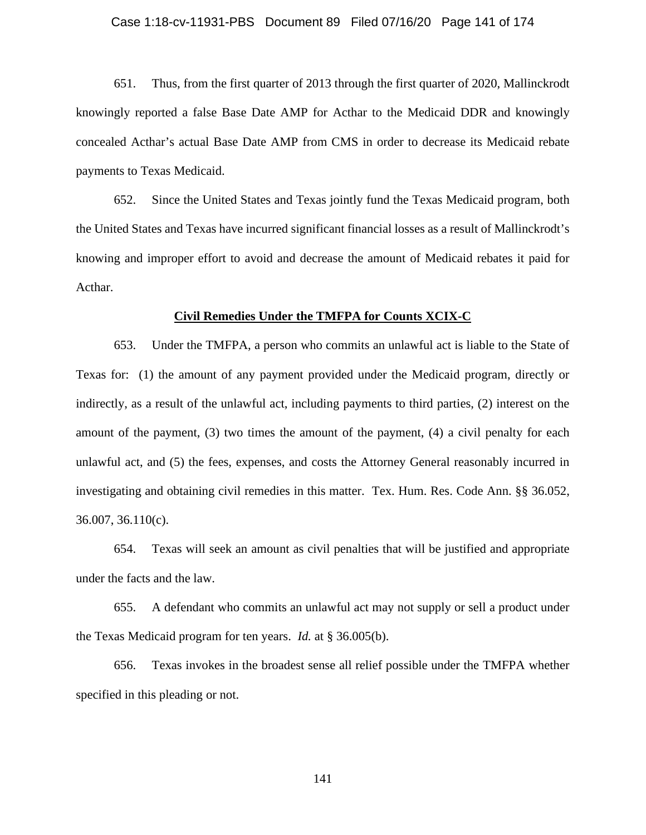### Case 1:18-cv-11931-PBS Document 89 Filed 07/16/20 Page 141 of 174

651. Thus, from the first quarter of 2013 through the first quarter of 2020, Mallinckrodt knowingly reported a false Base Date AMP for Acthar to the Medicaid DDR and knowingly concealed Acthar's actual Base Date AMP from CMS in order to decrease its Medicaid rebate payments to Texas Medicaid.

652. Since the United States and Texas jointly fund the Texas Medicaid program, both the United States and Texas have incurred significant financial losses as a result of Mallinckrodt's knowing and improper effort to avoid and decrease the amount of Medicaid rebates it paid for Acthar.

#### **Civil Remedies Under the TMFPA for Counts XCIX-C**

653. Under the TMFPA, a person who commits an unlawful act is liable to the State of Texas for: (1) the amount of any payment provided under the Medicaid program, directly or indirectly, as a result of the unlawful act, including payments to third parties, (2) interest on the amount of the payment, (3) two times the amount of the payment, (4) a civil penalty for each unlawful act, and (5) the fees, expenses, and costs the Attorney General reasonably incurred in investigating and obtaining civil remedies in this matter. Tex. Hum. Res. Code Ann. §§ 36.052, 36.007, 36.110(c).

654. Texas will seek an amount as civil penalties that will be justified and appropriate under the facts and the law.

655. A defendant who commits an unlawful act may not supply or sell a product under the Texas Medicaid program for ten years. *Id.* at § 36.005(b).

656. Texas invokes in the broadest sense all relief possible under the TMFPA whether specified in this pleading or not.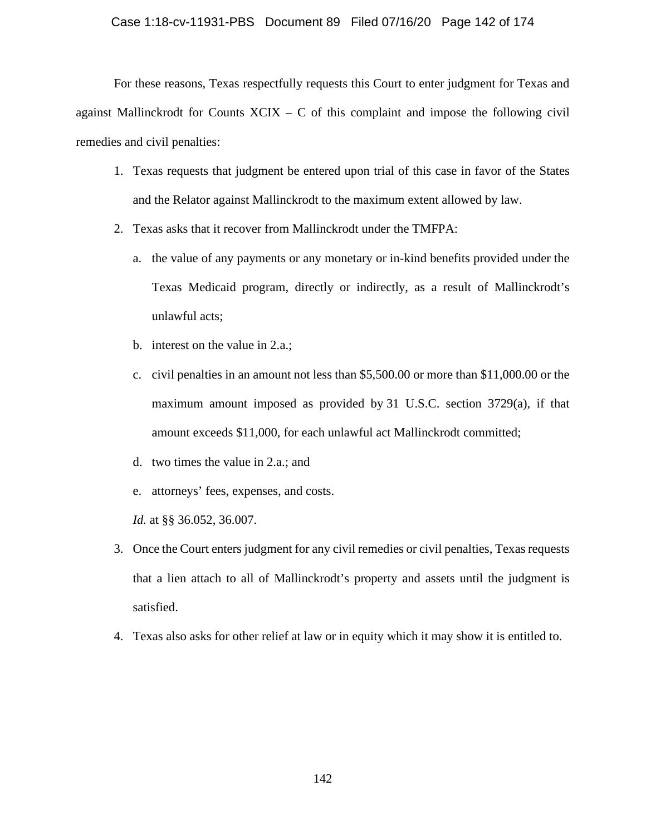For these reasons, Texas respectfully requests this Court to enter judgment for Texas and against Mallinckrodt for Counts  $XCIX - C$  of this complaint and impose the following civil remedies and civil penalties:

- 1. Texas requests that judgment be entered upon trial of this case in favor of the States and the Relator against Mallinckrodt to the maximum extent allowed by law.
- 2. Texas asks that it recover from Mallinckrodt under the TMFPA:
	- a. the value of any payments or any monetary or in-kind benefits provided under the Texas Medicaid program, directly or indirectly, as a result of Mallinckrodt's unlawful acts;
	- b. interest on the value in 2.a.;
	- c. civil penalties in an amount not less than \$5,500.00 or more than \$11,000.00 or the maximum amount imposed as provided by 31 U.S.C. section 3729(a), if that amount exceeds \$11,000, for each unlawful act Mallinckrodt committed;
	- d. two times the value in 2.a.; and
	- e. attorneys' fees, expenses, and costs.
	- *Id.* at §§ 36.052, 36.007.
- 3. Once the Court enters judgment for any civil remedies or civil penalties, Texas requests that a lien attach to all of Mallinckrodt's property and assets until the judgment is satisfied.
- 4. Texas also asks for other relief at law or in equity which it may show it is entitled to.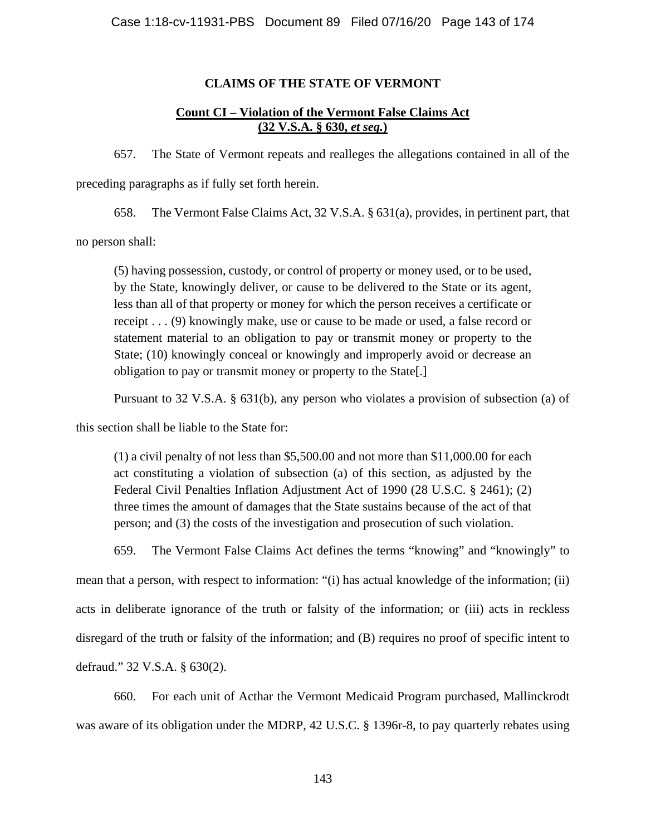# **CLAIMS OF THE STATE OF VERMONT**

# **Count CI – Violation of the Vermont False Claims Act (32 V.S.A. § 630,** *et seq.***)**

657. The State of Vermont repeats and realleges the allegations contained in all of the preceding paragraphs as if fully set forth herein.

658. The Vermont False Claims Act, 32 V.S.A. § 631(a), provides, in pertinent part, that

no person shall:

(5) having possession, custody, or control of property or money used, or to be used, by the State, knowingly deliver, or cause to be delivered to the State or its agent, less than all of that property or money for which the person receives a certificate or receipt . . . (9) knowingly make, use or cause to be made or used, a false record or statement material to an obligation to pay or transmit money or property to the State; (10) knowingly conceal or knowingly and improperly avoid or decrease an obligation to pay or transmit money or property to the State[.]

Pursuant to 32 V.S.A. § 631(b), any person who violates a provision of subsection (a) of

this section shall be liable to the State for:

(1) a civil penalty of not less than \$5,500.00 and not more than \$11,000.00 for each act constituting a violation of subsection (a) of this section, as adjusted by the Federal Civil Penalties Inflation Adjustment Act of 1990 (28 U.S.C. § 2461); (2) three times the amount of damages that the State sustains because of the act of that person; and (3) the costs of the investigation and prosecution of such violation.

659. The Vermont False Claims Act defines the terms "knowing" and "knowingly" to

mean that a person, with respect to information: "(i) has actual knowledge of the information; (ii) acts in deliberate ignorance of the truth or falsity of the information; or (iii) acts in reckless disregard of the truth or falsity of the information; and (B) requires no proof of specific intent to defraud." 32 V.S.A. § 630(2).

660. For each unit of Acthar the Vermont Medicaid Program purchased, Mallinckrodt was aware of its obligation under the MDRP, 42 U.S.C. § 1396r-8, to pay quarterly rebates using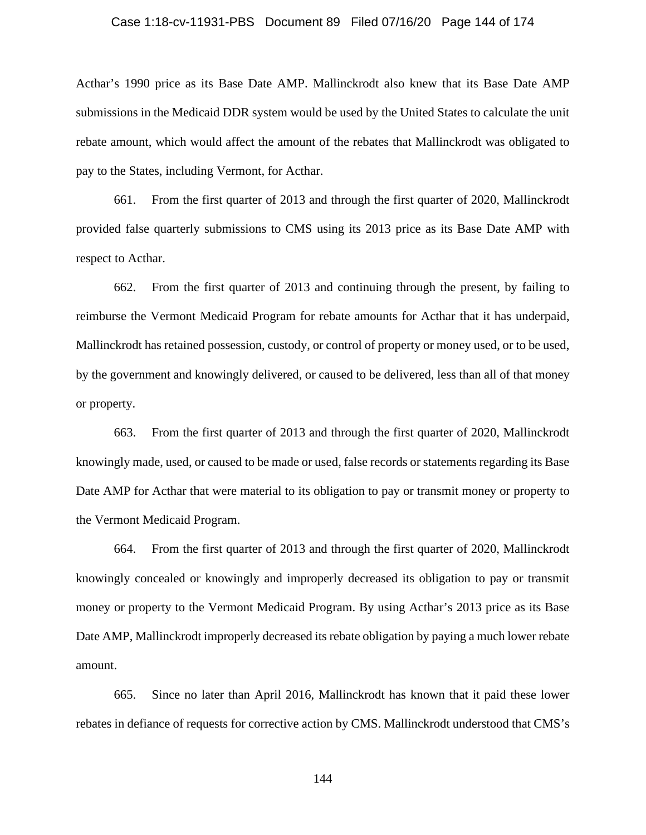### Case 1:18-cv-11931-PBS Document 89 Filed 07/16/20 Page 144 of 174

Acthar's 1990 price as its Base Date AMP. Mallinckrodt also knew that its Base Date AMP submissions in the Medicaid DDR system would be used by the United States to calculate the unit rebate amount, which would affect the amount of the rebates that Mallinckrodt was obligated to pay to the States, including Vermont, for Acthar.

661. From the first quarter of 2013 and through the first quarter of 2020, Mallinckrodt provided false quarterly submissions to CMS using its 2013 price as its Base Date AMP with respect to Acthar.

662. From the first quarter of 2013 and continuing through the present, by failing to reimburse the Vermont Medicaid Program for rebate amounts for Acthar that it has underpaid, Mallinckrodt has retained possession, custody, or control of property or money used, or to be used, by the government and knowingly delivered, or caused to be delivered, less than all of that money or property.

663. From the first quarter of 2013 and through the first quarter of 2020, Mallinckrodt knowingly made, used, or caused to be made or used, false records or statements regarding its Base Date AMP for Acthar that were material to its obligation to pay or transmit money or property to the Vermont Medicaid Program.

664. From the first quarter of 2013 and through the first quarter of 2020, Mallinckrodt knowingly concealed or knowingly and improperly decreased its obligation to pay or transmit money or property to the Vermont Medicaid Program. By using Acthar's 2013 price as its Base Date AMP, Mallinckrodt improperly decreased its rebate obligation by paying a much lower rebate amount.

665. Since no later than April 2016, Mallinckrodt has known that it paid these lower rebates in defiance of requests for corrective action by CMS. Mallinckrodt understood that CMS's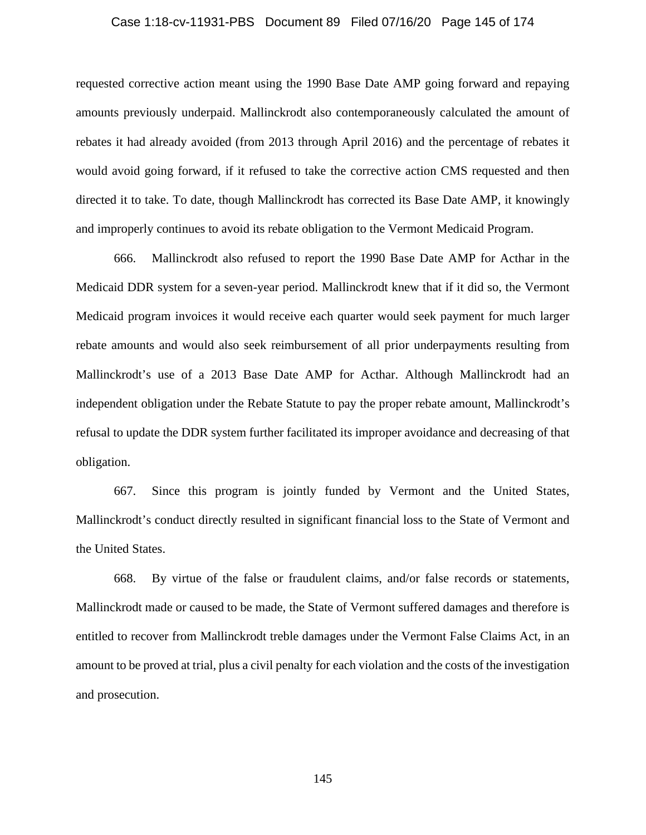### Case 1:18-cv-11931-PBS Document 89 Filed 07/16/20 Page 145 of 174

requested corrective action meant using the 1990 Base Date AMP going forward and repaying amounts previously underpaid. Mallinckrodt also contemporaneously calculated the amount of rebates it had already avoided (from 2013 through April 2016) and the percentage of rebates it would avoid going forward, if it refused to take the corrective action CMS requested and then directed it to take. To date, though Mallinckrodt has corrected its Base Date AMP, it knowingly and improperly continues to avoid its rebate obligation to the Vermont Medicaid Program.

666. Mallinckrodt also refused to report the 1990 Base Date AMP for Acthar in the Medicaid DDR system for a seven-year period. Mallinckrodt knew that if it did so, the Vermont Medicaid program invoices it would receive each quarter would seek payment for much larger rebate amounts and would also seek reimbursement of all prior underpayments resulting from Mallinckrodt's use of a 2013 Base Date AMP for Acthar. Although Mallinckrodt had an independent obligation under the Rebate Statute to pay the proper rebate amount, Mallinckrodt's refusal to update the DDR system further facilitated its improper avoidance and decreasing of that obligation.

667. Since this program is jointly funded by Vermont and the United States, Mallinckrodt's conduct directly resulted in significant financial loss to the State of Vermont and the United States.

668. By virtue of the false or fraudulent claims, and/or false records or statements, Mallinckrodt made or caused to be made, the State of Vermont suffered damages and therefore is entitled to recover from Mallinckrodt treble damages under the Vermont False Claims Act, in an amount to be proved at trial, plus a civil penalty for each violation and the costs of the investigation and prosecution.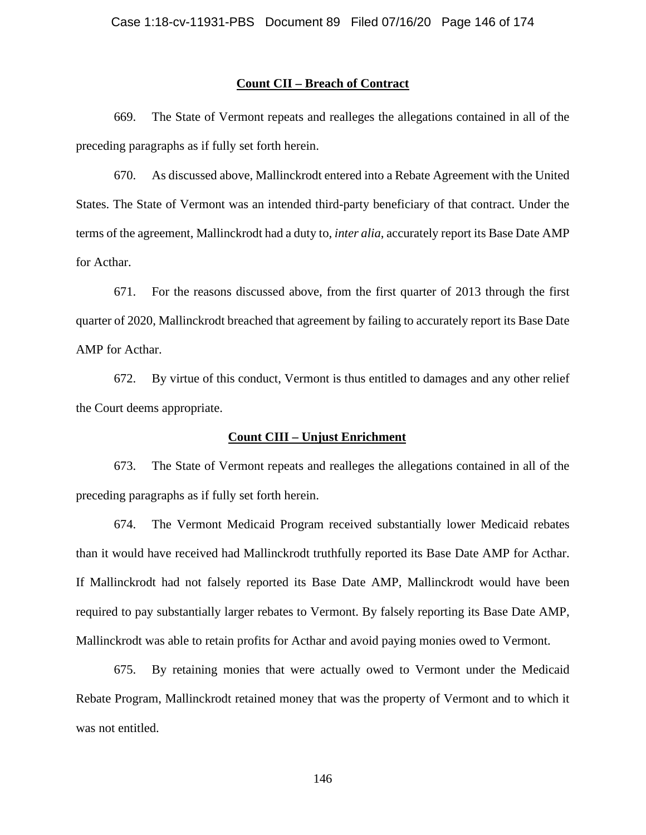### **Count CII – Breach of Contract**

669. The State of Vermont repeats and realleges the allegations contained in all of the preceding paragraphs as if fully set forth herein.

670. As discussed above, Mallinckrodt entered into a Rebate Agreement with the United States. The State of Vermont was an intended third-party beneficiary of that contract. Under the terms of the agreement, Mallinckrodt had a duty to, *inter alia*, accurately report its Base Date AMP for Acthar.

671. For the reasons discussed above, from the first quarter of 2013 through the first quarter of 2020, Mallinckrodt breached that agreement by failing to accurately report its Base Date AMP for Acthar.

672. By virtue of this conduct, Vermont is thus entitled to damages and any other relief the Court deems appropriate.

### **Count CIII – Unjust Enrichment**

673. The State of Vermont repeats and realleges the allegations contained in all of the preceding paragraphs as if fully set forth herein.

674. The Vermont Medicaid Program received substantially lower Medicaid rebates than it would have received had Mallinckrodt truthfully reported its Base Date AMP for Acthar. If Mallinckrodt had not falsely reported its Base Date AMP, Mallinckrodt would have been required to pay substantially larger rebates to Vermont. By falsely reporting its Base Date AMP, Mallinckrodt was able to retain profits for Acthar and avoid paying monies owed to Vermont.

675. By retaining monies that were actually owed to Vermont under the Medicaid Rebate Program, Mallinckrodt retained money that was the property of Vermont and to which it was not entitled.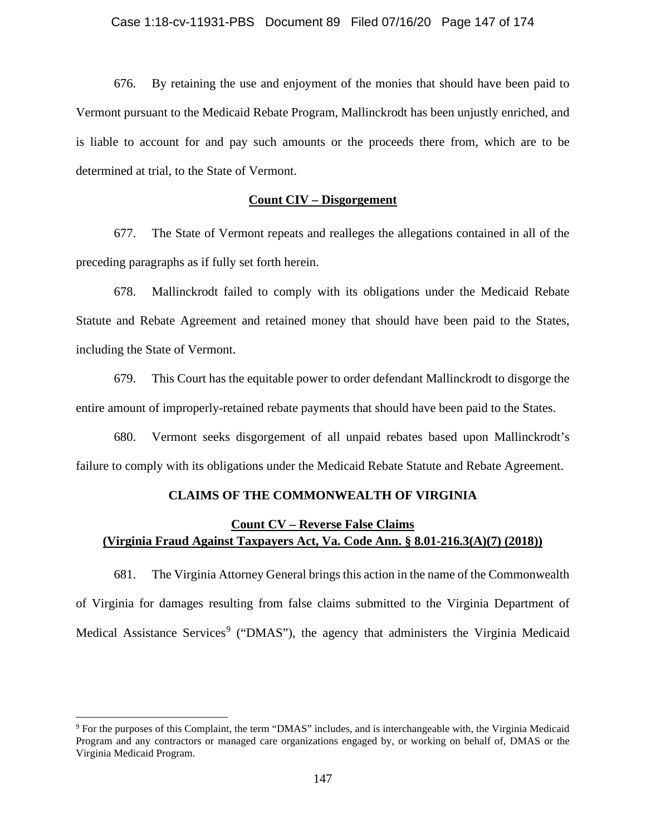676. By retaining the use and enjoyment of the monies that should have been paid to Vermont pursuant to the Medicaid Rebate Program, Mallinckrodt has been unjustly enriched, and is liable to account for and pay such amounts or the proceeds there from, which are to be determined at trial, to the State of Vermont.

### **Count CIV – Disgorgement**

677. The State of Vermont repeats and realleges the allegations contained in all of the preceding paragraphs as if fully set forth herein.

678. Mallinckrodt failed to comply with its obligations under the Medicaid Rebate Statute and Rebate Agreement and retained money that should have been paid to the States, including the State of Vermont.

679. This Court has the equitable power to order defendant Mallinckrodt to disgorge the entire amount of improperly-retained rebate payments that should have been paid to the States.

680. Vermont seeks disgorgement of all unpaid rebates based upon Mallinckrodt's failure to comply with its obligations under the Medicaid Rebate Statute and Rebate Agreement.

### **CLAIMS OF THE COMMONWEALTH OF VIRGINIA**

# **Count CV – Reverse False Claims (Virginia Fraud Against Taxpayers Act, Va. Code Ann. § 8.01-216.3(A)(7) (2018))**

681. The Virginia Attorney General brings this action in the name of the Commonwealth of Virginia for damages resulting from false claims submitted to the Virginia Department of Medical Assistance Services<sup>9</sup> ("DMAS"), the agency that administers the Virginia Medicaid

<sup>9</sup> For the purposes of this Complaint, the term "DMAS" includes, and is interchangeable with, the Virginia Medicaid Program and any contractors or managed care organizations engaged by, or working on behalf of, DMAS or the Virginia Medicaid Program.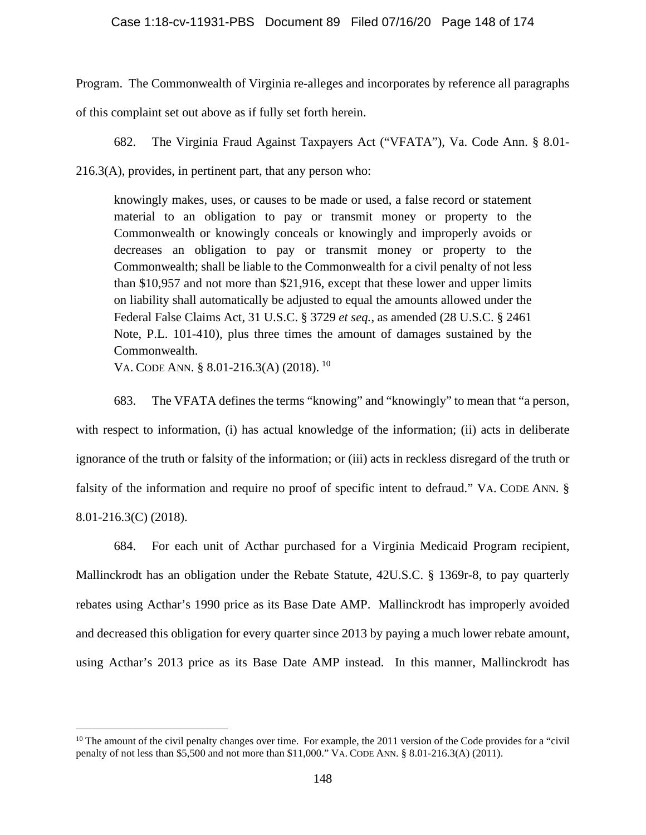Program. The Commonwealth of Virginia re-alleges and incorporates by reference all paragraphs of this complaint set out above as if fully set forth herein.

682. The Virginia Fraud Against Taxpayers Act ("VFATA"), Va. Code Ann. § 8.01- 216.3(A), provides, in pertinent part, that any person who:

knowingly makes, uses, or causes to be made or used, a false record or statement material to an obligation to pay or transmit money or property to the Commonwealth or knowingly conceals or knowingly and improperly avoids or decreases an obligation to pay or transmit money or property to the Commonwealth; shall be liable to the Commonwealth for a civil penalty of not less than \$10,957 and not more than \$21,916, except that these lower and upper limits on liability shall automatically be adjusted to equal the amounts allowed under the Federal False Claims Act, 31 U.S.C. § 3729 *et seq.*, as amended (28 U.S.C. § 2461 Note, P.L. 101-410), plus three times the amount of damages sustained by the Commonwealth.

VA. CODE ANN. § 8.01-216.3(A) (2018). <sup>10</sup>

683. The VFATA defines the terms "knowing" and "knowingly" to mean that "a person, with respect to information, (i) has actual knowledge of the information; (ii) acts in deliberate ignorance of the truth or falsity of the information; or (iii) acts in reckless disregard of the truth or falsity of the information and require no proof of specific intent to defraud." VA. CODE ANN. § 8.01-216.3(C) (2018).

684. For each unit of Acthar purchased for a Virginia Medicaid Program recipient, Mallinckrodt has an obligation under the Rebate Statute, 42U.S.C. § 1369r-8, to pay quarterly rebates using Acthar's 1990 price as its Base Date AMP. Mallinckrodt has improperly avoided and decreased this obligation for every quarter since 2013 by paying a much lower rebate amount, using Acthar's 2013 price as its Base Date AMP instead. In this manner, Mallinckrodt has

 $10$  The amount of the civil penalty changes over time. For example, the 2011 version of the Code provides for a "civil" penalty of not less than \$5,500 and not more than \$11,000." VA. CODE ANN. § 8.01-216.3(A) (2011).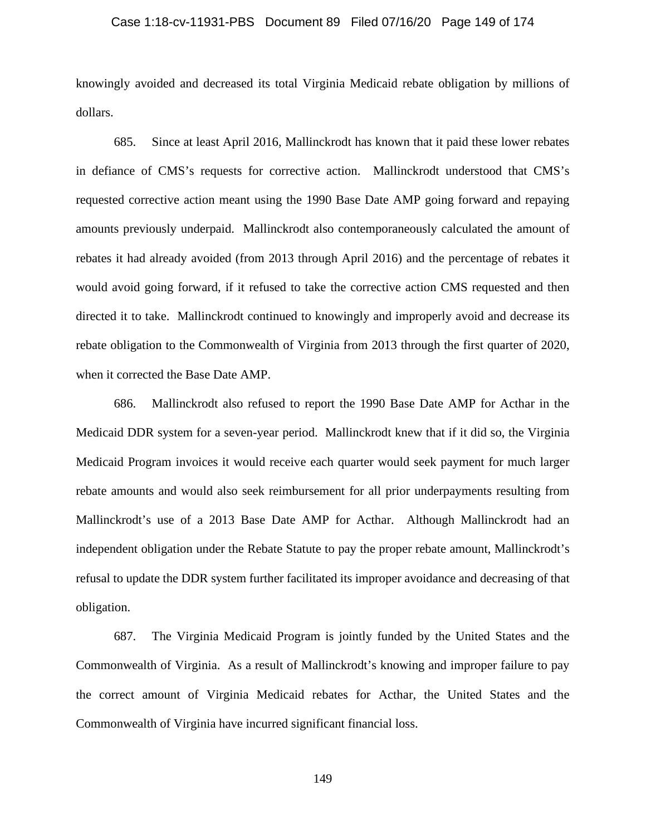### Case 1:18-cv-11931-PBS Document 89 Filed 07/16/20 Page 149 of 174

knowingly avoided and decreased its total Virginia Medicaid rebate obligation by millions of dollars.

685. Since at least April 2016, Mallinckrodt has known that it paid these lower rebates in defiance of CMS's requests for corrective action. Mallinckrodt understood that CMS's requested corrective action meant using the 1990 Base Date AMP going forward and repaying amounts previously underpaid. Mallinckrodt also contemporaneously calculated the amount of rebates it had already avoided (from 2013 through April 2016) and the percentage of rebates it would avoid going forward, if it refused to take the corrective action CMS requested and then directed it to take. Mallinckrodt continued to knowingly and improperly avoid and decrease its rebate obligation to the Commonwealth of Virginia from 2013 through the first quarter of 2020, when it corrected the Base Date AMP.

686. Mallinckrodt also refused to report the 1990 Base Date AMP for Acthar in the Medicaid DDR system for a seven-year period. Mallinckrodt knew that if it did so, the Virginia Medicaid Program invoices it would receive each quarter would seek payment for much larger rebate amounts and would also seek reimbursement for all prior underpayments resulting from Mallinckrodt's use of a 2013 Base Date AMP for Acthar. Although Mallinckrodt had an independent obligation under the Rebate Statute to pay the proper rebate amount, Mallinckrodt's refusal to update the DDR system further facilitated its improper avoidance and decreasing of that obligation.

687. The Virginia Medicaid Program is jointly funded by the United States and the Commonwealth of Virginia. As a result of Mallinckrodt's knowing and improper failure to pay the correct amount of Virginia Medicaid rebates for Acthar, the United States and the Commonwealth of Virginia have incurred significant financial loss.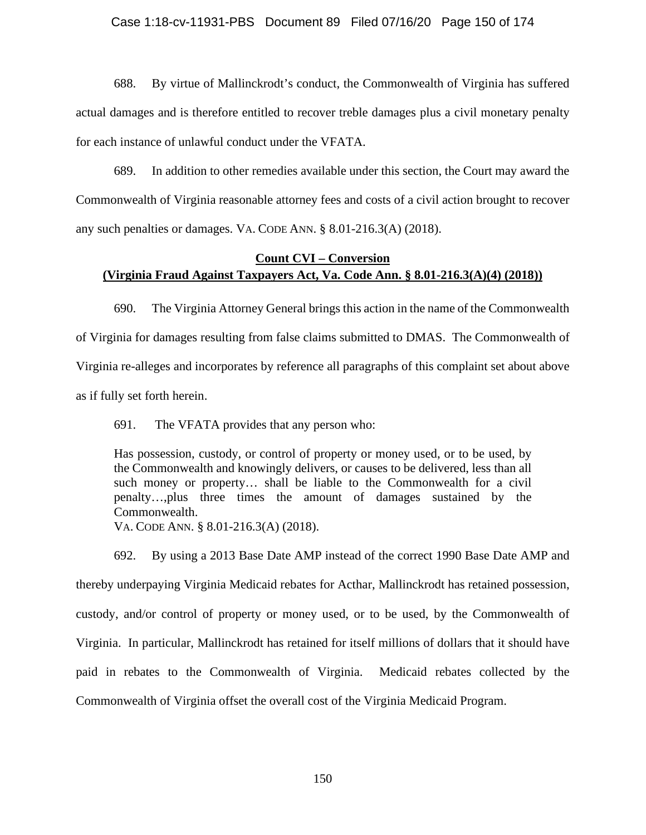688. By virtue of Mallinckrodt's conduct, the Commonwealth of Virginia has suffered actual damages and is therefore entitled to recover treble damages plus a civil monetary penalty for each instance of unlawful conduct under the VFATA.

689. In addition to other remedies available under this section, the Court may award the Commonwealth of Virginia reasonable attorney fees and costs of a civil action brought to recover any such penalties or damages. VA. CODE ANN. § 8.01-216.3(A) (2018).

# **Count CVI – Conversion (Virginia Fraud Against Taxpayers Act, Va. Code Ann. § 8.01-216.3(A)(4) (2018))**

690. The Virginia Attorney General brings this action in the name of the Commonwealth of Virginia for damages resulting from false claims submitted to DMAS. The Commonwealth of Virginia re-alleges and incorporates by reference all paragraphs of this complaint set about above as if fully set forth herein.

691. The VFATA provides that any person who:

Has possession, custody, or control of property or money used, or to be used, by the Commonwealth and knowingly delivers, or causes to be delivered, less than all such money or property… shall be liable to the Commonwealth for a civil penalty…,plus three times the amount of damages sustained by the Commonwealth.

VA. CODE ANN. § 8.01-216.3(A) (2018).

692. By using a 2013 Base Date AMP instead of the correct 1990 Base Date AMP and thereby underpaying Virginia Medicaid rebates for Acthar, Mallinckrodt has retained possession, custody, and/or control of property or money used, or to be used, by the Commonwealth of Virginia. In particular, Mallinckrodt has retained for itself millions of dollars that it should have paid in rebates to the Commonwealth of Virginia. Medicaid rebates collected by the Commonwealth of Virginia offset the overall cost of the Virginia Medicaid Program.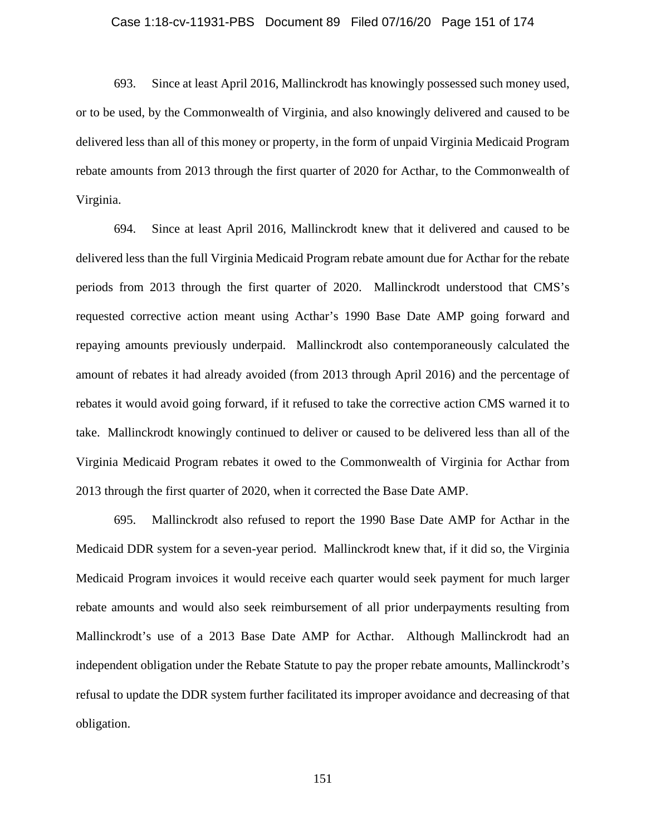### Case 1:18-cv-11931-PBS Document 89 Filed 07/16/20 Page 151 of 174

693. Since at least April 2016, Mallinckrodt has knowingly possessed such money used, or to be used, by the Commonwealth of Virginia, and also knowingly delivered and caused to be delivered less than all of this money or property, in the form of unpaid Virginia Medicaid Program rebate amounts from 2013 through the first quarter of 2020 for Acthar, to the Commonwealth of Virginia.

694. Since at least April 2016, Mallinckrodt knew that it delivered and caused to be delivered less than the full Virginia Medicaid Program rebate amount due for Acthar for the rebate periods from 2013 through the first quarter of 2020. Mallinckrodt understood that CMS's requested corrective action meant using Acthar's 1990 Base Date AMP going forward and repaying amounts previously underpaid. Mallinckrodt also contemporaneously calculated the amount of rebates it had already avoided (from 2013 through April 2016) and the percentage of rebates it would avoid going forward, if it refused to take the corrective action CMS warned it to take. Mallinckrodt knowingly continued to deliver or caused to be delivered less than all of the Virginia Medicaid Program rebates it owed to the Commonwealth of Virginia for Acthar from 2013 through the first quarter of 2020, when it corrected the Base Date AMP.

695. Mallinckrodt also refused to report the 1990 Base Date AMP for Acthar in the Medicaid DDR system for a seven-year period. Mallinckrodt knew that, if it did so, the Virginia Medicaid Program invoices it would receive each quarter would seek payment for much larger rebate amounts and would also seek reimbursement of all prior underpayments resulting from Mallinckrodt's use of a 2013 Base Date AMP for Acthar. Although Mallinckrodt had an independent obligation under the Rebate Statute to pay the proper rebate amounts, Mallinckrodt's refusal to update the DDR system further facilitated its improper avoidance and decreasing of that obligation.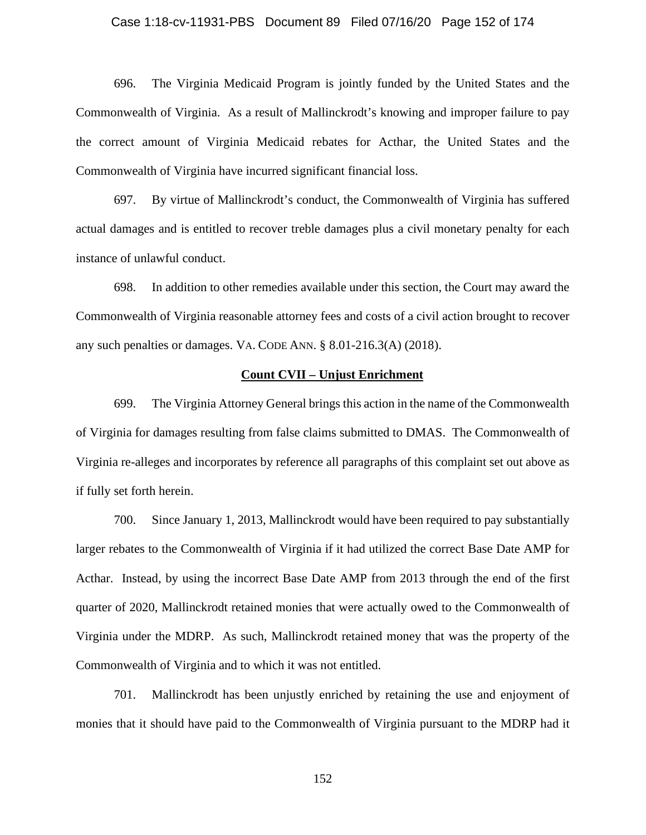### Case 1:18-cv-11931-PBS Document 89 Filed 07/16/20 Page 152 of 174

696. The Virginia Medicaid Program is jointly funded by the United States and the Commonwealth of Virginia. As a result of Mallinckrodt's knowing and improper failure to pay the correct amount of Virginia Medicaid rebates for Acthar, the United States and the Commonwealth of Virginia have incurred significant financial loss.

697. By virtue of Mallinckrodt's conduct, the Commonwealth of Virginia has suffered actual damages and is entitled to recover treble damages plus a civil monetary penalty for each instance of unlawful conduct.

698. In addition to other remedies available under this section, the Court may award the Commonwealth of Virginia reasonable attorney fees and costs of a civil action brought to recover any such penalties or damages. VA. CODE ANN. § 8.01-216.3(A) (2018).

### **Count CVII – Unjust Enrichment**

699. The Virginia Attorney General brings this action in the name of the Commonwealth of Virginia for damages resulting from false claims submitted to DMAS. The Commonwealth of Virginia re-alleges and incorporates by reference all paragraphs of this complaint set out above as if fully set forth herein.

700. Since January 1, 2013, Mallinckrodt would have been required to pay substantially larger rebates to the Commonwealth of Virginia if it had utilized the correct Base Date AMP for Acthar. Instead, by using the incorrect Base Date AMP from 2013 through the end of the first quarter of 2020, Mallinckrodt retained monies that were actually owed to the Commonwealth of Virginia under the MDRP. As such, Mallinckrodt retained money that was the property of the Commonwealth of Virginia and to which it was not entitled.

701. Mallinckrodt has been unjustly enriched by retaining the use and enjoyment of monies that it should have paid to the Commonwealth of Virginia pursuant to the MDRP had it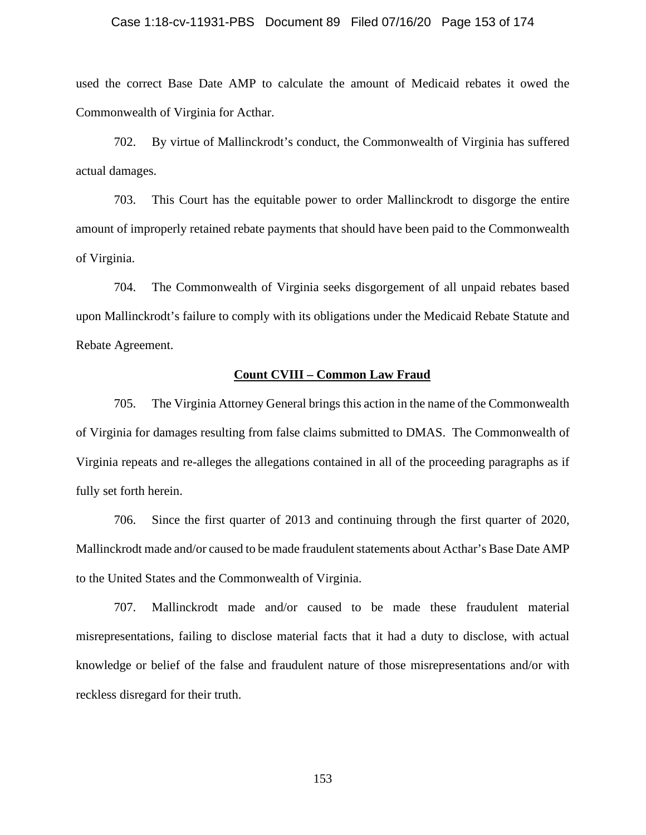#### Case 1:18-cv-11931-PBS Document 89 Filed 07/16/20 Page 153 of 174

used the correct Base Date AMP to calculate the amount of Medicaid rebates it owed the Commonwealth of Virginia for Acthar.

702. By virtue of Mallinckrodt's conduct, the Commonwealth of Virginia has suffered actual damages.

703. This Court has the equitable power to order Mallinckrodt to disgorge the entire amount of improperly retained rebate payments that should have been paid to the Commonwealth of Virginia.

704. The Commonwealth of Virginia seeks disgorgement of all unpaid rebates based upon Mallinckrodt's failure to comply with its obligations under the Medicaid Rebate Statute and Rebate Agreement.

### **Count CVIII – Common Law Fraud**

705. The Virginia Attorney General brings this action in the name of the Commonwealth of Virginia for damages resulting from false claims submitted to DMAS. The Commonwealth of Virginia repeats and re-alleges the allegations contained in all of the proceeding paragraphs as if fully set forth herein.

706. Since the first quarter of 2013 and continuing through the first quarter of 2020, Mallinckrodt made and/or caused to be made fraudulent statements about Acthar's Base Date AMP to the United States and the Commonwealth of Virginia.

707. Mallinckrodt made and/or caused to be made these fraudulent material misrepresentations, failing to disclose material facts that it had a duty to disclose, with actual knowledge or belief of the false and fraudulent nature of those misrepresentations and/or with reckless disregard for their truth.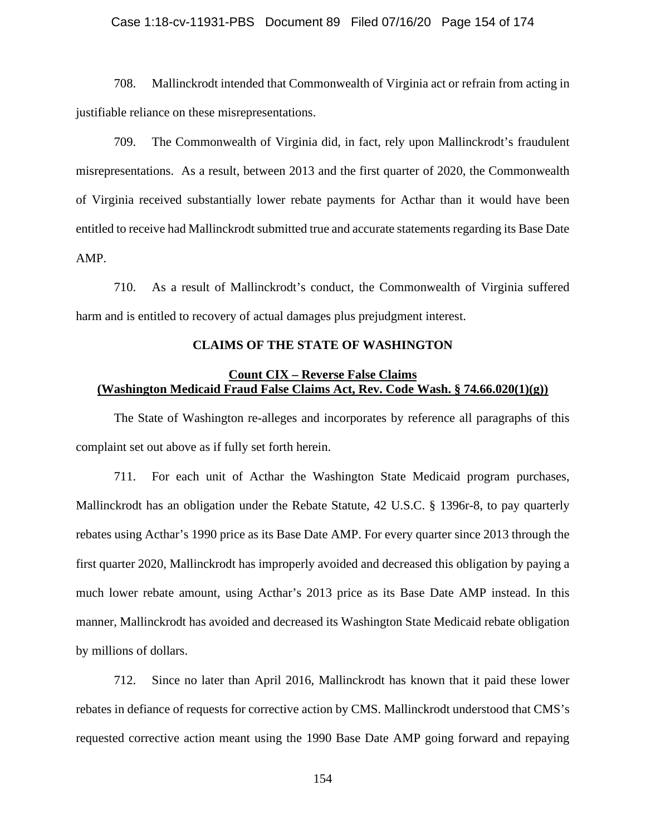### Case 1:18-cv-11931-PBS Document 89 Filed 07/16/20 Page 154 of 174

708. Mallinckrodt intended that Commonwealth of Virginia act or refrain from acting in justifiable reliance on these misrepresentations.

709. The Commonwealth of Virginia did, in fact, rely upon Mallinckrodt's fraudulent misrepresentations. As a result, between 2013 and the first quarter of 2020, the Commonwealth of Virginia received substantially lower rebate payments for Acthar than it would have been entitled to receive had Mallinckrodt submitted true and accurate statements regarding its Base Date AMP.

710. As a result of Mallinckrodt's conduct, the Commonwealth of Virginia suffered harm and is entitled to recovery of actual damages plus prejudgment interest.

#### **CLAIMS OF THE STATE OF WASHINGTON**

### **Count CIX – Reverse False Claims (Washington Medicaid Fraud False Claims Act, Rev. Code Wash. § 74.66.020(1)(g))**

The State of Washington re-alleges and incorporates by reference all paragraphs of this complaint set out above as if fully set forth herein.

711. For each unit of Acthar the Washington State Medicaid program purchases, Mallinckrodt has an obligation under the Rebate Statute, 42 U.S.C. § 1396r-8, to pay quarterly rebates using Acthar's 1990 price as its Base Date AMP. For every quarter since 2013 through the first quarter 2020, Mallinckrodt has improperly avoided and decreased this obligation by paying a much lower rebate amount, using Acthar's 2013 price as its Base Date AMP instead. In this manner, Mallinckrodt has avoided and decreased its Washington State Medicaid rebate obligation by millions of dollars.

712. Since no later than April 2016, Mallinckrodt has known that it paid these lower rebates in defiance of requests for corrective action by CMS. Mallinckrodt understood that CMS's requested corrective action meant using the 1990 Base Date AMP going forward and repaying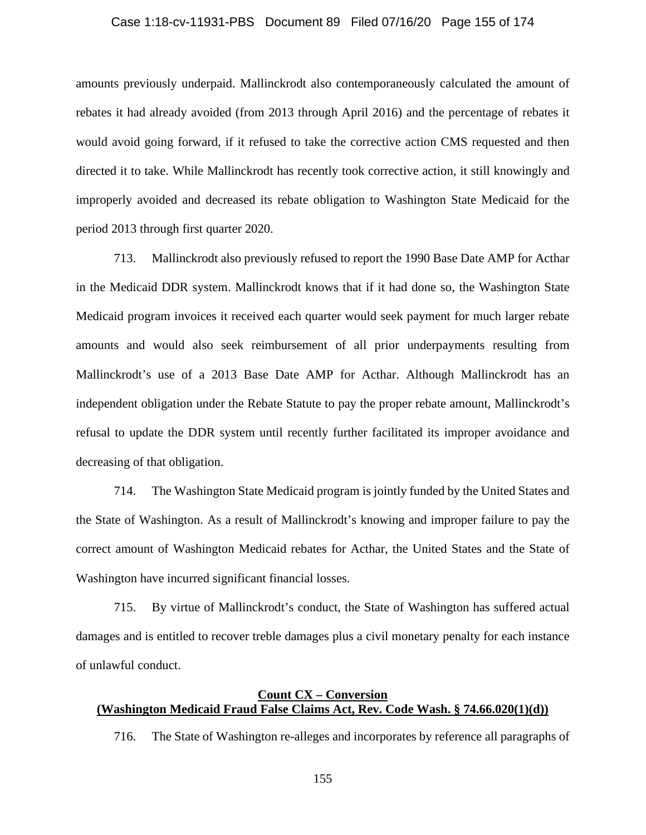### Case 1:18-cv-11931-PBS Document 89 Filed 07/16/20 Page 155 of 174

amounts previously underpaid. Mallinckrodt also contemporaneously calculated the amount of rebates it had already avoided (from 2013 through April 2016) and the percentage of rebates it would avoid going forward, if it refused to take the corrective action CMS requested and then directed it to take. While Mallinckrodt has recently took corrective action, it still knowingly and improperly avoided and decreased its rebate obligation to Washington State Medicaid for the period 2013 through first quarter 2020.

713. Mallinckrodt also previously refused to report the 1990 Base Date AMP for Acthar in the Medicaid DDR system. Mallinckrodt knows that if it had done so, the Washington State Medicaid program invoices it received each quarter would seek payment for much larger rebate amounts and would also seek reimbursement of all prior underpayments resulting from Mallinckrodt's use of a 2013 Base Date AMP for Acthar. Although Mallinckrodt has an independent obligation under the Rebate Statute to pay the proper rebate amount, Mallinckrodt's refusal to update the DDR system until recently further facilitated its improper avoidance and decreasing of that obligation.

714. The Washington State Medicaid program is jointly funded by the United States and the State of Washington. As a result of Mallinckrodt's knowing and improper failure to pay the correct amount of Washington Medicaid rebates for Acthar, the United States and the State of Washington have incurred significant financial losses.

715. By virtue of Mallinckrodt's conduct, the State of Washington has suffered actual damages and is entitled to recover treble damages plus a civil monetary penalty for each instance of unlawful conduct.

# **Count CX – Conversion (Washington Medicaid Fraud False Claims Act, Rev. Code Wash. § 74.66.020(1)(d))**

716. The State of Washington re-alleges and incorporates by reference all paragraphs of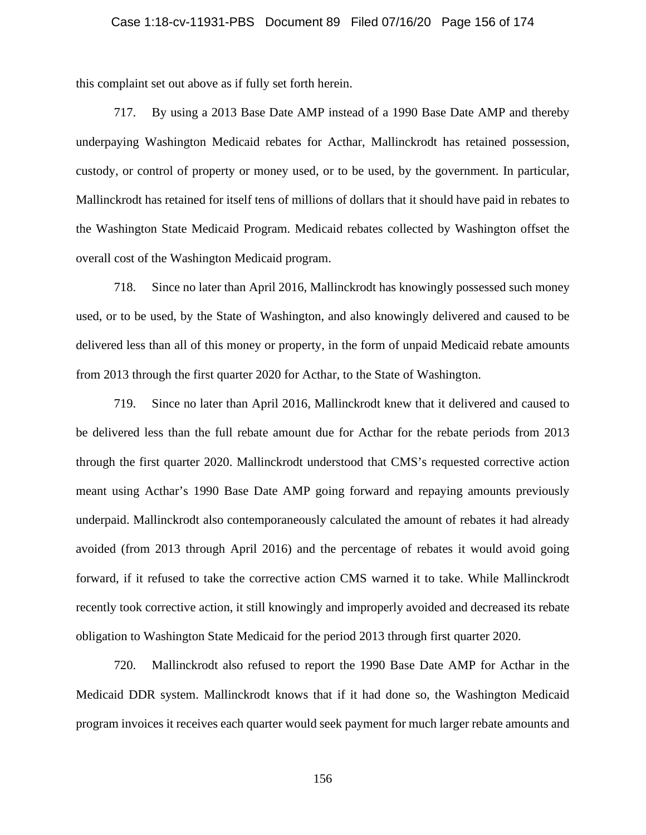#### Case 1:18-cv-11931-PBS Document 89 Filed 07/16/20 Page 156 of 174

this complaint set out above as if fully set forth herein.

717. By using a 2013 Base Date AMP instead of a 1990 Base Date AMP and thereby underpaying Washington Medicaid rebates for Acthar, Mallinckrodt has retained possession, custody, or control of property or money used, or to be used, by the government. In particular, Mallinckrodt has retained for itself tens of millions of dollars that it should have paid in rebates to the Washington State Medicaid Program. Medicaid rebates collected by Washington offset the overall cost of the Washington Medicaid program.

718. Since no later than April 2016, Mallinckrodt has knowingly possessed such money used, or to be used, by the State of Washington, and also knowingly delivered and caused to be delivered less than all of this money or property, in the form of unpaid Medicaid rebate amounts from 2013 through the first quarter 2020 for Acthar, to the State of Washington.

719. Since no later than April 2016, Mallinckrodt knew that it delivered and caused to be delivered less than the full rebate amount due for Acthar for the rebate periods from 2013 through the first quarter 2020. Mallinckrodt understood that CMS's requested corrective action meant using Acthar's 1990 Base Date AMP going forward and repaying amounts previously underpaid. Mallinckrodt also contemporaneously calculated the amount of rebates it had already avoided (from 2013 through April 2016) and the percentage of rebates it would avoid going forward, if it refused to take the corrective action CMS warned it to take. While Mallinckrodt recently took corrective action, it still knowingly and improperly avoided and decreased its rebate obligation to Washington State Medicaid for the period 2013 through first quarter 2020.

720. Mallinckrodt also refused to report the 1990 Base Date AMP for Acthar in the Medicaid DDR system. Mallinckrodt knows that if it had done so, the Washington Medicaid program invoices it receives each quarter would seek payment for much larger rebate amounts and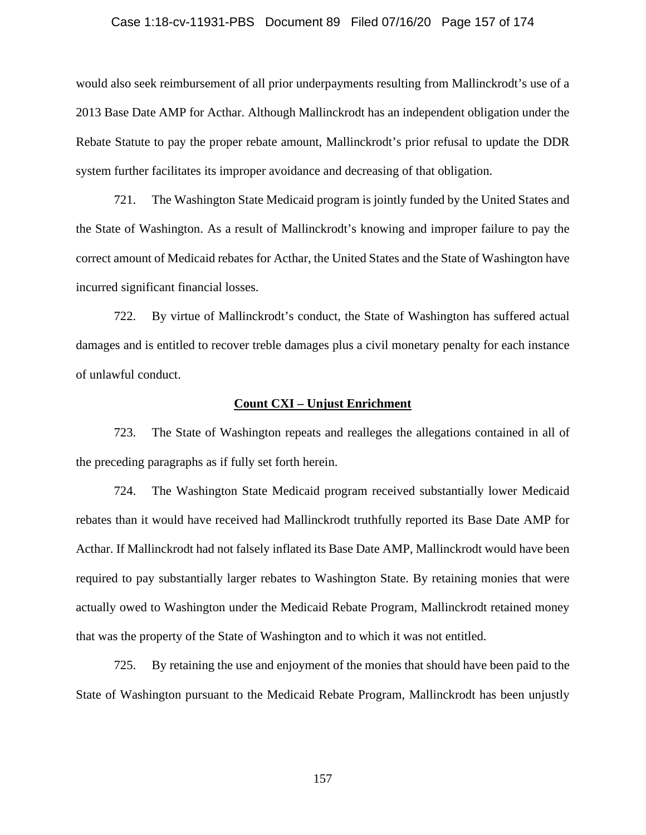#### Case 1:18-cv-11931-PBS Document 89 Filed 07/16/20 Page 157 of 174

would also seek reimbursement of all prior underpayments resulting from Mallinckrodt's use of a 2013 Base Date AMP for Acthar. Although Mallinckrodt has an independent obligation under the Rebate Statute to pay the proper rebate amount, Mallinckrodt's prior refusal to update the DDR system further facilitates its improper avoidance and decreasing of that obligation.

721. The Washington State Medicaid program is jointly funded by the United States and the State of Washington. As a result of Mallinckrodt's knowing and improper failure to pay the correct amount of Medicaid rebates for Acthar, the United States and the State of Washington have incurred significant financial losses.

722. By virtue of Mallinckrodt's conduct, the State of Washington has suffered actual damages and is entitled to recover treble damages plus a civil monetary penalty for each instance of unlawful conduct.

#### **Count CXI – Unjust Enrichment**

723. The State of Washington repeats and realleges the allegations contained in all of the preceding paragraphs as if fully set forth herein.

724. The Washington State Medicaid program received substantially lower Medicaid rebates than it would have received had Mallinckrodt truthfully reported its Base Date AMP for Acthar. If Mallinckrodt had not falsely inflated its Base Date AMP, Mallinckrodt would have been required to pay substantially larger rebates to Washington State. By retaining monies that were actually owed to Washington under the Medicaid Rebate Program, Mallinckrodt retained money that was the property of the State of Washington and to which it was not entitled.

725. By retaining the use and enjoyment of the monies that should have been paid to the State of Washington pursuant to the Medicaid Rebate Program, Mallinckrodt has been unjustly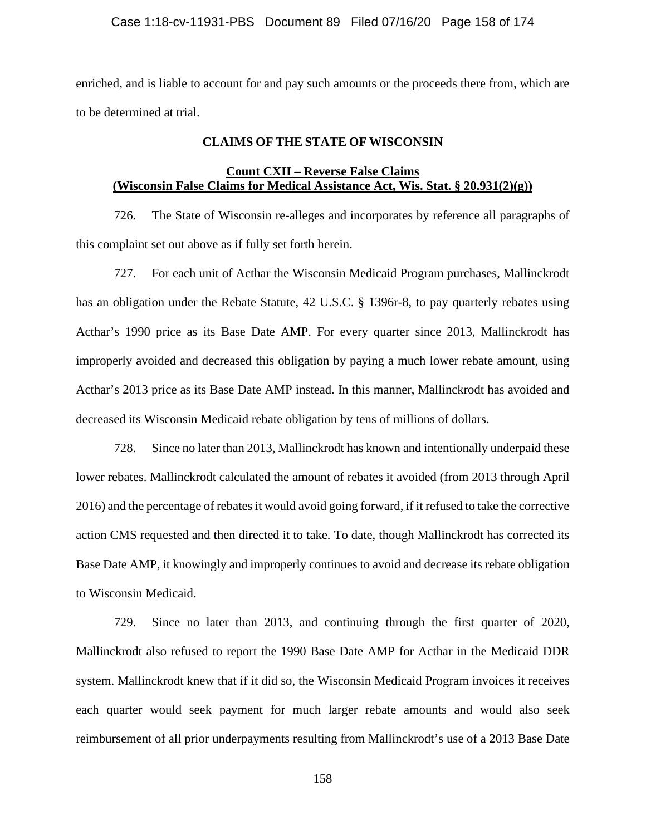enriched, and is liable to account for and pay such amounts or the proceeds there from, which are to be determined at trial.

### **CLAIMS OF THE STATE OF WISCONSIN**

### **Count CXII – Reverse False Claims (Wisconsin False Claims for Medical Assistance Act, Wis. Stat. § 20.931(2)(g))**

726. The State of Wisconsin re-alleges and incorporates by reference all paragraphs of this complaint set out above as if fully set forth herein.

727. For each unit of Acthar the Wisconsin Medicaid Program purchases, Mallinckrodt has an obligation under the Rebate Statute, 42 U.S.C. § 1396r-8, to pay quarterly rebates using Acthar's 1990 price as its Base Date AMP. For every quarter since 2013, Mallinckrodt has improperly avoided and decreased this obligation by paying a much lower rebate amount, using Acthar's 2013 price as its Base Date AMP instead. In this manner, Mallinckrodt has avoided and decreased its Wisconsin Medicaid rebate obligation by tens of millions of dollars.

728. Since no later than 2013, Mallinckrodt has known and intentionally underpaid these lower rebates. Mallinckrodt calculated the amount of rebates it avoided (from 2013 through April 2016) and the percentage of rebates it would avoid going forward, if it refused to take the corrective action CMS requested and then directed it to take. To date, though Mallinckrodt has corrected its Base Date AMP, it knowingly and improperly continues to avoid and decrease its rebate obligation to Wisconsin Medicaid.

729. Since no later than 2013, and continuing through the first quarter of 2020, Mallinckrodt also refused to report the 1990 Base Date AMP for Acthar in the Medicaid DDR system. Mallinckrodt knew that if it did so, the Wisconsin Medicaid Program invoices it receives each quarter would seek payment for much larger rebate amounts and would also seek reimbursement of all prior underpayments resulting from Mallinckrodt's use of a 2013 Base Date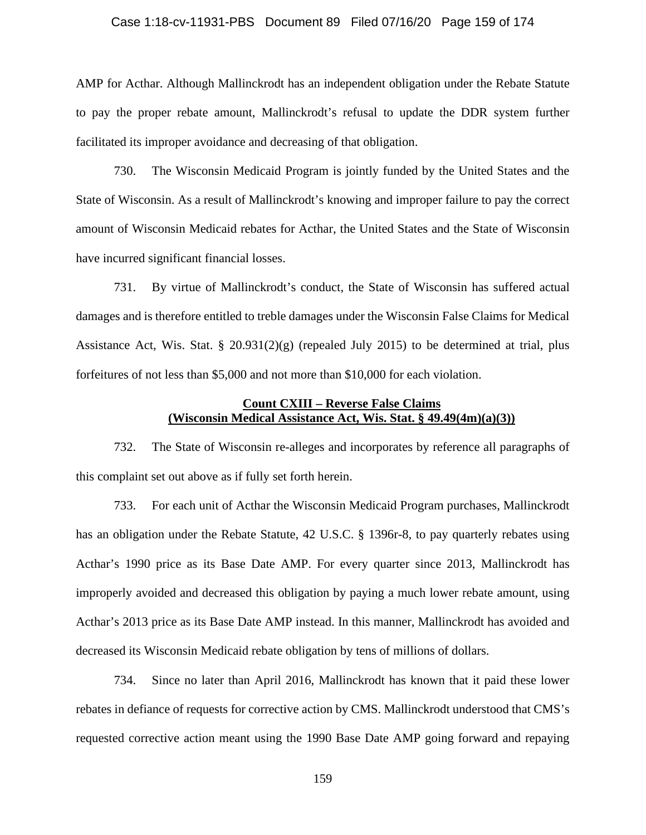### Case 1:18-cv-11931-PBS Document 89 Filed 07/16/20 Page 159 of 174

AMP for Acthar. Although Mallinckrodt has an independent obligation under the Rebate Statute to pay the proper rebate amount, Mallinckrodt's refusal to update the DDR system further facilitated its improper avoidance and decreasing of that obligation.

730. The Wisconsin Medicaid Program is jointly funded by the United States and the State of Wisconsin. As a result of Mallinckrodt's knowing and improper failure to pay the correct amount of Wisconsin Medicaid rebates for Acthar, the United States and the State of Wisconsin have incurred significant financial losses.

731. By virtue of Mallinckrodt's conduct, the State of Wisconsin has suffered actual damages and is therefore entitled to treble damages under the Wisconsin False Claims for Medical Assistance Act, Wis. Stat. § 20.931(2)(g) (repealed July 2015) to be determined at trial, plus forfeitures of not less than \$5,000 and not more than \$10,000 for each violation.

### **Count CXIII – Reverse False Claims (Wisconsin Medical Assistance Act, Wis. Stat. § 49.49(4m)(a)(3))**

732. The State of Wisconsin re-alleges and incorporates by reference all paragraphs of this complaint set out above as if fully set forth herein.

733. For each unit of Acthar the Wisconsin Medicaid Program purchases, Mallinckrodt has an obligation under the Rebate Statute, 42 U.S.C. § 1396r-8, to pay quarterly rebates using Acthar's 1990 price as its Base Date AMP. For every quarter since 2013, Mallinckrodt has improperly avoided and decreased this obligation by paying a much lower rebate amount, using Acthar's 2013 price as its Base Date AMP instead. In this manner, Mallinckrodt has avoided and decreased its Wisconsin Medicaid rebate obligation by tens of millions of dollars.

734. Since no later than April 2016, Mallinckrodt has known that it paid these lower rebates in defiance of requests for corrective action by CMS. Mallinckrodt understood that CMS's requested corrective action meant using the 1990 Base Date AMP going forward and repaying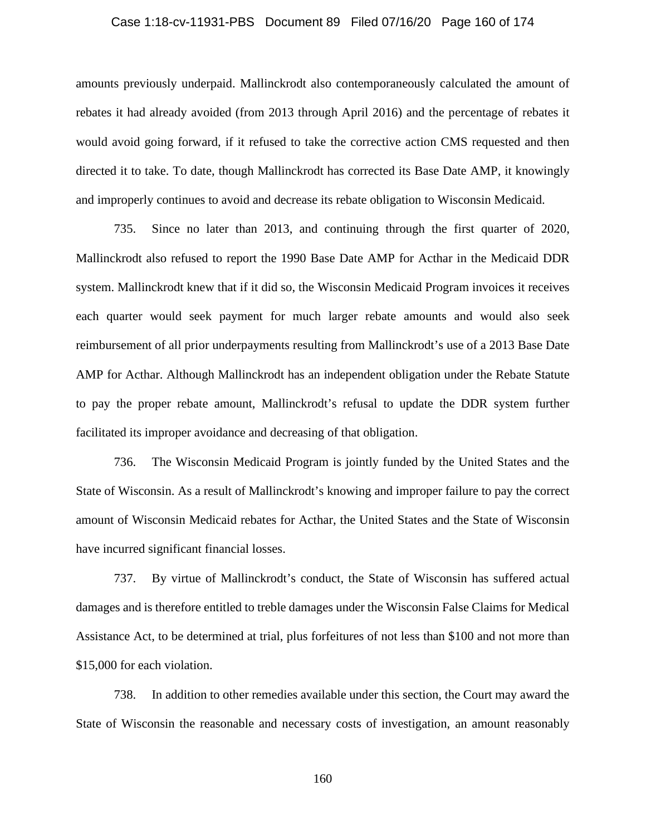### Case 1:18-cv-11931-PBS Document 89 Filed 07/16/20 Page 160 of 174

amounts previously underpaid. Mallinckrodt also contemporaneously calculated the amount of rebates it had already avoided (from 2013 through April 2016) and the percentage of rebates it would avoid going forward, if it refused to take the corrective action CMS requested and then directed it to take. To date, though Mallinckrodt has corrected its Base Date AMP, it knowingly and improperly continues to avoid and decrease its rebate obligation to Wisconsin Medicaid.

735. Since no later than 2013, and continuing through the first quarter of 2020, Mallinckrodt also refused to report the 1990 Base Date AMP for Acthar in the Medicaid DDR system. Mallinckrodt knew that if it did so, the Wisconsin Medicaid Program invoices it receives each quarter would seek payment for much larger rebate amounts and would also seek reimbursement of all prior underpayments resulting from Mallinckrodt's use of a 2013 Base Date AMP for Acthar. Although Mallinckrodt has an independent obligation under the Rebate Statute to pay the proper rebate amount, Mallinckrodt's refusal to update the DDR system further facilitated its improper avoidance and decreasing of that obligation.

736. The Wisconsin Medicaid Program is jointly funded by the United States and the State of Wisconsin. As a result of Mallinckrodt's knowing and improper failure to pay the correct amount of Wisconsin Medicaid rebates for Acthar, the United States and the State of Wisconsin have incurred significant financial losses.

737. By virtue of Mallinckrodt's conduct, the State of Wisconsin has suffered actual damages and is therefore entitled to treble damages under the Wisconsin False Claims for Medical Assistance Act, to be determined at trial, plus forfeitures of not less than \$100 and not more than \$15,000 for each violation.

738. In addition to other remedies available under this section, the Court may award the State of Wisconsin the reasonable and necessary costs of investigation, an amount reasonably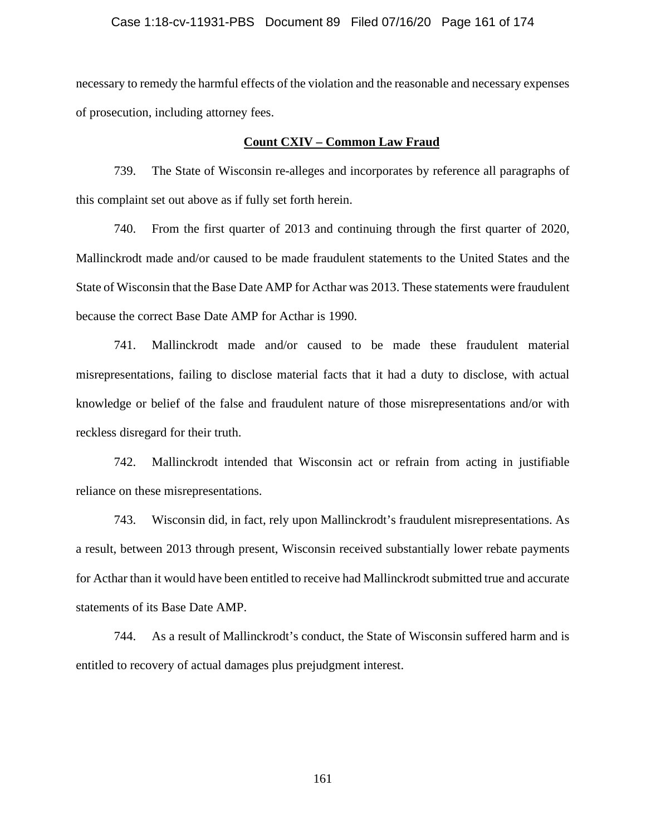### Case 1:18-cv-11931-PBS Document 89 Filed 07/16/20 Page 161 of 174

necessary to remedy the harmful effects of the violation and the reasonable and necessary expenses of prosecution, including attorney fees.

#### **Count CXIV – Common Law Fraud**

739. The State of Wisconsin re-alleges and incorporates by reference all paragraphs of this complaint set out above as if fully set forth herein.

740. From the first quarter of 2013 and continuing through the first quarter of 2020, Mallinckrodt made and/or caused to be made fraudulent statements to the United States and the State of Wisconsin that the Base Date AMP for Acthar was 2013. These statements were fraudulent because the correct Base Date AMP for Acthar is 1990.

741. Mallinckrodt made and/or caused to be made these fraudulent material misrepresentations, failing to disclose material facts that it had a duty to disclose, with actual knowledge or belief of the false and fraudulent nature of those misrepresentations and/or with reckless disregard for their truth.

742. Mallinckrodt intended that Wisconsin act or refrain from acting in justifiable reliance on these misrepresentations.

743. Wisconsin did, in fact, rely upon Mallinckrodt's fraudulent misrepresentations. As a result, between 2013 through present, Wisconsin received substantially lower rebate payments for Acthar than it would have been entitled to receive had Mallinckrodt submitted true and accurate statements of its Base Date AMP.

744. As a result of Mallinckrodt's conduct, the State of Wisconsin suffered harm and is entitled to recovery of actual damages plus prejudgment interest.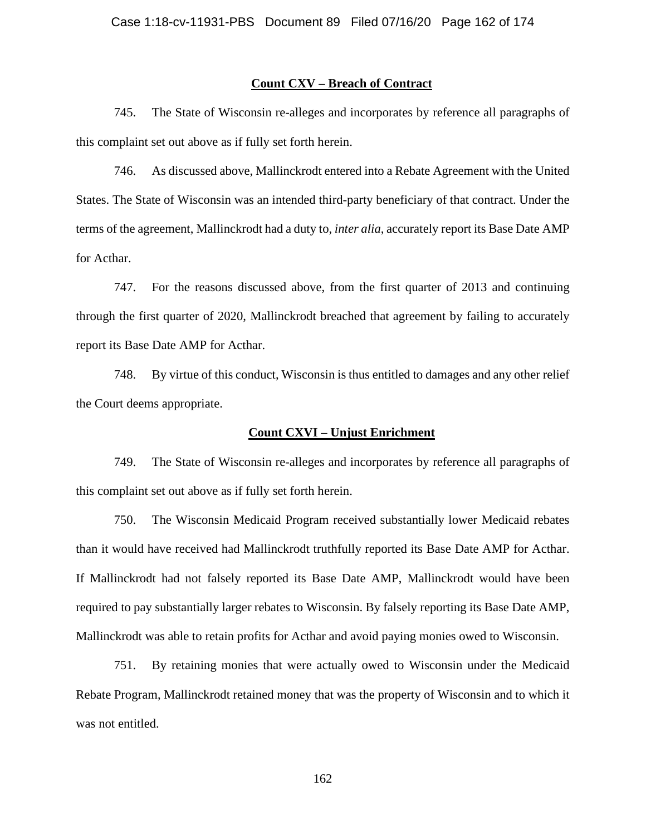#### **Count CXV – Breach of Contract**

745. The State of Wisconsin re-alleges and incorporates by reference all paragraphs of this complaint set out above as if fully set forth herein.

746. As discussed above, Mallinckrodt entered into a Rebate Agreement with the United States. The State of Wisconsin was an intended third-party beneficiary of that contract. Under the terms of the agreement, Mallinckrodt had a duty to, *inter alia*, accurately report its Base Date AMP for Acthar.

747. For the reasons discussed above, from the first quarter of 2013 and continuing through the first quarter of 2020, Mallinckrodt breached that agreement by failing to accurately report its Base Date AMP for Acthar.

748. By virtue of this conduct, Wisconsin is thus entitled to damages and any other relief the Court deems appropriate.

### **Count CXVI – Unjust Enrichment**

749. The State of Wisconsin re-alleges and incorporates by reference all paragraphs of this complaint set out above as if fully set forth herein.

750. The Wisconsin Medicaid Program received substantially lower Medicaid rebates than it would have received had Mallinckrodt truthfully reported its Base Date AMP for Acthar. If Mallinckrodt had not falsely reported its Base Date AMP, Mallinckrodt would have been required to pay substantially larger rebates to Wisconsin. By falsely reporting its Base Date AMP, Mallinckrodt was able to retain profits for Acthar and avoid paying monies owed to Wisconsin.

751. By retaining monies that were actually owed to Wisconsin under the Medicaid Rebate Program, Mallinckrodt retained money that was the property of Wisconsin and to which it was not entitled.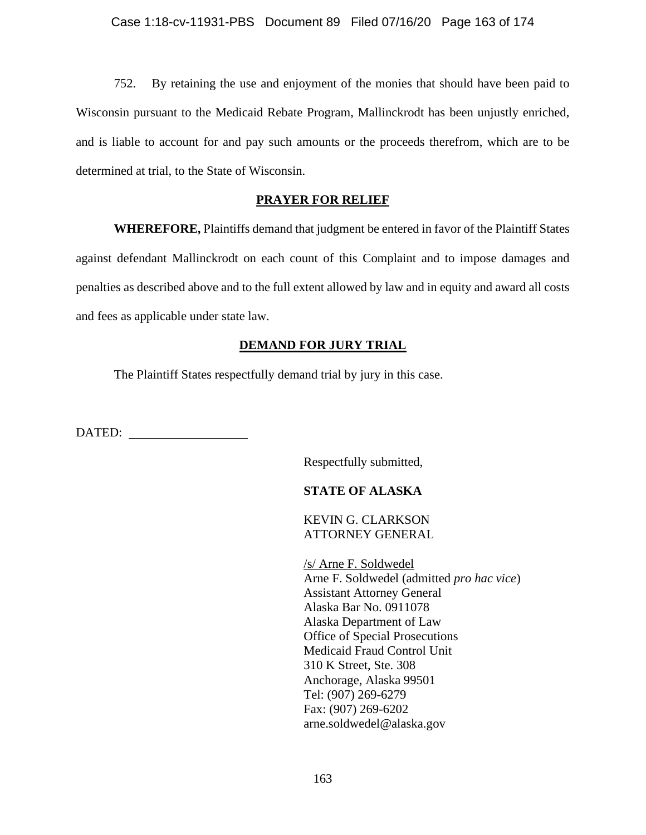752. By retaining the use and enjoyment of the monies that should have been paid to Wisconsin pursuant to the Medicaid Rebate Program, Mallinckrodt has been unjustly enriched, and is liable to account for and pay such amounts or the proceeds therefrom, which are to be determined at trial, to the State of Wisconsin.

# **PRAYER FOR RELIEF**

**WHEREFORE,** Plaintiffs demand that judgment be entered in favor of the Plaintiff States against defendant Mallinckrodt on each count of this Complaint and to impose damages and penalties as described above and to the full extent allowed by law and in equity and award all costs and fees as applicable under state law.

# **DEMAND FOR JURY TRIAL**

The Plaintiff States respectfully demand trial by jury in this case.

DATED:

Respectfully submitted,

# **STATE OF ALASKA**

KEVIN G. CLARKSON ATTORNEY GENERAL

/s/ Arne F. Soldwedel Arne F. Soldwedel (admitted *pro hac vice*) Assistant Attorney General Alaska Bar No. 0911078 Alaska Department of Law Office of Special Prosecutions Medicaid Fraud Control Unit 310 K Street, Ste. 308 Anchorage, Alaska 99501 Tel: (907) 269-6279 Fax: (907) 269-6202 arne.soldwedel@alaska.gov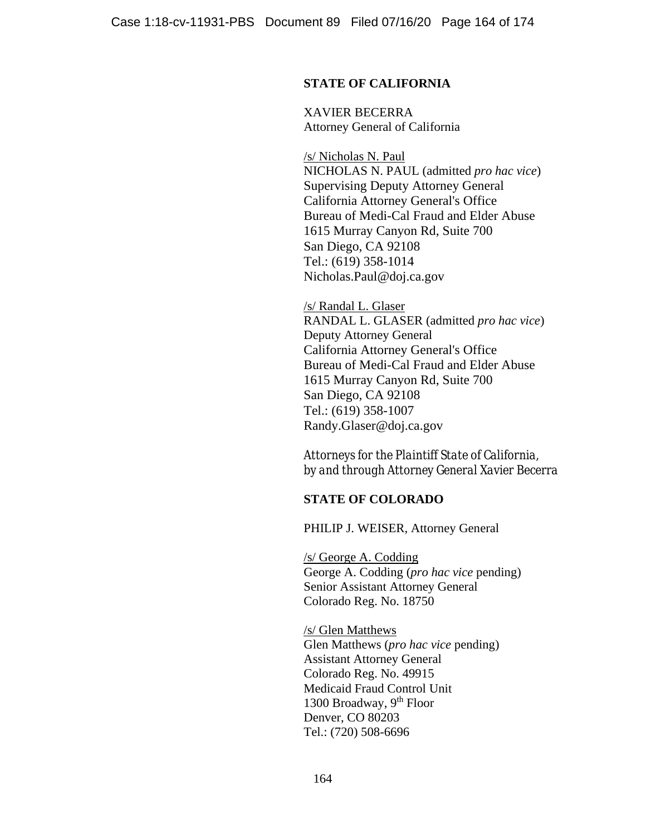# **STATE OF CALIFORNIA**

XAVIER BECERRA Attorney General of California

/s/ Nicholas N. Paul NICHOLAS N. PAUL (admitted *pro hac vice*) Supervising Deputy Attorney General California Attorney General's Office Bureau of Medi-Cal Fraud and Elder Abuse 1615 Murray Canyon Rd, Suite 700 San Diego, CA 92108 Tel.: (619) 358-1014 Nicholas.Paul@doj.ca.gov

/s/ Randal L. Glaser RANDAL L. GLASER (admitted *pro hac vice*) Deputy Attorney General California Attorney General's Office Bureau of Medi-Cal Fraud and Elder Abuse 1615 Murray Canyon Rd, Suite 700 San Diego, CA 92108 Tel.: (619) 358-1007 Randy.Glaser@doj.ca.gov

Attorneys for the Plaintiff State of California, *by and through Attorney General Xavier Becerra* 

### **STATE OF COLORADO**

PHILIP J. WEISER, Attorney General

/s/ George A. Codding George A. Codding (*pro hac vice* pending) Senior Assistant Attorney General Colorado Reg. No. 18750

/s/ Glen Matthews Glen Matthews (*pro hac vice* pending) Assistant Attorney General Colorado Reg. No. 49915 Medicaid Fraud Control Unit 1300 Broadway, 9<sup>th</sup> Floor Denver, CO 80203 Tel.: (720) 508-6696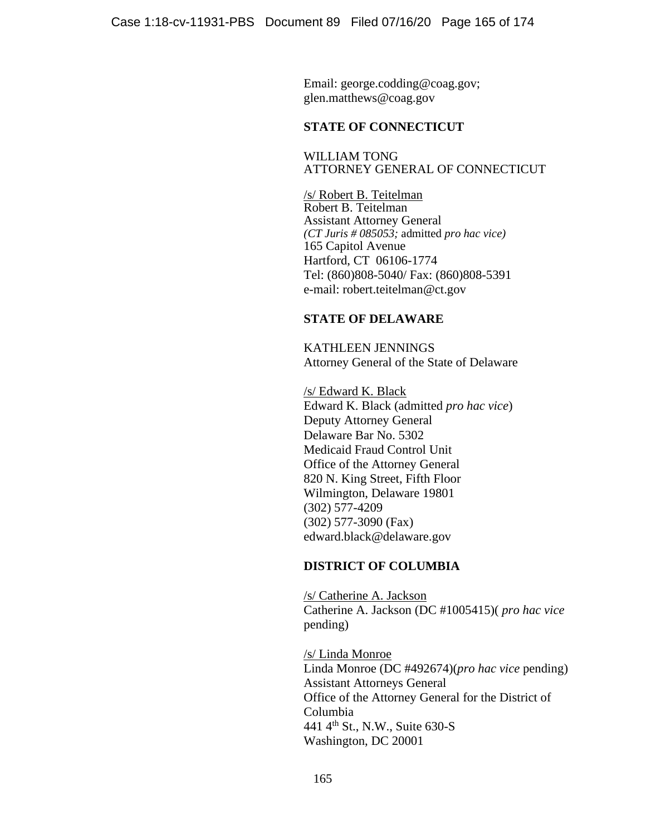Email: george.codding@coag.gov; glen.matthews@coag.gov

# **STATE OF CONNECTICUT**

WILLIAM TONG ATTORNEY GENERAL OF CONNECTICUT

/s/ Robert B. Teitelman Robert B. Teitelman Assistant Attorney General *(CT Juris # 085053;* admitted *pro hac vice)*  165 Capitol Avenue Hartford, CT 06106-1774 Tel: (860)808-5040/ Fax: (860)808-5391 e-mail: robert.teitelman@ct.gov

# **STATE OF DELAWARE**

KATHLEEN JENNINGS Attorney General of the State of Delaware

/s/ Edward K. Black Edward K. Black (admitted *pro hac vice*) Deputy Attorney General Delaware Bar No. 5302 Medicaid Fraud Control Unit Office of the Attorney General 820 N. King Street, Fifth Floor Wilmington, Delaware 19801 (302) 577-4209 (302) 577-3090 (Fax) edward.black@delaware.gov

# **DISTRICT OF COLUMBIA**

/s/ Catherine A. Jackson Catherine A. Jackson (DC #1005415)( *pro hac vice* pending)

/s/ Linda Monroe Linda Monroe (DC #492674)(*pro hac vice* pending) Assistant Attorneys General Office of the Attorney General for the District of Columbia 441 4th St., N.W., Suite 630-S Washington, DC 20001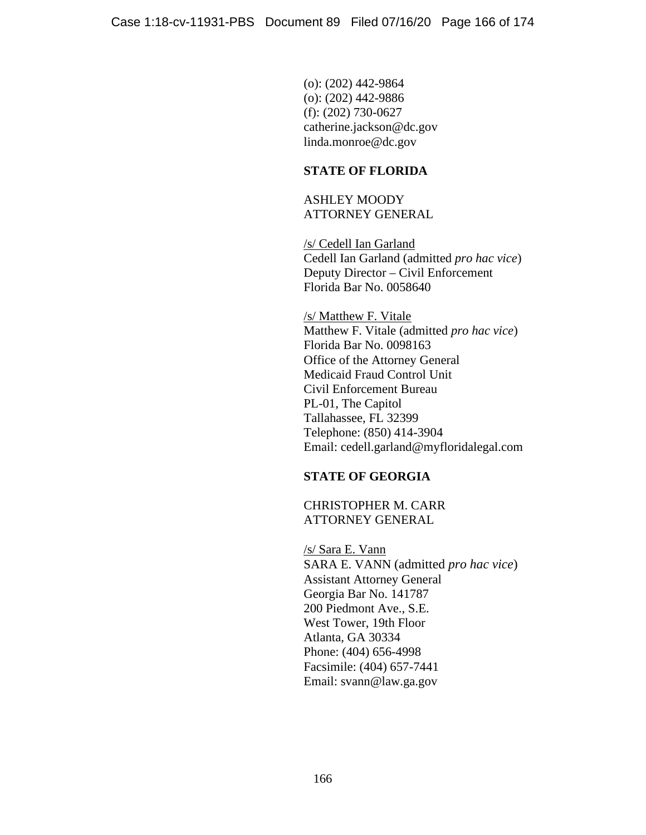(o): (202) 442-9864 (o): (202) 442-9886 (f): (202) 730-0627 catherine.jackson@dc.gov linda.monroe@dc.gov

# **STATE OF FLORIDA**

ASHLEY MOODY ATTORNEY GENERAL

/s/ Cedell Ian Garland Cedell Ian Garland (admitted *pro hac vice*) Deputy Director – Civil Enforcement Florida Bar No. 0058640

/s/ Matthew F. Vitale Matthew F. Vitale (admitted *pro hac vice*) Florida Bar No. 0098163 Office of the Attorney General Medicaid Fraud Control Unit Civil Enforcement Bureau PL-01, The Capitol Tallahassee, FL 32399 Telephone: (850) 414-3904 Email: cedell.garland@myfloridalegal.com

# **STATE OF GEORGIA**

CHRISTOPHER M. CARR ATTORNEY GENERAL

/s/ Sara E. Vann SARA E. VANN (admitted *pro hac vice*) Assistant Attorney General Georgia Bar No. 141787 200 Piedmont Ave., S.E. West Tower, 19th Floor Atlanta, GA 30334 Phone: (404) 656-4998 Facsimile: (404) 657-7441 Email: svann@law.ga.gov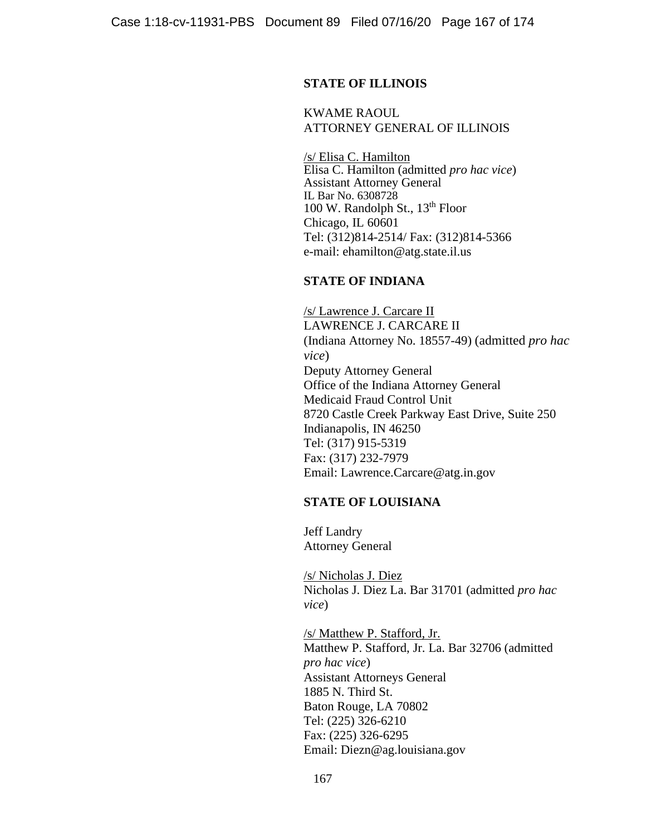# **STATE OF ILLINOIS**

KWAME RAOUL ATTORNEY GENERAL OF ILLINOIS

/s/ Elisa C. Hamilton Elisa C. Hamilton (admitted *pro hac vice*) Assistant Attorney General IL Bar No. 6308728 100 W. Randolph St.,  $13<sup>th</sup>$  Floor Chicago, IL 60601 Tel: (312)814-2514/ Fax: (312)814-5366 e-mail: ehamilton@atg.state.il.us

### **STATE OF INDIANA**

/s/ Lawrence J. Carcare II LAWRENCE J. CARCARE II (Indiana Attorney No. 18557-49) (admitted *pro hac vice*) Deputy Attorney General Office of the Indiana Attorney General Medicaid Fraud Control Unit 8720 Castle Creek Parkway East Drive, Suite 250 Indianapolis, IN 46250 Tel: (317) 915-5319 Fax: (317) 232-7979 Email: Lawrence.Carcare@atg.in.gov

### **STATE OF LOUISIANA**

Jeff Landry Attorney General

/s/ Nicholas J. Diez Nicholas J. Diez La. Bar 31701 (admitted *pro hac vice*)

/s/ Matthew P. Stafford, Jr. Matthew P. Stafford, Jr. La. Bar 32706 (admitted *pro hac vice*) Assistant Attorneys General 1885 N. Third St. Baton Rouge, LA 70802 Tel: (225) 326-6210 Fax: (225) 326-6295 Email: Diezn@ag.louisiana.gov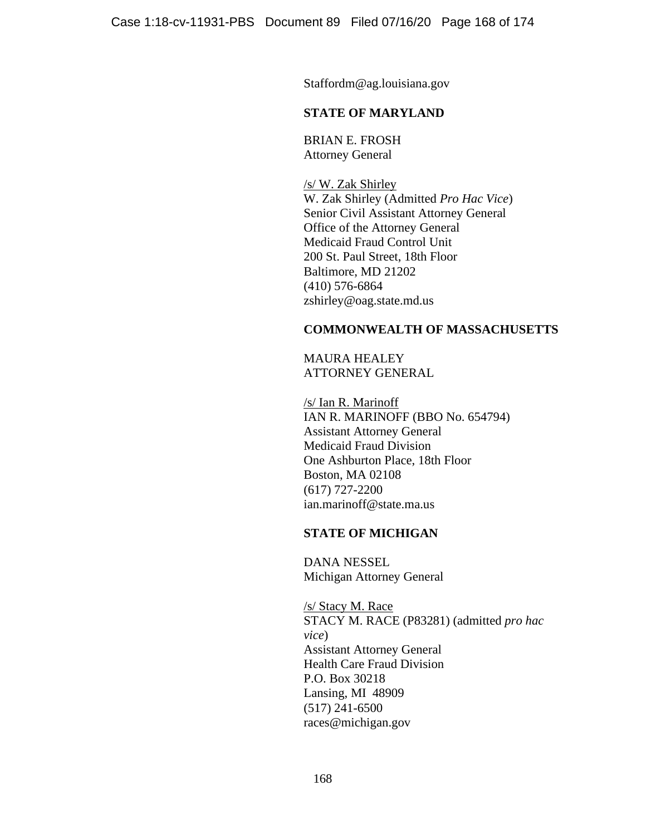Staffordm@ag.louisiana.gov

# **STATE OF MARYLAND**

BRIAN E. FROSH Attorney General

/s/ W. Zak Shirley W. Zak Shirley (Admitted *Pro Hac Vice*) Senior Civil Assistant Attorney General Office of the Attorney General Medicaid Fraud Control Unit 200 St. Paul Street, 18th Floor Baltimore, MD 21202 (410) 576-6864 zshirley@oag.state.md.us

### **COMMONWEALTH OF MASSACHUSETTS**

MAURA HEALEY ATTORNEY GENERAL

/s/ Ian R. Marinoff IAN R. MARINOFF (BBO No. 654794) Assistant Attorney General Medicaid Fraud Division One Ashburton Place, 18th Floor Boston, MA 02108 (617) 727-2200 ian.marinoff@state.ma.us

# **STATE OF MICHIGAN**

DANA NESSEL Michigan Attorney General

/s/ Stacy M. Race STACY M. RACE (P83281) (admitted *pro hac vice*) Assistant Attorney General Health Care Fraud Division P.O. Box 30218 Lansing, MI 48909 (517) 241-6500 races@michigan.gov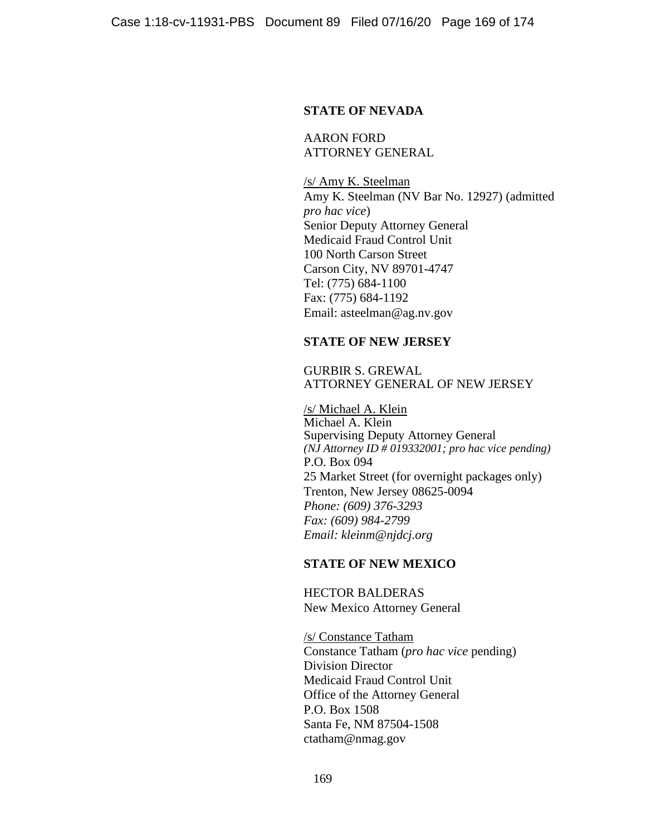### **STATE OF NEVADA**

AARON FORD ATTORNEY GENERAL

 /s/ Amy K. Steelman Amy K. Steelman (NV Bar No. 12927) (admitted *pro hac vice*) Senior Deputy Attorney General Medicaid Fraud Control Unit 100 North Carson Street Carson City, NV 89701-4747 Tel: (775) 684-1100 Fax: (775) 684-1192 Email: asteelman@ag.nv.gov

# **STATE OF NEW JERSEY**

### GURBIR S. GREWAL ATTORNEY GENERAL OF NEW JERSEY

/s/ Michael A. Klein Michael A. Klein Supervising Deputy Attorney General *(NJ Attorney ID # 019332001; pro hac vice pending)*  P.O. Box 094 25 Market Street (for overnight packages only) Trenton, New Jersey 08625-0094 *Phone: (609) 376-3293 Fax: (609) 984-2799 Email: kleinm@njdcj.org*

# **STATE OF NEW MEXICO**

HECTOR BALDERAS New Mexico Attorney General

/s/ Constance Tatham Constance Tatham (*pro hac vice* pending) Division Director Medicaid Fraud Control Unit Office of the Attorney General P.O. Box 1508 Santa Fe, NM 87504-1508 ctatham@nmag.gov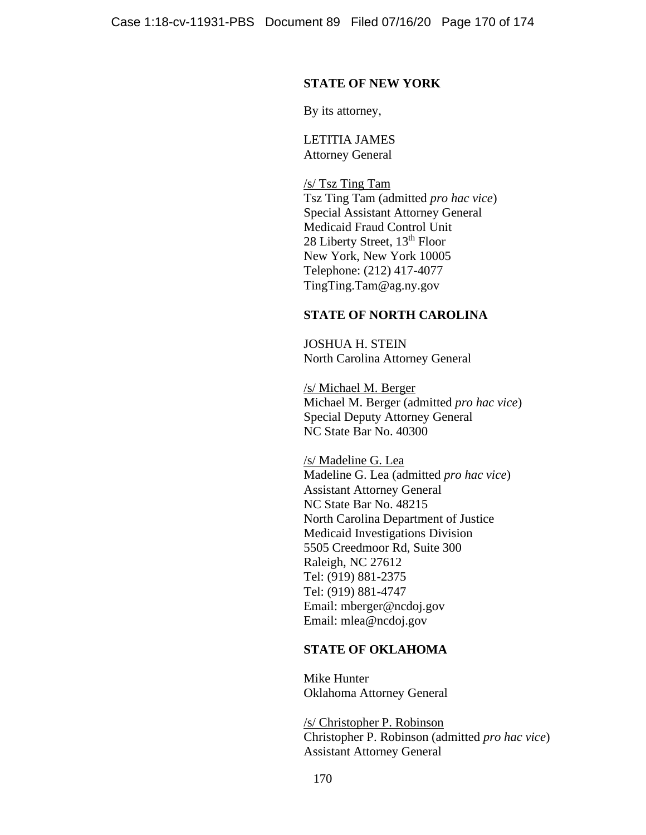### **STATE OF NEW YORK**

By its attorney,

LETITIA JAMES Attorney General

/s/ Tsz Ting Tam Tsz Ting Tam (admitted *pro hac vice*) Special Assistant Attorney General Medicaid Fraud Control Unit 28 Liberty Street, 13<sup>th</sup> Floor New York, New York 10005 Telephone: (212) 417-4077 TingTing.Tam@ag.ny.gov

## **STATE OF NORTH CAROLINA**

JOSHUA H. STEIN North Carolina Attorney General

 /s/ Michael M. Berger Michael M. Berger (admitted *pro hac vice*) Special Deputy Attorney General NC State Bar No. 40300

/s/ Madeline G. Lea Madeline G. Lea (admitted *pro hac vice*) Assistant Attorney General NC State Bar No. 48215 North Carolina Department of Justice Medicaid Investigations Division 5505 Creedmoor Rd, Suite 300 Raleigh, NC 27612 Tel: (919) 881-2375 Tel: (919) 881-4747 Email: mberger@ncdoj.gov Email: mlea@ncdoj.gov

# **STATE OF OKLAHOMA**

Mike Hunter Oklahoma Attorney General

/s/ Christopher P. Robinson Christopher P. Robinson (admitted *pro hac vice*) Assistant Attorney General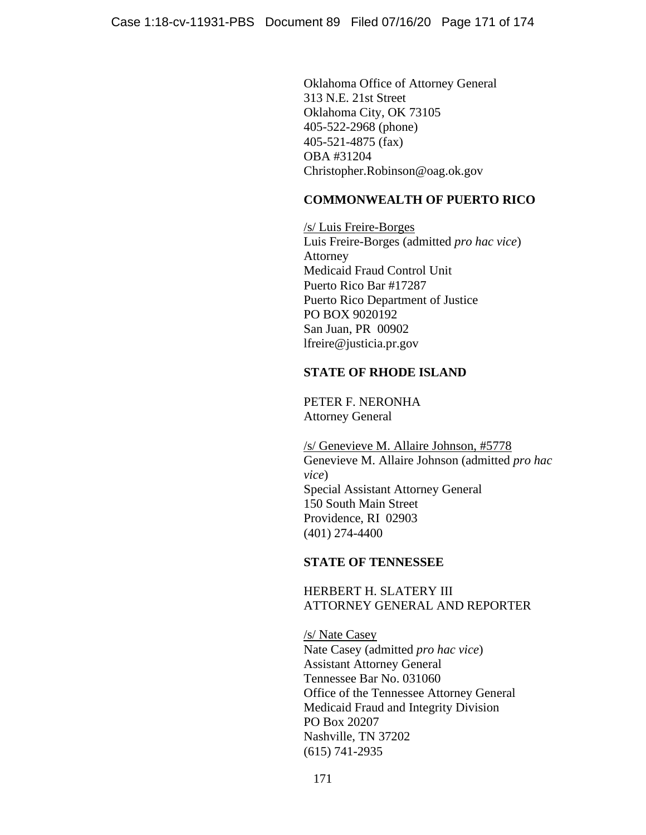Oklahoma Office of Attorney General 313 N.E. 21st Street Oklahoma City, OK 73105 405-522-2968 (phone) 405-521-4875 (fax) OBA #31204 Christopher.Robinson@oag.ok.gov

# **COMMONWEALTH OF PUERTO RICO**

/s/ Luis Freire-Borges Luis Freire-Borges (admitted *pro hac vice*) Attorney Medicaid Fraud Control Unit Puerto Rico Bar #17287 Puerto Rico Department of Justice PO BOX 9020192 San Juan, PR 00902 lfreire@justicia.pr.gov

# **STATE OF RHODE ISLAND**

PETER F. NERONHA Attorney General

/s/ Genevieve M. Allaire Johnson, #5778 Genevieve M. Allaire Johnson (admitted *pro hac vice*) Special Assistant Attorney General 150 South Main Street Providence, RI 02903 (401) 274-4400

# **STATE OF TENNESSEE**

# HERBERT H. SLATERY III ATTORNEY GENERAL AND REPORTER

/s/ Nate Casey Nate Casey (admitted *pro hac vice*) Assistant Attorney General Tennessee Bar No. 031060 Office of the Tennessee Attorney General Medicaid Fraud and Integrity Division PO Box 20207 Nashville, TN 37202 (615) 741-2935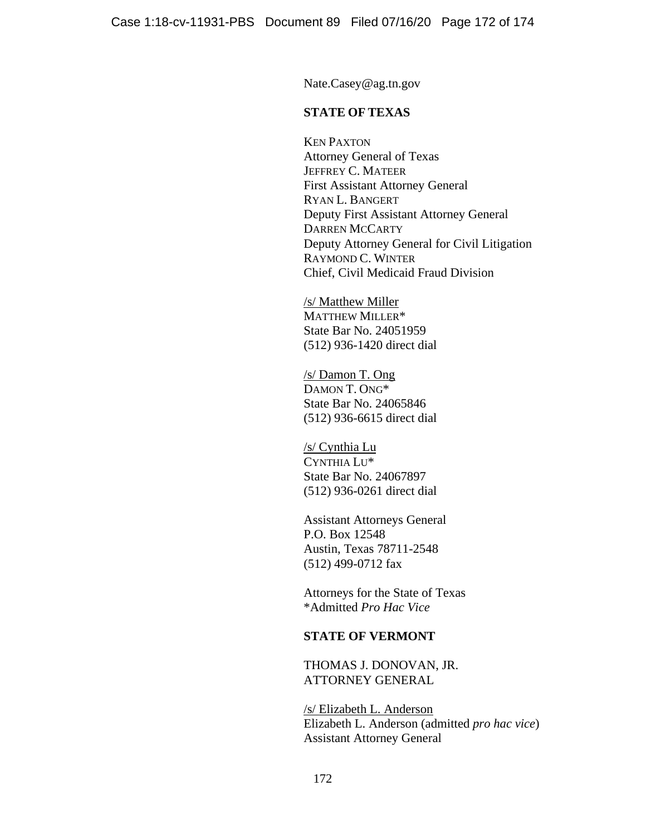Nate.Casey@ag.tn.gov

## **STATE OF TEXAS**

KEN PAXTON Attorney General of Texas JEFFREY C. MATEER First Assistant Attorney General RYAN L. BANGERT Deputy First Assistant Attorney General DARREN MCCARTY Deputy Attorney General for Civil Litigation RAYMOND C. WINTER Chief, Civil Medicaid Fraud Division

/s/ Matthew Miller MATTHEW MILLER\* State Bar No. 24051959 (512) 936-1420 direct dial

/s/ Damon T. Ong DAMON T. ONG\* State Bar No. 24065846 (512) 936-6615 direct dial

/s/ Cynthia Lu CYNTHIA LU\* State Bar No. 24067897 (512) 936-0261 direct dial

Assistant Attorneys General P.O. Box 12548 Austin, Texas 78711-2548 (512) 499-0712 fax

Attorneys for the State of Texas \*Admitted *Pro Hac Vice*

### **STATE OF VERMONT**

THOMAS J. DONOVAN, JR. ATTORNEY GENERAL

/s/ Elizabeth L. Anderson Elizabeth L. Anderson (admitted *pro hac vice*) Assistant Attorney General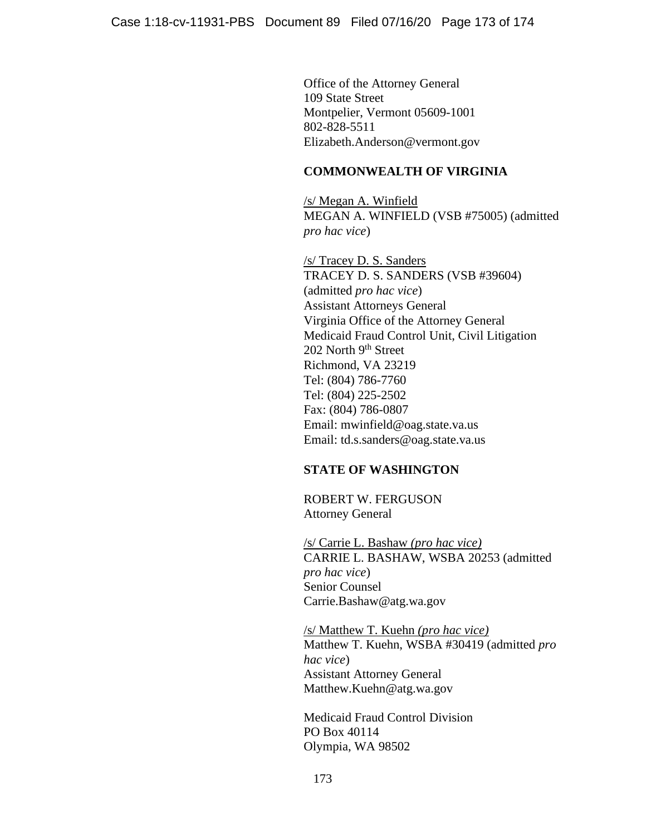Office of the Attorney General 109 State Street Montpelier, Vermont 05609-1001 802-828-5511 Elizabeth.Anderson@vermont.gov

# **COMMONWEALTH OF VIRGINIA**

/s/ Megan A. Winfield MEGAN A. WINFIELD (VSB #75005) (admitted *pro hac vice*)

/s/ Tracey D. S. Sanders TRACEY D. S. SANDERS (VSB #39604) (admitted *pro hac vice*) Assistant Attorneys General Virginia Office of the Attorney General Medicaid Fraud Control Unit, Civil Litigation 202 North 9<sup>th</sup> Street Richmond, VA 23219 Tel: (804) 786-7760 Tel: (804) 225-2502 Fax: (804) 786-0807 Email: mwinfield@oag.state.va.us Email: td.s.sanders@oag.state.va.us

# **STATE OF WASHINGTON**

ROBERT W. FERGUSON Attorney General

/s/ Carrie L. Bashaw *(pro hac vice)* CARRIE L. BASHAW, WSBA 20253 (admitted *pro hac vice*) Senior Counsel Carrie.Bashaw@atg.wa.gov

/s/ Matthew T. Kuehn *(pro hac vice)*  Matthew T. Kuehn, WSBA #30419 (admitted *pro hac vice*) Assistant Attorney General Matthew.Kuehn@atg.wa.gov

Medicaid Fraud Control Division PO Box 40114 Olympia, WA 98502